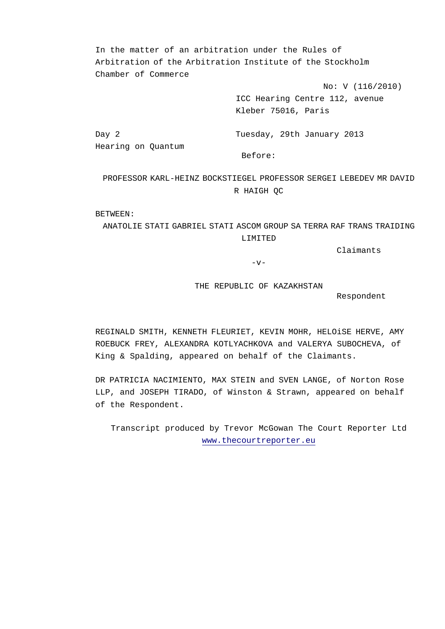In the matter of an arbitration under the Rules of Arbitration of the Arbitration Institute of the Stockholm Chamber of Commerce

No: V (116/2010)

ICC Hearing Centre 112, avenue Kleber 75016, Paris

Day 2 Tuesday, 29th January 2013 Hearing on Quantum

Before:

# PROFESSOR KARL-HEINZ BOCKSTIEGEL PROFESSOR SERGEI LEBEDEV MR DAVID R HAIGH QC

BETWEEN:

# ANATOLIE STATI GABRIEL STATI ASCOM GROUP SA TERRA RAF TRANS TRAIDING LIMITED

Claimants

 $-v-$ 

THE REPUBLIC OF KAZAKHSTAN

Respondent

REGINALD SMITH, KENNETH FLEURIET, KEVIN MOHR, HELOiSE HERVE, AMY ROEBUCK FREY, ALEXANDRA KOTLYACHKOVA and VALERYA SUBOCHEVA, of King & Spalding, appeared on behalf of the Claimants.

DR PATRICIA NACIMIENTO, MAX STEIN and SVEN LANGE, of Norton Rose LLP, and JOSEPH TIRADO, of Winston & Strawn, appeared on behalf of the Respondent.

Transcript produced by Trevor McGowan The Court Reporter Ltd www.thecourtreporter.eu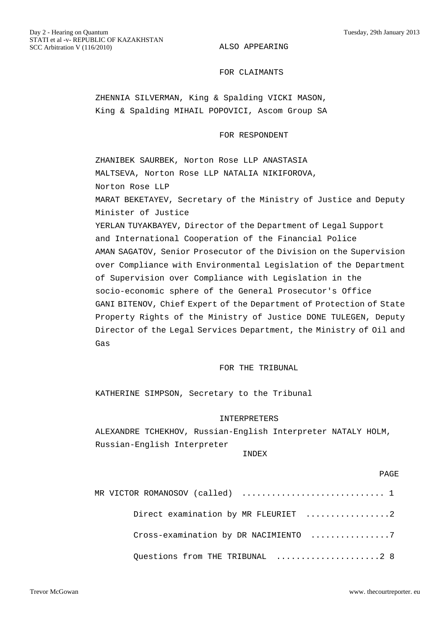#### ALSO APPEARING

### FOR CLAIMANTS

ZHENNIA SILVERMAN, King & Spalding VICKI MASON, King & Spalding MIHAIL POPOVICI, Ascom Group SA

#### FOR RESPONDENT

ZHANIBEK SAURBEK, Norton Rose LLP ANASTASIA MALTSEVA, Norton Rose LLP NATALIA NIKIFOROVA, Norton Rose LLP MARAT BEKETAYEV, Secretary of the Ministry of Justice and Deputy Minister of Justice YERLAN TUYAKBAYEV, Director of the Department of Legal Support and International Cooperation of the Financial Police AMAN SAGATOV, Senior Prosecutor of the Division on the Supervision over Compliance with Environmental Legislation of the Department of Supervision over Compliance with Legislation in the socio-economic sphere of the General Prosecutor's Office GANI BITENOV, Chief Expert of the Department of Protection of State Property Rights of the Ministry of Justice DONE TULEGEN, Deputy Director of the Legal Services Department, the Ministry of Oil and Gas

#### FOR THE TRIBUNAL

KATHERINE SIMPSON, Secretary to the Tribunal

#### INTERPRETERS

ALEXANDRE TCHEKHOV, Russian-English Interpreter NATALY HOLM, Russian-English Interpreter

INDEX

#### PAGE

| Direct examination by MR FLEURIET 2  |
|--------------------------------------|
| Cross-examination by DR NACIMIENTO 7 |
| Questions from THE TRIBUNAL 2 8      |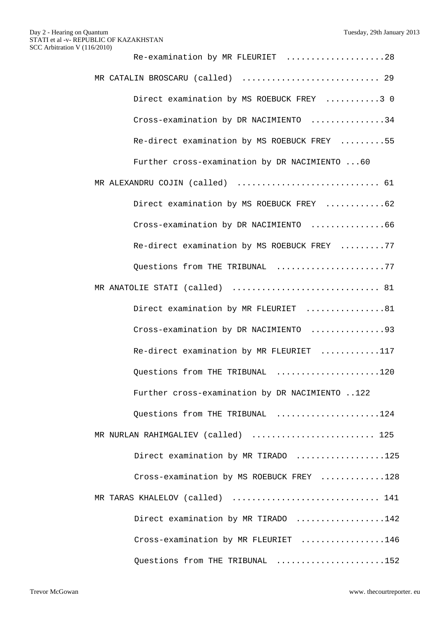Day 2 - Hearing on Quantum Tuesday, 29th January 2013 STATI et al -v- REPUBLIC OF KAZAKHSTAN SCC Arbitration V (116/2010)

|  | Re-examination by MR FLEURIET 28               |
|--|------------------------------------------------|
|  | MR CATALIN BROSCARU (called)  29               |
|  | Direct examination by MS ROEBUCK FREY 3 0      |
|  | Cross-examination by DR NACIMIENTO 34          |
|  | Re-direct examination by MS ROEBUCK FREY 55    |
|  | Further cross-examination by DR NACIMIENTO 60  |
|  | MR ALEXANDRU COJIN (called)  61                |
|  | Direct examination by MS ROEBUCK FREY 62       |
|  | Cross-examination by DR NACIMIENTO 66          |
|  | Re-direct examination by MS ROEBUCK FREY 77    |
|  | Questions from THE TRIBUNAL 77                 |
|  | MR ANATOLIE STATI (called)  81                 |
|  | Direct examination by MR FLEURIET 81           |
|  | Cross-examination by DR NACIMIENTO 93          |
|  | Re-direct examination by MR FLEURIET 117       |
|  | Questions from THE TRIBUNAL 120                |
|  | Further cross-examination by DR NACIMIENTO 122 |
|  | Questions from THE TRIBUNAL 124                |
|  | MR NURLAN RAHIMGALIEV (called)  125            |
|  | Direct examination by MR TIRADO 125            |
|  | Cross-examination by MS ROEBUCK FREY 128       |
|  | MR TARAS KHALELOV (called)  141                |
|  | Direct examination by MR TIRADO 142            |
|  | Cross-examination by MR FLEURIET 146           |
|  | Questions from THE TRIBUNAL 152                |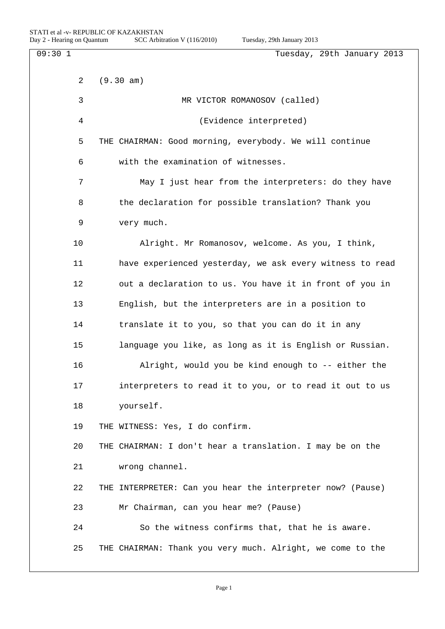09:30 1 Tuesday, 29th January 2013 2 (9. 30 am) 3 MR VICTOR ROMANOSOV (called) 4 (Evidence interpreted) 5 THE CHAIRMAN: Good morning, everybody. We will continue 6 with the examination of witnesses. 7 May I just hear from the interpreters: do they have 8 the declaration for possible translation? Thank you 9 very much. 10 Alright. Mr Romanosov, welcome. As you, I think, 11 have experienced yesterday, we ask every witness to read 12 out a declaration to us. You have it in front of you in 13 English, but the interpreters are in a position to 14 translate it to you, so that you can do it in any 15 language you like, as long as it is English or Russian. 16 Alright, would you be kind enough to -- either the 17 interpreters to read it to you, or to read it out to us 18 yourself. 19 THE WITNESS: Yes, I do confirm. 20 THE CHAIRMAN: I don't hear a translation. I may be on the 21 wrong channel. 22 THE INTERPRETER: Can you hear the interpreter now? (Pause) 23 Mr Chairman, can you hear me? (Pause) 24 So the witness confirms that, that he is aware. 25 THE CHAIRMAN: Thank you very much. Alright, we come to the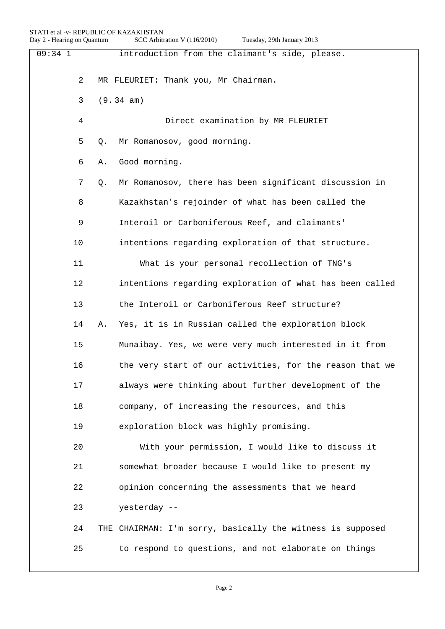|    | introduction from the claimant's side, please.             |
|----|------------------------------------------------------------|
|    | MR FLEURIET: Thank you, Mr Chairman.                       |
|    | (9.34 am)                                                  |
|    | Direct examination by MR FLEURIET                          |
| Q. | Mr Romanosov, good morning.                                |
| Α. | Good morning.                                              |
| Q. | Mr Romanosov, there has been significant discussion in     |
|    | Kazakhstan's rejoinder of what has been called the         |
|    | Interoil or Carboniferous Reef, and claimants'             |
|    | intentions regarding exploration of that structure.        |
|    | What is your personal recollection of TNG's                |
|    | intentions regarding exploration of what has been called   |
|    | the Interoil or Carboniferous Reef structure?              |
| Α. | Yes, it is in Russian called the exploration block         |
|    | Munaibay. Yes, we were very much interested in it from     |
|    | the very start of our activities, for the reason that we   |
|    | always were thinking about further development of the      |
|    | company, of increasing the resources, and this             |
|    | exploration block was highly promising.                    |
|    | With your permission, I would like to discuss it           |
|    | somewhat broader because I would like to present my        |
|    | opinion concerning the assessments that we heard           |
|    | yesterday --                                               |
|    | THE CHAIRMAN: I'm sorry, basically the witness is supposed |
|    | to respond to questions, and not elaborate on things       |
|    |                                                            |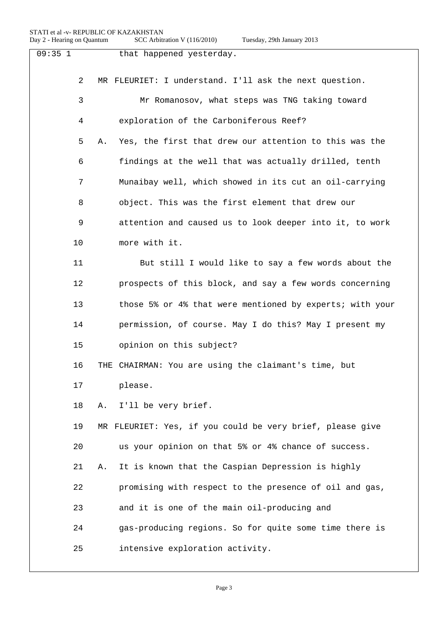| Tuesday, 29th January 2013 |  |  |
|----------------------------|--|--|
|----------------------------|--|--|

| $09:35$ 1      | that happened yesterday.                                     |
|----------------|--------------------------------------------------------------|
| $\overline{2}$ | MR FLEURIET: I understand. I'll ask the next question.       |
| 3              | Mr Romanosov, what steps was TNG taking toward               |
| 4              | exploration of the Carboniferous Reef?                       |
| 5              | Yes, the first that drew our attention to this was the<br>Α. |
| 6              | findings at the well that was actually drilled, tenth        |
| 7              | Munaibay well, which showed in its cut an oil-carrying       |
| 8              | object. This was the first element that drew our             |
| 9              | attention and caused us to look deeper into it, to work      |
| 10             | more with it.                                                |
| 11             | But still I would like to say a few words about the          |
| 12             | prospects of this block, and say a few words concerning      |
| 13             | those 5% or 4% that were mentioned by experts; with your     |
| 14             | permission, of course. May I do this? May I present my       |
| 15             | opinion on this subject?                                     |
| 16             | THE CHAIRMAN: You are using the claimant's time, but         |
| 17             | please.                                                      |
| 18             | I'll be very brief.<br>Α.                                    |
| 19             | MR FLEURIET: Yes, if you could be very brief, please give    |
| 20             | us your opinion on that 5% or 4% chance of success.          |
| 21             | It is known that the Caspian Depression is highly<br>Α.      |
| 22             | promising with respect to the presence of oil and gas,       |
| 23             | and it is one of the main oil-producing and                  |
| 24             | gas-producing regions. So for quite some time there is       |
| 25             | intensive exploration activity.                              |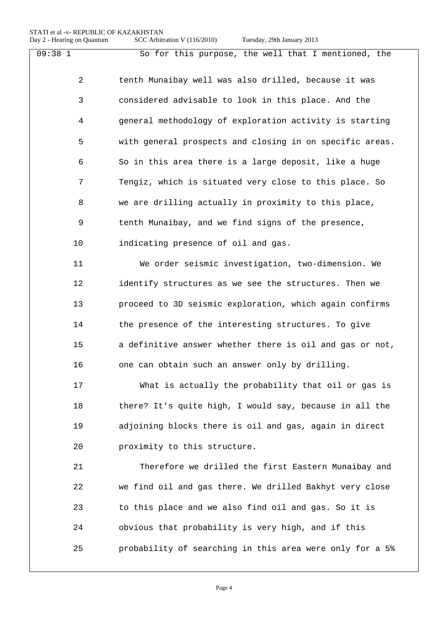| $09:38$ 1 | So for this purpose, the well that I mentioned, the      |
|-----------|----------------------------------------------------------|
|           |                                                          |
| 2         | tenth Munaibay well was also drilled, because it was     |
| 3         | considered advisable to look in this place. And the      |
| 4         | general methodology of exploration activity is starting  |
| 5         | with general prospects and closing in on specific areas. |
| 6         | So in this area there is a large deposit, like a huge    |
| 7         | Tengiz, which is situated very close to this place. So   |
| 8         | we are drilling actually in proximity to this place,     |
| 9         | tenth Munaibay, and we find signs of the presence,       |
| 10        | indicating presence of oil and gas.                      |
| 11        | We order seismic investigation, two-dimension. We        |
| 12        | identify structures as we see the structures. Then we    |
| 13        | proceed to 3D seismic exploration, which again confirms  |
| 14        | the presence of the interesting structures. To give      |
| 15        | a definitive answer whether there is oil and gas or not, |
| 16        | one can obtain such an answer only by drilling.          |
| 17        | What is actually the probability that oil or gas is      |
| 18        | there? It's quite high, I would say, because in all the  |
| 19        | adjoining blocks there is oil and gas, again in direct   |
| 20        | proximity to this structure.                             |
| 21        | Therefore we drilled the first Eastern Munaibay and      |
| 22        | we find oil and gas there. We drilled Bakhyt very close  |
| 23        | to this place and we also find oil and gas. So it is     |
| 24        | obvious that probability is very high, and if this       |
| 25        | probability of searching in this area were only for a 5% |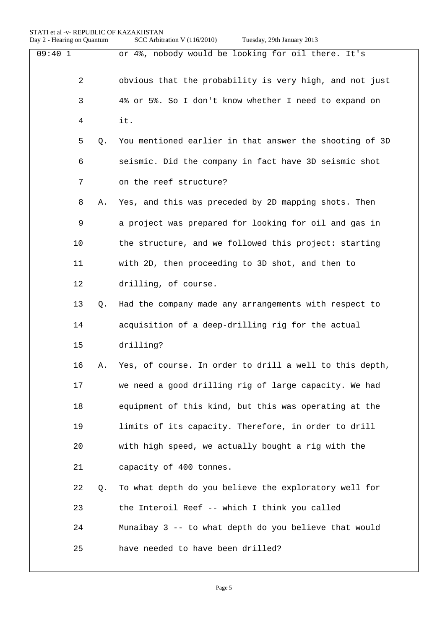| Tuesday, 29th January 2013 |  |  |  |
|----------------------------|--|--|--|
|----------------------------|--|--|--|

| 09:401         |    | or 4%, nobody would be looking for oil there. It's      |
|----------------|----|---------------------------------------------------------|
|                |    |                                                         |
| $\overline{2}$ |    | obvious that the probability is very high, and not just |
| 3              |    | 4% or 5%. So I don't know whether I need to expand on   |
| 4              |    | it.                                                     |
| 5              | Q. | You mentioned earlier in that answer the shooting of 3D |
| 6              |    | seismic. Did the company in fact have 3D seismic shot   |
| 7              |    | on the reef structure?                                  |
| 8              | Α. | Yes, and this was preceded by 2D mapping shots. Then    |
| 9              |    | a project was prepared for looking for oil and gas in   |
| 10             |    | the structure, and we followed this project: starting   |
| 11             |    | with 2D, then proceeding to 3D shot, and then to        |
| 12             |    | drilling, of course.                                    |
| 13             | Q. | Had the company made any arrangements with respect to   |
| 14             |    | acquisition of a deep-drilling rig for the actual       |
| 15             |    | drilling?                                               |
| 16             | Α. | Yes, of course. In order to drill a well to this depth, |
| 17             |    | we need a good drilling rig of large capacity. We had   |
| 18             |    | equipment of this kind, but this was operating at the   |
| 19             |    | limits of its capacity. Therefore, in order to drill    |
| 20             |    | with high speed, we actually bought a rig with the      |
| 21             |    | capacity of 400 tonnes.                                 |
| 22             | Q. | To what depth do you believe the exploratory well for   |
| 23             |    | the Interoil Reef -- which I think you called           |
| 24             |    | Munaibay 3 -- to what depth do you believe that would   |
| 25             |    | have needed to have been drilled?                       |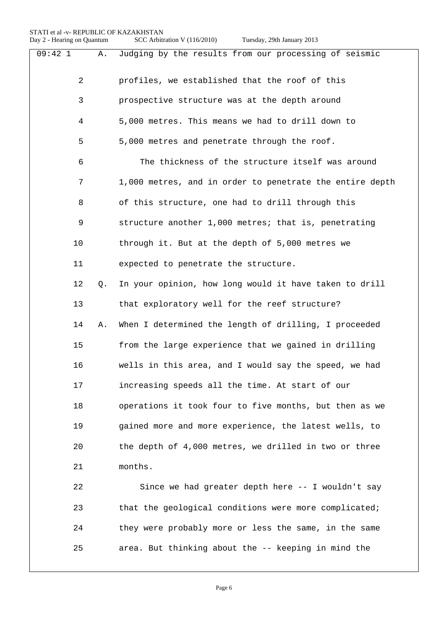| 09:421         | Α. | Judging by the results from our processing of seismic    |
|----------------|----|----------------------------------------------------------|
|                |    |                                                          |
| $\overline{a}$ |    | profiles, we established that the roof of this           |
| 3              |    | prospective structure was at the depth around            |
| $\overline{4}$ |    | 5,000 metres. This means we had to drill down to         |
| 5              |    | 5,000 metres and penetrate through the roof.             |
| 6              |    | The thickness of the structure itself was around         |
| 7              |    | 1,000 metres, and in order to penetrate the entire depth |
| 8              |    | of this structure, one had to drill through this         |
| 9              |    | structure another 1,000 metres; that is, penetrating     |
| 10             |    | through it. But at the depth of 5,000 metres we          |
| 11             |    | expected to penetrate the structure.                     |
| 12             | Q. | In your opinion, how long would it have taken to drill   |
| 13             |    | that exploratory well for the reef structure?            |
| 14             | Α. | When I determined the length of drilling, I proceeded    |
| 15             |    | from the large experience that we gained in drilling     |
| 16             |    | wells in this area, and I would say the speed, we had    |
| 17             |    | increasing speeds all the time. At start of our          |
| 18             |    | operations it took four to five months, but then as we   |
| 19             |    | gained more and more experience, the latest wells, to    |
| 20             |    | the depth of 4,000 metres, we drilled in two or three    |
| 21             |    | months.                                                  |
| 22             |    | Since we had greater depth here -- I wouldn't say        |
| 23             |    | that the geological conditions were more complicated;    |
| 24             |    | they were probably more or less the same, in the same    |
| 25             |    | area. But thinking about the -- keeping in mind the      |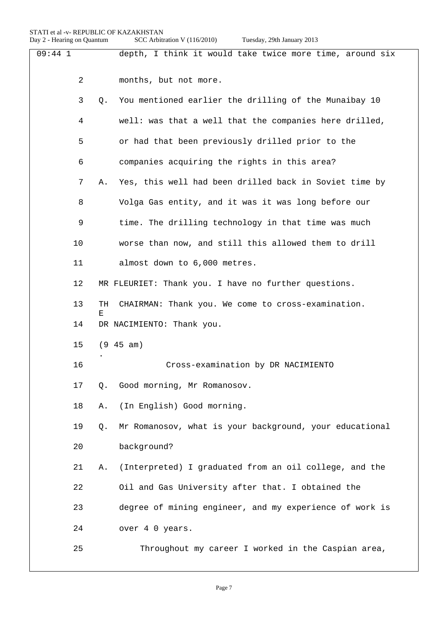# STATI et al -v- REPUBLIC OF KAZAKHSTAN<br>Day 2 - Hearing on Quantum SCC Arbitr

| $09:44$ 1      | depth, I think it would take twice more time, around six      |
|----------------|---------------------------------------------------------------|
| $\overline{a}$ | months, but not more.                                         |
| 3              | You mentioned earlier the drilling of the Munaibay 10<br>Q.   |
| 4              | well: was that a well that the companies here drilled,        |
| 5              | or had that been previously drilled prior to the              |
| 6              | companies acquiring the rights in this area?                  |
| 7              | Yes, this well had been drilled back in Soviet time by<br>Α.  |
| 8              | Volga Gas entity, and it was it was long before our           |
| 9              | time. The drilling technology in that time was much           |
| 10             | worse than now, and still this allowed them to drill          |
| 11             | almost down to 6,000 metres.                                  |
| $12 \,$        | MR FLEURIET: Thank you. I have no further questions.          |
| 13             | TH<br>CHAIRMAN: Thank you. We come to cross-examination.<br>Е |
| 14             | DR NACIMIENTO: Thank you.                                     |
| 15             | (9 45 am)                                                     |
| 16             | Cross-examination by DR NACIMIENTO                            |
| 17             | Good morning, Mr Romanosov.<br>Q.                             |
| 18             | (In English) Good morning.<br>Α.                              |
| 19             | Mr Romanosov, what is your background, your educational<br>Q. |
| 20             | background?                                                   |
| 21             | (Interpreted) I graduated from an oil college, and the<br>Α.  |
| 22             | Oil and Gas University after that. I obtained the             |
| 23             | degree of mining engineer, and my experience of work is       |
| 24             | over 4 0 years.                                               |
| 25             | Throughout my career I worked in the Caspian area,            |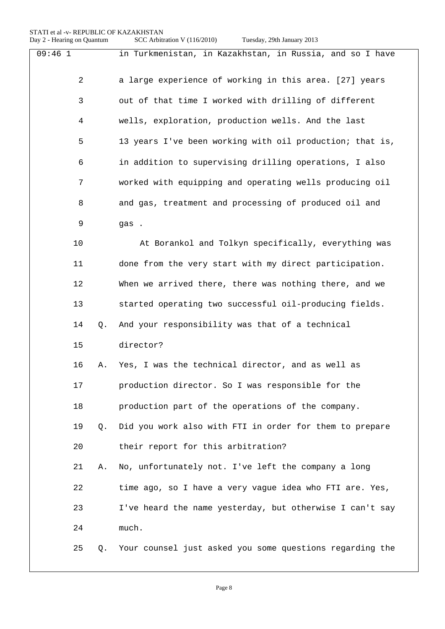# STATI et al -v- REPUBLIC OF KAZAKHSTAN<br>Day 2 - Hearing on Quantum SCC Arbitr SCC Arbitration V (116/2010)

| Tuesday, 29th January 2013 |  |  |  |
|----------------------------|--|--|--|
|----------------------------|--|--|--|

| $09:46$ 1 |                |    | in Turkmenistan, in Kazakhstan, in Russia, and so I have |
|-----------|----------------|----|----------------------------------------------------------|
|           | $\overline{2}$ |    | a large experience of working in this area. [27] years   |
|           | 3              |    | out of that time I worked with drilling of different     |
|           | 4              |    | wells, exploration, production wells. And the last       |
|           | 5              |    | 13 years I've been working with oil production; that is, |
|           | 6              |    | in addition to supervising drilling operations, I also   |
|           | 7              |    | worked with equipping and operating wells producing oil  |
|           | 8              |    | and gas, treatment and processing of produced oil and    |
|           | 9              |    | gas.                                                     |
|           | 10             |    | At Borankol and Tolkyn specifically, everything was      |
|           | 11             |    | done from the very start with my direct participation.   |
|           | 12             |    | When we arrived there, there was nothing there, and we   |
|           | 13             |    | started operating two successful oil-producing fields.   |
|           | 14             | Q. | And your responsibility was that of a technical          |
|           | 15             |    | director?                                                |
|           | 16             | Α. | Yes, I was the technical director, and as well as        |
|           | 17             |    | production director. So I was responsible for the        |
|           | 18             |    | production part of the operations of the company.        |
|           | 19             | Q. | Did you work also with FTI in order for them to prepare  |
|           | 20             |    | their report for this arbitration?                       |
|           | 21             | Α. | No, unfortunately not. I've left the company a long      |
|           | 22             |    | time ago, so I have a very vague idea who FTI are. Yes,  |
|           | 23             |    | I've heard the name yesterday, but otherwise I can't say |
|           | 24             |    | much.                                                    |
|           | 25             | Q. | Your counsel just asked you some questions regarding the |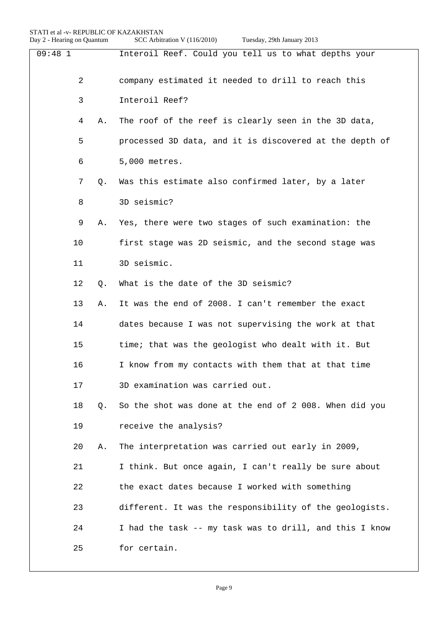# STATI et al -v- REPUBLIC OF KAZAKHSTAN<br>Day 2 - Hearing on Quantum SCC Arbitr SCC Arbitration V (116/2010)

| Tuesday, 29th January 2013 |  |  |  |
|----------------------------|--|--|--|
|----------------------------|--|--|--|

| $09:48$ 1 |                |    | Interoil Reef. Could you tell us to what depths your    |
|-----------|----------------|----|---------------------------------------------------------|
|           | $\overline{2}$ |    | company estimated it needed to drill to reach this      |
|           | 3              |    | Interoil Reef?                                          |
|           | 4              | Α. | The roof of the reef is clearly seen in the 3D data,    |
|           | 5              |    | processed 3D data, and it is discovered at the depth of |
|           | 6              |    | 5,000 metres.                                           |
|           |                |    |                                                         |
|           | 7              | Q. | Was this estimate also confirmed later, by a later      |
|           | 8              |    | 3D seismic?                                             |
|           | 9              | Α. | Yes, there were two stages of such examination: the     |
|           | 10             |    | first stage was 2D seismic, and the second stage was    |
|           | 11             |    | 3D seismic.                                             |
|           | 12             | Q. | What is the date of the 3D seismic?                     |
|           | 13             | Α. | It was the end of 2008. I can't remember the exact      |
|           | 14             |    | dates because I was not supervising the work at that    |
|           | 15             |    | time; that was the geologist who dealt with it. But     |
|           | 16             |    | I know from my contacts with them that at that time     |
|           | 17             |    | 3D examination was carried out.                         |
|           | 18             | Q. | So the shot was done at the end of 2008. When did you   |
|           | 19             |    | receive the analysis?                                   |
|           | 20             | Α. | The interpretation was carried out early in 2009,       |
|           | 21             |    | I think. But once again, I can't really be sure about   |
|           | 22             |    | the exact dates because I worked with something         |
|           | 23             |    | different. It was the responsibility of the geologists. |
|           | 24             |    | I had the task -- my task was to drill, and this I know |
|           | 25             |    | for certain.                                            |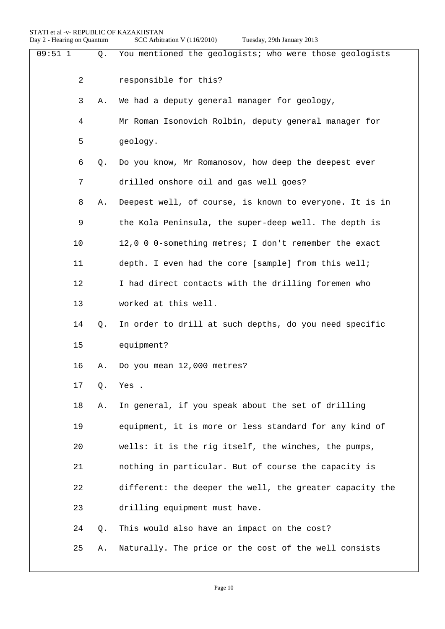| $09:51$ 1 |    | Q. | You mentioned the geologists; who were those geologists  |
|-----------|----|----|----------------------------------------------------------|
|           | 2  |    | responsible for this?                                    |
|           | 3  | Α. | We had a deputy general manager for geology,             |
|           | 4  |    | Mr Roman Isonovich Rolbin, deputy general manager for    |
|           | 5  |    | geology.                                                 |
|           | 6  | Q. | Do you know, Mr Romanosov, how deep the deepest ever     |
|           | 7  |    | drilled onshore oil and gas well goes?                   |
|           | 8  | Α. | Deepest well, of course, is known to everyone. It is in  |
|           | 9  |    | the Kola Peninsula, the super-deep well. The depth is    |
|           | 10 |    | 12,0 0 0-something metres; I don't remember the exact    |
|           | 11 |    | depth. I even had the core [sample] from this well;      |
|           | 12 |    | I had direct contacts with the drilling foremen who      |
|           | 13 |    | worked at this well.                                     |
|           | 14 | Q. | In order to drill at such depths, do you need specific   |
|           | 15 |    | equipment?                                               |
|           | 16 | Α. | Do you mean 12,000 metres?                               |
|           | 17 | Q. | Yes .                                                    |
|           | 18 | Α. | In general, if you speak about the set of drilling       |
|           | 19 |    | equipment, it is more or less standard for any kind of   |
|           | 20 |    | wells: it is the rig itself, the winches, the pumps,     |
|           | 21 |    | nothing in particular. But of course the capacity is     |
|           | 22 |    | different: the deeper the well, the greater capacity the |
|           | 23 |    | drilling equipment must have.                            |
|           | 24 | Q. | This would also have an impact on the cost?              |
|           | 25 | Α. | Naturally. The price or the cost of the well consists    |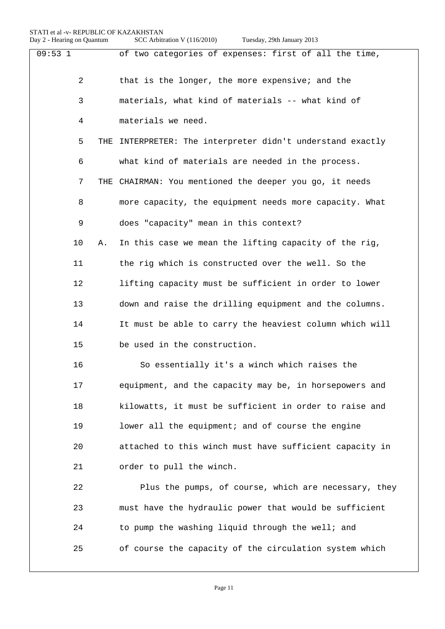| $09:53$ 1 |    |    | of two categories of expenses: first of all the time,      |
|-----------|----|----|------------------------------------------------------------|
|           | 2  |    | that is the longer, the more expensive; and the            |
|           | 3  |    | materials, what kind of materials -- what kind of          |
|           | 4  |    | materials we need.                                         |
|           | 5  |    | THE INTERPRETER: The interpreter didn't understand exactly |
|           | 6  |    | what kind of materials are needed in the process.          |
|           | 7  |    | THE CHAIRMAN: You mentioned the deeper you go, it needs    |
|           | 8  |    | more capacity, the equipment needs more capacity. What     |
|           | 9  |    | does "capacity" mean in this context?                      |
|           | 10 | Α. | In this case we mean the lifting capacity of the rig,      |
|           | 11 |    | the rig which is constructed over the well. So the         |
|           | 12 |    | lifting capacity must be sufficient in order to lower      |
|           | 13 |    | down and raise the drilling equipment and the columns.     |
|           | 14 |    | It must be able to carry the heaviest column which will    |
|           | 15 |    | be used in the construction.                               |
|           | 16 |    | So essentially it's a winch which raises the               |
|           | 17 |    | equipment, and the capacity may be, in horsepowers and     |
|           | 18 |    | kilowatts, it must be sufficient in order to raise and     |
|           | 19 |    | lower all the equipment; and of course the engine          |
|           | 20 |    | attached to this winch must have sufficient capacity in    |
|           | 21 |    | order to pull the winch.                                   |
|           | 22 |    | Plus the pumps, of course, which are necessary, they       |
|           | 23 |    | must have the hydraulic power that would be sufficient     |
|           | 24 |    | to pump the washing liquid through the well; and           |
|           | 25 |    | of course the capacity of the circulation system which     |
|           |    |    |                                                            |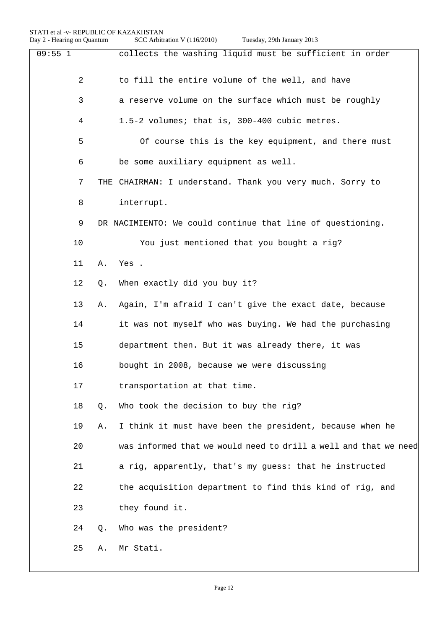| Day 2 - Hearing on Quantum | Tuesday, 29th January 2013<br>SCC Arbitration V (116/2010)   |
|----------------------------|--------------------------------------------------------------|
| 09:551                     | collects the washing liquid must be sufficient in order      |
| 2                          | to fill the entire volume of the well, and have              |
| 3                          | a reserve volume on the surface which must be roughly        |
| 4                          | 1.5-2 volumes; that is, 300-400 cubic metres.                |
| 5                          | Of course this is the key equipment, and there must          |
| 6                          | be some auxiliary equipment as well.                         |
| 7                          | THE CHAIRMAN: I understand. Thank you very much. Sorry to    |
| 8                          | interrupt.                                                   |
| 9                          | DR NACIMIENTO: We could continue that line of questioning.   |
| 10                         | You just mentioned that you bought a rig?                    |
| 11                         | Yes.<br>Α.                                                   |
| 12                         | When exactly did you buy it?<br>Q.                           |
| 13                         | Again, I'm afraid I can't give the exact date, because<br>Α. |
| 14                         | it was not myself who was buying. We had the purchasing      |
| 15                         | department then. But it was already there, it was            |
| 16                         | bought in 2008, because we were discussing                   |

17 transportation at that time.

18 Q. Who took the decision to buy the rig?

19 A. I think it must have been the president, because when he 20 was informed that we would need to drill a well and that we need 21 a rig, apparently, that's my guess: that he instructed 22 the acquisition department to find this kind of rig, and 23 they found it.

24 Q. Who was the president?

25 A. Mr Stati.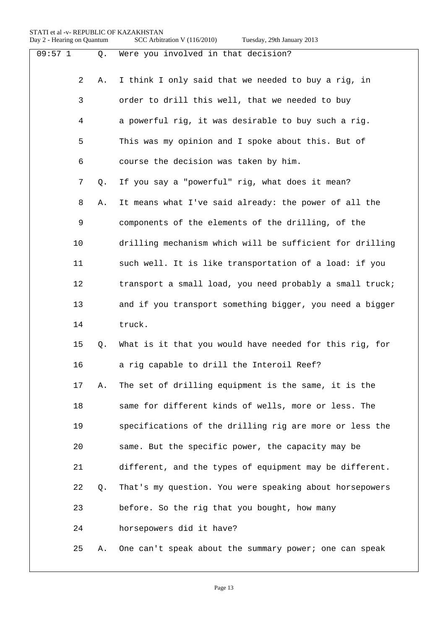# STATI et al -v- REPUBLIC OF KAZAKHSTAN<br>Day 2 - Hearing on Quantum SCC Arbitr SCC Arbitration V (116/2010)

| Tuesday, 29th January 2013 |  |  |
|----------------------------|--|--|
|----------------------------|--|--|

| $09:57$ 1 | Q. | Were you involved in that decision?                      |
|-----------|----|----------------------------------------------------------|
| 2         | Α. | I think I only said that we needed to buy a rig, in      |
| 3         |    | order to drill this well, that we needed to buy          |
| 4         |    | a powerful rig, it was desirable to buy such a rig.      |
| 5         |    | This was my opinion and I spoke about this. But of       |
| 6         |    | course the decision was taken by him.                    |
| 7         | Q. | If you say a "powerful" rig, what does it mean?          |
| 8         | Α. | It means what I've said already: the power of all the    |
| 9         |    | components of the elements of the drilling, of the       |
| 10        |    | drilling mechanism which will be sufficient for drilling |
| 11        |    | such well. It is like transportation of a load: if you   |
| 12        |    | transport a small load, you need probably a small truck; |
| 13        |    | and if you transport something bigger, you need a bigger |
| 14        |    | truck.                                                   |
| 15        | Q. | What is it that you would have needed for this rig, for  |
| 16        |    | a rig capable to drill the Interoil Reef?                |
| 17        | Α. | The set of drilling equipment is the same, it is the     |
| 18        |    | same for different kinds of wells, more or less. The     |
| 19        |    | specifications of the drilling rig are more or less the  |
| 20        |    | same. But the specific power, the capacity may be        |
| 21        |    | different, and the types of equipment may be different.  |
| 22        | Q. | That's my question. You were speaking about horsepowers  |
| 23        |    | before. So the rig that you bought, how many             |
| 24        |    | horsepowers did it have?                                 |
| 25        | Α. | One can't speak about the summary power; one can speak   |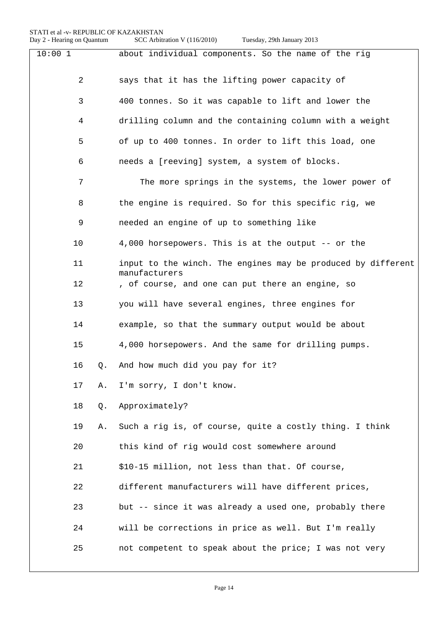| 10:001 |    | about individual components. So the name of the rig                           |
|--------|----|-------------------------------------------------------------------------------|
| 2      |    | says that it has the lifting power capacity of                                |
| 3      |    | 400 tonnes. So it was capable to lift and lower the                           |
| 4      |    | drilling column and the containing column with a weight                       |
| 5      |    | of up to 400 tonnes. In order to lift this load, one                          |
| 6      |    | needs a [reeving] system, a system of blocks.                                 |
| 7      |    | The more springs in the systems, the lower power of                           |
| 8      |    | the engine is required. So for this specific rig, we                          |
| 9      |    | needed an engine of up to something like                                      |
| 10     |    | 4,000 horsepowers. This is at the output -- or the                            |
| 11     |    | input to the winch. The engines may be produced by different<br>manufacturers |
| 12     |    | , of course, and one can put there an engine, so                              |
| 13     |    | you will have several engines, three engines for                              |
| 14     |    | example, so that the summary output would be about                            |
| 15     |    | 4,000 horsepowers. And the same for drilling pumps.                           |
| 16     | Q. | And how much did you pay for it?                                              |
| 17     | Α. | I'm sorry, I don't know.                                                      |
| 18     | Q. | Approximately?                                                                |
| 19     | Α. | Such a rig is, of course, quite a costly thing. I think                       |
| 20     |    | this kind of rig would cost somewhere around                                  |
| 21     |    | \$10-15 million, not less than that. Of course,                               |
| 22     |    | different manufacturers will have different prices,                           |
| 23     |    | but -- since it was already a used one, probably there                        |
| 24     |    | will be corrections in price as well. But I'm really                          |
| 25     |    | not competent to speak about the price; I was not very                        |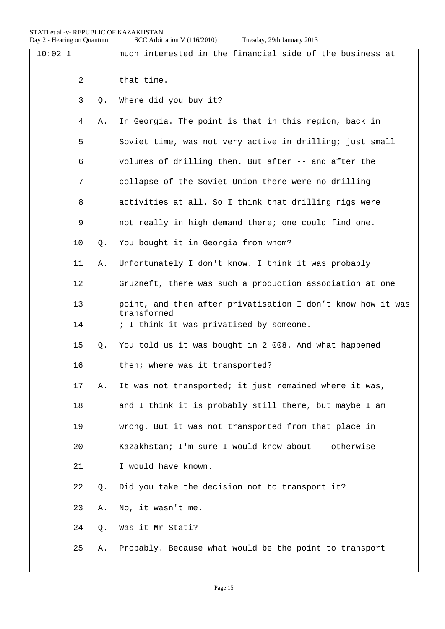| $10:02$ 1 |           | much interested in the financial side of the business at                   |
|-----------|-----------|----------------------------------------------------------------------------|
|           |           |                                                                            |
| 2         |           | that time.                                                                 |
| 3         | Q.        | Where did you buy it?                                                      |
| 4         | Α.        | In Georgia. The point is that in this region, back in                      |
| 5         |           | Soviet time, was not very active in drilling; just small                   |
| 6         |           | volumes of drilling then. But after -- and after the                       |
| 7         |           | collapse of the Soviet Union there were no drilling                        |
| 8         |           | activities at all. So I think that drilling rigs were                      |
| 9         |           | not really in high demand there; one could find one.                       |
| 10        | Q.        | You bought it in Georgia from whom?                                        |
| 11        | Α.        | Unfortunately I don't know. I think it was probably                        |
| 12        |           | Gruzneft, there was such a production association at one                   |
| 13        |           | point, and then after privatisation I don't know how it was<br>transformed |
| 14        |           | ; I think it was privatised by someone.                                    |
| 15        | $\circ$ . | You told us it was bought in 2 008. And what happened                      |
| 16        |           | then; where was it transported?                                            |
| 17        | Α.        | It was not transported; it just remained where it was,                     |
| 18        |           | and I think it is probably still there, but maybe I am                     |
| 19        |           | wrong. But it was not transported from that place in                       |
| 20        |           | Kazakhstan; I'm sure I would know about -- otherwise                       |
| 21        |           | I would have known.                                                        |
| 22        | Q.        | Did you take the decision not to transport it?                             |
| 23        | Α.        | No, it wasn't me.                                                          |
| 24        | Q.        | Was it Mr Stati?                                                           |
| 25        | Α.        | Probably. Because what would be the point to transport                     |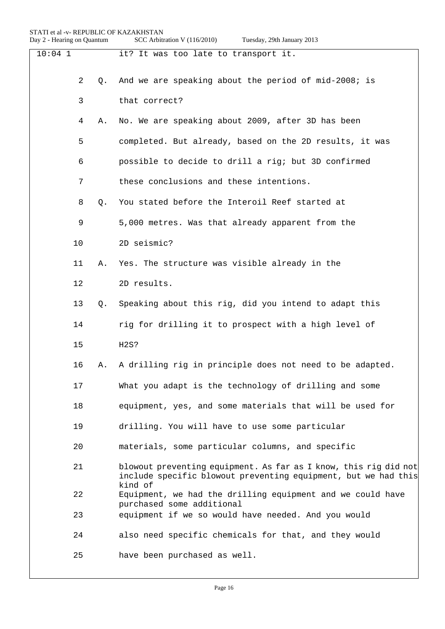| $10:04$ 1 |                |    | it? It was too late to transport it.                                                                                                          |
|-----------|----------------|----|-----------------------------------------------------------------------------------------------------------------------------------------------|
|           |                |    |                                                                                                                                               |
|           | $\overline{2}$ | Q. | And we are speaking about the period of mid-2008; is                                                                                          |
|           | 3              |    | that correct?                                                                                                                                 |
|           | 4              | Α. | No. We are speaking about 2009, after 3D has been                                                                                             |
|           | 5              |    | completed. But already, based on the 2D results, it was                                                                                       |
|           | 6              |    | possible to decide to drill a rig; but 3D confirmed                                                                                           |
|           | 7              |    | these conclusions and these intentions.                                                                                                       |
|           | 8              | Q. | You stated before the Interoil Reef started at                                                                                                |
|           | 9              |    | 5,000 metres. Was that already apparent from the                                                                                              |
|           | 10             |    | 2D seismic?                                                                                                                                   |
|           | 11             | Α. | Yes. The structure was visible already in the                                                                                                 |
|           | 12             |    | 2D results.                                                                                                                                   |
|           | 13             | Q. | Speaking about this rig, did you intend to adapt this                                                                                         |
|           | 14             |    | rig for drilling it to prospect with a high level of                                                                                          |
|           | 15             |    | H2S?                                                                                                                                          |
|           | 16             | Α. | A drilling rig in principle does not need to be adapted.                                                                                      |
|           | 17             |    | What you adapt is the technology of drilling and some                                                                                         |
|           | 18             |    | equipment, yes, and some materials that will be used for                                                                                      |
|           | 19             |    | drilling. You will have to use some particular                                                                                                |
|           | 20             |    | materials, some particular columns, and specific                                                                                              |
|           | 21             |    | blowout preventing equipment. As far as I know, this rig did not<br>include specific blowout preventing equipment, but we had this<br>kind of |
|           | 22             |    | Equipment, we had the drilling equipment and we could have<br>purchased some additional                                                       |
|           | 23             |    | equipment if we so would have needed. And you would                                                                                           |
|           | 24             |    | also need specific chemicals for that, and they would                                                                                         |
|           | 25             |    | have been purchased as well.                                                                                                                  |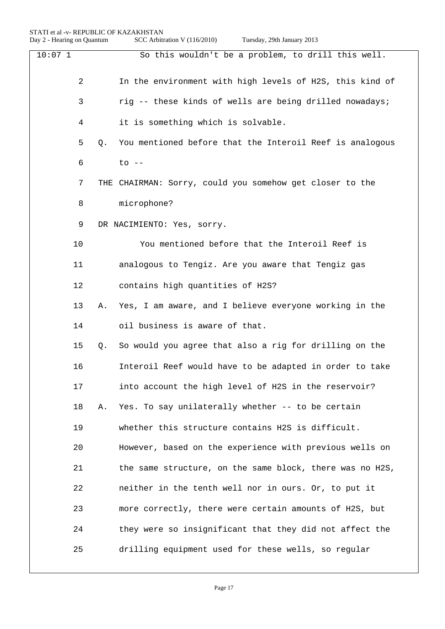| $10:07$ 1      | So this wouldn't be a problem, to drill this well.             |
|----------------|----------------------------------------------------------------|
|                |                                                                |
| $\overline{2}$ | In the environment with high levels of H2S, this kind of       |
| 3              | rig -- these kinds of wells are being drilled nowadays;        |
| 4              | it is something which is solvable.                             |
| 5              | You mentioned before that the Interoil Reef is analogous<br>Q. |
| 6              | $to$ $--$                                                      |
| 7              | THE CHAIRMAN: Sorry, could you somehow get closer to the       |
| 8              | microphone?                                                    |
| 9              | DR NACIMIENTO: Yes, sorry.                                     |
| 10             | You mentioned before that the Interoil Reef is                 |
| 11             | analogous to Tengiz. Are you aware that Tengiz gas             |
| 12             | contains high quantities of H2S?                               |
| 13             | Yes, I am aware, and I believe everyone working in the<br>Α.   |
| 14             | oil business is aware of that.                                 |
| 15             | So would you agree that also a rig for drilling on the<br>Q.   |
| 16             | Interoil Reef would have to be adapted in order to take        |
| 17             | into account the high level of H2S in the reservoir?           |
| 18             | Yes. To say unilaterally whether -- to be certain<br>Α.        |
| 19             | whether this structure contains H2S is difficult.              |
| 20             | However, based on the experience with previous wells on        |
| 21             | the same structure, on the same block, there was no H2S,       |
| 22             | neither in the tenth well nor in ours. Or, to put it           |
| 23             | more correctly, there were certain amounts of H2S, but         |
| 24             | they were so insignificant that they did not affect the        |
| 25             | drilling equipment used for these wells, so regular            |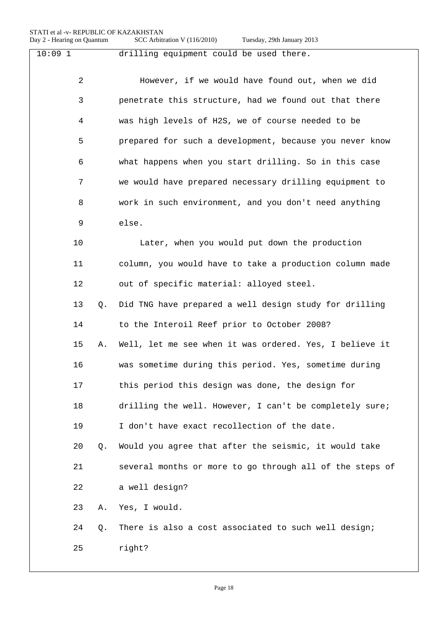| $10:09$ 1 |                |    | drilling equipment could be used there.                  |
|-----------|----------------|----|----------------------------------------------------------|
|           | $\overline{a}$ |    | However, if we would have found out, when we did         |
|           | 3              |    | penetrate this structure, had we found out that there    |
|           | 4              |    | was high levels of H2S, we of course needed to be        |
|           | 5              |    | prepared for such a development, because you never know  |
|           | 6              |    | what happens when you start drilling. So in this case    |
|           | 7              |    | we would have prepared necessary drilling equipment to   |
|           | 8              |    | work in such environment, and you don't need anything    |
|           | 9              |    | else.                                                    |
|           | 10             |    | Later, when you would put down the production            |
|           | 11             |    | column, you would have to take a production column made  |
|           | 12             |    | out of specific material: alloyed steel.                 |
|           | 13             | Q. | Did TNG have prepared a well design study for drilling   |
|           | 14             |    | to the Interoil Reef prior to October 2008?              |
|           | 15             | Α. | Well, let me see when it was ordered. Yes, I believe it  |
|           | 16             |    | was sometime during this period. Yes, sometime during    |
|           | 17             |    | this period this design was done, the design for         |
|           | 18             |    | drilling the well. However, I can't be completely sure;  |
|           | 19             |    | I don't have exact recollection of the date.             |
|           | 20             | Q. | Would you agree that after the seismic, it would take    |
|           | 21             |    | several months or more to go through all of the steps of |
|           | 22             |    | a well design?                                           |
|           | 23             | Α. | Yes, I would.                                            |
|           | 24             | Q. | There is also a cost associated to such well design;     |
|           | 25             |    | right?                                                   |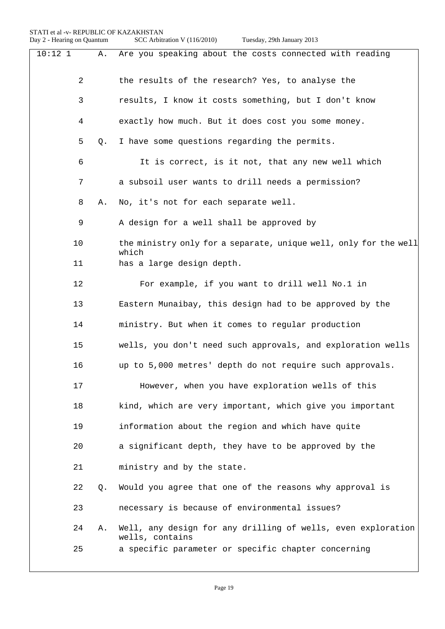| Tuesday, 29th January 2013 |  |  |  |
|----------------------------|--|--|--|
|----------------------------|--|--|--|

| $10:12$ 1 | Α. | Are you speaking about the costs connected with reading                         |
|-----------|----|---------------------------------------------------------------------------------|
| 2         |    | the results of the research? Yes, to analyse the                                |
| 3         |    | results, I know it costs something, but I don't know                            |
| 4         |    | exactly how much. But it does cost you some money.                              |
| 5         | Q. | I have some questions regarding the permits.                                    |
| 6         |    | It is correct, is it not, that any new well which                               |
| 7         |    | a subsoil user wants to drill needs a permission?                               |
| 8         | Α. | No, it's not for each separate well.                                            |
| 9         |    | A design for a well shall be approved by                                        |
| 10        |    | the ministry only for a separate, unique well, only for the well<br>which       |
| 11        |    | has a large design depth.                                                       |
| 12        |    | For example, if you want to drill well No.1 in                                  |
| 13        |    | Eastern Munaibay, this design had to be approved by the                         |
| 14        |    | ministry. But when it comes to regular production                               |
| 15        |    | wells, you don't need such approvals, and exploration wells                     |
| 16        |    | up to 5,000 metres' depth do not require such approvals.                        |
| 17        |    | However, when you have exploration wells of this                                |
| 18        |    | kind, which are very important, which give you important                        |
| 19        |    | information about the region and which have quite                               |
| 20        |    | a significant depth, they have to be approved by the                            |
| 21        |    | ministry and by the state.                                                      |
| 22        | Q. | Would you agree that one of the reasons why approval is                         |
| 23        |    | necessary is because of environmental issues?                                   |
| 24        | Α. | Well, any design for any drilling of wells, even exploration<br>wells, contains |
| 25        |    | a specific parameter or specific chapter concerning                             |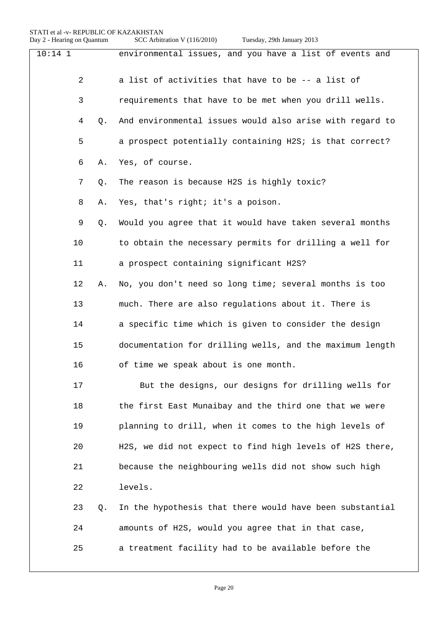| $10:14$ 1 |                |    | environmental issues, and you have a list of events and  |
|-----------|----------------|----|----------------------------------------------------------|
|           | $\overline{2}$ |    | a list of activities that have to be -- a list of        |
|           |                |    |                                                          |
|           | 3              |    | requirements that have to be met when you drill wells.   |
|           | 4              | Q. | And environmental issues would also arise with regard to |
|           | 5              |    | a prospect potentially containing H2S; is that correct?  |
|           | 6              | Α. | Yes, of course.                                          |
|           | 7              | Q. | The reason is because H2S is highly toxic?               |
|           | 8              | Α. | Yes, that's right; it's a poison.                        |
|           | 9              | Q. | Would you agree that it would have taken several months  |
|           | 10             |    | to obtain the necessary permits for drilling a well for  |
|           | 11             |    | a prospect containing significant H2S?                   |
|           | 12             | Α. | No, you don't need so long time; several months is too   |
|           | 13             |    | much. There are also regulations about it. There is      |
|           | 14             |    | a specific time which is given to consider the design    |
|           | 15             |    | documentation for drilling wells, and the maximum length |
|           | 16             |    | of time we speak about is one month.                     |
|           | 17             |    | But the designs, our designs for drilling wells for      |
|           | 18             |    | the first East Munaibay and the third one that we were   |
|           | 19             |    | planning to drill, when it comes to the high levels of   |
|           | 20             |    | H2S, we did not expect to find high levels of H2S there, |
|           | 21             |    | because the neighbouring wells did not show such high    |
|           | 22             |    | levels.                                                  |
|           | 23             | Q. | In the hypothesis that there would have been substantial |
|           | 24             |    | amounts of H2S, would you agree that in that case,       |
|           | 25             |    | a treatment facility had to be available before the      |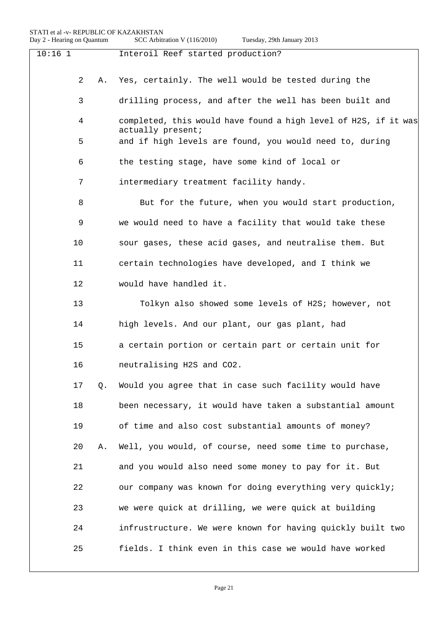# STATI et al -v- REPUBLIC OF KAZAKHSTAN<br>Day 2 - Hearing on Quantum SCC Arbitr SCC Arbitration V (116/2010)

| $10:16$ 1 |    | Interoil Reef started production?                                                    |
|-----------|----|--------------------------------------------------------------------------------------|
| 2         | Α. | Yes, certainly. The well would be tested during the                                  |
|           |    |                                                                                      |
| 3         |    | drilling process, and after the well has been built and                              |
| 4         |    | completed, this would have found a high level of H2S, if it was<br>actually present; |
| 5         |    | and if high levels are found, you would need to, during                              |
| 6         |    | the testing stage, have some kind of local or                                        |
| 7         |    | intermediary treatment facility handy.                                               |
| 8         |    | But for the future, when you would start production,                                 |
| 9         |    | we would need to have a facility that would take these                               |
| 10        |    | sour gases, these acid gases, and neutralise them. But                               |
| 11        |    | certain technologies have developed, and I think we                                  |
| 12        |    | would have handled it.                                                               |
| 13        |    | Tolkyn also showed some levels of H2S; however, not                                  |
| 14        |    | high levels. And our plant, our gas plant, had                                       |
| 15        |    | a certain portion or certain part or certain unit for                                |
| 16        |    | neutralising H2S and CO2.                                                            |
| 17        | Q. | Would you agree that in case such facility would have                                |
| 18        |    | been necessary, it would have taken a substantial amount                             |
| 19        |    | of time and also cost substantial amounts of money?                                  |
| 20        | Α. | Well, you would, of course, need some time to purchase,                              |
| 21        |    | and you would also need some money to pay for it. But                                |
| 22        |    | our company was known for doing everything very quickly;                             |
| 23        |    | we were quick at drilling, we were quick at building                                 |
| 24        |    | infrustructure. We were known for having quickly built two                           |
| 25        |    | fields. I think even in this case we would have worked                               |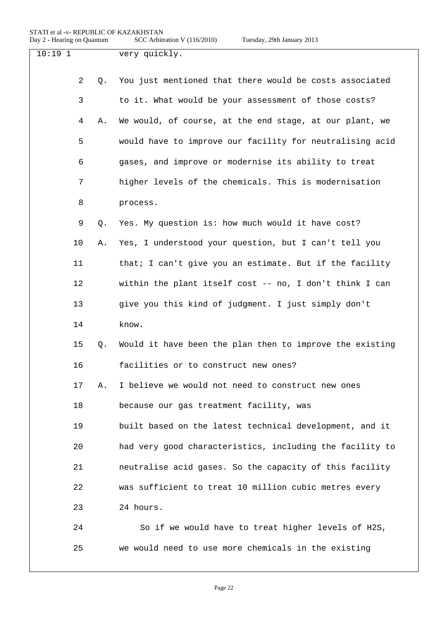|    |    | very quickly.                                            |
|----|----|----------------------------------------------------------|
| 2  | Q. | You just mentioned that there would be costs associated  |
| 3  |    | to it. What would be your assessment of those costs?     |
| 4  | Α. | We would, of course, at the end stage, at our plant, we  |
| 5  |    | would have to improve our facility for neutralising acid |
| 6  |    | gases, and improve or modernise its ability to treat     |
| 7  |    | higher levels of the chemicals. This is modernisation    |
| 8  |    | process.                                                 |
| 9  | Q. | Yes. My question is: how much would it have cost?        |
| 10 | Α. | Yes, I understood your question, but I can't tell you    |
| 11 |    | that; I can't give you an estimate. But if the facility  |
| 12 |    | within the plant itself cost -- no, I don't think I can  |
| 13 |    | give you this kind of judgment. I just simply don't      |
| 14 |    | know.                                                    |
| 15 | Q. | Would it have been the plan then to improve the existing |
| 16 |    | facilities or to construct new ones?                     |
| 17 |    | I believe we would not need to construct new ones        |
| 18 |    | because our gas treatment facility, was                  |
| 19 |    | built based on the latest technical development, and it  |
| 20 |    | had very good characteristics, including the facility to |
| 21 |    | neutralise acid gases. So the capacity of this facility  |
| 22 |    | was sufficient to treat 10 million cubic metres every    |
| 23 |    | 24 hours.                                                |
| 24 |    | So if we would have to treat higher levels of H2S,       |
| 25 |    | we would need to use more chemicals in the existing      |
|    |    |                                                          |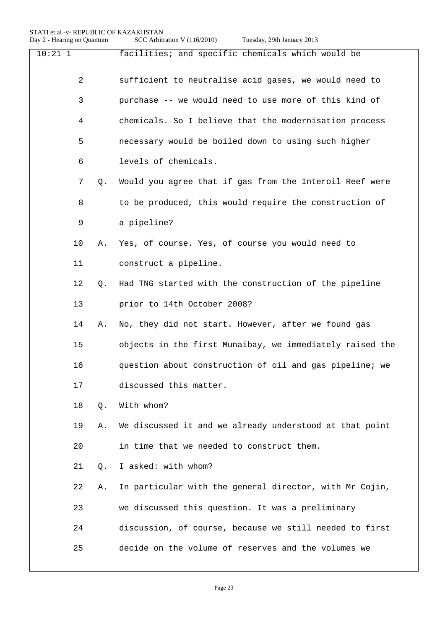| $10:21$ 1 |                |    | facilities; and specific chemicals which would be        |
|-----------|----------------|----|----------------------------------------------------------|
|           |                |    |                                                          |
|           | $\overline{2}$ |    | sufficient to neutralise acid gases, we would need to    |
|           | $\mathsf{3}$   |    | purchase -- we would need to use more of this kind of    |
|           | 4              |    | chemicals. So I believe that the modernisation process   |
|           | 5              |    | necessary would be boiled down to using such higher      |
|           | 6              |    | levels of chemicals.                                     |
|           | 7              | Q. | Would you agree that if gas from the Interoil Reef were  |
|           | 8              |    | to be produced, this would require the construction of   |
|           | 9              |    | a pipeline?                                              |
|           | 10             | Α. | Yes, of course. Yes, of course you would need to         |
|           | 11             |    | construct a pipeline.                                    |
|           | 12             | Q. | Had TNG started with the construction of the pipeline    |
|           | 13             |    | prior to 14th October 2008?                              |
|           | 14             | Α. | No, they did not start. However, after we found gas      |
|           | 15             |    | objects in the first Munaibay, we immediately raised the |
|           | 16             |    | question about construction of oil and gas pipeline; we  |
|           | 17             |    | discussed this matter.                                   |
|           | 18             | Q. | With whom?                                               |
|           | 19             | Α. | We discussed it and we already understood at that point  |
|           | 20             |    | in time that we needed to construct them.                |
|           | 21             | Q. | I asked: with whom?                                      |
|           | 22             | Α. | In particular with the general director, with Mr Cojin,  |
|           | 23             |    | we discussed this question. It was a preliminary         |
|           | 24             |    | discussion, of course, because we still needed to first  |
|           | 25             |    | decide on the volume of reserves and the volumes we      |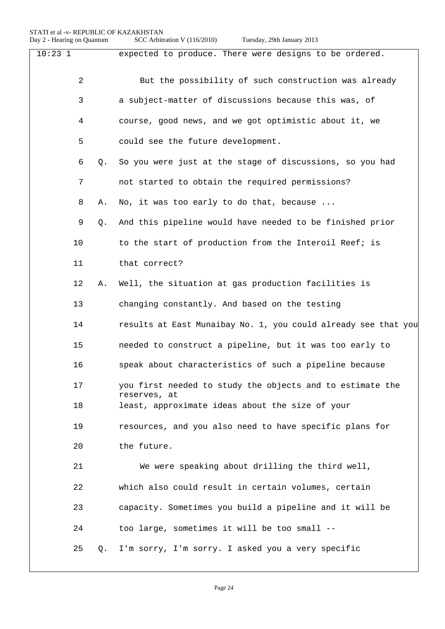| $10:23 \ \overline{1}$ |                | expected to produce. There were designs to be ordered.          |
|------------------------|----------------|-----------------------------------------------------------------|
|                        | $\overline{2}$ | But the possibility of such construction was already            |
|                        | 3              | a subject-matter of discussions because this was, of            |
|                        | 4              | course, good news, and we got optimistic about it, we           |
|                        | 5              | could see the future development.                               |
|                        | 6<br>Q.        | So you were just at the stage of discussions, so you had        |
|                        | 7              | not started to obtain the required permissions?                 |
|                        | 8<br>Α.        | No, it was too early to do that, because                        |
|                        | 9<br>О.        | And this pipeline would have needed to be finished prior        |
|                        | 10             | to the start of production from the Interoil Reef; is           |
|                        | 11             | that correct?                                                   |
|                        | 12<br>Α.       | Well, the situation at gas production facilities is             |
|                        | 13             | changing constantly. And based on the testing                   |
|                        | 14             | results at East Munaibay No. 1, you could already see that you  |
|                        | 15             | needed to construct a pipeline, but it was too early to         |
| 16                     |                | speak about characteristics of such a pipeline because          |
| 17                     |                | you first needed to study the objects and to estimate the       |
| 18                     |                | reserves, at<br>least, approximate ideas about the size of your |
| 19                     |                | resources, and you also need to have specific plans for         |
| 20                     |                | the future.                                                     |
| 21                     |                | We were speaking about drilling the third well,                 |
| 22                     |                | which also could result in certain volumes, certain             |
| 23                     |                | capacity. Sometimes you build a pipeline and it will be         |
|                        | 24             | too large, sometimes it will be too small --                    |
| 25                     | Q.             | I'm sorry, I'm sorry. I asked you a very specific               |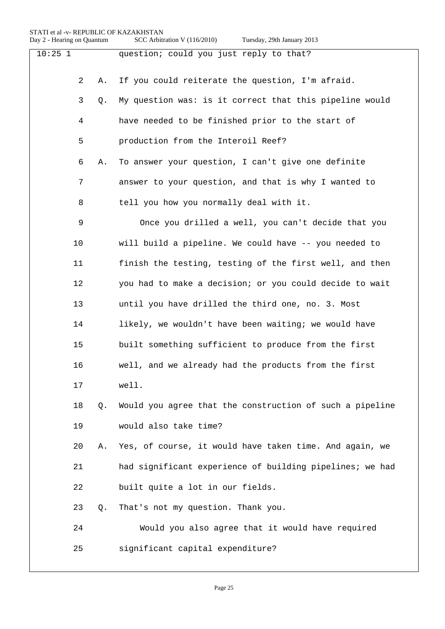| $10:25$ 1 |                |    | question; could you just reply to that?                  |
|-----------|----------------|----|----------------------------------------------------------|
|           | $\overline{2}$ | Α. | If you could reiterate the question, I'm afraid.         |
|           | 3              | Q. | My question was: is it correct that this pipeline would  |
|           | 4              |    | have needed to be finished prior to the start of         |
|           | 5              |    | production from the Interoil Reef?                       |
|           | 6              | Α. | To answer your question, I can't give one definite       |
|           | 7              |    | answer to your question, and that is why I wanted to     |
|           | 8              |    | tell you how you normally deal with it.                  |
|           | 9              |    | Once you drilled a well, you can't decide that you       |
|           | 10             |    | will build a pipeline. We could have -- you needed to    |
|           | 11             |    | finish the testing, testing of the first well, and then  |
|           | 12             |    | you had to make a decision; or you could decide to wait  |
|           | 13             |    | until you have drilled the third one, no. 3. Most        |
|           | 14             |    | likely, we wouldn't have been waiting; we would have     |
|           | 15             |    | built something sufficient to produce from the first     |
|           | 16             |    | well, and we already had the products from the first     |
|           | 17             |    | well.                                                    |
|           | 18             | Q. | Would you agree that the construction of such a pipeline |
|           | 19             |    | would also take time?                                    |
|           | 20             | Α. | Yes, of course, it would have taken time. And again, we  |
|           | 21             |    | had significant experience of building pipelines; we had |
|           | 22             |    | built quite a lot in our fields.                         |
|           | 23             | Q. | That's not my question. Thank you.                       |
|           | 24             |    | Would you also agree that it would have required         |
|           | 25             |    | significant capital expenditure?                         |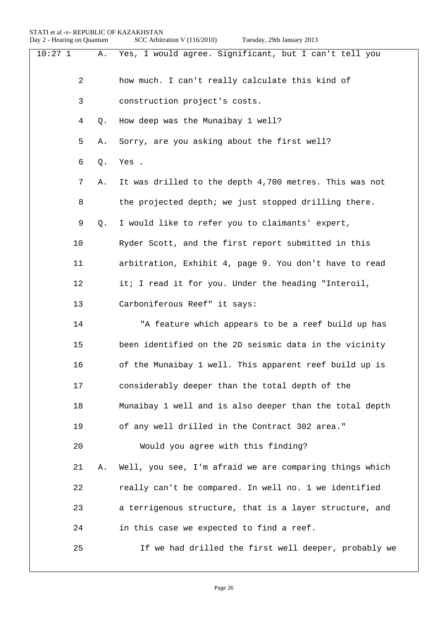| $10:27$ 1 | Α. | Yes, I would agree. Significant, but I can't tell you   |
|-----------|----|---------------------------------------------------------|
| 2         |    | how much. I can't really calculate this kind of         |
| 3         |    | construction project's costs.                           |
| 4         | Q. | How deep was the Munaibay 1 well?                       |
| 5         | Α. | Sorry, are you asking about the first well?             |
| 6         | Q. | Yes .                                                   |
| 7         | Α. | It was drilled to the depth 4,700 metres. This was not  |
| 8         |    | the projected depth; we just stopped drilling there.    |
| 9         | Q. | I would like to refer you to claimants' expert,         |
| 10        |    | Ryder Scott, and the first report submitted in this     |
| 11        |    | arbitration, Exhibit 4, page 9. You don't have to read  |
| 12        |    | it; I read it for you. Under the heading "Interoil,     |
| 13        |    | Carboniferous Reef" it says:                            |
| 14        |    | "A feature which appears to be a reef build up has      |
| 15        |    | been identified on the 2D seismic data in the vicinity  |
| 16        |    | of the Munaibay 1 well. This apparent reef build up is  |
| 17        |    | considerably deeper than the total depth of the         |
| 18        |    | Munaibay 1 well and is also deeper than the total depth |
| 19        |    | of any well drilled in the Contract 302 area."          |
| 20        |    | Would you agree with this finding?                      |
| 21        | Α. | Well, you see, I'm afraid we are comparing things which |
| 22        |    | really can't be compared. In well no. 1 we identified   |
| 23        |    | a terrigenous structure, that is a layer structure, and |
| 24        |    | in this case we expected to find a reef.                |
| 25        |    | If we had drilled the first well deeper, probably we    |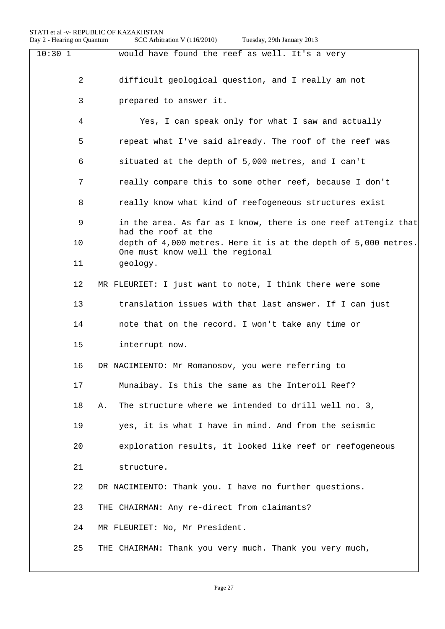| 10:301         | would have found the reef as well. It's a very                                                     |
|----------------|----------------------------------------------------------------------------------------------------|
| $\overline{2}$ | difficult geological question, and I really am not                                                 |
| 3              | prepared to answer it.                                                                             |
| 4              | Yes, I can speak only for what I saw and actually                                                  |
| 5              | repeat what I've said already. The roof of the reef was                                            |
| 6              | situated at the depth of 5,000 metres, and I can't                                                 |
| 7              | really compare this to some other reef, because I don't                                            |
| 8              | really know what kind of reefogeneous structures exist                                             |
| 9              | in the area. As far as I know, there is one reef atTengiz that<br>had the roof at the              |
| 10             | depth of 4,000 metres. Here it is at the depth of 5,000 metres.<br>One must know well the regional |
| 11             | geology.                                                                                           |
| 12             | MR FLEURIET: I just want to note, I think there were some                                          |
| 13             | translation issues with that last answer. If I can just                                            |
| 14             | note that on the record. I won't take any time or                                                  |
| 15             | interrupt now.                                                                                     |
| 16             | DR NACIMIENTO: Mr Romanosov, you were referring to                                                 |
| 17             | Munaibay. Is this the same as the Interoil Reef?                                                   |
| 18             | The structure where we intended to drill well no. 3,<br>Α.                                         |
| 19             | yes, it is what I have in mind. And from the seismic                                               |
| 20             | exploration results, it looked like reef or reefogeneous                                           |
| 21             | structure.                                                                                         |
| 22             | DR NACIMIENTO: Thank you. I have no further questions.                                             |
| 23             | THE CHAIRMAN: Any re-direct from claimants?                                                        |
| 24             | MR FLEURIET: No, Mr President.                                                                     |
| 25             | THE CHAIRMAN: Thank you very much. Thank you very much,                                            |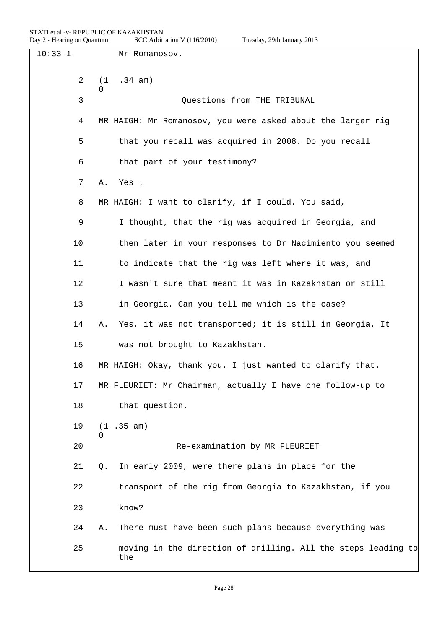| $10:33$ 1 |    |     | Mr Romanosov.                                                        |
|-----------|----|-----|----------------------------------------------------------------------|
|           | 2  | (1) | $.34$ am)                                                            |
|           | 3  | 0   | Questions from THE TRIBUNAL                                          |
|           | 4  |     | MR HAIGH: Mr Romanosov, you were asked about the larger rig          |
|           | 5  |     | that you recall was acquired in 2008. Do you recall                  |
|           | 6  |     | that part of your testimony?                                         |
|           | 7  | Α.  | Yes .                                                                |
|           | 8  |     | MR HAIGH: I want to clarify, if I could. You said,                   |
|           | 9  |     | I thought, that the rig was acquired in Georgia, and                 |
|           | 10 |     | then later in your responses to Dr Nacimiento you seemed             |
|           | 11 |     | to indicate that the rig was left where it was, and                  |
|           | 12 |     | I wasn't sure that meant it was in Kazakhstan or still               |
|           | 13 |     | in Georgia. Can you tell me which is the case?                       |
|           | 14 | А.  | Yes, it was not transported; it is still in Georgia. It              |
|           | 15 |     | was not brought to Kazakhstan.                                       |
|           | 16 |     | MR HAIGH: Okay, thank you. I just wanted to clarify that.            |
|           | 17 |     | MR FLEURIET: Mr Chairman, actually I have one follow-up to           |
|           | 18 |     | that question.                                                       |
|           | 19 | U   | (1.35 am)                                                            |
|           | 20 |     | Re-examination by MR FLEURIET                                        |
|           | 21 | Q.  | In early 2009, were there plans in place for the                     |
|           | 22 |     | transport of the rig from Georgia to Kazakhstan, if you              |
|           | 23 |     | know?                                                                |
|           | 24 | Α.  | There must have been such plans because everything was               |
|           | 25 |     | moving in the direction of drilling. All the steps leading to<br>the |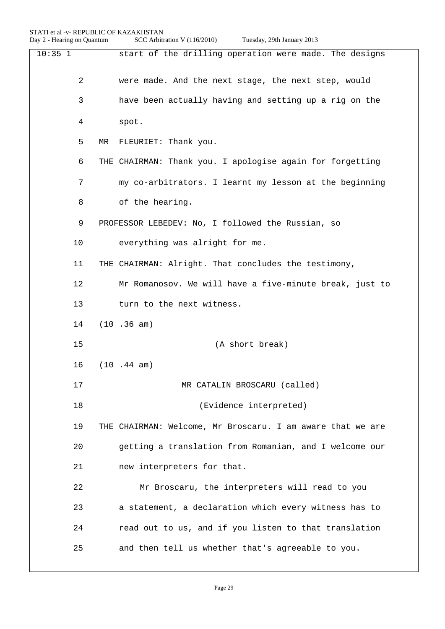| $10:35$ 1      | start of the drilling operation were made. The designs     |
|----------------|------------------------------------------------------------|
| $\overline{2}$ | were made. And the next stage, the next step, would        |
| 3              | have been actually having and setting up a rig on the      |
| 4              | spot.                                                      |
| 5              | FLEURIET: Thank you.<br>MR.                                |
| 6              | THE CHAIRMAN: Thank you. I apologise again for forgetting  |
| 7              | my co-arbitrators. I learnt my lesson at the beginning     |
| 8              | of the hearing.                                            |
| 9              | PROFESSOR LEBEDEV: No, I followed the Russian, so          |
| 10             | everything was alright for me.                             |
| 11             | THE CHAIRMAN: Alright. That concludes the testimony,       |
| 12             | Mr Romanosov. We will have a five-minute break, just to    |
| 13             | turn to the next witness.                                  |
| 14             | (10.36 am)                                                 |
| 15             | (A short break)                                            |
| 16             | (10.44 am)                                                 |
| 17             | MR CATALIN BROSCARU (called)                               |
| 18             | (Evidence interpreted)                                     |
| 19             | THE CHAIRMAN: Welcome, Mr Broscaru. I am aware that we are |
| 20             | getting a translation from Romanian, and I welcome our     |
| 21             | new interpreters for that.                                 |
| 22             | Mr Broscaru, the interpreters will read to you             |
| 23             | a statement, a declaration which every witness has to      |
| 24             | read out to us, and if you listen to that translation      |
| 25             | and then tell us whether that's agreeable to you.          |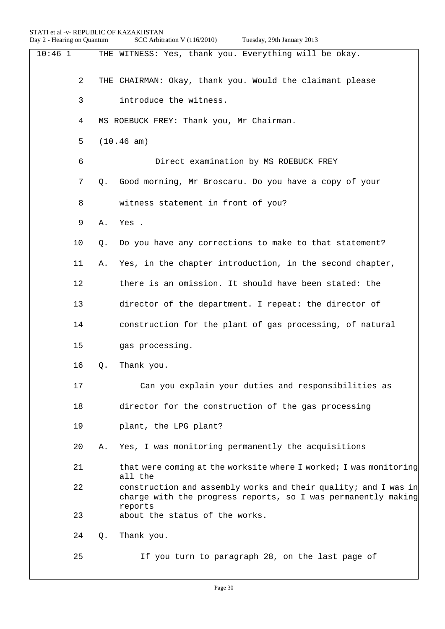| STATI et al -v- REPUBLIC OF KAZAKHSTAN |                              |
|----------------------------------------|------------------------------|
| Day 2 - Hearing on Quantum             | SCC Arbitration V (116/2010) |

| $10:46$ 1 | THE WITNESS: Yes, thank you. Everything will be okay.                                                                            |
|-----------|----------------------------------------------------------------------------------------------------------------------------------|
| 2         | THE CHAIRMAN: Okay, thank you. Would the claimant please                                                                         |
| 3         | introduce the witness.                                                                                                           |
| 4         | MS ROEBUCK FREY: Thank you, Mr Chairman.                                                                                         |
| 5         | (10.46 am)                                                                                                                       |
| 6         | Direct examination by MS ROEBUCK FREY                                                                                            |
| 7         | Good morning, Mr Broscaru. Do you have a copy of your<br>Q.                                                                      |
| 8         | witness statement in front of you?                                                                                               |
| 9         | Yes .<br>Α.                                                                                                                      |
| 10        | Do you have any corrections to make to that statement?<br>Q <sub>z</sub>                                                         |
| 11        | Yes, in the chapter introduction, in the second chapter,<br>Α.                                                                   |
| 12        | there is an omission. It should have been stated: the                                                                            |
| 13        | director of the department. I repeat: the director of                                                                            |
| 14        | construction for the plant of gas processing, of natural                                                                         |
| 15        | gas processing.                                                                                                                  |
| 16        | Thank you.<br>Q <sub>z</sub>                                                                                                     |
| 17        | Can you explain your duties and responsibilities as                                                                              |
| 18        | director for the construction of the gas processing                                                                              |
| 19        | plant, the LPG plant?                                                                                                            |
| 20        | Yes, I was monitoring permanently the acquisitions<br>Α.                                                                         |
| 21        | that were coming at the worksite where I worked; I was monitoring<br>all the                                                     |
| 22        | construction and assembly works and their quality; and I was in<br>charge with the progress reports, so I was permanently making |
| 23        | reports<br>about the status of the works.                                                                                        |
| 24        | Thank you.<br>Q.                                                                                                                 |
| 25        | If you turn to paragraph 28, on the last page of                                                                                 |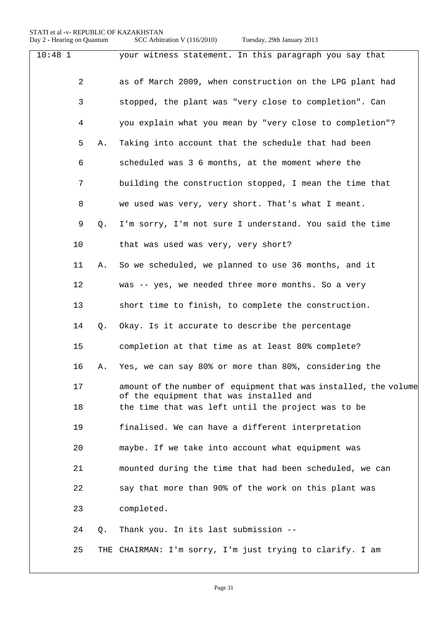| $10:48$ 1 |                |    | your witness statement. In this paragraph you say that                                        |
|-----------|----------------|----|-----------------------------------------------------------------------------------------------|
|           |                |    |                                                                                               |
|           | $\overline{2}$ |    | as of March 2009, when construction on the LPG plant had                                      |
|           | 3              |    | stopped, the plant was "very close to completion". Can                                        |
|           | 4              |    | you explain what you mean by "very close to completion"?                                      |
|           | 5              | Α. | Taking into account that the schedule that had been                                           |
|           | 6              |    | scheduled was 3 6 months, at the moment where the                                             |
|           | 7              |    | building the construction stopped, I mean the time that                                       |
|           | 8              |    | we used was very, very short. That's what I meant.                                            |
|           | 9              | Q. | I'm sorry, I'm not sure I understand. You said the time                                       |
|           | 10             |    | that was used was very, very short?                                                           |
|           | 11             | Α. | So we scheduled, we planned to use 36 months, and it                                          |
|           | 12             |    | was -- yes, we needed three more months. So a very                                            |
|           | 13             |    | short time to finish, to complete the construction.                                           |
|           | 14             | Q. | Okay. Is it accurate to describe the percentage                                               |
|           | 15             |    | completion at that time as at least 80% complete?                                             |
|           | 16             | Α. | Yes, we can say 80% or more than 80%, considering the                                         |
|           | 17             |    | amount of the number of equipment that was installed, the volume                              |
|           | 18             |    | of the equipment that was installed and<br>the time that was left until the project was to be |
|           | 19             |    | finalised. We can have a different interpretation                                             |
|           | 20             |    | maybe. If we take into account what equipment was                                             |
|           | 21             |    | mounted during the time that had been scheduled, we can                                       |
|           | 22             |    | say that more than 90% of the work on this plant was                                          |
|           | 23             |    | completed.                                                                                    |
|           | 24             | Q. | Thank you. In its last submission --                                                          |
|           | 25             |    | THE CHAIRMAN: I'm sorry, I'm just trying to clarify. I am                                     |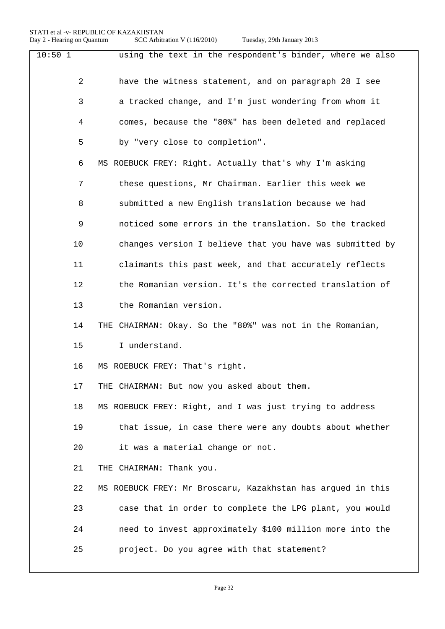| $10:50$ 1      | using the text in the respondent's binder, where we also    |
|----------------|-------------------------------------------------------------|
| $\overline{a}$ | have the witness statement, and on paragraph 28 I see       |
| 3              | a tracked change, and I'm just wondering from whom it       |
| 4              | comes, because the "80%" has been deleted and replaced      |
| 5              | by "very close to completion".                              |
| 6              | MS ROEBUCK FREY: Right. Actually that's why I'm asking      |
| 7              | these questions, Mr Chairman. Earlier this week we          |
| 8              | submitted a new English translation because we had          |
| 9              | noticed some errors in the translation. So the tracked      |
| 10             | changes version I believe that you have was submitted by    |
| 11             | claimants this past week, and that accurately reflects      |
| 12             | the Romanian version. It's the corrected translation of     |
| 13             | the Romanian version.                                       |
| 14             | THE CHAIRMAN: Okay. So the "80%" was not in the Romanian,   |
| 15             | I understand.                                               |
| 16             | MS ROEBUCK FREY: That's right.                              |
| 17             | THE CHAIRMAN: But now you asked about them.                 |
| 18             | MS ROEBUCK FREY: Right, and I was just trying to address    |
| 19             | that issue, in case there were any doubts about whether     |
| 20             | it was a material change or not.                            |
| 21             | THE CHAIRMAN: Thank you.                                    |
| 22             | MS ROEBUCK FREY: Mr Broscaru, Kazakhstan has argued in this |
| 23             | case that in order to complete the LPG plant, you would     |
| 24             | need to invest approximately \$100 million more into the    |
| 25             | project. Do you agree with that statement?                  |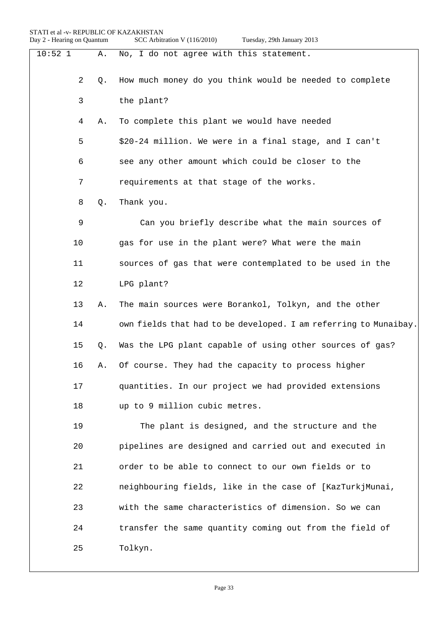| Tuesday, 29th January 2013 |  |  |  |
|----------------------------|--|--|--|
|----------------------------|--|--|--|

| $10:52$ 1 |                | Α. | No, I do not agree with this statement.                          |
|-----------|----------------|----|------------------------------------------------------------------|
|           | $\overline{a}$ | O. | How much money do you think would be needed to complete          |
|           | 3              |    | the plant?                                                       |
|           | 4              | Α. | To complete this plant we would have needed                      |
|           | 5              |    | \$20-24 million. We were in a final stage, and I can't           |
|           | 6              |    | see any other amount which could be closer to the                |
|           | 7              |    | requirements at that stage of the works.                         |
|           | 8              | Q. | Thank you.                                                       |
|           | 9              |    | Can you briefly describe what the main sources of                |
|           | 10             |    | gas for use in the plant were? What were the main                |
|           | 11             |    | sources of gas that were contemplated to be used in the          |
|           | 12             |    | LPG plant?                                                       |
|           | 13             | Α. | The main sources were Borankol, Tolkyn, and the other            |
|           | 14             |    | own fields that had to be developed. I am referring to Munaibay. |
|           | 15             | Q. | Was the LPG plant capable of using other sources of gas?         |
|           | 16             | Α. | Of course. They had the capacity to process higher               |
|           | 17             |    | quantities. In our project we had provided extensions            |
|           | 18             |    | up to 9 million cubic metres.                                    |
|           | 19             |    | The plant is designed, and the structure and the                 |
|           | 20             |    | pipelines are designed and carried out and executed in           |
|           | 21             |    | order to be able to connect to our own fields or to              |
|           | 22             |    | neighbouring fields, like in the case of [KazTurkjMunai,         |
|           | 23             |    | with the same characteristics of dimension. So we can            |
|           | 24             |    | transfer the same quantity coming out from the field of          |
|           | 25             |    | Tolkyn.                                                          |
|           |                |    |                                                                  |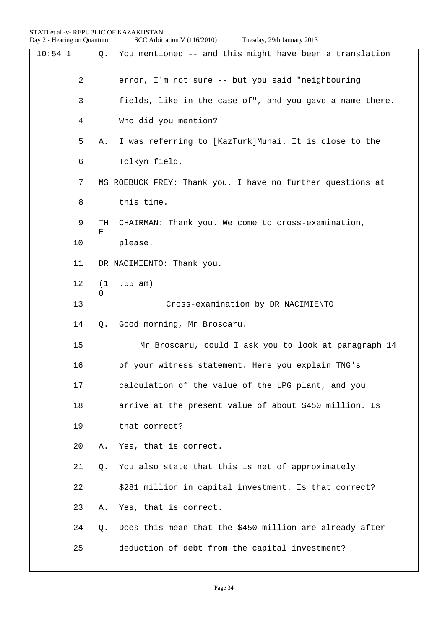STATI et al -v- REPUBLIC OF KAZAKHSTAN<br>Day 2 - Hearing on Quantum SCC Arbitr

SCC Arbitration V (116/2010) Tuesday, 29th January 2013

| $10:54$ 1 | Q.             | You mentioned -- and this might have been a translation    |
|-----------|----------------|------------------------------------------------------------|
|           | $\overline{a}$ | error, I'm not sure -- but you said "neighbouring          |
|           | 3              | fields, like in the case of", and you gave a name there.   |
|           | 4              | Who did you mention?                                       |
|           | 5<br>Α.        | I was referring to [KazTurk]Munai. It is close to the      |
|           | 6              | Tolkyn field.                                              |
|           | 7              | MS ROEBUCK FREY: Thank you. I have no further questions at |
|           | 8              | this time.                                                 |
|           | 9<br>TH<br>E   | CHAIRMAN: Thank you. We come to cross-examination,         |
| 10        |                | please.                                                    |
| 11        |                | DR NACIMIENTO: Thank you.                                  |
| 12        | (1)<br>0       | $.55$ am)                                                  |
| 13        |                | Cross-examination by DR NACIMIENTO                         |
| 14        | Q.             | Good morning, Mr Broscaru.                                 |
| 15        |                | Mr Broscaru, could I ask you to look at paragraph 14       |
| 16        |                | of your witness statement. Here you explain TNG's          |
| 17        |                | calculation of the value of the LPG plant, and you         |
| 18        |                | arrive at the present value of about \$450 million. Is     |
| 19        |                | that correct?                                              |
| 20        | Α.             | Yes, that is correct.                                      |
| 21        | Q.             | You also state that this is net of approximately           |
| 22        |                | \$281 million in capital investment. Is that correct?      |
| 23        | Α.             | Yes, that is correct.                                      |
| 24        | Q.             | Does this mean that the \$450 million are already after    |
| 25        |                | deduction of debt from the capital investment?             |
|           |                |                                                            |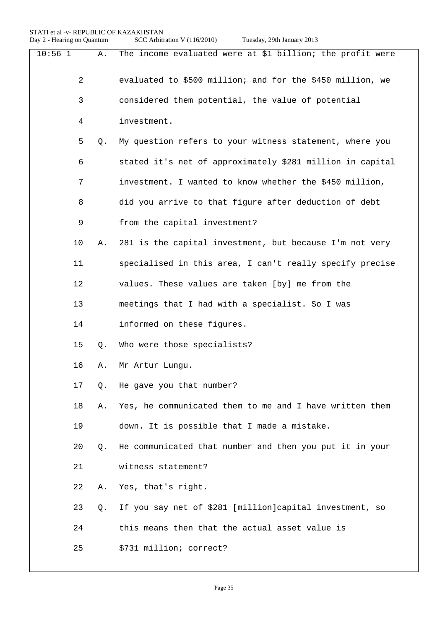| Tuesday, 29th January 2013 |  |  |  |
|----------------------------|--|--|--|
|----------------------------|--|--|--|

| $10:56$ 1 |    | Α. | The income evaluated were at \$1 billion; the profit were |
|-----------|----|----|-----------------------------------------------------------|
|           | 2  |    | evaluated to \$500 million; and for the \$450 million, we |
|           | 3  |    | considered them potential, the value of potential         |
|           | 4  |    | investment.                                               |
|           | 5  | Q. | My question refers to your witness statement, where you   |
|           | 6  |    | stated it's net of approximately \$281 million in capital |
|           | 7  |    | investment. I wanted to know whether the \$450 million,   |
|           | 8  |    | did you arrive to that figure after deduction of debt     |
|           | 9  |    | from the capital investment?                              |
| 10        |    | Α. | 281 is the capital investment, but because I'm not very   |
| 11        |    |    | specialised in this area, I can't really specify precise  |
| 12        |    |    | values. These values are taken [by] me from the           |
| 13        |    |    | meetings that I had with a specialist. So I was           |
|           | 14 |    | informed on these figures.                                |
| 15        |    | Q. | Who were those specialists?                               |
| 16        |    | Α. | Mr Artur Lungu.                                           |
| 17        |    | Q. | He gave you that number?                                  |
| 18        |    | Α. | Yes, he communicated them to me and I have written them   |
| 19        |    |    | down. It is possible that I made a mistake.               |
| 20        |    | Q. | He communicated that number and then you put it in your   |
| 21        |    |    | witness statement?                                        |
| 22        |    | Α. | Yes, that's right.                                        |
| 23        |    | Q. | If you say net of \$281 [million]capital investment, so   |
|           | 24 |    | this means then that the actual asset value is            |
| 25        |    |    | \$731 million; correct?                                   |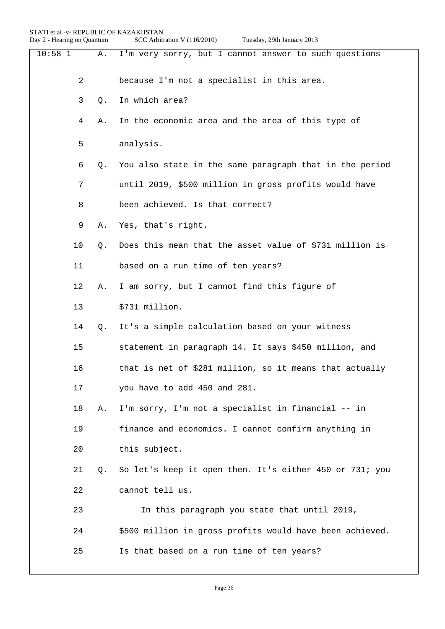| $10:58$ 1 | Α.             | I'm very sorry, but I cannot answer to such questions    |
|-----------|----------------|----------------------------------------------------------|
|           | 2              | because I'm not a specialist in this area.               |
|           | 3<br>Q.        | In which area?                                           |
|           | 4<br>Α.        | In the economic area and the area of this type of        |
|           | 5              | analysis.                                                |
|           | 6<br>Q.        | You also state in the same paragraph that in the period  |
|           | 7              | until 2019, \$500 million in gross profits would have    |
|           | 8              | been achieved. Is that correct?                          |
|           | 9<br>Α.        | Yes, that's right.                                       |
| 10        | Q.             | Does this mean that the asset value of \$731 million is  |
| 11        |                | based on a run time of ten years?                        |
| 12        | Α.             | I am sorry, but I cannot find this figure of             |
| 13        |                | \$731 million.                                           |
| 14        | Q.             | It's a simple calculation based on your witness          |
| 15        |                | statement in paragraph 14. It says \$450 million, and    |
| 16        |                | that is net of \$281 million, so it means that actually  |
| 17        |                | you have to add 450 and 281.                             |
| 18        | Α.             | I'm sorry, I'm not a specialist in financial -- in       |
| 19        |                | finance and economics. I cannot confirm anything in      |
| 20        |                | this subject.                                            |
| 21        | Q <sub>z</sub> | So let's keep it open then. It's either 450 or 731; you  |
| 22        |                | cannot tell us.                                          |
| 23        |                | In this paragraph you state that until 2019,             |
| 24        |                | \$500 million in gross profits would have been achieved. |
| 25        |                | Is that based on a run time of ten years?                |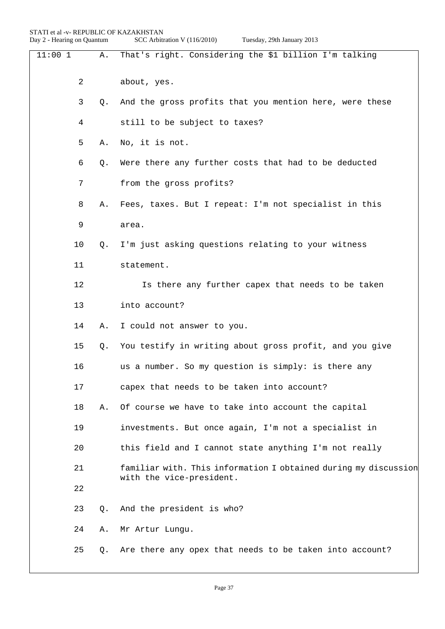| 11:001         | Α. | That's right. Considering the \$1 billion I'm talking                                       |
|----------------|----|---------------------------------------------------------------------------------------------|
| $\overline{2}$ |    | about, yes.                                                                                 |
| 3              | Q. | And the gross profits that you mention here, were these                                     |
| 4              |    | still to be subject to taxes?                                                               |
| 5              | Α. | No, it is not.                                                                              |
| 6              | Q. | Were there any further costs that had to be deducted                                        |
| 7              |    | from the gross profits?                                                                     |
| 8              | Α. | Fees, taxes. But I repeat: I'm not specialist in this                                       |
| 9              |    | area.                                                                                       |
| 10             | Q. | I'm just asking questions relating to your witness                                          |
| 11             |    | statement.                                                                                  |
| 12             |    | Is there any further capex that needs to be taken                                           |
| 13             |    | into account?                                                                               |
| 14             | Α. | I could not answer to you.                                                                  |
| 15             | Q. | You testify in writing about gross profit, and you give                                     |
| 16             |    | us a number. So my question is simply: is there any                                         |
| 17             |    | capex that needs to be taken into account?                                                  |
| 18             | Α. | Of course we have to take into account the capital                                          |
| 19             |    | investments. But once again, I'm not a specialist in                                        |
| 20             |    | this field and I cannot state anything I'm not really                                       |
| 21             |    | familiar with. This information I obtained during my discussion<br>with the vice-president. |
| 22             |    |                                                                                             |
| 23             | Q. | And the president is who?                                                                   |
| 24             | Α. | Mr Artur Lungu.                                                                             |
| 25             | Q. | Are there any opex that needs to be taken into account?                                     |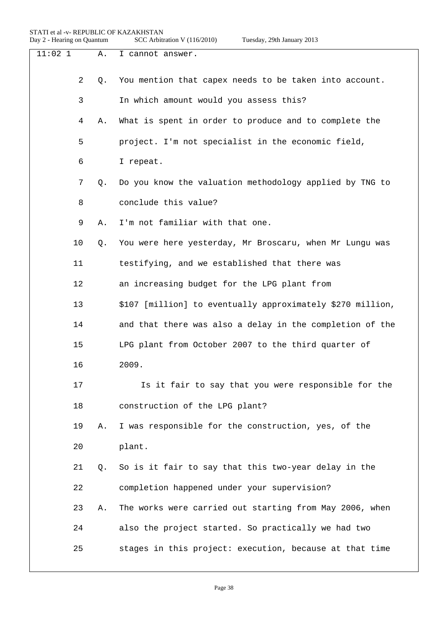| Day 2 - Hearing on Quantum |    | SCC Arbitration V (116/2010)<br>Tuesday, 29th January 2013 |
|----------------------------|----|------------------------------------------------------------|
| $11:02$ 1                  | Α. | I cannot answer.                                           |
| $\overline{2}$             | Q. | You mention that capex needs to be taken into account.     |
| 3                          |    | In which amount would you assess this?                     |
| 4                          | Α. | What is spent in order to produce and to complete the      |
| 5                          |    | project. I'm not specialist in the economic field,         |
| 6                          |    | I repeat.                                                  |
| 7                          | Q. | Do you know the valuation methodology applied by TNG to    |
| 8                          |    | conclude this value?                                       |
| 9                          | Α. | I'm not familiar with that one.                            |
| 10                         | Q. | You were here yesterday, Mr Broscaru, when Mr Lungu was    |
| 11                         |    | testifying, and we established that there was              |
| 12                         |    | an increasing budget for the LPG plant from                |
| 13                         |    | \$107 [million] to eventually approximately \$270 million, |
| 14                         |    | and that there was also a delay in the completion of the   |
| 15                         |    | LPG plant from October 2007 to the third quarter of        |
| 16                         |    | 2009.                                                      |
| 17                         |    | Is it fair to say that you were responsible for the        |
| 18                         |    | construction of the LPG plant?                             |
| 19                         | Α. | I was responsible for the construction, yes, of the        |
| 20                         |    | plant.                                                     |
| 21                         | Q. | So is it fair to say that this two-year delay in the       |
| 22                         |    | completion happened under your supervision?                |
| 23                         | Α. | The works were carried out starting from May 2006, when    |
| 24                         |    | also the project started. So practically we had two        |
| 25                         |    | stages in this project: execution, because at that time    |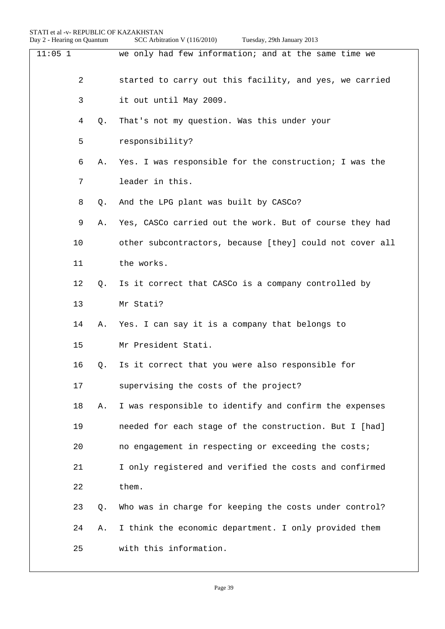| $11:05$ 1 |    |    | we only had few information; and at the same time we     |
|-----------|----|----|----------------------------------------------------------|
|           | 2  |    | started to carry out this facility, and yes, we carried  |
|           | 3  |    | it out until May 2009.                                   |
|           | 4  | Q. | That's not my question. Was this under your              |
|           | 5  |    | responsibility?                                          |
|           | 6  | Α. | Yes. I was responsible for the construction; I was the   |
|           | 7  |    | leader in this.                                          |
|           | 8  | Q. | And the LPG plant was built by CASCo?                    |
|           | 9  | Α. | Yes, CASCo carried out the work. But of course they had  |
|           | 10 |    | other subcontractors, because [they] could not cover all |
|           | 11 |    | the works.                                               |
|           | 12 | Q. | Is it correct that CASCo is a company controlled by      |
|           | 13 |    | Mr Stati?                                                |
|           | 14 |    | A. Yes. I can say it is a company that belongs to        |
|           | 15 |    | Mr President Stati.                                      |
|           | 16 | O. | Is it correct that you were also responsible for         |
|           | 17 |    | supervising the costs of the project?                    |
|           | 18 | Α. | I was responsible to identify and confirm the expenses   |
|           | 19 |    | needed for each stage of the construction. But I [had]   |
|           | 20 |    | no engagement in respecting or exceeding the costs;      |
|           | 21 |    | I only registered and verified the costs and confirmed   |
|           | 22 |    | them.                                                    |
|           | 23 | Q. | Who was in charge for keeping the costs under control?   |
|           | 24 | Α. | I think the economic department. I only provided them    |
|           | 25 |    | with this information.                                   |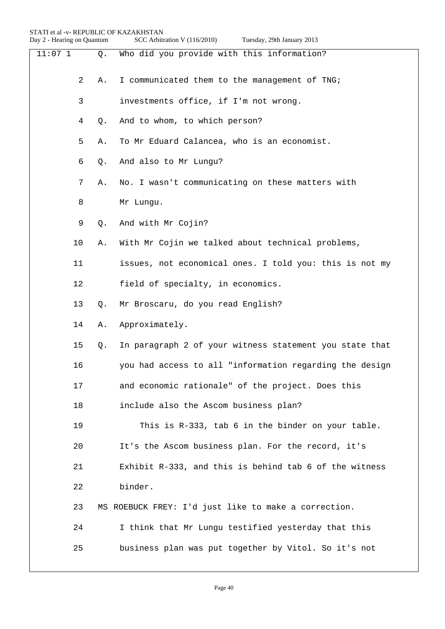## STATI et al -v- REPUBLIC OF KAZAKHSTAN<br>Day 2 - Hearing on Quantum SCC Arbitr SCC Arbitration V (116/2010)

| Tuesday, 29th January 2013 |  |  |
|----------------------------|--|--|
|                            |  |  |

| $11:07$ 1 | Q. | Who did you provide with this information?              |
|-----------|----|---------------------------------------------------------|
| 2         | Α. | I communicated them to the management of TNG;           |
|           |    |                                                         |
| 3         |    | investments office, if I'm not wrong.                   |
| 4         | Q. | And to whom, to which person?                           |
| 5         | Α. | To Mr Eduard Calancea, who is an economist.             |
| 6         | Q. | And also to Mr Lungu?                                   |
| 7         | Α. | No. I wasn't communicating on these matters with        |
| 8         |    | Mr Lungu.                                               |
| 9         | Q. | And with Mr Cojin?                                      |
| 10        | Α. | With Mr Cojin we talked about technical problems,       |
| 11        |    | issues, not economical ones. I told you: this is not my |
| 12        |    | field of specialty, in economics.                       |
| 13        | Q. | Mr Broscaru, do you read English?                       |
| 14        | Α. | Approximately.                                          |
| 15        | Q. | In paragraph 2 of your witness statement you state that |
| 16        |    | you had access to all "information regarding the design |
| 17        |    | and economic rationale" of the project. Does this       |
| 18        |    | include also the Ascom business plan?                   |
| 19        |    | This is R-333, tab 6 in the binder on your table.       |
| 20        |    | It's the Ascom business plan. For the record, it's      |
| 21        |    | Exhibit R-333, and this is behind tab 6 of the witness  |
| 22        |    | binder.                                                 |
| 23        |    | MS ROEBUCK FREY: I'd just like to make a correction.    |
| 24        |    | I think that Mr Lungu testified yesterday that this     |
| 25        |    | business plan was put together by Vitol. So it's not    |
|           |    |                                                         |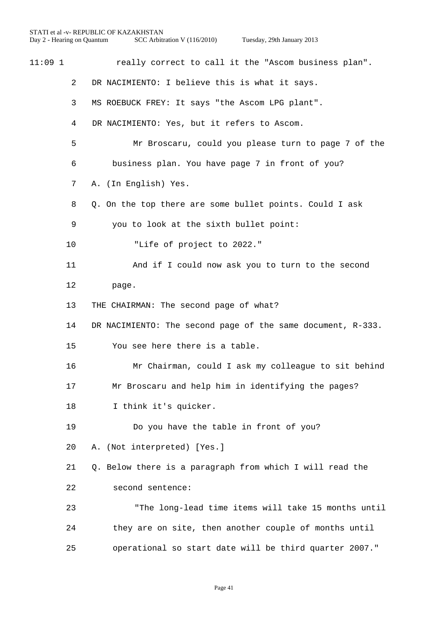11:09 1 really correct to call it the "Ascom business plan". DR NACIMIENTO: I believe this is what it says. MS ROEBUCK FREY: It says "the Ascom LPG plant". DR NACIMIENTO: Yes, but it refers to Ascom. Mr Broscaru, could you please turn to page 7 of the business plan. You have page 7 in front of you? A. (In English) Yes. Q. On the top there are some bullet points. Could I ask you to look at the sixth bullet point: "Life of project to 2022." And if I could now ask you to turn to the second page. THE CHAIRMAN: The second page of what? DR NACIMIENTO: The second page of the same document, R-333. You see here there is a table. Mr Chairman, could I ask my colleague to sit behind Mr Broscaru and help him in identifying the pages? I think it's quicker. Do you have the table in front of you? A. (Not interpreted) [Yes.] Q. Below there is a paragraph from which I will read the second sentence: "The long-lead time items will take 15 months until they are on site, then another couple of months until operational so start date will be third quarter 2007."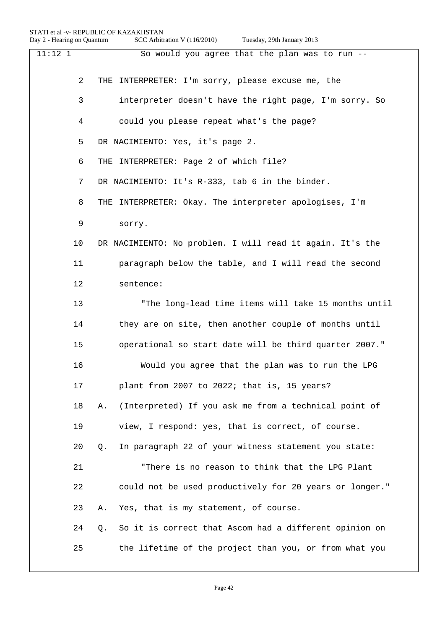| $11:12$ 1 | So would you agree that the plan was to run --               |
|-----------|--------------------------------------------------------------|
|           |                                                              |
| 2         | THE INTERPRETER: I'm sorry, please excuse me, the            |
| 3         | interpreter doesn't have the right page, I'm sorry. So       |
| 4         | could you please repeat what's the page?                     |
| 5         | DR NACIMIENTO: Yes, it's page 2.                             |
| 6         | THE INTERPRETER: Page 2 of which file?                       |
| 7         | DR NACIMIENTO: It's R-333, tab 6 in the binder.              |
| 8         | THE INTERPRETER: Okay. The interpreter apologises, I'm       |
| 9         | sorry.                                                       |
| 10        | DR NACIMIENTO: No problem. I will read it again. It's the    |
| 11        | paragraph below the table, and I will read the second        |
| 12        | sentence:                                                    |
| 13        | "The long-lead time items will take 15 months until          |
| 14        | they are on site, then another couple of months until        |
| 15        | operational so start date will be third quarter 2007."       |
| 16        | Would you agree that the plan was to run the LPG             |
| 17        | plant from 2007 to 2022; that is, 15 years?                  |
| 18        | (Interpreted) If you ask me from a technical point of<br>Α.  |
| 19        | view, I respond: yes, that is correct, of course.            |
| 20        | In paragraph 22 of your witness statement you state:<br>Q.   |
| 21        | "There is no reason to think that the LPG Plant              |
| 22        | could not be used productively for 20 years or longer."      |
| 23        | Yes, that is my statement, of course.<br>Α.                  |
| 24        | So it is correct that Ascom had a different opinion on<br>Q. |
| 25        | the lifetime of the project than you, or from what you       |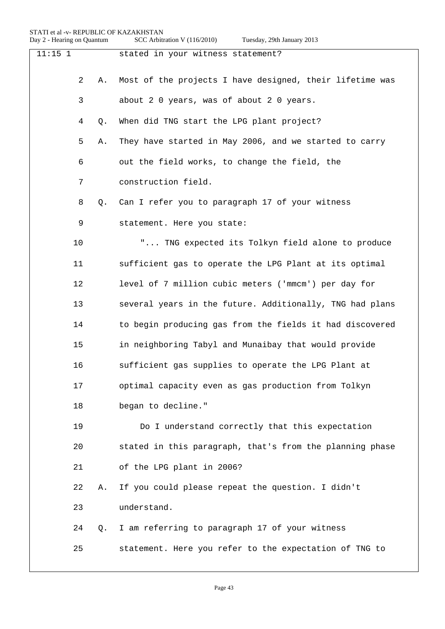| $11:15$ 1 |                |    | stated in your witness statement?                        |
|-----------|----------------|----|----------------------------------------------------------|
|           | $\overline{2}$ | Α. | Most of the projects I have designed, their lifetime was |
|           | 3              |    | about 2 0 years, was of about 2 0 years.                 |
|           | 4              | Q. | When did TNG start the LPG plant project?                |
|           | 5              | Α. | They have started in May 2006, and we started to carry   |
|           | 6              |    | out the field works, to change the field, the            |
|           | 7              |    | construction field.                                      |
|           | 8              | Q. | Can I refer you to paragraph 17 of your witness          |
|           | 9              |    | statement. Here you state:                               |
|           | 10             |    | " TNG expected its Tolkyn field alone to produce         |
|           | 11             |    | sufficient gas to operate the LPG Plant at its optimal   |
|           | 12             |    | level of 7 million cubic meters ('mmcm') per day for     |
|           | 13             |    | several years in the future. Additionally, TNG had plans |
|           | 14             |    | to begin producing gas from the fields it had discovered |
|           | 15             |    | in neighboring Tabyl and Munaibay that would provide     |
|           | 16             |    | sufficient gas supplies to operate the LPG Plant at      |
|           | 17             |    | optimal capacity even as gas production from Tolkyn      |
|           | 18             |    | began to decline."                                       |
|           | 19             |    | Do I understand correctly that this expectation          |
|           | 20             |    | stated in this paragraph, that's from the planning phase |
|           | 21             |    | of the LPG plant in 2006?                                |
|           | 22             | Α. | If you could please repeat the question. I didn't        |
|           | 23             |    | understand.                                              |
|           | 24             | Q. | I am referring to paragraph 17 of your witness           |
|           | 25             |    | statement. Here you refer to the expectation of TNG to   |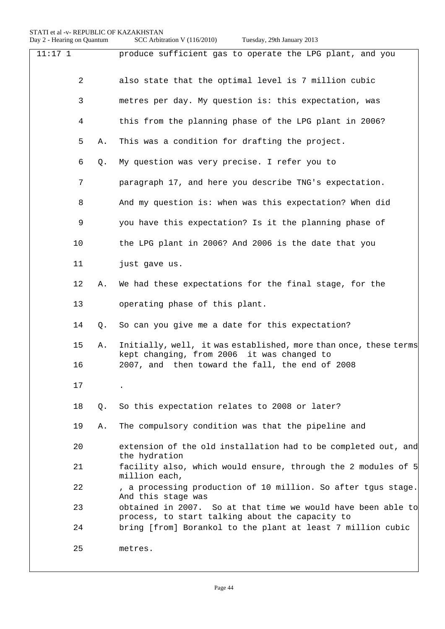| $11:17$ 1 |         | produce sufficient gas to operate the LPG plant, and you                                                        |
|-----------|---------|-----------------------------------------------------------------------------------------------------------------|
|           |         |                                                                                                                 |
|           | 2       | also state that the optimal level is 7 million cubic                                                            |
|           | 3       | metres per day. My question is: this expectation, was                                                           |
|           | 4       | this from the planning phase of the LPG plant in 2006?                                                          |
|           | 5<br>Α. | This was a condition for drafting the project.                                                                  |
|           | 6<br>O. | My question was very precise. I refer you to                                                                    |
|           | 7       | paragraph 17, and here you describe TNG's expectation.                                                          |
|           | 8       | And my question is: when was this expectation? When did                                                         |
|           | 9       | you have this expectation? Is it the planning phase of                                                          |
| 10        |         | the LPG plant in 2006? And 2006 is the date that you                                                            |
| 11        |         | just gave us.                                                                                                   |
| 12        | Α.      | We had these expectations for the final stage, for the                                                          |
| 13        |         | operating phase of this plant.                                                                                  |
| 14        | Q.      | So can you give me a date for this expectation?                                                                 |
| 15        | Α.      | Initially, well, it was established, more than once, these terms<br>kept changing, from 2006 it was changed to  |
| 16        |         | 2007, and then toward the fall, the end of 2008                                                                 |
| 17        |         |                                                                                                                 |
| 18        | О.      | So this expectation relates to 2008 or later?                                                                   |
| 19        | Α.      | The compulsory condition was that the pipeline and                                                              |
| 20        |         | extension of the old installation had to be completed out, and<br>the hydration                                 |
| 21        |         | facility also, which would ensure, through the 2 modules of 5<br>million each,                                  |
| 22        |         | , a processing production of 10 million. So after tgus stage.<br>And this stage was                             |
| 23        |         | obtained in 2007. So at that time we would have been able to<br>process, to start talking about the capacity to |
| 24        |         | bring [from] Borankol to the plant at least 7 million cubic                                                     |
| 25        |         | metres.                                                                                                         |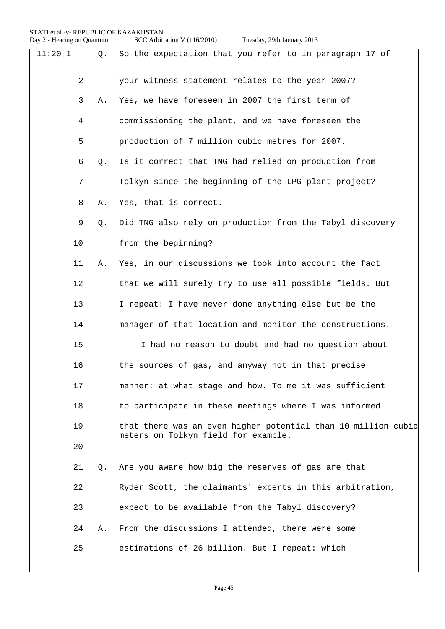| $11:20$ 1 | Q. | So the expectation that you refer to in paragraph 17 of                                              |
|-----------|----|------------------------------------------------------------------------------------------------------|
|           |    |                                                                                                      |
| 2         |    | your witness statement relates to the year 2007?                                                     |
| 3         | Α. | Yes, we have foreseen in 2007 the first term of                                                      |
| 4         |    | commissioning the plant, and we have foreseen the                                                    |
| 5         |    | production of 7 million cubic metres for 2007.                                                       |
| 6         | Q. | Is it correct that TNG had relied on production from                                                 |
| 7         |    | Tolkyn since the beginning of the LPG plant project?                                                 |
| 8         | Α. | Yes, that is correct.                                                                                |
| 9         | O. | Did TNG also rely on production from the Tabyl discovery                                             |
| 10        |    | from the beginning?                                                                                  |
| 11        | Α. | Yes, in our discussions we took into account the fact                                                |
| 12        |    | that we will surely try to use all possible fields. But                                              |
| 13        |    | I repeat: I have never done anything else but be the                                                 |
| 14        |    | manager of that location and monitor the constructions.                                              |
| 15        |    | I had no reason to doubt and had no question about                                                   |
| 16        |    | the sources of gas, and anyway not in that precise                                                   |
| 17        |    | manner: at what stage and how. To me it was sufficient                                               |
| 18        |    | to participate in these meetings where I was informed                                                |
| 19        |    | that there was an even higher potential than 10 million cubic<br>meters on Tolkyn field for example. |
| 20        |    |                                                                                                      |
| 21        | О. | Are you aware how big the reserves of gas are that                                                   |
| 22        |    | Ryder Scott, the claimants' experts in this arbitration,                                             |
| 23        |    | expect to be available from the Tabyl discovery?                                                     |
| 24        | Α. | From the discussions I attended, there were some                                                     |
| 25        |    | estimations of 26 billion. But I repeat: which                                                       |
|           |    |                                                                                                      |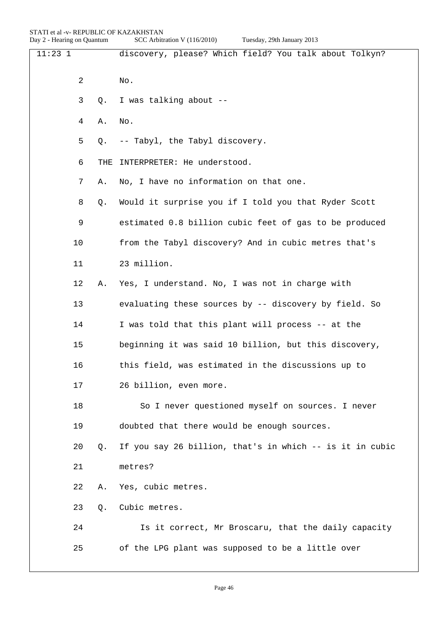| $11:23$ 1 |          | discovery, please? Which field? You talk about Tolkyn?   |
|-----------|----------|----------------------------------------------------------|
|           | 2        | No.                                                      |
|           | 3<br>Q.  | I was talking about --                                   |
|           | 4<br>Α.  | No.                                                      |
|           | 5<br>Q.  | -- Tabyl, the Tabyl discovery.                           |
|           | 6<br>THE | INTERPRETER: He understood.                              |
|           | 7<br>Α.  | No, I have no information on that one.                   |
|           | 8<br>Q.  | Would it surprise you if I told you that Ryder Scott     |
|           | 9        | estimated 0.8 billion cubic feet of gas to be produced   |
| 10        |          | from the Tabyl discovery? And in cubic metres that's     |
| 11        |          | 23 million.                                              |
| 12        | Α.       | Yes, I understand. No, I was not in charge with          |
| 13        |          | evaluating these sources by -- discovery by field. So    |
| 14        |          | I was told that this plant will process -- at the        |
| 15        |          | beginning it was said 10 billion, but this discovery,    |
| 16        |          | this field, was estimated in the discussions up to       |
| 17        |          | 26 billion, even more.                                   |
| 18        |          | So I never questioned myself on sources. I never         |
| 19        |          | doubted that there would be enough sources.              |
| 20        | Q.       | If you say 26 billion, that's in which -- is it in cubic |
| 21        |          | metres?                                                  |
| 22        | Α.       | Yes, cubic metres.                                       |
| 23        | Q.       | Cubic metres.                                            |
| 24        |          | Is it correct, Mr Broscaru, that the daily capacity      |
| 25        |          | of the LPG plant was supposed to be a little over        |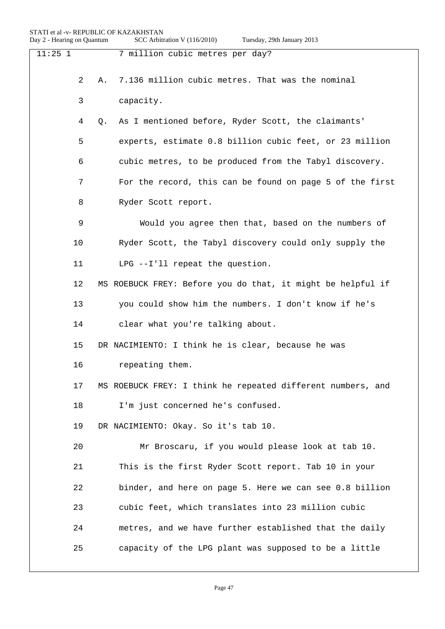| STATI et al -v- REPUBLIC OF KAZAKHSTAN<br>Day 2 - Hearing on Quantum | SCC Arbitration V (116/2010)<br>Tuesday, 29th January 2013  |
|----------------------------------------------------------------------|-------------------------------------------------------------|
| $11:25$ 1                                                            | 7 million cubic metres per day?                             |
| 2<br>Α.                                                              | 7.136 million cubic metres. That was the nominal            |
| 3                                                                    | capacity.                                                   |
| 4                                                                    | As I mentioned before, Ryder Scott, the claimants'<br>Q.    |
| 5                                                                    | experts, estimate 0.8 billion cubic feet, or 23 million     |
| 6                                                                    | cubic metres, to be produced from the Tabyl discovery.      |
| $7\phantom{.}$                                                       | For the record, this can be found on page 5 of the first    |
| 8                                                                    | Ryder Scott report.                                         |
| 9                                                                    | Would you agree then that, based on the numbers of          |
| 10                                                                   | Ryder Scott, the Tabyl discovery could only supply the      |
| 11                                                                   | LPG --I'll repeat the question.                             |
| 12                                                                   | MS ROEBUCK FREY: Before you do that, it might be helpful if |
| 13                                                                   | you could show him the numbers. I don't know if he's        |
| 14                                                                   | clear what you're talking about.                            |
| 15                                                                   | DR NACIMIENTO: I think he is clear, because he was          |
| 16                                                                   | repeating them.                                             |
| 17                                                                   | MS ROEBUCK FREY: I think he repeated different numbers, and |
| 18                                                                   | I'm just concerned he's confused.                           |
| 19                                                                   | DR NACIMIENTO: Okay. So it's tab 10.                        |
| 20                                                                   | Mr Broscaru, if you would please look at tab 10.            |
| 21                                                                   | This is the first Ryder Scott report. Tab 10 in your        |
| 22                                                                   | binder, and here on page 5. Here we can see 0.8 billion     |
| 23                                                                   | cubic feet, which translates into 23 million cubic          |
| 24                                                                   | metres, and we have further established that the daily      |
| 25                                                                   | capacity of the LPG plant was supposed to be a little       |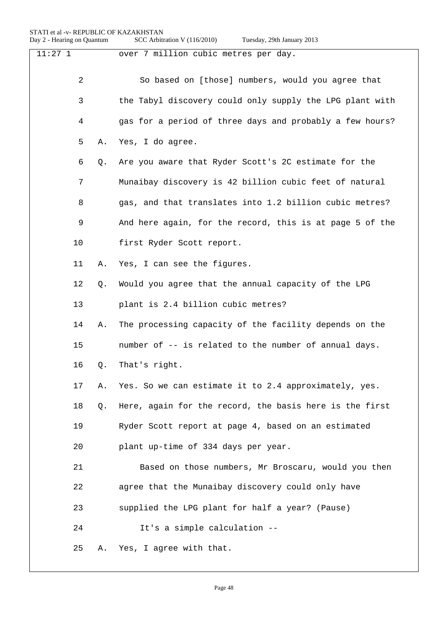| $11:27$ 1 |    |    | over 7 million cubic metres per day.                     |
|-----------|----|----|----------------------------------------------------------|
|           | 2  |    | So based on [those] numbers, would you agree that        |
|           | 3  |    | the Tabyl discovery could only supply the LPG plant with |
|           | 4  |    | gas for a period of three days and probably a few hours? |
|           | 5  | Α. | Yes, I do agree.                                         |
|           | 6  | O. | Are you aware that Ryder Scott's 2C estimate for the     |
|           | 7  |    | Munaibay discovery is 42 billion cubic feet of natural   |
|           | 8  |    | gas, and that translates into 1.2 billion cubic metres?  |
|           | 9  |    | And here again, for the record, this is at page 5 of the |
|           | 10 |    | first Ryder Scott report.                                |
|           | 11 | Α. | Yes, I can see the figures.                              |
|           | 12 | Q. | Would you agree that the annual capacity of the LPG      |
|           | 13 |    | plant is 2.4 billion cubic metres?                       |
|           | 14 | Α. | The processing capacity of the facility depends on the   |
|           | 15 |    | number of -- is related to the number of annual days.    |
|           | 16 | Q. | That's right.                                            |
|           | 17 |    | Yes. So we can estimate it to 2.4 approximately, yes.    |
|           | 18 | Q. | Here, again for the record, the basis here is the first  |
|           | 19 |    | Ryder Scott report at page 4, based on an estimated      |
|           | 20 |    | plant up-time of 334 days per year.                      |
|           | 21 |    | Based on those numbers, Mr Broscaru, would you then      |
|           | 22 |    | agree that the Munaibay discovery could only have        |
|           | 23 |    | supplied the LPG plant for half a year? (Pause)          |
|           | 24 |    | It's a simple calculation --                             |
|           | 25 | Α. | Yes, I agree with that.                                  |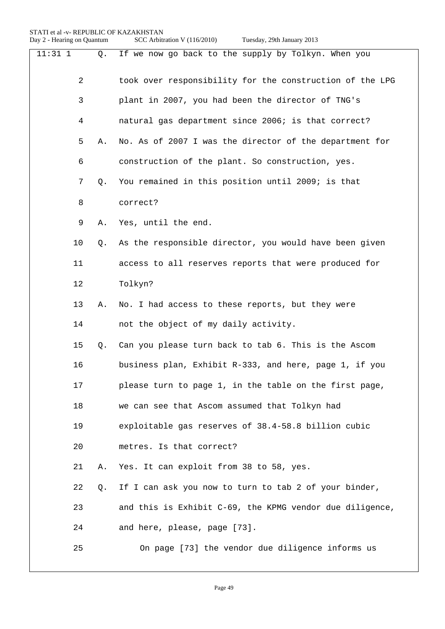| Tuesday, 29th January 2013 |  |  |  |
|----------------------------|--|--|--|
|----------------------------|--|--|--|

| $11:31$ 1 | Q.             | If we now go back to the supply by Tolkyn. When you      |
|-----------|----------------|----------------------------------------------------------|
|           | $\overline{a}$ | took over responsibility for the construction of the LPG |
|           | 3              | plant in 2007, you had been the director of TNG's        |
|           | 4              | natural gas department since 2006; is that correct?      |
|           | 5<br>Α.        | No. As of 2007 I was the director of the department for  |
|           | 6              | construction of the plant. So construction, yes.         |
|           | 7<br>Q.        | You remained in this position until 2009; is that        |
|           | 8              | correct?                                                 |
|           | 9<br>Α.        | Yes, until the end.                                      |
| 10        | Q.             | As the responsible director, you would have been given   |
| 11        |                | access to all reserves reports that were produced for    |
| 12        |                | Tolkyn?                                                  |
| 13        | Α.             | No. I had access to these reports, but they were         |
| 14        |                | not the object of my daily activity.                     |
| 15        | Q.             | Can you please turn back to tab 6. This is the Ascom     |
| 16        |                | business plan, Exhibit R-333, and here, page 1, if you   |
| 17        |                | please turn to page 1, in the table on the first page,   |
| 18        |                | we can see that Ascom assumed that Tolkyn had            |
| 19        |                | exploitable gas reserves of 38.4-58.8 billion cubic      |
| 20        |                | metres. Is that correct?                                 |
| 21        | Α.             | Yes. It can exploit from 38 to 58, yes.                  |
| 22        | Q.             | If I can ask you now to turn to tab 2 of your binder,    |
| 23        |                | and this is Exhibit C-69, the KPMG vendor due diligence, |
| 24        |                | and here, please, page [73].                             |
| 25        |                | On page [73] the vendor due diligence informs us         |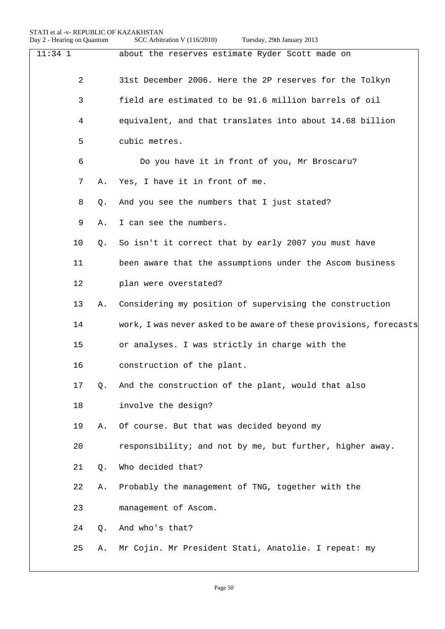| $11:34$ 1 |                |    | about the reserves estimate Ryder Scott made on                    |
|-----------|----------------|----|--------------------------------------------------------------------|
|           | $\overline{a}$ |    | 31st December 2006. Here the 2P reserves for the Tolkyn            |
|           | 3              |    | field are estimated to be 91.6 million barrels of oil              |
|           | 4              |    | equivalent, and that translates into about 14.68 billion           |
|           | 5              |    | cubic metres.                                                      |
|           | 6              |    | Do you have it in front of you, Mr Broscaru?                       |
|           | 7              | Α. | Yes, I have it in front of me.                                     |
|           | 8              | O. | And you see the numbers that I just stated?                        |
|           | 9              | Α. | I can see the numbers.                                             |
|           | 10             | Q. | So isn't it correct that by early 2007 you must have               |
|           | 11             |    | been aware that the assumptions under the Ascom business           |
|           | 12             |    | plan were overstated?                                              |
|           | 13             | Α. | Considering my position of supervising the construction            |
|           | 14             |    | work, I was never asked to be aware of these provisions, forecasts |
|           | 15             |    | or analyses. I was strictly in charge with the                     |
|           | 16             |    | construction of the plant.                                         |
|           | 17             |    | And the construction of the plant, would that also                 |
|           | 18             |    | involve the design?                                                |
|           | 19             | Α. | Of course. But that was decided beyond my                          |
|           | 20             |    | responsibility; and not by me, but further, higher away.           |
|           | 21             | Q. | Who decided that?                                                  |
|           | 22             | Α. | Probably the management of TNG, together with the                  |
|           | 23             |    | management of Ascom.                                               |
|           | 24             | Q. | And who's that?                                                    |
|           | 25             | Α. | Mr Cojin. Mr President Stati, Anatolie. I repeat: my               |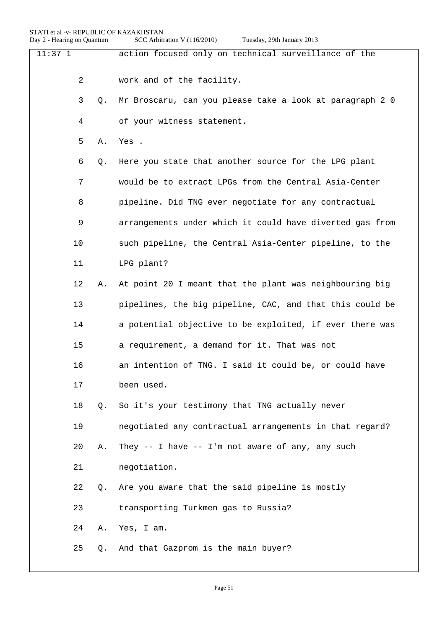SCC Arbitration V (116/2010) Tuesday, 29th January 2013

| $11:37$ 1 |    |           | action focused only on technical surveillance of the     |
|-----------|----|-----------|----------------------------------------------------------|
|           | 2  |           | work and of the facility.                                |
|           | 3  | Q.        | Mr Broscaru, can you please take a look at paragraph 2 0 |
|           | 4  |           | of your witness statement.                               |
|           | 5  | Α.        | Yes.                                                     |
|           | 6  | Q.        | Here you state that another source for the LPG plant     |
|           | 7  |           | would be to extract LPGs from the Central Asia-Center    |
|           | 8  |           | pipeline. Did TNG ever negotiate for any contractual     |
|           | 9  |           | arrangements under which it could have diverted gas from |
|           | 10 |           | such pipeline, the Central Asia-Center pipeline, to the  |
|           | 11 |           | LPG plant?                                               |
|           | 12 | Α.        | At point 20 I meant that the plant was neighbouring big  |
|           | 13 |           | pipelines, the big pipeline, CAC, and that this could be |
|           | 14 |           | a potential objective to be exploited, if ever there was |
|           | 15 |           | a requirement, a demand for it. That was not             |
|           | 16 |           | an intention of TNG. I said it could be, or could have   |
|           | 17 |           | been used.                                               |
|           | 18 | $\circ$ . | So it's your testimony that TNG actually never           |
|           | 19 |           | negotiated any contractual arrangements in that regard?  |
|           | 20 | Α.        | They -- I have -- I'm not aware of any, any such         |
|           | 21 |           | negotiation.                                             |
|           | 22 | Q.        | Are you aware that the said pipeline is mostly           |
|           | 23 |           | transporting Turkmen gas to Russia?                      |
|           | 24 | Α.        | Yes, I am.                                               |
|           | 25 | $\circ$ . | And that Gazprom is the main buyer?                      |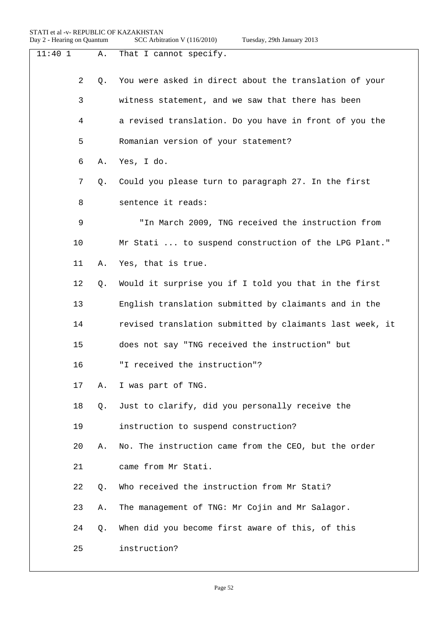| Day 2 - Hearing on Quantum |    | SCC Arbitration V (116/2010)                    | Tuesday, 29th January 2013                               |
|----------------------------|----|-------------------------------------------------|----------------------------------------------------------|
| 11:401                     | Α. | That I cannot specify.                          |                                                          |
| $\overline{2}$             | Q. |                                                 | You were asked in direct about the translation of your   |
| 3                          |    |                                                 | witness statement, and we saw that there has been        |
| 4                          |    |                                                 | a revised translation. Do you have in front of you the   |
| 5                          |    | Romanian version of your statement?             |                                                          |
| 6                          | Α. | Yes, I do.                                      |                                                          |
| 7                          | Q. |                                                 | Could you please turn to paragraph 27. In the first      |
| 8                          |    | sentence it reads:                              |                                                          |
| 9                          |    |                                                 | "In March 2009, TNG received the instruction from        |
| 10                         |    |                                                 | Mr Stati  to suspend construction of the LPG Plant."     |
| 11                         | Α. | Yes, that is true.                              |                                                          |
| 12                         | Q. |                                                 | Would it surprise you if I told you that in the first    |
| 13                         |    |                                                 | English translation submitted by claimants and in the    |
| 14                         |    |                                                 | revised translation submitted by claimants last week, it |
| 15                         |    | does not say "TNG received the instruction" but |                                                          |
| 16                         |    | "I received the instruction"?                   |                                                          |
| 17                         | Α. | I was part of TNG.                              |                                                          |
| 18                         | Q. | Just to clarify, did you personally receive the |                                                          |
| 19                         |    | instruction to suspend construction?            |                                                          |
| 20                         | Α. |                                                 | No. The instruction came from the CEO, but the order     |
| 21                         |    | came from Mr Stati.                             |                                                          |
| 22                         | Q. | Who received the instruction from Mr Stati?     |                                                          |
| 23                         | Α. | The management of TNG: Mr Cojin and Mr Salagor. |                                                          |
| 24                         | Q. |                                                 | When did you become first aware of this, of this         |
| 25                         |    | instruction?                                    |                                                          |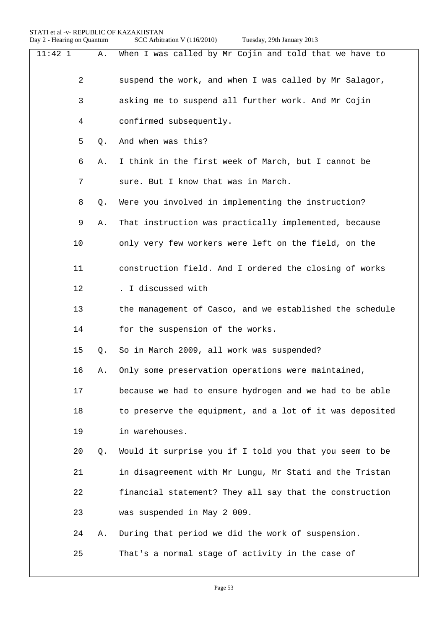| 11:421 |    | Α. | When I was called by Mr Cojin and told that we have to   |
|--------|----|----|----------------------------------------------------------|
|        | 2  |    | suspend the work, and when I was called by Mr Salagor,   |
|        | 3  |    | asking me to suspend all further work. And Mr Cojin      |
|        | 4  |    | confirmed subsequently.                                  |
|        | 5  | Q. | And when was this?                                       |
|        | 6  | Α. | I think in the first week of March, but I cannot be      |
|        | 7  |    | sure. But I know that was in March.                      |
|        | 8  | Q. | Were you involved in implementing the instruction?       |
|        | 9  | Α. | That instruction was practically implemented, because    |
|        | 10 |    | only very few workers were left on the field, on the     |
|        | 11 |    | construction field. And I ordered the closing of works   |
|        | 12 |    | . I discussed with                                       |
|        | 13 |    | the management of Casco, and we established the schedule |
|        | 14 |    | for the suspension of the works.                         |
|        | 15 | О. | So in March 2009, all work was suspended?                |
|        | 16 | Α. | Only some preservation operations were maintained,       |
|        | 17 |    | because we had to ensure hydrogen and we had to be able  |
|        | 18 |    | to preserve the equipment, and a lot of it was deposited |
|        | 19 |    | in warehouses.                                           |
|        | 20 | Q. | Would it surprise you if I told you that you seem to be  |
|        | 21 |    | in disagreement with Mr Lungu, Mr Stati and the Tristan  |
|        | 22 |    | financial statement? They all say that the construction  |
|        | 23 |    | was suspended in May 2 009.                              |
|        | 24 | Α. | During that period we did the work of suspension.        |
|        | 25 |    | That's a normal stage of activity in the case of         |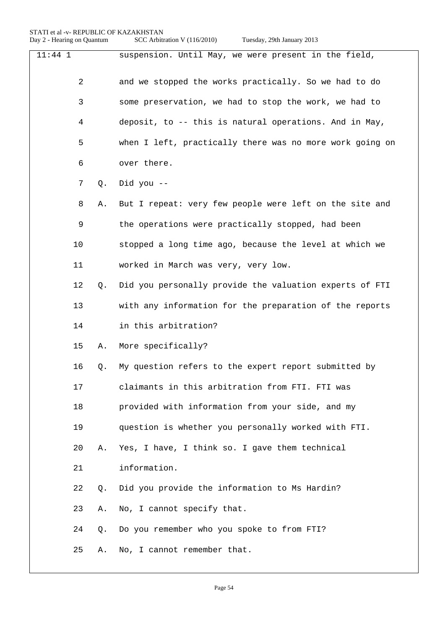| $11:44$ 1      |    | suspension. Until May, we were present in the field,     |
|----------------|----|----------------------------------------------------------|
| $\overline{a}$ |    | and we stopped the works practically. So we had to do    |
| 3              |    | some preservation, we had to stop the work, we had to    |
| 4              |    | deposit, to -- this is natural operations. And in May,   |
| 5              |    | when I left, practically there was no more work going on |
| 6              |    | over there.                                              |
|                |    |                                                          |
| 7              | Q. | Did you --                                               |
| 8              | Α. | But I repeat: very few people were left on the site and  |
| 9              |    | the operations were practically stopped, had been        |
| 10             |    | stopped a long time ago, because the level at which we   |
| 11             |    | worked in March was very, very low.                      |
| 12             | Q. | Did you personally provide the valuation experts of FTI  |
| 13             |    | with any information for the preparation of the reports  |
| 14             |    | in this arbitration?                                     |
| 15             | Α. | More specifically?                                       |
| 16             | Q. | My question refers to the expert report submitted by     |
| $17$           |    | claimants in this arbitration from FTI. FTI was          |
| 18             |    | provided with information from your side, and my         |
| 19             |    | question is whether you personally worked with FTI.      |
| 20             | Α. | Yes, I have, I think so. I gave them technical           |
| 21             |    | information.                                             |
| 22             | Q. | Did you provide the information to Ms Hardin?            |
| 23             | Α. | No, I cannot specify that.                               |
| 24             | Q. | Do you remember who you spoke to from FTI?               |
| 25             | Α. | No, I cannot remember that.                              |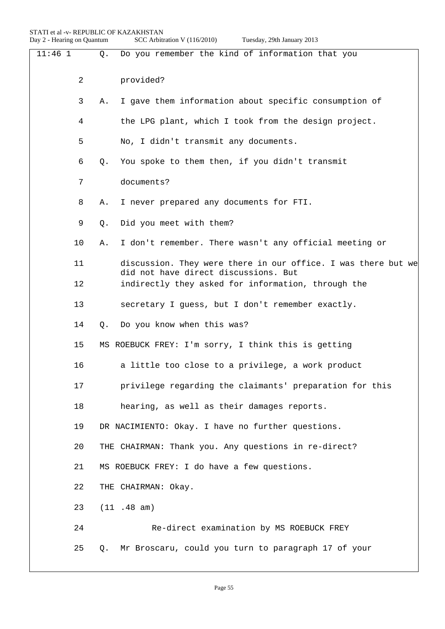| $11:46$ 1      | Do you remember the kind of information that you<br>Q.                                                |  |  |
|----------------|-------------------------------------------------------------------------------------------------------|--|--|
| $\overline{2}$ | provided?                                                                                             |  |  |
| 3              | I gave them information about specific consumption of<br>Α.                                           |  |  |
| 4              | the LPG plant, which I took from the design project.                                                  |  |  |
| 5              | No, I didn't transmit any documents.                                                                  |  |  |
| 6              | You spoke to them then, if you didn't transmit<br>Q.                                                  |  |  |
| 7              | documents?                                                                                            |  |  |
| 8              | I never prepared any documents for FTI.<br>Α.                                                         |  |  |
| 9              | Did you meet with them?<br>Q.                                                                         |  |  |
| 10             | I don't remember. There wasn't any official meeting or<br>Α.                                          |  |  |
| 11             | discussion. They were there in our office. I was there but we<br>did not have direct discussions. But |  |  |
| 12             | indirectly they asked for information, through the                                                    |  |  |
| 13             | secretary I guess, but I don't remember exactly.                                                      |  |  |
| 14             | Do you know when this was?<br>O.                                                                      |  |  |
| 15             | MS ROEBUCK FREY: I'm sorry, I think this is getting                                                   |  |  |
| 16             | a little too close to a privilege, a work product                                                     |  |  |
| 17             | privilege regarding the claimants' preparation for this                                               |  |  |
| 18             | hearing, as well as their damages reports.                                                            |  |  |
| 19             | DR NACIMIENTO: Okay. I have no further questions.                                                     |  |  |
| 20             | THE CHAIRMAN: Thank you. Any questions in re-direct?                                                  |  |  |
| 21             | MS ROEBUCK FREY: I do have a few questions.                                                           |  |  |
| 22             | THE CHAIRMAN: Okay.                                                                                   |  |  |
| 23             | (11.48 am)                                                                                            |  |  |
| 24             | Re-direct examination by MS ROEBUCK FREY                                                              |  |  |
| 25             | Mr Broscaru, could you turn to paragraph 17 of your<br>Q.                                             |  |  |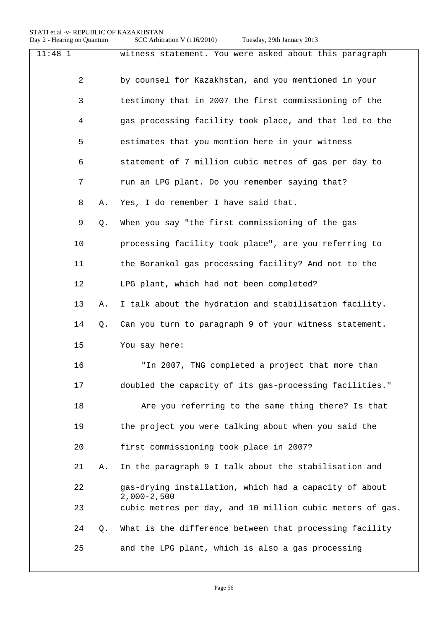SCC Arbitration V (116/2010) Tuesday, 29th January 2013

| $11:48$ 1 |    |    | witness statement. You were asked about this paragraph                  |
|-----------|----|----|-------------------------------------------------------------------------|
|           |    |    |                                                                         |
|           | 2  |    | by counsel for Kazakhstan, and you mentioned in your                    |
|           | 3  |    | testimony that in 2007 the first commissioning of the                   |
|           | 4  |    | gas processing facility took place, and that led to the                 |
|           | 5  |    | estimates that you mention here in your witness                         |
|           | 6  |    | statement of 7 million cubic metres of gas per day to                   |
|           | 7  |    | run an LPG plant. Do you remember saying that?                          |
|           | 8  | Α. | Yes, I do remember I have said that.                                    |
|           | 9  | Q. | When you say "the first commissioning of the gas                        |
|           | 10 |    | processing facility took place", are you referring to                   |
|           | 11 |    | the Borankol gas processing facility? And not to the                    |
|           | 12 |    | LPG plant, which had not been completed?                                |
|           | 13 | Α. | I talk about the hydration and stabilisation facility.                  |
|           | 14 | Q. | Can you turn to paragraph 9 of your witness statement.                  |
|           | 15 |    | You say here:                                                           |
|           | 16 |    | "In 2007, TNG completed a project that more than                        |
|           | 17 |    | doubled the capacity of its gas-processing facilities."                 |
|           | 18 |    | Are you referring to the same thing there? Is that                      |
|           | 19 |    | the project you were talking about when you said the                    |
|           | 20 |    | first commissioning took place in 2007?                                 |
|           | 21 | Α. | In the paragraph 9 I talk about the stabilisation and                   |
|           | 22 |    | gas-drying installation, which had a capacity of about<br>$2,000-2,500$ |
|           | 23 |    | cubic metres per day, and 10 million cubic meters of gas.               |
|           | 24 | Q. | What is the difference between that processing facility                 |
|           | 25 |    | and the LPG plant, which is also a gas processing                       |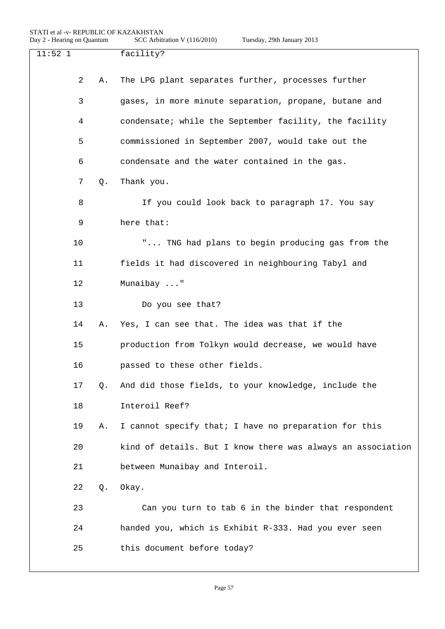| $11:52$ 1 |    | facility?                                                   |  |
|-----------|----|-------------------------------------------------------------|--|
| 2         | Α. | The LPG plant separates further, processes further          |  |
| 3         |    | gases, in more minute separation, propane, butane and       |  |
| 4         |    | condensate; while the September facility, the facility      |  |
| 5         |    | commissioned in September 2007, would take out the          |  |
| б         |    | condensate and the water contained in the gas.              |  |
| 7         | Q. | Thank you.                                                  |  |
| 8         |    | If you could look back to paragraph 17. You say             |  |
| 9         |    | here that:                                                  |  |
| 10        |    | " TNG had plans to begin producing gas from the             |  |
| 11        |    | fields it had discovered in neighbouring Tabyl and          |  |
| 12        |    | Munaibay "                                                  |  |
| 13        |    | Do you see that?                                            |  |
| 14        | Α. | Yes, I can see that. The idea was that if the               |  |
| 15        |    | production from Tolkyn would decrease, we would have        |  |
| 16        |    | passed to these other fields.                               |  |
| 17        | Q. | And did those fields, to your knowledge, include the        |  |
| 18        |    | Interoil Reef?                                              |  |
| 19        | Α. | I cannot specify that; I have no preparation for this       |  |
| 20        |    | kind of details. But I know there was always an association |  |
| 21        |    | between Munaibay and Interoil.                              |  |
| 22        | Q. | Okay.                                                       |  |
| 23        |    | Can you turn to tab 6 in the binder that respondent         |  |
| 24        |    | handed you, which is Exhibit R-333. Had you ever seen       |  |
| 25        |    | this document before today?                                 |  |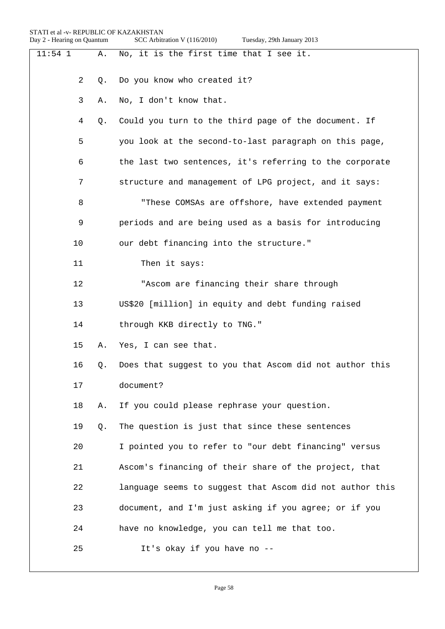| $11:54$ 1      | Α. | No, it is the first time that I see it.                  |  |  |
|----------------|----|----------------------------------------------------------|--|--|
| $\overline{2}$ | O. | Do you know who created it?                              |  |  |
| 3              | Α. | No, I don't know that.                                   |  |  |
| 4              | Q. | Could you turn to the third page of the document. If     |  |  |
| 5              |    | you look at the second-to-last paragraph on this page,   |  |  |
| 6              |    | the last two sentences, it's referring to the corporate  |  |  |
| 7              |    | structure and management of LPG project, and it says:    |  |  |
| 8              |    | "These COMSAs are offshore, have extended payment        |  |  |
| 9              |    | periods and are being used as a basis for introducing    |  |  |
| 10             |    | our debt financing into the structure."                  |  |  |
| 11             |    | Then it says:                                            |  |  |
| 12             |    | "Ascom are financing their share through                 |  |  |
| 13             |    | US\$20 [million] in equity and debt funding raised       |  |  |
| 14             |    | through KKB directly to TNG."                            |  |  |
| 15             | Α. | Yes, I can see that.                                     |  |  |
| 16             | Q. | Does that suggest to you that Ascom did not author this  |  |  |
| 17             |    | document?                                                |  |  |
| 18             | Α. | If you could please rephrase your question.              |  |  |
| 19             | Q. | The question is just that since these sentences          |  |  |
| 20             |    | I pointed you to refer to "our debt financing" versus    |  |  |
| 21             |    | Ascom's financing of their share of the project, that    |  |  |
| 22             |    | language seems to suggest that Ascom did not author this |  |  |
| 23             |    | document, and I'm just asking if you agree; or if you    |  |  |
| 24             |    | have no knowledge, you can tell me that too.             |  |  |
| 25             |    | It's okay if you have no --                              |  |  |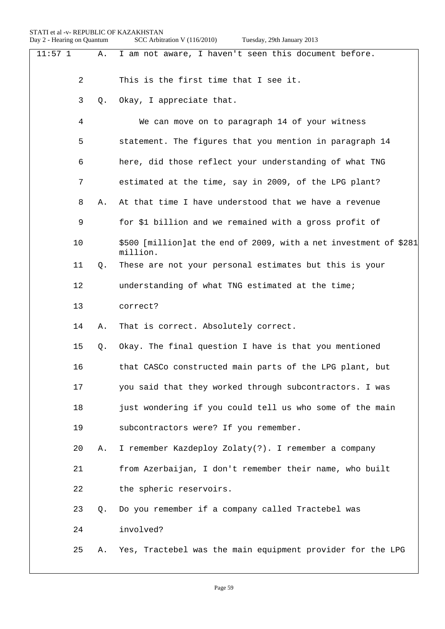| STATI et al -v- REPUBLIC OF KAZAKHSTAN<br>Day 2 - Hearing on Quantum |    | SCC Arbitration V (116/2010)<br>Tuesday, 29th January 2013                    |
|----------------------------------------------------------------------|----|-------------------------------------------------------------------------------|
| $11:57$ 1                                                            | Α. | I am not aware, I haven't seen this document before.                          |
| 2                                                                    |    | This is the first time that I see it.                                         |
| 3                                                                    | Q. | Okay, I appreciate that.                                                      |
| 4                                                                    |    | We can move on to paragraph 14 of your witness                                |
| 5                                                                    |    | statement. The figures that you mention in paragraph 14                       |
| 6                                                                    |    | here, did those reflect your understanding of what TNG                        |
| 7                                                                    |    | estimated at the time, say in 2009, of the LPG plant?                         |
| 8                                                                    | Α. | At that time I have understood that we have a revenue                         |
| 9                                                                    |    | for \$1 billion and we remained with a gross profit of                        |
| 10                                                                   |    | \$500 [million]at the end of 2009, with a net investment of \$281<br>million. |
| 11                                                                   | Q. | These are not your personal estimates but this is your                        |
| 12                                                                   |    | understanding of what TNG estimated at the time;                              |
| 13                                                                   |    | correct?                                                                      |
| 14                                                                   | Α. | That is correct. Absolutely correct.                                          |
| 15                                                                   | Q. | Okay. The final question I have is that you mentioned                         |
| 16                                                                   |    | that CASCo constructed main parts of the LPG plant, but                       |
| 17                                                                   |    | you said that they worked through subcontractors. I was                       |
| 18                                                                   |    | just wondering if you could tell us who some of the main                      |
| 19                                                                   |    | subcontractors were? If you remember.                                         |
| 20                                                                   | Α. | I remember Kazdeploy Zolaty(?). I remember a company                          |
| 21                                                                   |    | from Azerbaijan, I don't remember their name, who built                       |
| 22                                                                   |    | the spheric reservoirs.                                                       |
| 23                                                                   | Q. | Do you remember if a company called Tractebel was                             |
| 24                                                                   |    | involved?                                                                     |
| 25                                                                   | Α. | Yes, Tractebel was the main equipment provider for the LPG                    |
|                                                                      |    |                                                                               |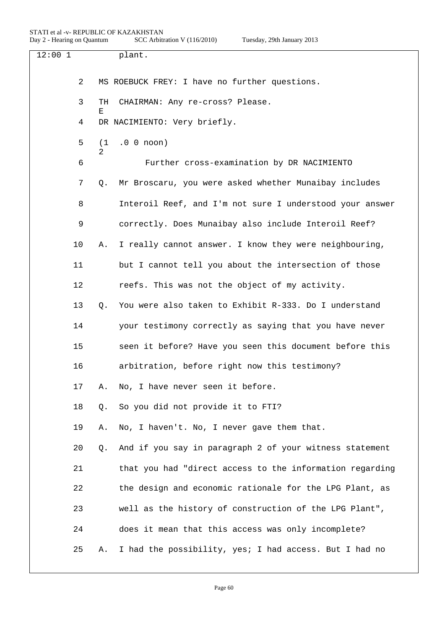| 12:001         |                       | plant.                                                   |
|----------------|-----------------------|----------------------------------------------------------|
| $\overline{2}$ |                       | MS ROEBUCK FREY: I have no further questions.            |
| 3              | TH<br>Ε               | CHAIRMAN: Any re-cross? Please.                          |
| 4              |                       | DR NACIMIENTO: Very briefly.                             |
| 5              | (1)<br>$\overline{2}$ | $.0$ 0 $noon)$                                           |
| 6              |                       | Further cross-examination by DR NACIMIENTO               |
| 7              | Q.                    | Mr Broscaru, you were asked whether Munaibay includes    |
| 8              |                       | Interoil Reef, and I'm not sure I understood your answer |
| 9              |                       | correctly. Does Munaibay also include Interoil Reef?     |
| 10             | Α.                    | I really cannot answer. I know they were neighbouring,   |
| 11             |                       | but I cannot tell you about the intersection of those    |
| 12             |                       | reefs. This was not the object of my activity.           |
| 13             | Q.                    | You were also taken to Exhibit R-333. Do I understand    |
| 14             |                       | your testimony correctly as saying that you have never   |
| 15             |                       | seen it before? Have you seen this document before this  |
| 16             |                       | arbitration, before right now this testimony?            |
| 17             | Α.                    | No, I have never seen it before.                         |
| 18             | Q.                    | So you did not provide it to FTI?                        |
| 19             | Α.                    | No, I haven't. No, I never gave them that.               |
| 20             | Q.                    | And if you say in paragraph 2 of your witness statement  |
| 21             |                       | that you had "direct access to the information regarding |
| 22             |                       | the design and economic rationale for the LPG Plant, as  |
| 23             |                       | well as the history of construction of the LPG Plant",   |
| 24             |                       | does it mean that this access was only incomplete?       |
| 25             | Α.                    | I had the possibility, yes; I had access. But I had no   |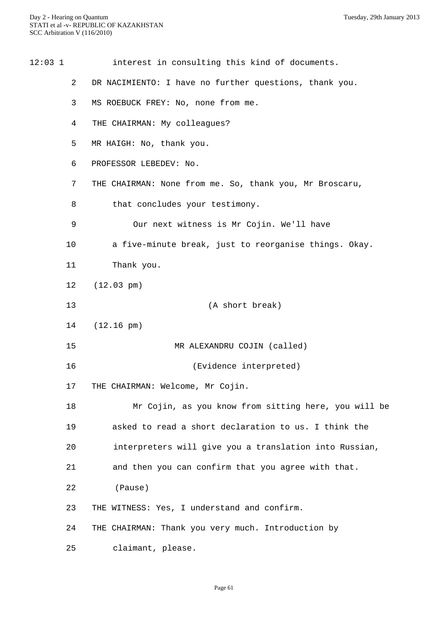| $12:03$ 1 | interest in consulting this kind of documents.          |
|-----------|---------------------------------------------------------|
| 2         | DR NACIMIENTO: I have no further questions, thank you.  |
| 3         | MS ROEBUCK FREY: No, none from me.                      |
| 4         | THE CHAIRMAN: My colleagues?                            |
| 5         | MR HAIGH: No, thank you.                                |
| 6         | PROFESSOR LEBEDEV: No.                                  |
| 7         | THE CHAIRMAN: None from me. So, thank you, Mr Broscaru, |
| 8         | that concludes your testimony.                          |
| 9         | Our next witness is Mr Cojin. We'll have                |
| 10        | a five-minute break, just to reorganise things. Okay.   |
| 11        | Thank you.                                              |
| 12        | $(12.03 \text{ pm})$                                    |
| 13        | (A short break)                                         |
| 14        | $(12.16 \text{ pm})$                                    |
| 15        | MR ALEXANDRU COJIN (called)                             |
| 16        | (Evidence interpreted)                                  |
| 17        | THE CHAIRMAN: Welcome, Mr Cojin.                        |
| 18        | Mr Cojin, as you know from sitting here, you will be    |
| 19        | asked to read a short declaration to us. I think the    |
| 20        | interpreters will give you a translation into Russian,  |
| 21        | and then you can confirm that you agree with that.      |
| 22        | (Pause)                                                 |
| 23        | THE WITNESS: Yes, I understand and confirm.             |
| 24        | THE CHAIRMAN: Thank you very much. Introduction by      |
| 25        | claimant, please.                                       |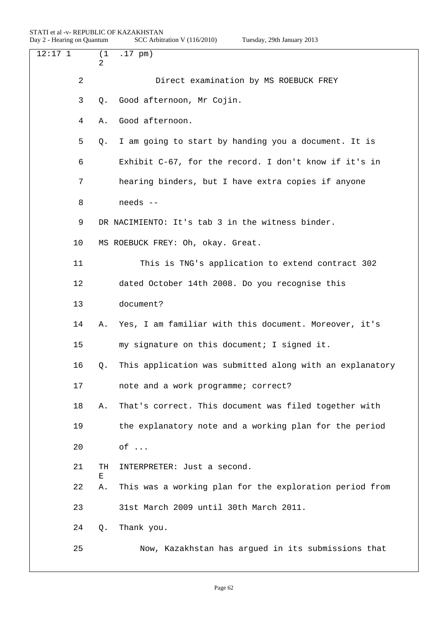| $12:17$ 1 | (1)<br>2 | $.17$ pm)                                                |
|-----------|----------|----------------------------------------------------------|
|           | 2        | Direct examination by MS ROEBUCK FREY                    |
|           | 3<br>Q.  | Good afternoon, Mr Cojin.                                |
|           | 4<br>Α.  | Good afternoon.                                          |
|           | 5<br>Q.  | I am going to start by handing you a document. It is     |
|           | 6        | Exhibit C-67, for the record. I don't know if it's in    |
|           | 7        | hearing binders, but I have extra copies if anyone       |
|           | 8        | needs --                                                 |
|           | 9        | DR NACIMIENTO: It's tab 3 in the witness binder.         |
| 10        |          | MS ROEBUCK FREY: Oh, okay. Great.                        |
| 11        |          | This is TNG's application to extend contract 302         |
| 12        |          | dated October 14th 2008. Do you recognise this           |
| 13        |          | document?                                                |
| 14        | Α.       | Yes, I am familiar with this document. Moreover, it's    |
| 15        |          | my signature on this document; I signed it.              |
| 16        | Q.       | This application was submitted along with an explanatory |
| 17        |          | note and a work programme; correct?                      |
| 18        | Α.       | That's correct. This document was filed together with    |
| 19        |          | the explanatory note and a working plan for the period   |
| 20        |          | $of \ldots$                                              |
| 21        | TH<br>Е  | INTERPRETER: Just a second.                              |
| 22        | Α.       | This was a working plan for the exploration period from  |
| 23        |          | 31st March 2009 until 30th March 2011.                   |
| 24        | Q.       | Thank you.                                               |
| 25        |          | Now, Kazakhstan has argued in its submissions that       |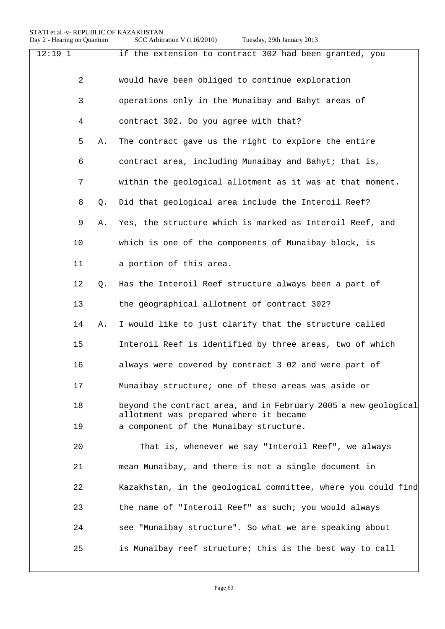SCC Arbitration V (116/2010) Tuesday, 29th January 2013

| $12:19$ 1 |    | if the extension to contract 302 had been granted, you                                                    |
|-----------|----|-----------------------------------------------------------------------------------------------------------|
| 2         |    | would have been obliged to continue exploration                                                           |
| 3         |    | operations only in the Munaibay and Bahyt areas of                                                        |
| 4         |    | contract 302. Do you agree with that?                                                                     |
| 5         | Α. | The contract gave us the right to explore the entire                                                      |
| 6         |    | contract area, including Munaibay and Bahyt; that is,                                                     |
| 7         |    | within the geological allotment as it was at that moment.                                                 |
| 8         | Q. | Did that geological area include the Interoil Reef?                                                       |
| 9         | Α. | Yes, the structure which is marked as Interoil Reef, and                                                  |
| 10        |    | which is one of the components of Munaibay block, is                                                      |
| 11        |    | a portion of this area.                                                                                   |
| 12        | Q. | Has the Interoil Reef structure always been a part of                                                     |
| 13        |    | the geographical allotment of contract 302?                                                               |
| 14        | Α. | I would like to just clarify that the structure called                                                    |
| 15        |    | Interoil Reef is identified by three areas, two of which                                                  |
| 16        |    | always were covered by contract 3 02 and were part of                                                     |
| 17        |    | Munaibay structure; one of these areas was aside or                                                       |
| 18        |    | beyond the contract area, and in February 2005 a new geological<br>allotment was prepared where it became |
| 19        |    | a component of the Munaibay structure.                                                                    |
| 20        |    | That is, whenever we say "Interoil Reef", we always                                                       |
| 21        |    | mean Munaibay, and there is not a single document in                                                      |
| 22        |    | Kazakhstan, in the geological committee, where you could find                                             |
| 23        |    | the name of "Interoil Reef" as such; you would always                                                     |
| 24        |    | see "Munaibay structure". So what we are speaking about                                                   |
| 25        |    | is Munaibay reef structure; this is the best way to call                                                  |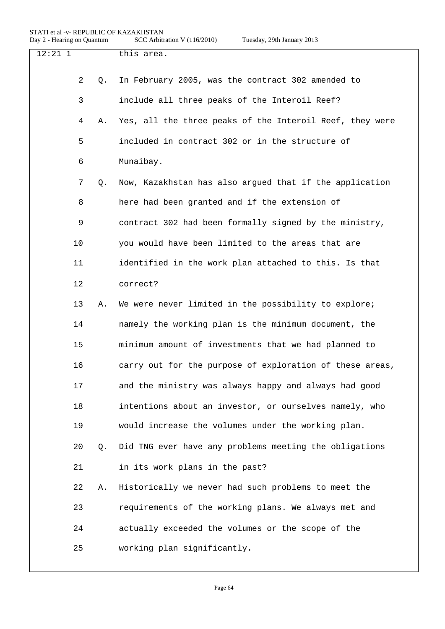| $12:21$ 1 |                |    | this area.                                               |
|-----------|----------------|----|----------------------------------------------------------|
|           | $\overline{2}$ | Q. | In February 2005, was the contract 302 amended to        |
|           | 3              |    | include all three peaks of the Interoil Reef?            |
|           | 4              | А. | Yes, all the three peaks of the Interoil Reef, they were |
|           | 5              |    | included in contract 302 or in the structure of          |
|           | 6              |    | Munaibay.                                                |
|           | 7              | Q. | Now, Kazakhstan has also argued that if the application  |
|           | 8              |    | here had been granted and if the extension of            |
|           | 9              |    | contract 302 had been formally signed by the ministry,   |
|           | 10             |    | you would have been limited to the areas that are        |
|           | 11             |    | identified in the work plan attached to this. Is that    |
|           | 12             |    | correct?                                                 |
|           | 13             | Α. | We were never limited in the possibility to explore;     |
|           | 14             |    | namely the working plan is the minimum document, the     |
|           | 15             |    | minimum amount of investments that we had planned to     |
|           | 16             |    | carry out for the purpose of exploration of these areas, |
|           | 17             |    | and the ministry was always happy and always had good    |
|           | 18             |    | intentions about an investor, or ourselves namely, who   |
|           | 19             |    | would increase the volumes under the working plan.       |
|           | 20             | Q. | Did TNG ever have any problems meeting the obligations   |
|           | 21             |    | in its work plans in the past?                           |
|           | 22             | Α. | Historically we never had such problems to meet the      |
|           | 23             |    | requirements of the working plans. We always met and     |
|           | 24             |    | actually exceeded the volumes or the scope of the        |
|           | 25             |    | working plan significantly.                              |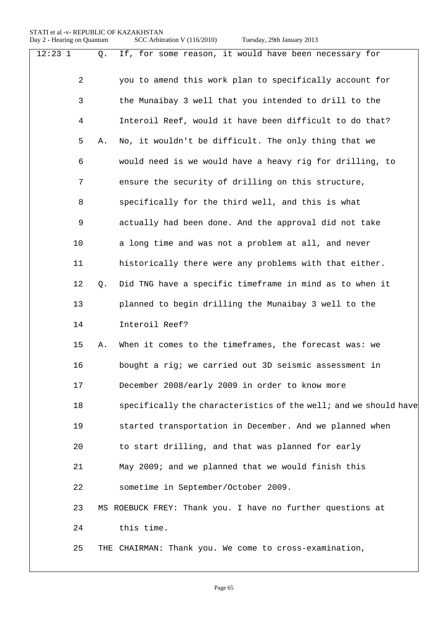## STATI et al -v- REPUBLIC OF KAZAKHSTAN<br>Day 2 - Hearing on Quantum SCC Arbitr SCC Arbitration V (116/2010)

| Tuesday, 29th January 2013 |  |  |  |
|----------------------------|--|--|--|
|----------------------------|--|--|--|

| 12:231 | Q.             | If, for some reason, it would have been necessary for            |
|--------|----------------|------------------------------------------------------------------|
|        | $\overline{2}$ | you to amend this work plan to specifically account for          |
|        | 3              | the Munaibay 3 well that you intended to drill to the            |
|        | 4              | Interoil Reef, would it have been difficult to do that?          |
|        | 5<br>Α.        | No, it wouldn't be difficult. The only thing that we             |
|        | 6              | would need is we would have a heavy rig for drilling, to         |
|        | 7              | ensure the security of drilling on this structure,               |
|        | 8              | specifically for the third well, and this is what                |
|        | 9              | actually had been done. And the approval did not take            |
|        | 10             | a long time and was not a problem at all, and never              |
|        | 11             | historically there were any problems with that either.           |
|        | 12<br>Q.       | Did TNG have a specific timeframe in mind as to when it          |
|        | 13             | planned to begin drilling the Munaibay 3 well to the             |
|        | 14             | Interoil Reef?                                                   |
|        | 15<br>Α.       | When it comes to the timeframes, the forecast was: we            |
|        | 16             | bought a rig; we carried out 3D seismic assessment in            |
|        | $17$           | December 2008/early 2009 in order to know more                   |
|        | 18             | specifically the characteristics of the well; and we should have |
| 19     |                | started transportation in December. And we planned when          |
| 20     |                | to start drilling, and that was planned for early                |
|        | 21             | May 2009; and we planned that we would finish this               |
|        | 22             | sometime in September/October 2009.                              |
|        | 23             | MS ROEBUCK FREY: Thank you. I have no further questions at       |
|        | 24             | this time.                                                       |
|        | 25             | THE CHAIRMAN: Thank you. We come to cross-examination,           |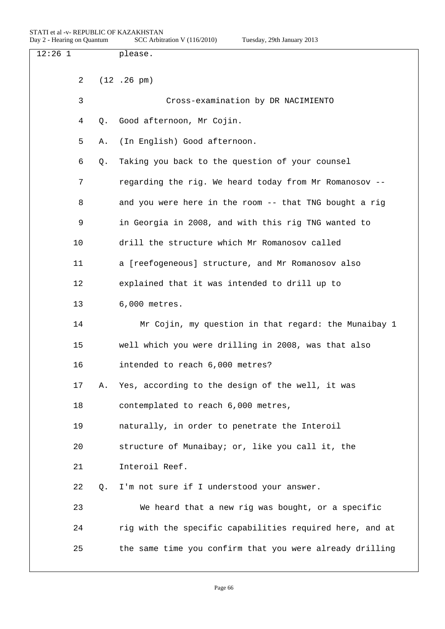| $12:26$ 1 |    |    | please.                                                  |
|-----------|----|----|----------------------------------------------------------|
|           | 2  |    | $(12.26 \text{ pm})$                                     |
|           | 3  |    | Cross-examination by DR NACIMIENTO                       |
|           | 4  | Q. | Good afternoon, Mr Cojin.                                |
|           | 5  | Α. | (In English) Good afternoon.                             |
|           | 6  | Q. | Taking you back to the question of your counsel          |
|           | 7  |    | regarding the rig. We heard today from Mr Romanosov --   |
|           | 8  |    | and you were here in the room -- that TNG bought a rig   |
|           | 9  |    | in Georgia in 2008, and with this rig TNG wanted to      |
|           | 10 |    | drill the structure which Mr Romanosov called            |
|           | 11 |    | a [reefogeneous] structure, and Mr Romanosov also        |
|           | 12 |    | explained that it was intended to drill up to            |
|           | 13 |    | 6,000 metres.                                            |
|           | 14 |    | Mr Cojin, my question in that regard: the Munaibay 1     |
|           | 15 |    | well which you were drilling in 2008, was that also      |
|           | 16 |    | intended to reach 6,000 metres?                          |
|           | 17 | Α. | Yes, according to the design of the well, it was         |
|           | 18 |    | contemplated to reach 6,000 metres,                      |
|           | 19 |    | naturally, in order to penetrate the Interoil            |
|           | 20 |    | structure of Munaibay; or, like you call it, the         |
|           | 21 |    | Interoil Reef.                                           |
|           | 22 | Q. | I'm not sure if I understood your answer.                |
|           | 23 |    | We heard that a new rig was bought, or a specific        |
|           | 24 |    | rig with the specific capabilities required here, and at |
|           | 25 |    | the same time you confirm that you were already drilling |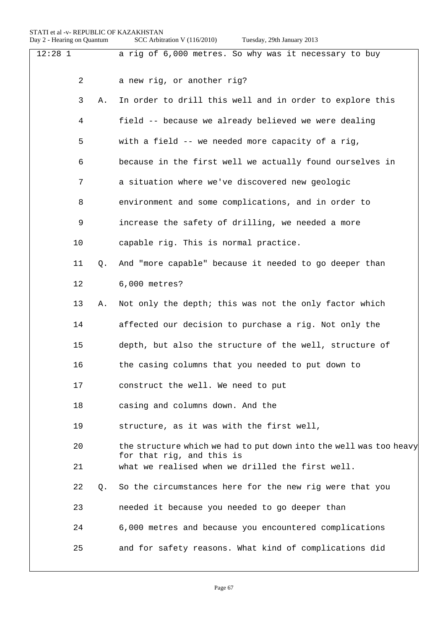| Day 2 - Hearing on Quantum |                |    | STATI et al -v- REPUBLIC OF KAZAKHSTAN<br>SCC Arbitration V (116/2010)<br>Tuesday, 29th January 2013 |
|----------------------------|----------------|----|------------------------------------------------------------------------------------------------------|
| $12:28$ 1                  |                |    | a rig of 6,000 metres. So why was it necessary to buy                                                |
|                            | $\overline{2}$ |    | a new rig, or another rig?                                                                           |
|                            | 3              | Α. | In order to drill this well and in order to explore this                                             |
|                            | 4              |    | field -- because we already believed we were dealing                                                 |
|                            | 5              |    | with a field -- we needed more capacity of a rig,                                                    |
|                            | 6              |    | because in the first well we actually found ourselves in                                             |
|                            | 7              |    | a situation where we've discovered new geologic                                                      |
|                            | 8              |    | environment and some complications, and in order to                                                  |
|                            | 9              |    | increase the safety of drilling, we needed a more                                                    |
|                            | 10             |    | capable rig. This is normal practice.                                                                |
|                            | 11             | Q. | And "more capable" because it needed to go deeper than                                               |
|                            | 12             |    | 6,000 metres?                                                                                        |
|                            | 13             | Α. | Not only the depth; this was not the only factor which                                               |
|                            | 14             |    | affected our decision to purchase a rig. Not only the                                                |
|                            | 15             |    | depth, but also the structure of the well, structure of                                              |
|                            | 16             |    | the casing columns that you needed to put down to                                                    |
|                            | 17             |    | construct the well. We need to put                                                                   |
|                            | 18             |    | casing and columns down. And the                                                                     |
|                            | 19             |    | structure, as it was with the first well,                                                            |
|                            | 20             |    | the structure which we had to put down into the well was too heavy<br>for that rig, and this is      |
|                            | 21             |    | what we realised when we drilled the first well.                                                     |
|                            | 22             | Q. | So the circumstances here for the new rig were that you                                              |
|                            | 23             |    | needed it because you needed to go deeper than                                                       |
|                            | 24             |    | 6,000 metres and because you encountered complications                                               |
|                            | 25             |    | and for safety reasons. What kind of complications did                                               |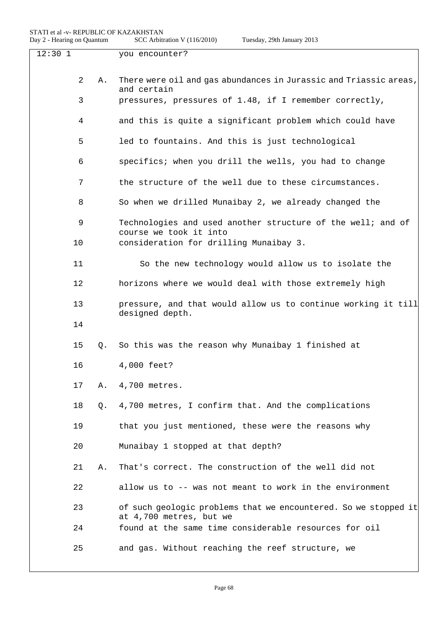| Tuesday, 29th January 2013 |  |  |
|----------------------------|--|--|
|                            |  |  |

| $12:30$ 1 |                |    | you encounter?                                                                             |
|-----------|----------------|----|--------------------------------------------------------------------------------------------|
|           | $\overline{2}$ | Α. | There were oil and gas abundances in Jurassic and Triassic areas,<br>and certain           |
|           | 3              |    | pressures, pressures of 1.48, if I remember correctly,                                     |
|           | 4              |    | and this is quite a significant problem which could have                                   |
|           | 5              |    | led to fountains. And this is just technological                                           |
|           | 6              |    | specifics; when you drill the wells, you had to change                                     |
|           | 7              |    | the structure of the well due to these circumstances.                                      |
|           | 8              |    | So when we drilled Munaibay 2, we already changed the                                      |
|           | 9              |    | Technologies and used another structure of the well; and of<br>course we took it into      |
|           | 10             |    | consideration for drilling Munaibay 3.                                                     |
|           | 11             |    | So the new technology would allow us to isolate the                                        |
|           | 12             |    | horizons where we would deal with those extremely high                                     |
|           | 13             |    | pressure, and that would allow us to continue working it till<br>designed depth.           |
|           | 14             |    |                                                                                            |
|           | 15             | Q. | So this was the reason why Munaibay 1 finished at                                          |
|           | 16             |    | 4,000 feet?                                                                                |
|           | 17             | Α. | 4,700 metres.                                                                              |
|           | 18             | Q. | 4,700 metres, I confirm that. And the complications                                        |
|           | 19             |    | that you just mentioned, these were the reasons why                                        |
|           | 20             |    | Munaibay 1 stopped at that depth?                                                          |
|           | 21             | Α. | That's correct. The construction of the well did not                                       |
|           | 22             |    | allow us to -- was not meant to work in the environment                                    |
|           | 23             |    | of such geologic problems that we encountered. So we stopped it<br>at 4,700 metres, but we |
|           | 24             |    | found at the same time considerable resources for oil                                      |
|           | 25             |    | and gas. Without reaching the reef structure, we                                           |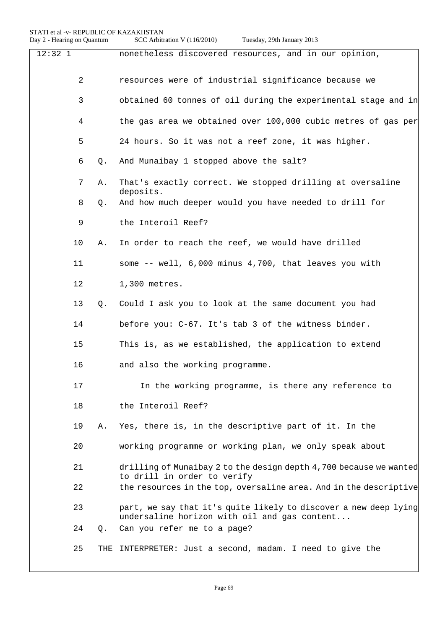| $12:32$ 1      |     | nonetheless discovered resources, and in our opinion,                                                            |
|----------------|-----|------------------------------------------------------------------------------------------------------------------|
| $\overline{2}$ |     | resources were of industrial significance because we                                                             |
| 3              |     | obtained 60 tonnes of oil during the experimental stage and in                                                   |
| 4              |     | the gas area we obtained over 100,000 cubic metres of gas per                                                    |
| 5              |     | 24 hours. So it was not a reef zone, it was higher.                                                              |
| 6              | Q.  | And Munaibay 1 stopped above the salt?                                                                           |
| 7              | Α.  | That's exactly correct. We stopped drilling at oversaline<br>deposits.                                           |
| 8              | Q.  | And how much deeper would you have needed to drill for                                                           |
| 9              |     | the Interoil Reef?                                                                                               |
| 10             | Α.  | In order to reach the reef, we would have drilled                                                                |
| 11             |     | some -- well, 6,000 minus 4,700, that leaves you with                                                            |
| 12             |     | 1,300 metres.                                                                                                    |
| 13             | O.  | Could I ask you to look at the same document you had                                                             |
| 14             |     | before you: C-67. It's tab 3 of the witness binder.                                                              |
| 15             |     | This is, as we established, the application to extend                                                            |
| 16             |     | and also the working programme.                                                                                  |
| 17             |     | In the working programme, is there any reference to                                                              |
| 18             |     | the Interoil Reef?                                                                                               |
| 19             | Α.  | Yes, there is, in the descriptive part of it. In the                                                             |
| 20             |     | working programme or working plan, we only speak about                                                           |
| 21             |     | drilling of Munaibay 2 to the design depth 4,700 because we wanted<br>to drill in order to verify                |
| 22             |     | the resources in the top, oversaline area. And in the descriptive                                                |
| 23             |     | part, we say that it's quite likely to discover a new deep lying<br>undersaline horizon with oil and gas content |
| 24             | Q.  | Can you refer me to a page?                                                                                      |
| 25             | THE | INTERPRETER: Just a second, madam. I need to give the                                                            |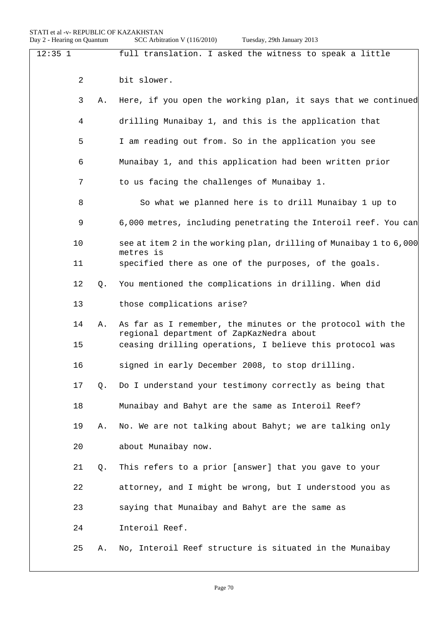| $12:35$ 1 |                |    | full translation. I asked the witness to speak a little                                                |
|-----------|----------------|----|--------------------------------------------------------------------------------------------------------|
|           | $\overline{2}$ |    | bit slower.                                                                                            |
|           | 3              | Α. | Here, if you open the working plan, it says that we continued                                          |
|           | 4              |    | drilling Munaibay 1, and this is the application that                                                  |
|           | 5              |    | I am reading out from. So in the application you see                                                   |
|           | 6              |    | Munaibay 1, and this application had been written prior                                                |
|           | 7              |    | to us facing the challenges of Munaibay 1.                                                             |
|           | 8              |    | So what we planned here is to drill Munaibay 1 up to                                                   |
|           | 9              |    | 6,000 metres, including penetrating the Interoil reef. You can                                         |
|           | 10             |    | see at item 2 in the working plan, drilling of Munaibay 1 to 6,000<br>metres is                        |
|           | 11             |    | specified there as one of the purposes, of the goals.                                                  |
|           | 12             | Q. | You mentioned the complications in drilling. When did                                                  |
|           | 13             |    | those complications arise?                                                                             |
|           | 14             | Α. | As far as I remember, the minutes or the protocol with the<br>regional department of ZapKazNedra about |
|           | 15             |    | ceasing drilling operations, I believe this protocol was                                               |
|           | 16             |    | signed in early December 2008, to stop drilling.                                                       |
|           | 17             | Q. | Do I understand your testimony correctly as being that                                                 |
|           | 18             |    | Munaibay and Bahyt are the same as Interoil Reef?                                                      |
|           | 19             | Α. | No. We are not talking about Bahyt; we are talking only                                                |
|           | 20             |    | about Munaibay now.                                                                                    |
|           | 21             | Q. | This refers to a prior [answer] that you gave to your                                                  |
|           | 22             |    | attorney, and I might be wrong, but I understood you as                                                |
|           | 23             |    | saying that Munaibay and Bahyt are the same as                                                         |
|           | 24             |    | Interoil Reef.                                                                                         |
|           | 25             | Α. | No, Interoil Reef structure is situated in the Munaibay                                                |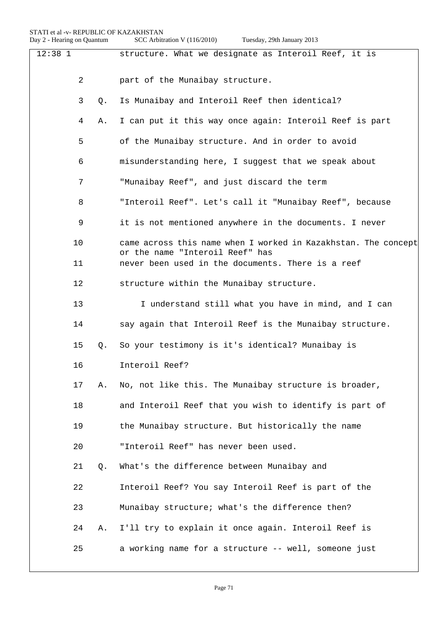#### STATI et al -v- REPUBLIC OF KAZAKHSTAN

| Day 2 - Hearing on Quantum |    | Tuesday, 29th January 2013<br>SCC Arbitration V (116/2010)                                        |
|----------------------------|----|---------------------------------------------------------------------------------------------------|
| $12:38$ 1                  |    | structure. What we designate as Interoil Reef, it is                                              |
| 2                          |    | part of the Munaibay structure.                                                                   |
| 3                          | Q. | Is Munaibay and Interoil Reef then identical?                                                     |
| 4                          | Α. | I can put it this way once again: Interoil Reef is part                                           |
| 5                          |    | of the Munaibay structure. And in order to avoid                                                  |
| 6                          |    | misunderstanding here, I suggest that we speak about                                              |
| 7                          |    | "Munaibay Reef", and just discard the term                                                        |
| 8                          |    | "Interoil Reef". Let's call it "Munaibay Reef", because                                           |
| 9                          |    | it is not mentioned anywhere in the documents. I never                                            |
| 10                         |    | came across this name when I worked in Kazakhstan. The concept<br>or the name "Interoil Reef" has |
| 11                         |    | never been used in the documents. There is a reef                                                 |
| 12                         |    | structure within the Munaibay structure.                                                          |
| 13                         |    | I understand still what you have in mind, and I can                                               |
| 14                         |    | say again that Interoil Reef is the Munaibay structure.                                           |
| 15                         | Q. | So your testimony is it's identical? Munaibay is                                                  |
| 16                         |    | Interoil Reef?                                                                                    |
| 17                         | Α. | No, not like this. The Munaibay structure is broader,                                             |
| 18                         |    | and Interoil Reef that you wish to identify is part of                                            |
| 19                         |    | the Munaibay structure. But historically the name                                                 |
| 20                         |    | "Interoil Reef" has never been used.                                                              |
| 21                         | Q. | What's the difference between Munaibay and                                                        |
| 22                         |    | Interoil Reef? You say Interoil Reef is part of the                                               |
| 23                         |    | Munaibay structure; what's the difference then?                                                   |
| 24                         | Α. | I'll try to explain it once again. Interoil Reef is                                               |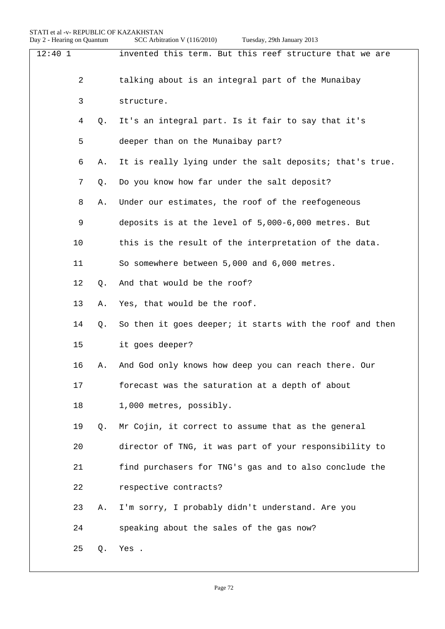| 12:401 |                |    | invented this term. But this reef structure that we are  |
|--------|----------------|----|----------------------------------------------------------|
|        | $\overline{a}$ |    | talking about is an integral part of the Munaibay        |
|        | 3              |    | structure.                                               |
|        | 4              | Q. | It's an integral part. Is it fair to say that it's       |
|        | 5              |    | deeper than on the Munaibay part?                        |
|        | 6              | Α. | It is really lying under the salt deposits; that's true. |
|        | 7              | Q. | Do you know how far under the salt deposit?              |
|        | 8              | Α. | Under our estimates, the roof of the reefogeneous        |
|        | 9              |    | deposits is at the level of 5,000-6,000 metres. But      |
|        | 10             |    | this is the result of the interpretation of the data.    |
|        | 11             |    | So somewhere between 5,000 and 6,000 metres.             |
|        | 12             | Q. | And that would be the roof?                              |
|        | 13             | Α. | Yes, that would be the roof.                             |
|        | 14             | Q. | So then it goes deeper; it starts with the roof and then |
|        | 15             |    | it goes deeper?                                          |
|        | 16             | Α. | And God only knows how deep you can reach there. Our     |
|        | 17             |    | forecast was the saturation at a depth of about          |
|        | 18             |    | 1,000 metres, possibly.                                  |
|        | 19             | Q. | Mr Cojin, it correct to assume that as the general       |
|        | 20             |    | director of TNG, it was part of your responsibility to   |
|        | 21             |    | find purchasers for TNG's gas and to also conclude the   |
|        | 22             |    | respective contracts?                                    |
|        | 23             | Α. | I'm sorry, I probably didn't understand. Are you         |
|        | 24             |    | speaking about the sales of the gas now?                 |
|        | 25             | Q. | Yes.                                                     |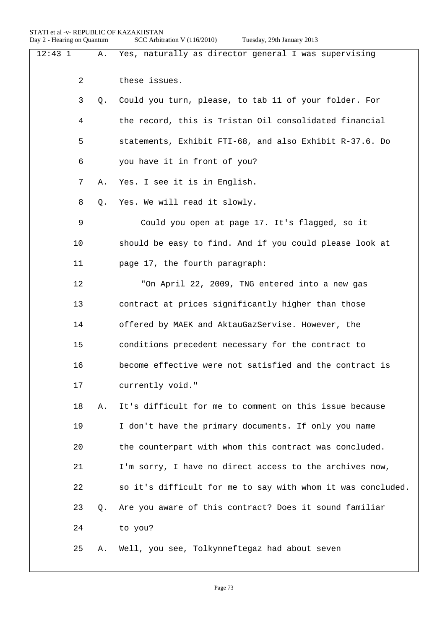| $12:43$ 1 |                | Α. | Yes, naturally as director general I was supervising        |
|-----------|----------------|----|-------------------------------------------------------------|
|           | $\overline{2}$ |    | these issues.                                               |
|           | 3              | Q. | Could you turn, please, to tab 11 of your folder. For       |
|           | 4              |    | the record, this is Tristan Oil consolidated financial      |
|           | 5              |    | statements, Exhibit FTI-68, and also Exhibit R-37.6. Do     |
|           | 6              |    | you have it in front of you?                                |
|           | 7              | Α. | Yes. I see it is in English.                                |
|           | 8              | O. | Yes. We will read it slowly.                                |
|           | 9              |    | Could you open at page 17. It's flagged, so it              |
|           | 10             |    | should be easy to find. And if you could please look at     |
|           | 11             |    | page 17, the fourth paragraph:                              |
|           | 12             |    | "On April 22, 2009, TNG entered into a new gas              |
|           | 13             |    | contract at prices significantly higher than those          |
|           | 14             |    | offered by MAEK and AktauGazServise. However, the           |
|           | 15             |    | conditions precedent necessary for the contract to          |
|           | 16             |    | become effective were not satisfied and the contract is     |
|           | 17             |    | currently void."                                            |
|           | 18             | Α. | It's difficult for me to comment on this issue because      |
|           | 19             |    | I don't have the primary documents. If only you name        |
|           | 20             |    | the counterpart with whom this contract was concluded.      |
|           | 21             |    | I'm sorry, I have no direct access to the archives now,     |
|           | 22             |    | so it's difficult for me to say with whom it was concluded. |
|           | 23             | О. | Are you aware of this contract? Does it sound familiar      |
|           | 24             |    | to you?                                                     |
|           | 25             | Α. | Well, you see, Tolkynneftegaz had about seven               |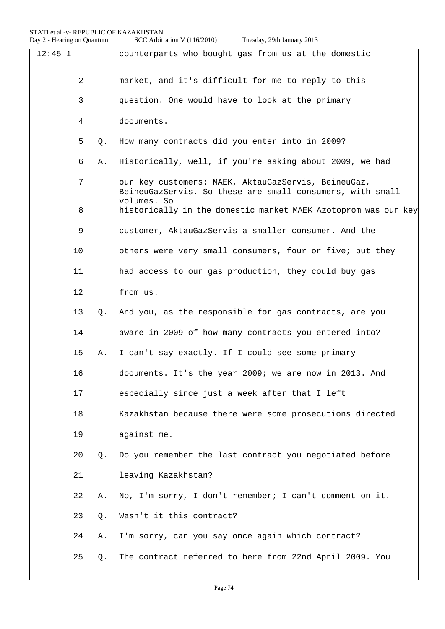# STATI et al -v- REPUBLIC OF KAZAKHSTAN<br>Day 2 - Hearing on Quantum SCC Arbitr

| $12:45$ 1 |                |    | counterparts who bought gas from us at the domestic                                                                             |
|-----------|----------------|----|---------------------------------------------------------------------------------------------------------------------------------|
|           | $\overline{2}$ |    | market, and it's difficult for me to reply to this                                                                              |
|           | 3              |    | question. One would have to look at the primary                                                                                 |
|           | 4              |    | documents.                                                                                                                      |
|           | 5              | Q. | How many contracts did you enter into in 2009?                                                                                  |
|           | 6              | Α. | Historically, well, if you're asking about 2009, we had                                                                         |
|           | 7              |    | our key customers: MAEK, AktauGazServis, BeineuGaz,<br>BeineuGazServis. So these are small consumers, with small<br>volumes. So |
|           | 8              |    | historically in the domestic market MAEK Azotoprom was our key                                                                  |
|           | 9              |    | customer, AktauGazServis a smaller consumer. And the                                                                            |
|           | $10 \,$        |    | others were very small consumers, four or five; but they                                                                        |
|           | 11             |    | had access to our gas production, they could buy gas                                                                            |
|           | 12             |    | from us.                                                                                                                        |
|           | 13             | О. | And you, as the responsible for gas contracts, are you                                                                          |
|           | 14             |    | aware in 2009 of how many contracts you entered into?                                                                           |
|           | 15             | Α. | I can't say exactly. If I could see some primary                                                                                |
|           | 16             |    | documents. It's the year 2009; we are now in 2013. And                                                                          |
|           | 17             |    | especially since just a week after that I left                                                                                  |
|           | 18             |    | Kazakhstan because there were some prosecutions directed                                                                        |
|           | 19             |    | against me.                                                                                                                     |
|           | 20             | Q. | Do you remember the last contract you negotiated before                                                                         |
|           | 21             |    | leaving Kazakhstan?                                                                                                             |
|           | 22             | Α. | No, I'm sorry, I don't remember; I can't comment on it.                                                                         |
|           | 23             | Q. | Wasn't it this contract?                                                                                                        |
|           | 24             | Α. | I'm sorry, can you say once again which contract?                                                                               |
|           | 25             | Q. | The contract referred to here from 22nd April 2009. You                                                                         |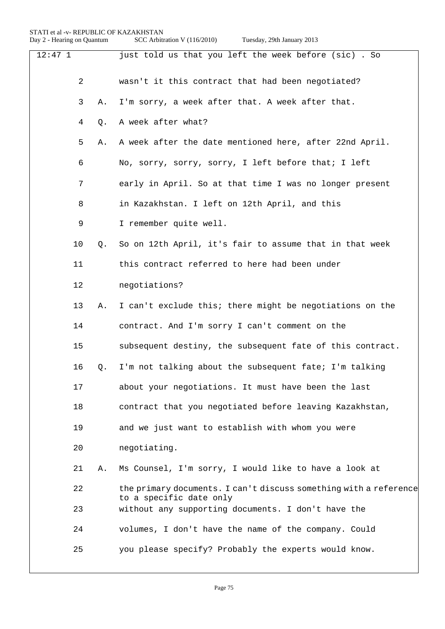| $12:47$ 1 |                |    | just told us that you left the week before (sic). So                                         |
|-----------|----------------|----|----------------------------------------------------------------------------------------------|
|           |                |    |                                                                                              |
|           | $\overline{2}$ |    | wasn't it this contract that had been negotiated?                                            |
|           | 3              | Α. | I'm sorry, a week after that. A week after that.                                             |
|           | 4              | Q. | A week after what?                                                                           |
|           | 5              | Α. | A week after the date mentioned here, after 22nd April.                                      |
|           | 6              |    | No, sorry, sorry, sorry, I left before that; I left                                          |
|           | 7              |    | early in April. So at that time I was no longer present                                      |
|           | 8              |    | in Kazakhstan. I left on 12th April, and this                                                |
|           | 9              |    | I remember quite well.                                                                       |
|           | $10 \,$        | Q. | So on 12th April, it's fair to assume that in that week                                      |
|           | 11             |    | this contract referred to here had been under                                                |
|           | 12             |    | negotiations?                                                                                |
|           | 13             | Α. | I can't exclude this; there might be negotiations on the                                     |
|           | 14             |    | contract. And I'm sorry I can't comment on the                                               |
|           | 15             |    | subsequent destiny, the subsequent fate of this contract.                                    |
|           | 16             | 0. | I'm not talking about the subsequent fate; I'm talking                                       |
|           | 17             |    | about your negotiations. It must have been the last                                          |
|           | 18             |    | contract that you negotiated before leaving Kazakhstan,                                      |
|           | 19             |    | and we just want to establish with whom you were                                             |
|           | 20             |    | negotiating.                                                                                 |
|           | 21             | Α. | Ms Counsel, I'm sorry, I would like to have a look at                                        |
|           | 22             |    | the primary documents. I can't discuss something with a reference<br>to a specific date only |
|           | 23             |    | without any supporting documents. I don't have the                                           |
|           | 24             |    | volumes, I don't have the name of the company. Could                                         |
|           | 25             |    | you please specify? Probably the experts would know.                                         |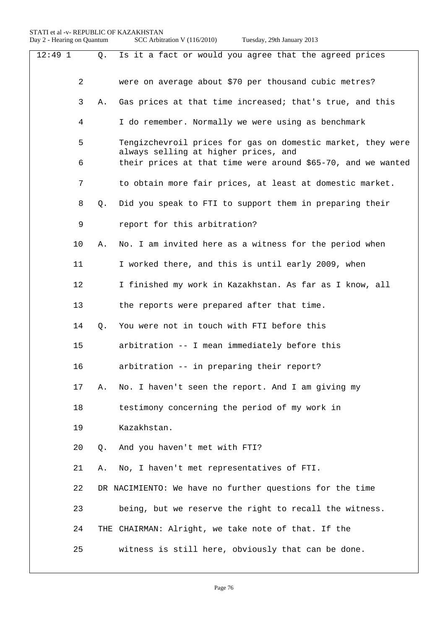# STATI et al -v- REPUBLIC OF KAZAKHSTAN<br>Day 2 - Hearing on Quantum SCC Arbitr

| $12:49$ 1 | Q. | Is it a fact or would you agree that the agreed prices                                              |
|-----------|----|-----------------------------------------------------------------------------------------------------|
| 2         |    | were on average about \$70 per thousand cubic metres?                                               |
| 3         | Α. | Gas prices at that time increased; that's true, and this                                            |
| 4         |    | I do remember. Normally we were using as benchmark                                                  |
|           |    |                                                                                                     |
| 5         |    | Tengizchevroil prices for gas on domestic market, they were<br>always selling at higher prices, and |
| 6         |    | their prices at that time were around \$65-70, and we wanted                                        |
| 7         |    | to obtain more fair prices, at least at domestic market.                                            |
| 8         | Q. | Did you speak to FTI to support them in preparing their                                             |
| 9         |    | report for this arbitration?                                                                        |
| 10        | Α. | No. I am invited here as a witness for the period when                                              |
| 11        |    | I worked there, and this is until early 2009, when                                                  |
| 12        |    | I finished my work in Kazakhstan. As far as I know, all                                             |
| 13        |    | the reports were prepared after that time.                                                          |
| 14        | Q. | You were not in touch with FTI before this                                                          |
| 15        |    | arbitration -- I mean immediately before this                                                       |
| 16        |    | arbitration -- in preparing their report?                                                           |
| 17        | Α. | No. I haven't seen the report. And I am giving my                                                   |
| 18        |    | testimony concerning the period of my work in                                                       |
| 19        |    | Kazakhstan.                                                                                         |
| 20        | Q. | And you haven't met with FTI?                                                                       |
| 21        | Α. | No, I haven't met representatives of FTI.                                                           |
| 22        |    | DR NACIMIENTO: We have no further questions for the time                                            |
| 23        |    | being, but we reserve the right to recall the witness.                                              |
| 24        |    | THE CHAIRMAN: Alright, we take note of that. If the                                                 |
| 25        |    | witness is still here, obviously that can be done.                                                  |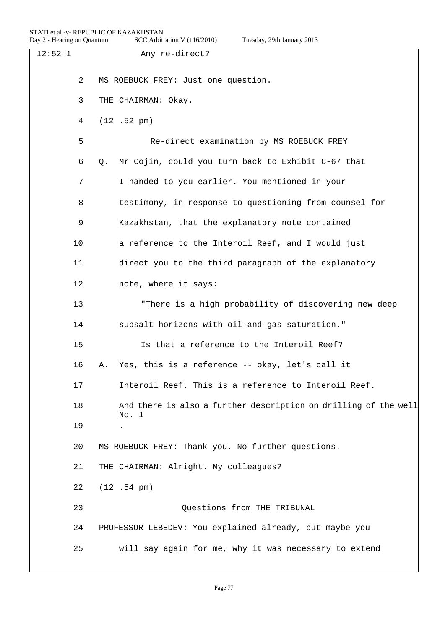| $12:52$ 1      | Any re-direct?                                                           |
|----------------|--------------------------------------------------------------------------|
| $\overline{2}$ | MS ROEBUCK FREY: Just one question.                                      |
| 3              | THE CHAIRMAN: Okay.                                                      |
| 4              | $(12.52 \text{ pm})$                                                     |
| 5              | Re-direct examination by MS ROEBUCK FREY                                 |
| 6              | Mr Cojin, could you turn back to Exhibit C-67 that<br>0.                 |
| 7              | I handed to you earlier. You mentioned in your                           |
| 8              | testimony, in response to questioning from counsel for                   |
| 9              | Kazakhstan, that the explanatory note contained                          |
| 10             | a reference to the Interoil Reef, and I would just                       |
| 11             | direct you to the third paragraph of the explanatory                     |
| 12             | note, where it says:                                                     |
| 13             | "There is a high probability of discovering new deep                     |
| 14             | subsalt horizons with oil-and-gas saturation."                           |
| 15             | Is that a reference to the Interoil Reef?                                |
| 16             | Yes, this is a reference -- okay, let's call it<br>Α.                    |
| 17             | Interoil Reef. This is a reference to Interoil Reef.                     |
| 18             | And there is also a further description on drilling of the well<br>No. 1 |
| 19             | $\bullet$                                                                |
| 20             | MS ROEBUCK FREY: Thank you. No further questions.                        |
| 21             | THE CHAIRMAN: Alright. My colleagues?                                    |
| 22             | $(12.54 \text{ pm})$                                                     |
| 23             | Questions from THE TRIBUNAL                                              |
| 24             | PROFESSOR LEBEDEV: You explained already, but maybe you                  |
| 25             | will say again for me, why it was necessary to extend                    |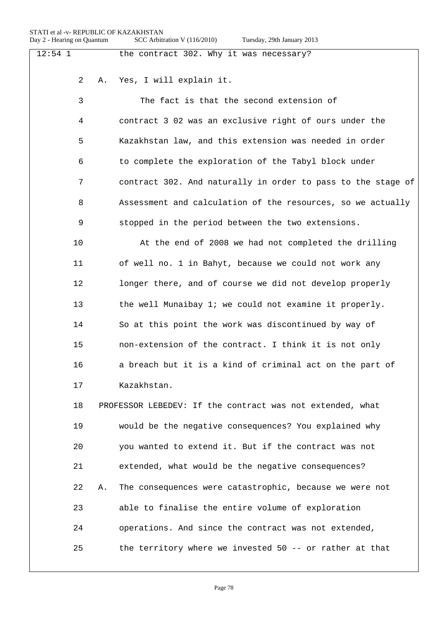| $12:54$ 1 | the contract 302. Why it was necessary?                       |  |
|-----------|---------------------------------------------------------------|--|
| 2         | Yes, I will explain it.<br>Α.                                 |  |
| 3         | The fact is that the second extension of                      |  |
| 4         | contract 3 02 was an exclusive right of ours under the        |  |
| 5         | Kazakhstan law, and this extension was needed in order        |  |
| 6         | to complete the exploration of the Tabyl block under          |  |
| 7         | contract 302. And naturally in order to pass to the stage of  |  |
| 8         | Assessment and calculation of the resources, so we actually   |  |
| 9         | stopped in the period between the two extensions.             |  |
| 10        | At the end of 2008 we had not completed the drilling          |  |
| 11        | of well no. 1 in Bahyt, because we could not work any         |  |
| 12        | longer there, and of course we did not develop properly       |  |
| 13        | the well Munaibay 1; we could not examine it properly.        |  |
| 14        | So at this point the work was discontinued by way of          |  |
| 15        | non-extension of the contract. I think it is not only         |  |
| 16        | a breach but it is a kind of criminal act on the part of      |  |
| 17        | Kazakhstan.                                                   |  |
| 18        | PROFESSOR LEBEDEV: If the contract was not extended, what     |  |
| 19        | would be the negative consequences? You explained why         |  |
| 20        | you wanted to extend it. But if the contract was not          |  |
| 21        | extended, what would be the negative consequences?            |  |
| 22        | The consequences were catastrophic, because we were not<br>Α. |  |
| 23        | able to finalise the entire volume of exploration             |  |
| 24        | operations. And since the contract was not extended,          |  |
| 25        | the territory where we invested $50 - -$ or rather at that    |  |
|           |                                                               |  |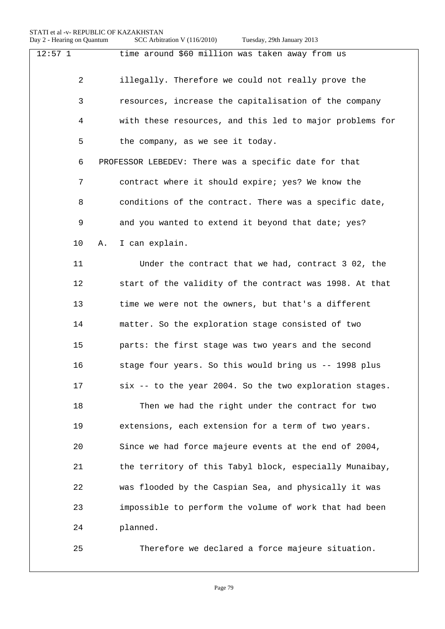| $12:57$ 1      | time around \$60 million was taken away from us          |
|----------------|----------------------------------------------------------|
| $\overline{2}$ | illegally. Therefore we could not really prove the       |
| 3              | resources, increase the capitalisation of the company    |
| 4              | with these resources, and this led to major problems for |
| 5              | the company, as we see it today.                         |
| 6              | PROFESSOR LEBEDEV: There was a specific date for that    |
| 7              | contract where it should expire; yes? We know the        |
| 8              | conditions of the contract. There was a specific date,   |
| 9              | and you wanted to extend it beyond that date; yes?       |
| 10             | I can explain.<br>Α.                                     |
| 11             | Under the contract that we had, contract 3 02, the       |
| 12             | start of the validity of the contract was 1998. At that  |
| 13             | time we were not the owners, but that's a different      |
| 14             | matter. So the exploration stage consisted of two        |
| 15             | parts: the first stage was two years and the second      |
| 16             | stage four years. So this would bring us -- 1998 plus    |
| 17             | six -- to the year 2004. So the two exploration stages.  |
| 18             | Then we had the right under the contract for two         |
| 19             | extensions, each extension for a term of two years.      |
| 20             | Since we had force majeure events at the end of 2004,    |
| 21             | the territory of this Tabyl block, especially Munaibay,  |
| 22             | was flooded by the Caspian Sea, and physically it was    |
| 23             | impossible to perform the volume of work that had been   |
| 24             | planned.                                                 |
| 25             | Therefore we declared a force majeure situation.         |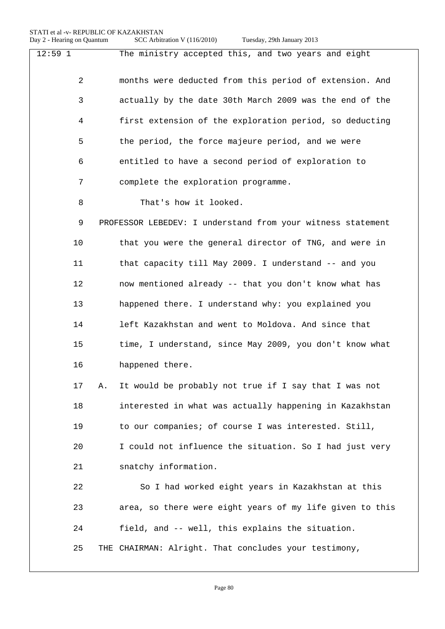| $12:59$ 1 |          | The ministry accepted this, and two years and eight         |
|-----------|----------|-------------------------------------------------------------|
|           | 2        | months were deducted from this period of extension. And     |
|           | 3        | actually by the date 30th March 2009 was the end of the     |
|           | 4        | first extension of the exploration period, so deducting     |
|           | 5        | the period, the force majeure period, and we were           |
|           | 6        | entitled to have a second period of exploration to          |
|           | 7        | complete the exploration programme.                         |
|           | 8        | That's how it looked.                                       |
|           | 9        | PROFESSOR LEBEDEV: I understand from your witness statement |
|           | 10       | that you were the general director of TNG, and were in      |
|           | 11       | that capacity till May 2009. I understand -- and you        |
|           | 12       | now mentioned already -- that you don't know what has       |
|           | 13       | happened there. I understand why: you explained you         |
|           | 14       | left Kazakhstan and went to Moldova. And since that         |
|           | 15       | time, I understand, since May 2009, you don't know what     |
|           | 16       | happened there.                                             |
|           | 17<br>Α. | It would be probably not true if I say that I was not       |
|           | 18       | interested in what was actually happening in Kazakhstan     |
|           | 19       | to our companies; of course I was interested. Still,        |
|           | 20       | I could not influence the situation. So I had just very     |
|           | 21       | snatchy information.                                        |
|           | 22       | So I had worked eight years in Kazakhstan at this           |
|           | 23       | area, so there were eight years of my life given to this    |
|           | 24       | field, and -- well, this explains the situation.            |
|           | 25       | THE CHAIRMAN: Alright. That concludes your testimony,       |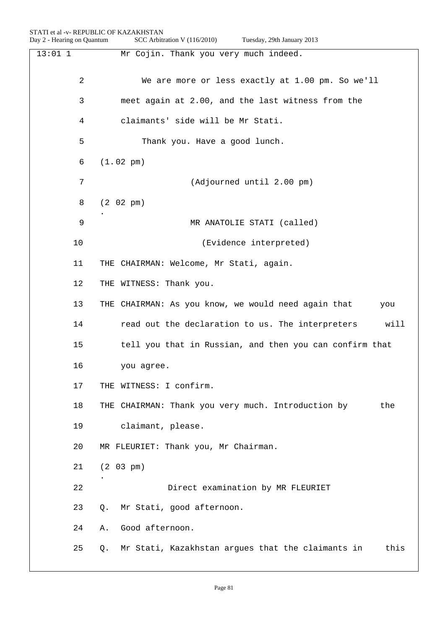| $13:01$ 1      | Mr Cojin. Thank you very much indeed.                           |
|----------------|-----------------------------------------------------------------|
|                |                                                                 |
| 2              | We are more or less exactly at 1.00 pm. So we'll                |
| 3              | meet again at 2.00, and the last witness from the               |
| 4              | claimants' side will be Mr Stati.                               |
| 5              | Thank you. Have a good lunch.                                   |
| 6              | $(1.02 \text{ pm})$                                             |
| $\overline{7}$ | (Adjourned until 2.00 pm)                                       |
| 8              | (2 02 pm)                                                       |
| 9              | MR ANATOLIE STATI (called)                                      |
| 10             | (Evidence interpreted)                                          |
| 11             | THE CHAIRMAN: Welcome, Mr Stati, again.                         |
| 12             | THE WITNESS: Thank you.                                         |
| 13             | THE CHAIRMAN: As you know, we would need again that<br>you      |
| 14             | read out the declaration to us. The interpreters<br>will        |
| 15             | tell you that in Russian, and then you can confirm that         |
| 16             | you agree.                                                      |
| 17             | THE WITNESS: I confirm.                                         |
| 18             | THE CHAIRMAN: Thank you very much. Introduction by<br>the       |
| 19             | claimant, please.                                               |
| 20             | MR FLEURIET: Thank you, Mr Chairman.                            |
| 21             | (2 03 pm)                                                       |
| 22             | Direct examination by MR FLEURIET                               |
| 23             | Mr Stati, good afternoon.<br>Q.                                 |
| 24             | Good afternoon.<br>Α.                                           |
| 25             | Mr Stati, Kazakhstan argues that the claimants in<br>this<br>Q. |
|                |                                                                 |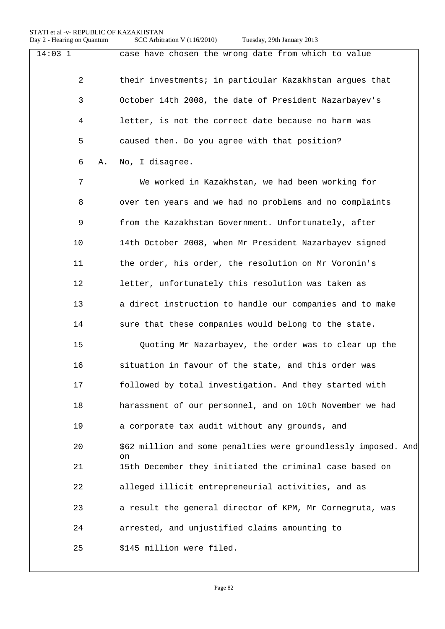| $14:03$ 1      |    | case have chosen the wrong date from which to value            |
|----------------|----|----------------------------------------------------------------|
| $\overline{2}$ |    | their investments; in particular Kazakhstan argues that        |
| 3              |    | October 14th 2008, the date of President Nazarbayev's          |
| 4              |    | letter, is not the correct date because no harm was            |
| 5              |    | caused then. Do you agree with that position?                  |
| 6              | Α. | No, I disagree.                                                |
| 7              |    | We worked in Kazakhstan, we had been working for               |
| 8              |    | over ten years and we had no problems and no complaints        |
| 9              |    | from the Kazakhstan Government. Unfortunately, after           |
| 10             |    | 14th October 2008, when Mr President Nazarbayev signed         |
| 11             |    | the order, his order, the resolution on Mr Voronin's           |
| 12             |    | letter, unfortunately this resolution was taken as             |
| 13             |    | a direct instruction to handle our companies and to make       |
| 14             |    | sure that these companies would belong to the state.           |
| 15             |    | Quoting Mr Nazarbayev, the order was to clear up the           |
| 16             |    | situation in favour of the state, and this order was           |
| 17             |    | followed by total investigation. And they started with         |
| 18             |    | harassment of our personnel, and on 10th November we had       |
| 19             |    | a corporate tax audit without any grounds, and                 |
| 20             |    | \$62 million and some penalties were groundlessly imposed. And |
| 21             |    | on<br>15th December they initiated the criminal case based on  |
| 22             |    | alleged illicit entrepreneurial activities, and as             |
| 23             |    | a result the general director of KPM, Mr Cornegruta, was       |
| 24             |    | arrested, and unjustified claims amounting to                  |
| 25             |    | \$145 million were filed.                                      |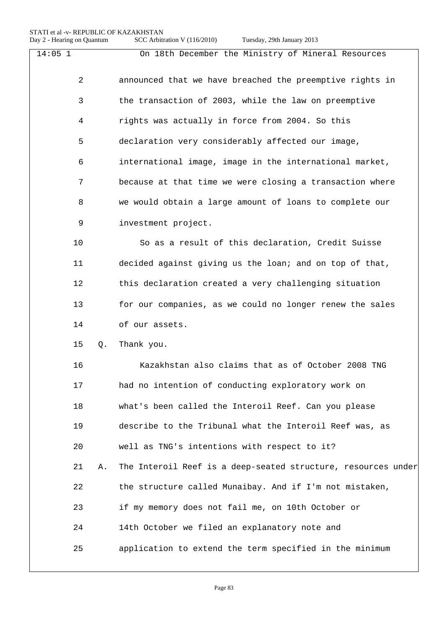| $14:05$ 1      |    | On 18th December the Ministry of Mineral Resources            |  |  |  |
|----------------|----|---------------------------------------------------------------|--|--|--|
| $\overline{2}$ |    | announced that we have breached the preemptive rights in      |  |  |  |
| 3              |    | the transaction of 2003, while the law on preemptive          |  |  |  |
| 4              |    | rights was actually in force from 2004. So this               |  |  |  |
| 5              |    | declaration very considerably affected our image,             |  |  |  |
| 6              |    | international image, image in the international market,       |  |  |  |
| 7              |    | because at that time we were closing a transaction where      |  |  |  |
| 8              |    | we would obtain a large amount of loans to complete our       |  |  |  |
| 9              |    | investment project.                                           |  |  |  |
| 10             |    | So as a result of this declaration, Credit Suisse             |  |  |  |
| 11             |    | decided against giving us the loan; and on top of that,       |  |  |  |
| 12             |    | this declaration created a very challenging situation         |  |  |  |
| 13             |    | for our companies, as we could no longer renew the sales      |  |  |  |
| 14             |    | of our assets.                                                |  |  |  |
| 15             | Q. | Thank you.                                                    |  |  |  |
| 16             |    | Kazakhstan also claims that as of October 2008 TNG            |  |  |  |
| 17             |    | had no intention of conducting exploratory work on            |  |  |  |
| 18             |    | what's been called the Interoil Reef. Can you please          |  |  |  |
| 19             |    | describe to the Tribunal what the Interoil Reef was, as       |  |  |  |
| 20             |    | well as TNG's intentions with respect to it?                  |  |  |  |
| 21             | Α. | The Interoil Reef is a deep-seated structure, resources under |  |  |  |
| 22             |    | the structure called Munaibay. And if I'm not mistaken,       |  |  |  |
| 23             |    | if my memory does not fail me, on 10th October or             |  |  |  |
| 24             |    | 14th October we filed an explanatory note and                 |  |  |  |
| 25             |    | application to extend the term specified in the minimum       |  |  |  |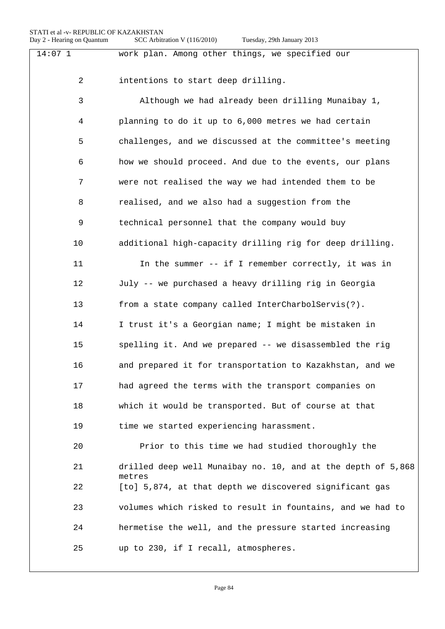| $14:07$ 1      | work plan. Among other things, we specified our                        |
|----------------|------------------------------------------------------------------------|
|                |                                                                        |
| $\overline{a}$ | intentions to start deep drilling.                                     |
| 3              | Although we had already been drilling Munaibay 1,                      |
| 4              | planning to do it up to 6,000 metres we had certain                    |
| 5              | challenges, and we discussed at the committee's meeting                |
| 6              | how we should proceed. And due to the events, our plans                |
| 7              | were not realised the way we had intended them to be                   |
| 8              | realised, and we also had a suggestion from the                        |
| 9              | technical personnel that the company would buy                         |
| 10             | additional high-capacity drilling rig for deep drilling.               |
| 11             | In the summer -- if I remember correctly, it was in                    |
| 12             | July -- we purchased a heavy drilling rig in Georgia                   |
| 13             | from a state company called InterCharbolServis(?).                     |
| 14             | I trust it's a Georgian name; I might be mistaken in                   |
| 15             | spelling it. And we prepared -- we disassembled the rig                |
| 16             | and prepared it for transportation to Kazakhstan, and we               |
| 17             | had agreed the terms with the transport companies on                   |
| 18             | which it would be transported. But of course at that                   |
| 19             | time we started experiencing harassment.                               |
| 20             | Prior to this time we had studied thoroughly the                       |
| 21             | drilled deep well Munaibay no. 10, and at the depth of 5,868<br>metres |
| 22             | [to] 5,874, at that depth we discovered significant gas                |
| 23             | volumes which risked to result in fountains, and we had to             |
| 24             | hermetise the well, and the pressure started increasing                |
| 25             | up to 230, if I recall, atmospheres.                                   |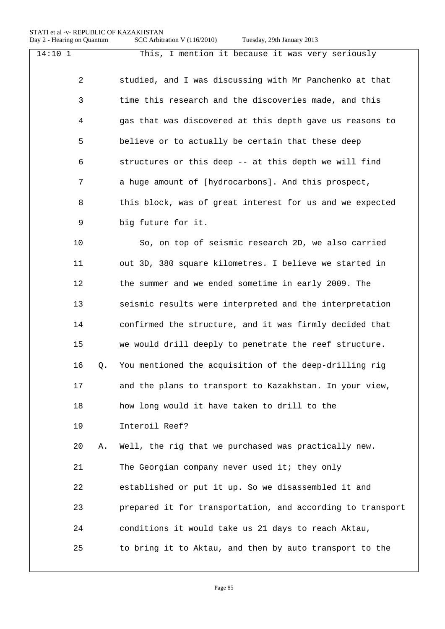| $14:10$ 1 |    | This, I mention it because it was very seriously           |
|-----------|----|------------------------------------------------------------|
| 2         |    | studied, and I was discussing with Mr Panchenko at that    |
| 3         |    | time this research and the discoveries made, and this      |
| 4         |    | gas that was discovered at this depth gave us reasons to   |
| 5         |    | believe or to actually be certain that these deep          |
| 6         |    | structures or this deep -- at this depth we will find      |
| 7         |    | a huge amount of [hydrocarbons]. And this prospect,        |
| 8         |    | this block, was of great interest for us and we expected   |
| 9         |    | big future for it.                                         |
| 10        |    | So, on top of seismic research 2D, we also carried         |
| 11        |    | out 3D, 380 square kilometres. I believe we started in     |
| 12        |    | the summer and we ended sometime in early 2009. The        |
| 13        |    | seismic results were interpreted and the interpretation    |
| 14        |    | confirmed the structure, and it was firmly decided that    |
| 15        |    | we would drill deeply to penetrate the reef structure.     |
| 16        | Q. | You mentioned the acquisition of the deep-drilling rig     |
| 17        |    | and the plans to transport to Kazakhstan. In your view,    |
| 18        |    | how long would it have taken to drill to the               |
| 19        |    | Interoil Reef?                                             |
| 20        | Α. | Well, the rig that we purchased was practically new.       |
| 21        |    | The Georgian company never used it; they only              |
| 22        |    | established or put it up. So we disassembled it and        |
| 23        |    | prepared it for transportation, and according to transport |
| 24        |    | conditions it would take us 21 days to reach Aktau,        |
| 25        |    | to bring it to Aktau, and then by auto transport to the    |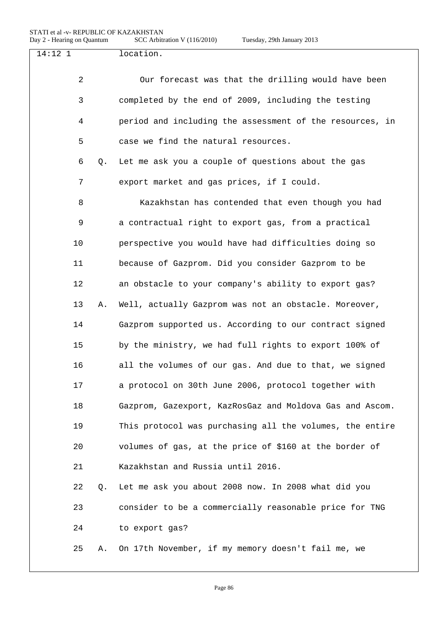| $14:12$ 1 |                |           | location.                                                |
|-----------|----------------|-----------|----------------------------------------------------------|
|           | $\overline{a}$ |           | Our forecast was that the drilling would have been       |
|           | 3              |           | completed by the end of 2009, including the testing      |
|           | 4              |           | period and including the assessment of the resources, in |
|           | 5              |           | case we find the natural resources.                      |
|           | 6              | $\circ$ . | Let me ask you a couple of questions about the gas       |
|           | 7              |           | export market and gas prices, if I could.                |
|           | 8              |           | Kazakhstan has contended that even though you had        |
|           | 9              |           | a contractual right to export gas, from a practical      |
|           | 10             |           | perspective you would have had difficulties doing so     |
|           | 11             |           | because of Gazprom. Did you consider Gazprom to be       |
|           | 12             |           | an obstacle to your company's ability to export gas?     |
|           | 13             | Α.        | Well, actually Gazprom was not an obstacle. Moreover,    |
|           | 14             |           | Gazprom supported us. According to our contract signed   |
|           | 15             |           | by the ministry, we had full rights to export 100% of    |
|           | 16             |           | all the volumes of our gas. And due to that, we signed   |
|           | 17             |           | a protocol on 30th June 2006, protocol together with     |
|           | 18             |           | Gazprom, Gazexport, KazRosGaz and Moldova Gas and Ascom. |
|           | 19             |           | This protocol was purchasing all the volumes, the entire |
|           | 20             |           | volumes of gas, at the price of \$160 at the border of   |
|           | 21             |           | Kazakhstan and Russia until 2016.                        |
|           | 22             | Q.        | Let me ask you about 2008 now. In 2008 what did you      |
|           | 23             |           | consider to be a commercially reasonable price for TNG   |
|           | 24             |           | to export gas?                                           |
|           | 25             | Α.        | On 17th November, if my memory doesn't fail me, we       |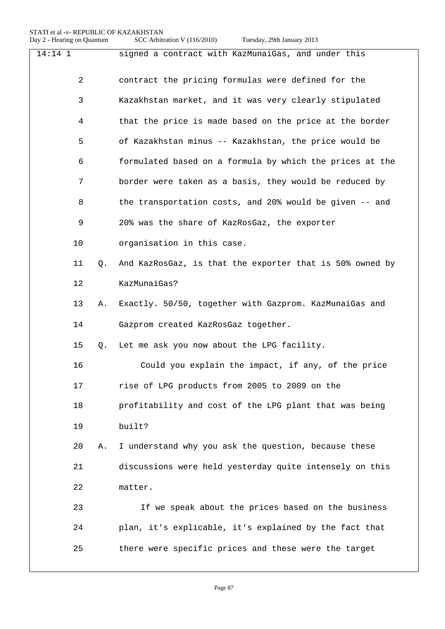| $14:14$ 1      |    | signed a contract with KazMunaiGas, and under this       |
|----------------|----|----------------------------------------------------------|
| $\overline{2}$ |    | contract the pricing formulas were defined for the       |
| 3              |    | Kazakhstan market, and it was very clearly stipulated    |
| 4              |    | that the price is made based on the price at the border  |
| 5              |    | of Kazakhstan minus -- Kazakhstan, the price would be    |
| 6              |    | formulated based on a formula by which the prices at the |
| 7              |    | border were taken as a basis, they would be reduced by   |
| 8              |    | the transportation costs, and 20% would be given -- and  |
| 9              |    | 20% was the share of KazRosGaz, the exporter             |
| 10             |    | organisation in this case.                               |
| 11             | Q. | And KazRosGaz, is that the exporter that is 50% owned by |
| 12             |    | KazMunaiGas?                                             |
| 13             | Α. | Exactly. 50/50, together with Gazprom. KazMunaiGas and   |
| 14             |    | Gazprom created KazRosGaz together.                      |
| 15             | Q. | Let me ask you now about the LPG facility.               |
| 16             |    | Could you explain the impact, if any, of the price       |
| 17             |    | rise of LPG products from 2005 to 2009 on the            |
| 18             |    | profitability and cost of the LPG plant that was being   |
| 19             |    | built?                                                   |
| 20             | Α. | I understand why you ask the question, because these     |
| 21             |    | discussions were held yesterday quite intensely on this  |
| 22             |    | matter.                                                  |
| 23             |    | If we speak about the prices based on the business       |
| 24             |    | plan, it's explicable, it's explained by the fact that   |
| 25             |    | there were specific prices and these were the target     |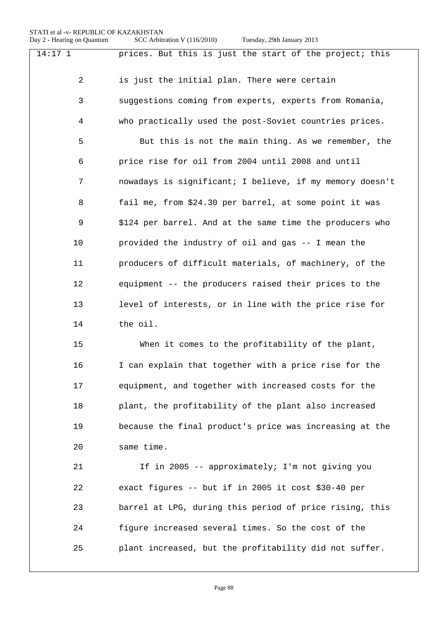## STATI et al -v- REPUBLIC OF KAZAKHSTAN<br>Dav 2 - Hearing on Ouantum SCC Arbiti

| Day 2 - Hearing on Quantum | Tuesday, 29th January 2013<br>SCC Arbitration V (116/2010) |
|----------------------------|------------------------------------------------------------|
| $14:17$ 1                  | prices. But this is just the start of the project; this    |
| 2                          | is just the initial plan. There were certain               |
| 3                          | suggestions coming from experts, experts from Romania,     |
| 4                          | who practically used the post-Soviet countries prices.     |
| 5                          | But this is not the main thing. As we remember, the        |
| 6                          | price rise for oil from 2004 until 2008 and until          |
| 7                          | nowadays is significant; I believe, if my memory doesn't   |
| 8                          | fail me, from \$24.30 per barrel, at some point it was     |
| 9                          | \$124 per barrel. And at the same time the producers who   |
| 10                         | provided the industry of oil and gas -- I mean the         |
| 11                         | producers of difficult materials, of machinery, of the     |
| 12                         | equipment -- the producers raised their prices to the      |
| 13                         | level of interests, or in line with the price rise for     |
| 14                         | the oil.                                                   |
| 15                         | When it comes to the profitability of the plant,           |
| 16                         | I can explain that together with a price rise for the      |
| 17                         | equipment, and together with increased costs for the       |
| 18                         | plant, the profitability of the plant also increased       |
| 19                         | because the final product's price was increasing at the    |
| 20                         | same time.                                                 |
| 21                         | If in 2005 -- approximately; I'm not giving you            |
| 22                         | exact figures -- but if in 2005 it cost \$30-40 per        |
| 23                         | barrel at LPG, during this period of price rising, this    |
| 24                         | figure increased several times. So the cost of the         |
| 25                         | plant increased, but the profitability did not suffer.     |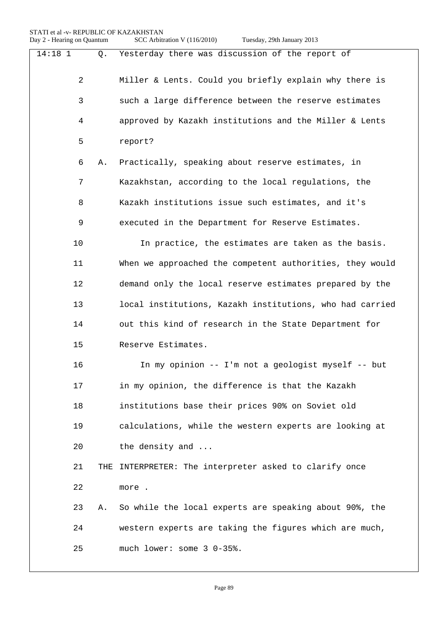| $14:18$ 1 |                | Q.  | Yesterday there was discussion of the report of          |
|-----------|----------------|-----|----------------------------------------------------------|
|           | $\overline{2}$ |     | Miller & Lents. Could you briefly explain why there is   |
|           | 3              |     | such a large difference between the reserve estimates    |
|           | 4              |     | approved by Kazakh institutions and the Miller & Lents   |
|           | 5              |     | report?                                                  |
|           | 6              | Α.  | Practically, speaking about reserve estimates, in        |
|           | 7              |     | Kazakhstan, according to the local regulations, the      |
|           | 8              |     | Kazakh institutions issue such estimates, and it's       |
|           | 9              |     | executed in the Department for Reserve Estimates.        |
|           | 10             |     | In practice, the estimates are taken as the basis.       |
|           | 11             |     | When we approached the competent authorities, they would |
|           | 12             |     | demand only the local reserve estimates prepared by the  |
|           | 13             |     | local institutions, Kazakh institutions, who had carried |
|           | 14             |     | out this kind of research in the State Department for    |
|           | 15             |     | Reserve Estimates.                                       |
|           | 16             |     | In my opinion -- I'm not a geologist myself -- but       |
|           | 17             |     | in my opinion, the difference is that the Kazakh         |
|           | 18             |     | institutions base their prices 90% on Soviet old         |
|           | 19             |     | calculations, while the western experts are looking at   |
|           | 20             |     | the density and                                          |
|           | 21             | THE | INTERPRETER: The interpreter asked to clarify once       |
|           | 22             |     | more.                                                    |
|           | 23             | Α.  | So while the local experts are speaking about 90%, the   |
|           | 24             |     | western experts are taking the figures which are much,   |
|           | 25             |     | much lower: some 3 0-35%.                                |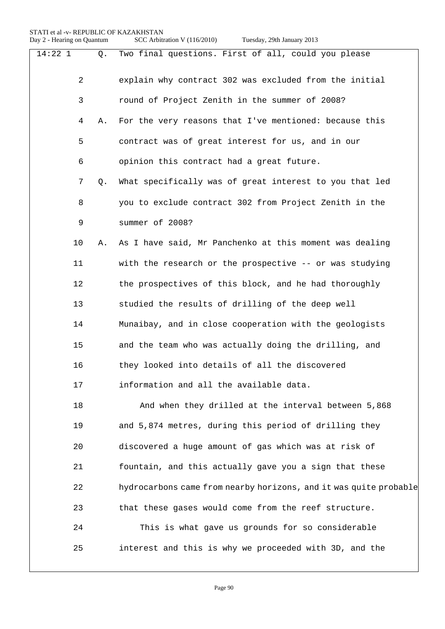| $14:22$ 1 | Q. | Two final questions. First of all, could you please               |
|-----------|----|-------------------------------------------------------------------|
| 2         |    | explain why contract 302 was excluded from the initial            |
| 3         |    | round of Project Zenith in the summer of 2008?                    |
| 4         | Α. | For the very reasons that I've mentioned: because this            |
| 5         |    | contract was of great interest for us, and in our                 |
| 6         |    | opinion this contract had a great future.                         |
| 7         | Q. | What specifically was of great interest to you that led           |
| 8         |    | you to exclude contract 302 from Project Zenith in the            |
| 9         |    | summer of 2008?                                                   |
| 10        | Α. | As I have said, Mr Panchenko at this moment was dealing           |
| 11        |    | with the research or the prospective -- or was studying           |
| 12        |    | the prospectives of this block, and he had thoroughly             |
| 13        |    | studied the results of drilling of the deep well                  |
| 14        |    | Munaibay, and in close cooperation with the geologists            |
| 15        |    | and the team who was actually doing the drilling, and             |
| 16        |    | they looked into details of all the discovered                    |
| 17        |    | information and all the available data.                           |
| 18        |    | And when they drilled at the interval between 5,868               |
| 19        |    | and 5,874 metres, during this period of drilling they             |
| 20        |    | discovered a huge amount of gas which was at risk of              |
| 21        |    | fountain, and this actually gave you a sign that these            |
| 22        |    | hydrocarbons came from nearby horizons, and it was quite probable |
| 23        |    | that these gases would come from the reef structure.              |
| 24        |    | This is what gave us grounds for so considerable                  |
| 25        |    | interest and this is why we proceeded with 3D, and the            |
|           |    |                                                                   |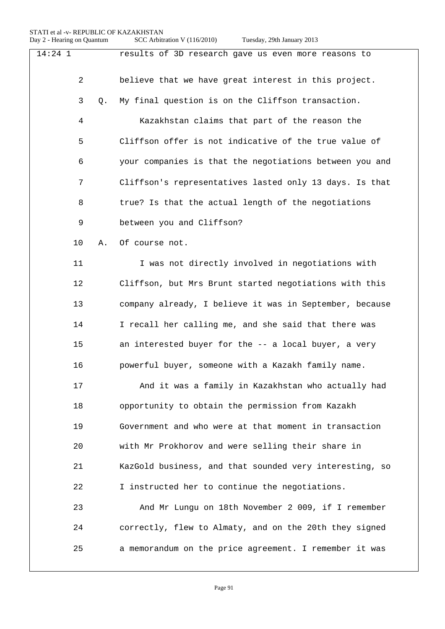### STATI et al -v- REPUBLIC OF KAZAKHSTAN<br>Day 2 - Hearing on Quantum SCC Arbitr SCC Arbitration V (116/2010)

| $14:24$ 1<br>results of 3D research gave us even more reasons to |    |                                                         |  |
|------------------------------------------------------------------|----|---------------------------------------------------------|--|
| $\overline{a}$                                                   |    | believe that we have great interest in this project.    |  |
| 3                                                                | Q. | My final question is on the Cliffson transaction.       |  |
| 4                                                                |    | Kazakhstan claims that part of the reason the           |  |
| 5                                                                |    | Cliffson offer is not indicative of the true value of   |  |
| 6                                                                |    | your companies is that the negotiations between you and |  |
| 7                                                                |    | Cliffson's representatives lasted only 13 days. Is that |  |
| 8                                                                |    | true? Is that the actual length of the negotiations     |  |
| 9                                                                |    | between you and Cliffson?                               |  |
| 10                                                               | Α. | Of course not.                                          |  |
| 11                                                               |    | I was not directly involved in negotiations with        |  |
| 12                                                               |    | Cliffson, but Mrs Brunt started negotiations with this  |  |
| 13                                                               |    | company already, I believe it was in September, because |  |
| 14                                                               |    | I recall her calling me, and she said that there was    |  |
| 15                                                               |    | an interested buyer for the -- a local buyer, a very    |  |
| 16                                                               |    | powerful buyer, someone with a Kazakh family name.      |  |
| 17                                                               |    | And it was a family in Kazakhstan who actually had      |  |
| 18                                                               |    | opportunity to obtain the permission from Kazakh        |  |
| 19                                                               |    | Government and who were at that moment in transaction   |  |
| 20                                                               |    | with Mr Prokhorov and were selling their share in       |  |
| 21                                                               |    | KazGold business, and that sounded very interesting, so |  |
| 22                                                               |    | I instructed her to continue the negotiations.          |  |
| 23                                                               |    | And Mr Lungu on 18th November 2 009, if I remember      |  |
| 24                                                               |    | correctly, flew to Almaty, and on the 20th they signed  |  |
| 25                                                               |    | a memorandum on the price agreement. I remember it was  |  |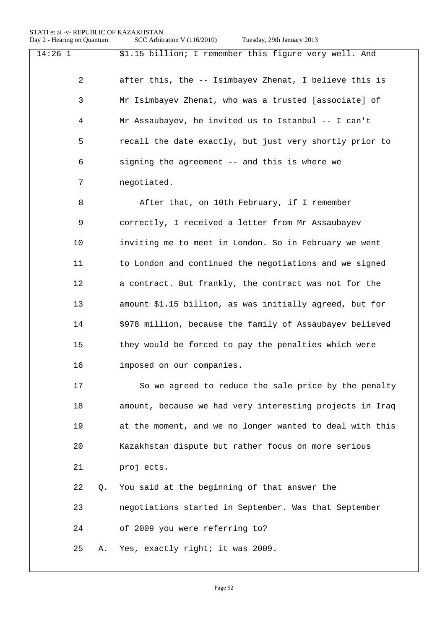| Tuesday, 29th January 2013 |  |  |  |
|----------------------------|--|--|--|
|----------------------------|--|--|--|

| $14:26$ 1 |    | \$1.15 billion; I remember this figure very well. And    |
|-----------|----|----------------------------------------------------------|
| 2         |    | after this, the -- Isimbayev Zhenat, I believe this is   |
| 3         |    | Mr Isimbayev Zhenat, who was a trusted [associate] of    |
| 4         |    | Mr Assaubayev, he invited us to Istanbul -- I can't      |
| 5         |    | recall the date exactly, but just very shortly prior to  |
| 6         |    | signing the agreement -- and this is where we            |
| 7         |    | negotiated.                                              |
| 8         |    | After that, on 10th February, if I remember              |
| 9         |    | correctly, I received a letter from Mr Assaubayev        |
| 10        |    | inviting me to meet in London. So in February we went    |
| 11        |    | to London and continued the negotiations and we signed   |
| 12        |    | a contract. But frankly, the contract was not for the    |
| 13        |    | amount \$1.15 billion, as was initially agreed, but for  |
| 14        |    | \$978 million, because the family of Assaubayev believed |
| 15        |    | they would be forced to pay the penalties which were     |
| 16        |    | imposed on our companies.                                |
| 17        |    | So we agreed to reduce the sale price by the penalty     |
| 18        |    | amount, because we had very interesting projects in Iraq |
| 19        |    | at the moment, and we no longer wanted to deal with this |
| 20        |    | Kazakhstan dispute but rather focus on more serious      |
| 21        |    | proj ects.                                               |
| 22        | Q. | You said at the beginning of that answer the             |
| 23        |    | negotiations started in September. Was that September    |
| 24        |    | of 2009 you were referring to?                           |
| 25        | Α. | Yes, exactly right; it was 2009.                         |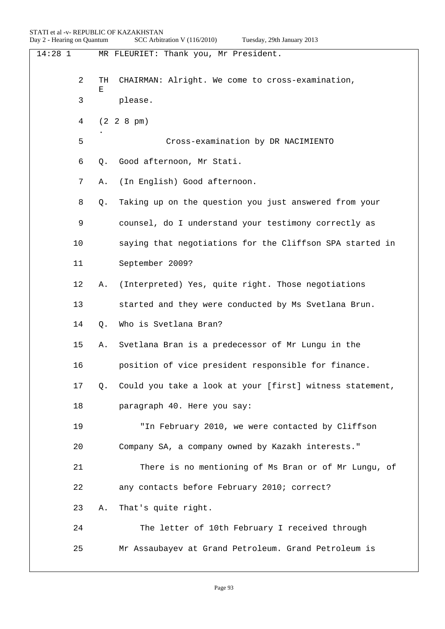| $14:28$ 1 |                     |         | MR FLEURIET: Thank you, Mr President.                       |
|-----------|---------------------|---------|-------------------------------------------------------------|
|           | $\overline{2}$<br>3 | TH<br>Е | CHAIRMAN: Alright. We come to cross-examination,<br>please. |
|           |                     |         |                                                             |
|           | 4                   |         | (2 2 8 pm)                                                  |
|           | 5                   |         | Cross-examination by DR NACIMIENTO                          |
|           | 6                   | Q.      | Good afternoon, Mr Stati.                                   |
|           | 7                   | Α.      | (In English) Good afternoon.                                |
|           | 8                   | Q.      | Taking up on the question you just answered from your       |
|           | 9                   |         | counsel, do I understand your testimony correctly as        |
|           | $10 \,$             |         | saying that negotiations for the Cliffson SPA started in    |
|           | 11                  |         | September 2009?                                             |
|           | 12                  | Α.      | (Interpreted) Yes, quite right. Those negotiations          |
|           | 13                  |         | started and they were conducted by Ms Svetlana Brun.        |
|           | 14                  | Q.      | Who is Svetlana Bran?                                       |
|           | 15                  | Α.      | Svetlana Bran is a predecessor of Mr Lungu in the           |
|           | 16                  |         | position of vice president responsible for finance.         |
|           | 17                  | Q.      | Could you take a look at your [first] witness statement,    |
|           | 18                  |         | paragraph 40. Here you say:                                 |
|           | 19                  |         | "In February 2010, we were contacted by Cliffson            |
|           | 20                  |         | Company SA, a company owned by Kazakh interests."           |
|           | 21                  |         | There is no mentioning of Ms Bran or of Mr Lungu, of        |
|           | 22                  |         | any contacts before February 2010; correct?                 |
|           | 23                  | Α.      | That's quite right.                                         |
|           | 24                  |         | The letter of 10th February I received through              |
|           | 25                  |         | Mr Assaubayev at Grand Petroleum. Grand Petroleum is        |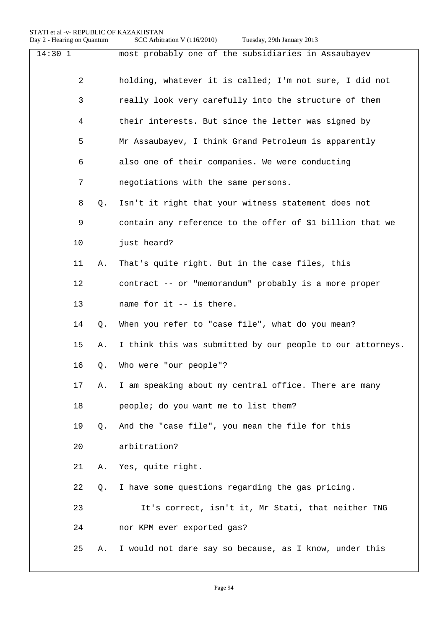| $14:30$ 1 |           | most probably one of the subsidiaries in Assaubayev        |
|-----------|-----------|------------------------------------------------------------|
| 2         |           | holding, whatever it is called; I'm not sure, I did not    |
| 3         |           | really look very carefully into the structure of them      |
| 4         |           | their interests. But since the letter was signed by        |
| 5         |           | Mr Assaubayev, I think Grand Petroleum is apparently       |
| 6         |           | also one of their companies. We were conducting            |
| 7         |           | negotiations with the same persons.                        |
| 8         | O.        | Isn't it right that your witness statement does not        |
| 9         |           | contain any reference to the offer of \$1 billion that we  |
| 10        |           | just heard?                                                |
| 11        | Α.        | That's quite right. But in the case files, this            |
| 12        |           | contract -- or "memorandum" probably is a more proper      |
| 13        |           | name for it -- is there.                                   |
| 14        | Q.        | When you refer to "case file", what do you mean?           |
| 15        | Α.        | I think this was submitted by our people to our attorneys. |
| 16        | Q.        | Who were "our people"?                                     |
| 17        | Α.        | I am speaking about my central office. There are many      |
| 18        |           | people; do you want me to list them?                       |
| 19        | $\circ$ . | And the "case file", you mean the file for this            |
| 20        |           | arbitration?                                               |
| 21        | Α.        | Yes, quite right.                                          |
| 22        | O.        | I have some questions regarding the gas pricing.           |
| 23        |           | It's correct, isn't it, Mr Stati, that neither TNG         |
| 24        |           | nor KPM ever exported gas?                                 |
| 25        | Α.        | I would not dare say so because, as I know, under this     |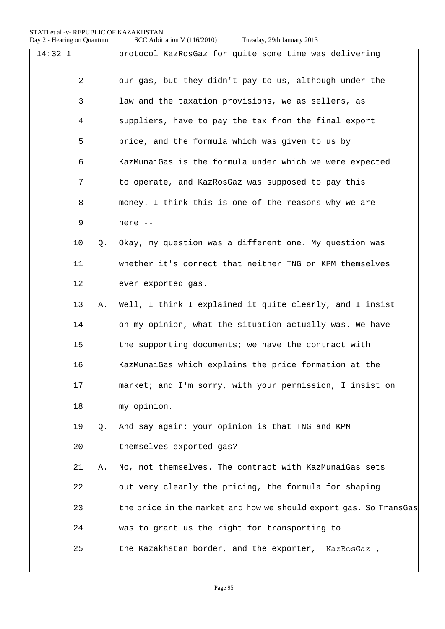### STATI et al -v- REPUBLIC OF KAZAKHSTAN<br>Day 2 - Hearing on Quantum SCC Arbitr SCC Arbitration V (116/2010)

| $14:32$ 1      |    | protocol KazRosGaz for quite some time was delivering             |
|----------------|----|-------------------------------------------------------------------|
| $\overline{2}$ |    | our gas, but they didn't pay to us, although under the            |
| 3              |    | law and the taxation provisions, we as sellers, as                |
| 4              |    | suppliers, have to pay the tax from the final export              |
| 5              |    | price, and the formula which was given to us by                   |
| 6              |    | KazMunaiGas is the formula under which we were expected           |
| 7              |    | to operate, and KazRosGaz was supposed to pay this                |
| 8              |    | money. I think this is one of the reasons why we are              |
| 9              |    | here --                                                           |
| 10             |    | Q. Okay, my question was a different one. My question was         |
| 11             |    | whether it's correct that neither TNG or KPM themselves           |
| 12             |    | ever exported gas.                                                |
| 13             | Α. | Well, I think I explained it quite clearly, and I insist          |
| 14             |    | on my opinion, what the situation actually was. We have           |
| 15             |    | the supporting documents; we have the contract with               |
| 16             |    | KazMunaiGas which explains the price formation at the             |
| 17             |    | market; and I'm sorry, with your permission, I insist on          |
| 18             |    | my opinion.                                                       |
| 19             | Q. | And say again: your opinion is that TNG and KPM                   |
| 20             |    | themselves exported gas?                                          |
| 21             | Α. | No, not themselves. The contract with KazMunaiGas sets            |
| 22             |    | out very clearly the pricing, the formula for shaping             |
| 23             |    | the price in the market and how we should export gas. So TransGas |
| 24             |    | was to grant us the right for transporting to                     |
| 25             |    | the Kazakhstan border, and the exporter, KazRosGaz,               |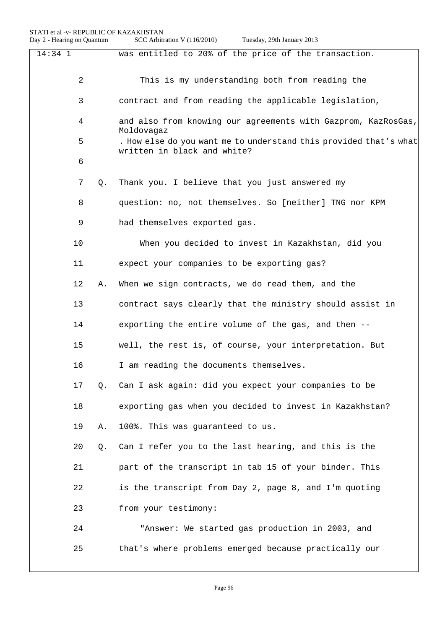| $14:34$ 1 |    | was entitled to 20% of the price of the transaction.                                             |
|-----------|----|--------------------------------------------------------------------------------------------------|
| 2         |    | This is my understanding both from reading the                                                   |
| 3         |    | contract and from reading the applicable legislation,                                            |
| 4         |    | and also from knowing our agreements with Gazprom, KazRosGas,<br>Moldovagaz                      |
| 5         |    | . How else do you want me to understand this provided that's what<br>written in black and white? |
| 6         |    |                                                                                                  |
| 7         | О. | Thank you. I believe that you just answered my                                                   |
| 8         |    | question: no, not themselves. So [neither] TNG nor KPM                                           |
| 9         |    | had themselves exported gas.                                                                     |
| 10        |    | When you decided to invest in Kazakhstan, did you                                                |
| 11        |    | expect your companies to be exporting gas?                                                       |
| 12        | Α. | When we sign contracts, we do read them, and the                                                 |
| 13        |    | contract says clearly that the ministry should assist in                                         |
| 14        |    | exporting the entire volume of the gas, and then --                                              |
| 15        |    | well, the rest is, of course, your interpretation. But                                           |
| 16        |    | I am reading the documents themselves.                                                           |
| 17        | Q. | Can I ask again: did you expect your companies to be                                             |
| 18        |    | exporting gas when you decided to invest in Kazakhstan?                                          |
| 19        | Α. | 100%. This was guaranteed to us.                                                                 |
| 20        | Q. | Can I refer you to the last hearing, and this is the                                             |
| 21        |    | part of the transcript in tab 15 of your binder. This                                            |
| 22        |    | is the transcript from Day 2, page 8, and I'm quoting                                            |
| 23        |    | from your testimony:                                                                             |
| 24        |    | "Answer: We started gas production in 2003, and                                                  |
| 25        |    | that's where problems emerged because practically our                                            |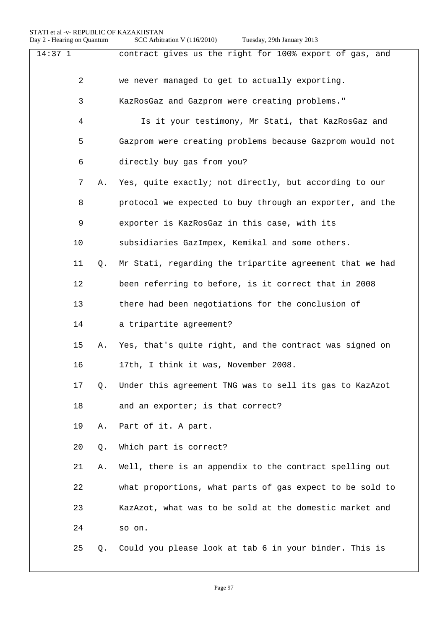| $14:37$ 1 |    |    | contract gives us the right for 100% export of gas, and  |
|-----------|----|----|----------------------------------------------------------|
|           |    |    |                                                          |
|           | 2  |    | we never managed to get to actually exporting.           |
|           | 3  |    | KazRosGaz and Gazprom were creating problems."           |
|           | 4  |    | Is it your testimony, Mr Stati, that KazRosGaz and       |
|           | 5  |    | Gazprom were creating problems because Gazprom would not |
|           | 6  |    | directly buy gas from you?                               |
|           | 7  | Α. | Yes, quite exactly; not directly, but according to our   |
|           | 8  |    | protocol we expected to buy through an exporter, and the |
|           | 9  |    | exporter is KazRosGaz in this case, with its             |
|           | 10 |    | subsidiaries GazImpex, Kemikal and some others.          |
|           | 11 | Q. | Mr Stati, regarding the tripartite agreement that we had |
|           | 12 |    | been referring to before, is it correct that in 2008     |
|           | 13 |    | there had been negotiations for the conclusion of        |
|           | 14 |    | a tripartite agreement?                                  |
|           | 15 | Α. | Yes, that's quite right, and the contract was signed on  |
|           | 16 |    | 17th, I think it was, November 2008.                     |
|           | 17 | Q. | Under this agreement TNG was to sell its gas to KazAzot  |
|           | 18 |    | and an exporter; is that correct?                        |
|           | 19 | Α. | Part of it. A part.                                      |
|           | 20 | Q. | Which part is correct?                                   |
|           | 21 | Α. | Well, there is an appendix to the contract spelling out  |
|           | 22 |    | what proportions, what parts of gas expect to be sold to |
|           | 23 |    | KazAzot, what was to be sold at the domestic market and  |
|           | 24 |    | so on.                                                   |
|           | 25 | Q. | Could you please look at tab 6 in your binder. This is   |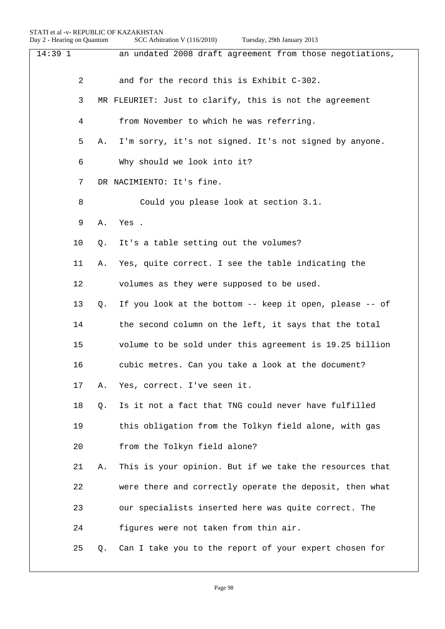| $14:39$ 1 |         |    | an undated 2008 draft agreement from those negotiations, |
|-----------|---------|----|----------------------------------------------------------|
|           |         |    |                                                          |
|           | 2       |    | and for the record this is Exhibit C-302.                |
|           | 3       |    | MR FLEURIET: Just to clarify, this is not the agreement  |
|           | 4       |    | from November to which he was referring.                 |
|           | 5       | Α. | I'm sorry, it's not signed. It's not signed by anyone.   |
|           | 6       |    | Why should we look into it?                              |
|           | 7       |    | DR NACIMIENTO: It's fine.                                |
|           | 8       |    | Could you please look at section 3.1.                    |
|           | 9       | Α. | Yes .                                                    |
|           | $10 \,$ | O. | It's a table setting out the volumes?                    |
|           | 11      | Α. | Yes, quite correct. I see the table indicating the       |
|           | 12      |    | volumes as they were supposed to be used.                |
|           | 13      | O. | If you look at the bottom -- keep it open, please -- of  |
|           | 14      |    | the second column on the left, it says that the total    |
|           | 15      |    | volume to be sold under this agreement is 19.25 billion  |
|           | 16      |    | cubic metres. Can you take a look at the document?       |
|           | 17      | Α. | Yes, correct. I've seen it.                              |
|           | 18      | Q. | Is it not a fact that TNG could never have fulfilled     |
|           | 19      |    | this obligation from the Tolkyn field alone, with gas    |
|           | 20      |    | from the Tolkyn field alone?                             |
|           | 21      | Α. | This is your opinion. But if we take the resources that  |
|           | 22      |    | were there and correctly operate the deposit, then what  |
|           | 23      |    | our specialists inserted here was quite correct. The     |
|           | 24      |    | figures were not taken from thin air.                    |
|           | 25      | Q. | Can I take you to the report of your expert chosen for   |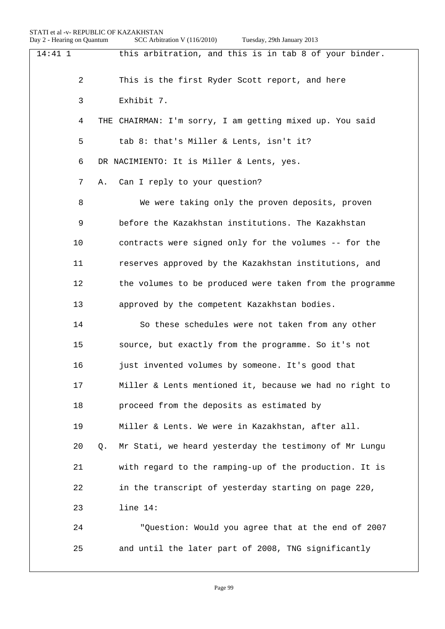| $14:41$ 1 |                | this arbitration, and this is in tab 8 of your binder.       |
|-----------|----------------|--------------------------------------------------------------|
|           | $\overline{2}$ | This is the first Ryder Scott report, and here               |
|           | 3              | Exhibit 7.                                                   |
|           |                |                                                              |
|           | 4              | THE CHAIRMAN: I'm sorry, I am getting mixed up. You said     |
|           | 5              | tab 8: that's Miller & Lents, isn't it?                      |
|           | 6              | DR NACIMIENTO: It is Miller & Lents, yes.                    |
|           | 7              | Can I reply to your question?<br>Α.                          |
|           | 8              | We were taking only the proven deposits, proven              |
|           | 9              | before the Kazakhstan institutions. The Kazakhstan           |
|           | 10             | contracts were signed only for the volumes -- for the        |
|           | 11             | reserves approved by the Kazakhstan institutions, and        |
|           | 12             | the volumes to be produced were taken from the programme     |
|           | 13             | approved by the competent Kazakhstan bodies.                 |
|           | 14             | So these schedules were not taken from any other             |
|           | 15             | source, but exactly from the programme. So it's not          |
|           | 16             | just invented volumes by someone. It's good that             |
|           | 17             | Miller & Lents mentioned it, because we had no right to      |
|           | 18             | proceed from the deposits as estimated by                    |
|           | 19             | Miller & Lents. We were in Kazakhstan, after all.            |
|           | 20             | Mr Stati, we heard yesterday the testimony of Mr Lungu<br>Q. |
|           | 21             | with regard to the ramping-up of the production. It is       |
|           | 22             | in the transcript of yesterday starting on page 220,         |
|           | 23             | line 14:                                                     |
|           | 24             | "Question: Would you agree that at the end of 2007           |
|           | 25             | and until the later part of 2008, TNG significantly          |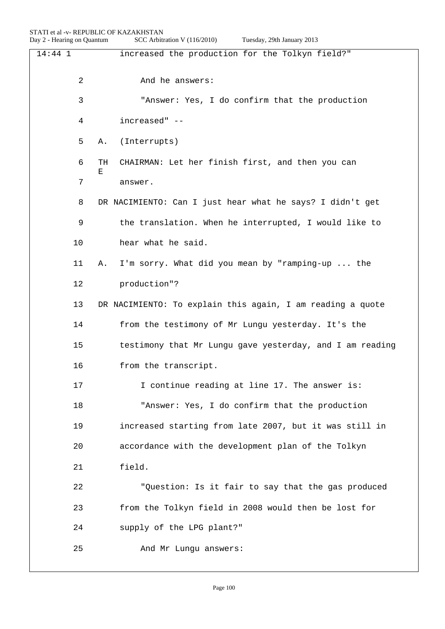| $14:44$ 1 |              | increased the production for the Tolkyn field?"            |
|-----------|--------------|------------------------------------------------------------|
|           | 2            | And he answers:                                            |
|           | 3            | "Answer: Yes, I do confirm that the production             |
|           | 4            | increased" --                                              |
|           | 5<br>Α.      | (Interrupts)                                               |
|           | 6<br>TH<br>Е | CHAIRMAN: Let her finish first, and then you can           |
|           | 7            | answer.                                                    |
|           | 8            | DR NACIMIENTO: Can I just hear what he says? I didn't get  |
|           | 9            | the translation. When he interrupted, I would like to      |
| 10        |              | hear what he said.                                         |
| 11        | Α.           | I'm sorry. What did you mean by "ramping-up  the           |
| 12        |              | production"?                                               |
| 13        |              | DR NACIMIENTO: To explain this again, I am reading a quote |
| 14        |              | from the testimony of Mr Lungu yesterday. It's the         |
| 15        |              | testimony that Mr Lungu gave yesterday, and I am reading   |
| 16        |              | from the transcript.                                       |
| 17        |              | I continue reading at line 17. The answer is:              |
| 18        |              | "Answer: Yes, I do confirm that the production             |
| 19        |              | increased starting from late 2007, but it was still in     |
| 20        |              | accordance with the development plan of the Tolkyn         |
| 21        |              | field.                                                     |
| 22        |              | "Question: Is it fair to say that the gas produced         |
| 23        |              | from the Tolkyn field in 2008 would then be lost for       |
| 24        |              | supply of the LPG plant?"                                  |
| 25        |              | And Mr Lungu answers:                                      |
|           |              |                                                            |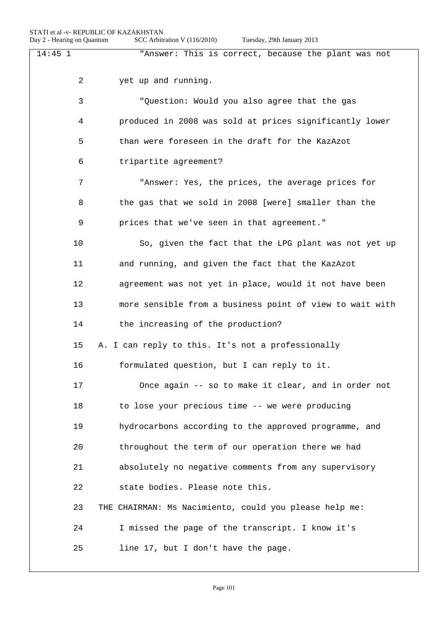| $14:45$ 1      | "Answer: This is correct, because the plant was not      |
|----------------|----------------------------------------------------------|
|                |                                                          |
| $\overline{a}$ | yet up and running.                                      |
| 3              | "Question: Would you also agree that the gas             |
| 4              | produced in 2008 was sold at prices significantly lower  |
| 5              | than were foreseen in the draft for the KazAzot          |
| 6              | tripartite agreement?                                    |
| 7              | "Answer: Yes, the prices, the average prices for         |
| 8              | the gas that we sold in 2008 [were] smaller than the     |
| 9              | prices that we've seen in that agreement."               |
| 10             | So, given the fact that the LPG plant was not yet up     |
| 11             | and running, and given the fact that the KazAzot         |
| 12             | agreement was not yet in place, would it not have been   |
| 13             | more sensible from a business point of view to wait with |
| 14             | the increasing of the production?                        |
| 15             | A. I can reply to this. It's not a professionally        |
| 16             | formulated question, but I can reply to it.              |
| 17             | Once again -- so to make it clear, and in order not      |
| 18             | to lose your precious time -- we were producing          |
| 19             | hydrocarbons according to the approved programme, and    |
| 20             | throughout the term of our operation there we had        |
| 21             | absolutely no negative comments from any supervisory     |
| 22             | state bodies. Please note this.                          |
| 23             | THE CHAIRMAN: Ms Nacimiento, could you please help me:   |
| 24             | I missed the page of the transcript. I know it's         |
| 25             | line 17, but I don't have the page.                      |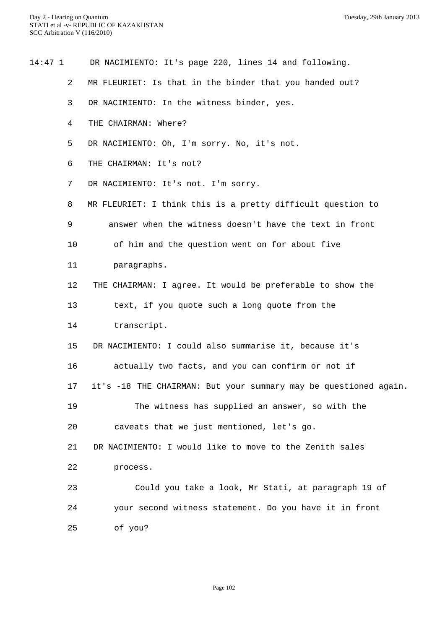- 14:47 1 DR NACIMIENTO: It's page 220, lines 14 and following.
	- MR FLEURIET: Is that in the binder that you handed out?
	- DR NACIMIENTO: In the witness binder, yes.
	- THE CHAIRMAN: Where?
	- DR NACIMIENTO: Oh, I'm sorry. No, it's not.
	- THE CHAIRMAN: It's not?
	- DR NACIMIENTO: It's not. I'm sorry.

 MR FLEURIET: I think this is a pretty difficult question to answer when the witness doesn't have the text in front of him and the question went on for about five paragraphs. THE CHAIRMAN: I agree. It would be preferable to show the text, if you quote such a long quote from the transcript. DR NACIMIENTO: I could also summarise it, because it's actually two facts, and you can confirm or not if it's -18 THE CHAIRMAN: But your summary may be questioned again. The witness has supplied an answer, so with the caveats that we just mentioned, let's go. DR NACIMIENTO: I would like to move to the Zenith sales process. Could you take a look, Mr Stati, at paragraph 19 of your second witness statement. Do you have it in front of you?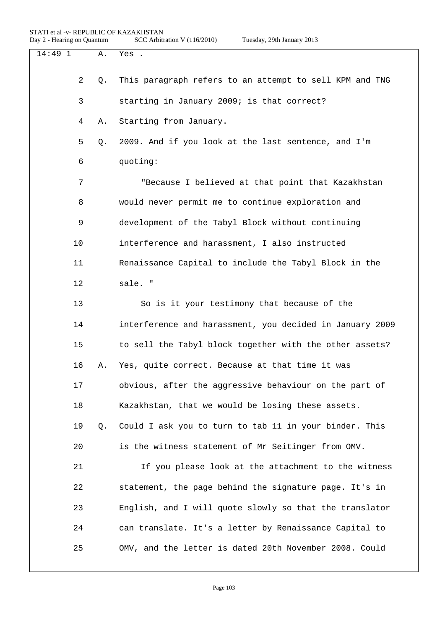| $14:49$ 1 |                | Α.        | Yes .                                                    |
|-----------|----------------|-----------|----------------------------------------------------------|
|           | $\overline{2}$ | Q.        | This paragraph refers to an attempt to sell KPM and TNG  |
|           | 3              |           | starting in January 2009; is that correct?               |
|           | 4              | Α.        | Starting from January.                                   |
|           | 5              | Q.        | 2009. And if you look at the last sentence, and I'm      |
|           | 6              |           | quoting:                                                 |
|           | 7              |           | "Because I believed at that point that Kazakhstan        |
|           | 8              |           | would never permit me to continue exploration and        |
|           | 9              |           | development of the Tabyl Block without continuing        |
|           | 10             |           | interference and harassment, I also instructed           |
|           | 11             |           | Renaissance Capital to include the Tabyl Block in the    |
|           | 12             |           | sale. "                                                  |
|           | 13             |           | So is it your testimony that because of the              |
|           | 14             |           | interference and harassment, you decided in January 2009 |
|           | 15             |           | to sell the Tabyl block together with the other assets?  |
|           | 16             | Α.        | Yes, quite correct. Because at that time it was          |
|           | 17             |           | obvious, after the aggressive behaviour on the part of   |
|           | 18             |           | Kazakhstan, that we would be losing these assets.        |
|           | 19             | $\circ$ . | Could I ask you to turn to tab 11 in your binder. This   |
|           | 20             |           | is the witness statement of Mr Seitinger from OMV.       |
|           | 21             |           | If you please look at the attachment to the witness      |
|           | 22             |           | statement, the page behind the signature page. It's in   |
|           | 23             |           | English, and I will quote slowly so that the translator  |
|           | 24             |           | can translate. It's a letter by Renaissance Capital to   |
|           | 25             |           | OMV, and the letter is dated 20th November 2008. Could   |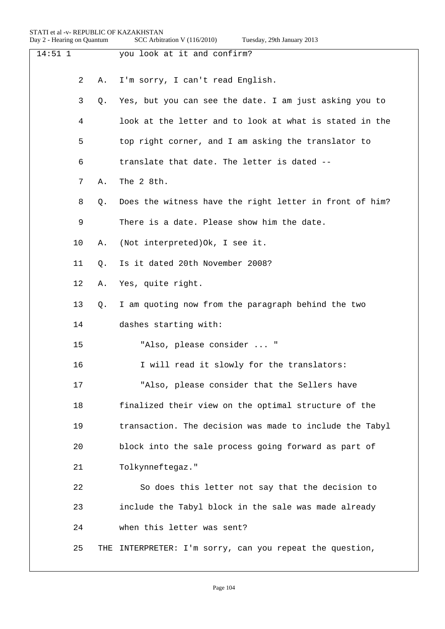| Day 2 - Hearing on Quantum |     | Tuesday, 29th January 2013<br>SCC Arbitration V (116/2010) |
|----------------------------|-----|------------------------------------------------------------|
| $14:51$ 1                  |     | you look at it and confirm?                                |
| $\overline{2}$             | Α.  | I'm sorry, I can't read English.                           |
| 3                          | Q.  | Yes, but you can see the date. I am just asking you to     |
| 4                          |     | look at the letter and to look at what is stated in the    |
| 5                          |     | top right corner, and I am asking the translator to        |
| 6                          |     | translate that date. The letter is dated --                |
| 7                          | Α.  | The 2 8th.                                                 |
| 8                          | Q.  | Does the witness have the right letter in front of him?    |
| 9                          |     | There is a date. Please show him the date.                 |
| 10                         | Α.  | (Not interpreted) Ok, I see it.                            |
| 11                         | Q.  | Is it dated 20th November 2008?                            |
| 12                         | Α.  | Yes, quite right.                                          |
| 13                         | Q.  | I am quoting now from the paragraph behind the two         |
| 14                         |     | dashes starting with:                                      |
| 15                         |     | "Also, please consider  "                                  |
| 16                         |     | I will read it slowly for the translators:                 |
| 17                         |     | "Also, please consider that the Sellers have               |
| 18                         |     | finalized their view on the optimal structure of the       |
| 19                         |     | transaction. The decision was made to include the Tabyl    |
| 20                         |     | block into the sale process going forward as part of       |
| 21                         |     | Tolkynneftegaz."                                           |
| 22                         |     | So does this letter not say that the decision to           |
| 23                         |     | include the Tabyl block in the sale was made already       |
| 24                         |     | when this letter was sent?                                 |
| 25                         | THE | INTERPRETER: I'm sorry, can you repeat the question,       |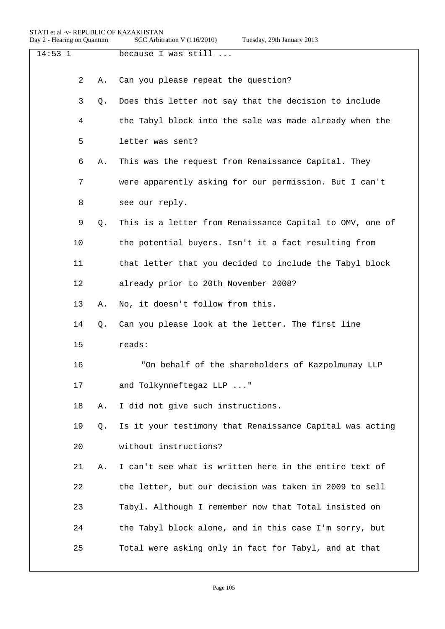| Day 2 - Hearing on Quantum |    | Tuesday, 29th January 2013<br>SCC Arbitration V (116/2010) |
|----------------------------|----|------------------------------------------------------------|
| $14:53$ 1                  |    | because I was still                                        |
| 2                          | Α. | Can you please repeat the question?                        |
| 3                          | Q. | Does this letter not say that the decision to include      |
| 4                          |    | the Tabyl block into the sale was made already when the    |
| 5                          |    | letter was sent?                                           |
| 6                          | Α. | This was the request from Renaissance Capital. They        |
| 7                          |    | were apparently asking for our permission. But I can't     |
| 8                          |    | see our reply.                                             |
| 9                          | Q. | This is a letter from Renaissance Capital to OMV, one of   |
| 10                         |    | the potential buyers. Isn't it a fact resulting from       |
| 11                         |    | that letter that you decided to include the Tabyl block    |
| 12                         |    | already prior to 20th November 2008?                       |
| 13                         | Α. | No, it doesn't follow from this.                           |
| 14                         | Q. | Can you please look at the letter. The first line          |
| 15                         |    | reads:                                                     |
| 16                         |    | "On behalf of the shareholders of Kazpolmunay LLP          |
| 17                         |    | and Tolkynneftegaz LLP "                                   |
| 18                         | Α. | I did not give such instructions.                          |
| 19                         | Q. | Is it your testimony that Renaissance Capital was acting   |
| 20                         |    | without instructions?                                      |
| 21                         | Α. | I can't see what is written here in the entire text of     |
| 22                         |    | the letter, but our decision was taken in 2009 to sell     |
| 23                         |    | Tabyl. Although I remember now that Total insisted on      |
| 24                         |    | the Tabyl block alone, and in this case I'm sorry, but     |
| 25                         |    | Total were asking only in fact for Tabyl, and at that      |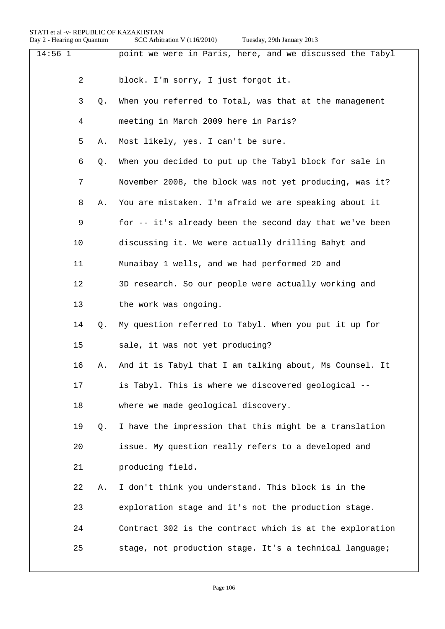| $14:56$ 1      |    | point we were in Paris, here, and we discussed the Tabyl |
|----------------|----|----------------------------------------------------------|
| $\overline{2}$ |    | block. I'm sorry, I just forgot it.                      |
| 3              | Q. | When you referred to Total, was that at the management   |
| 4              |    | meeting in March 2009 here in Paris?                     |
| 5              | Α. | Most likely, yes. I can't be sure.                       |
| 6              | Q. | When you decided to put up the Tabyl block for sale in   |
| 7              |    | November 2008, the block was not yet producing, was it?  |
| 8              | Α. | You are mistaken. I'm afraid we are speaking about it    |
| 9              |    | for -- it's already been the second day that we've been  |
| 10             |    | discussing it. We were actually drilling Bahyt and       |
| 11             |    | Munaibay 1 wells, and we had performed 2D and            |
| 12             |    | 3D research. So our people were actually working and     |
| 13             |    | the work was ongoing.                                    |
| 14             | Q. | My question referred to Tabyl. When you put it up for    |
| 15             |    | sale, it was not yet producing?                          |
| 16             | Α. | And it is Tabyl that I am talking about, Ms Counsel. It  |
| 17             |    | is Tabyl. This is where we discovered geological --      |
| 18             |    | where we made geological discovery.                      |
| 19             | Q. | I have the impression that this might be a translation   |
| 20             |    | issue. My question really refers to a developed and      |
| 21             |    | producing field.                                         |
| 22             | Α. | I don't think you understand. This block is in the       |
| 23             |    | exploration stage and it's not the production stage.     |
| 24             |    | Contract 302 is the contract which is at the exploration |
| 25             |    | stage, not production stage. It's a technical language;  |
|                |    |                                                          |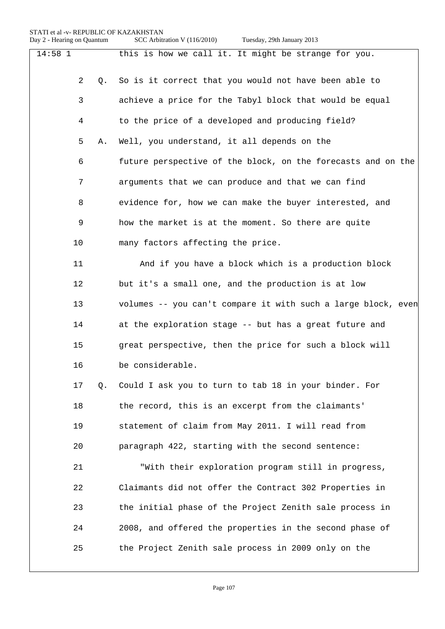| Tuesday, 29th January 2013 |
|----------------------------|
|----------------------------|

| $14:58$ 1 |    | this is how we call it. It might be strange for you.          |
|-----------|----|---------------------------------------------------------------|
|           |    |                                                               |
| 2         | О. | So is it correct that you would not have been able to         |
| 3         |    | achieve a price for the Tabyl block that would be equal       |
| 4         |    | to the price of a developed and producing field?              |
| 5         | Α. | Well, you understand, it all depends on the                   |
| 6         |    | future perspective of the block, on the forecasts and on the  |
| 7         |    | arguments that we can produce and that we can find            |
| 8         |    | evidence for, how we can make the buyer interested, and       |
| 9         |    | how the market is at the moment. So there are quite           |
| $10 \,$   |    | many factors affecting the price.                             |
| 11        |    | And if you have a block which is a production block           |
| 12        |    | but it's a small one, and the production is at low            |
| 13        |    | volumes -- you can't compare it with such a large block, even |
| 14        |    | at the exploration stage -- but has a great future and        |
| 15        |    | great perspective, then the price for such a block will       |
| 16        |    | be considerable.                                              |
| 17        | Q. | Could I ask you to turn to tab 18 in your binder. For         |
| 18        |    | the record, this is an excerpt from the claimants'            |
| 19        |    | statement of claim from May 2011. I will read from            |
| 20        |    | paragraph 422, starting with the second sentence:             |
| 21        |    | "With their exploration program still in progress,            |
| 22        |    | Claimants did not offer the Contract 302 Properties in        |
| 23        |    | the initial phase of the Project Zenith sale process in       |
| 24        |    | 2008, and offered the properties in the second phase of       |
| 25        |    | the Project Zenith sale process in 2009 only on the           |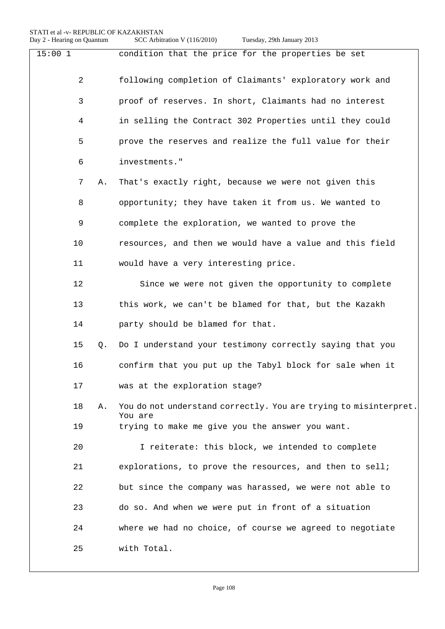| 15:001 |    | condition that the price for the properties be set                          |
|--------|----|-----------------------------------------------------------------------------|
| 2      |    | following completion of Claimants' exploratory work and                     |
| 3      |    | proof of reserves. In short, Claimants had no interest                      |
| 4      |    | in selling the Contract 302 Properties until they could                     |
| 5      |    | prove the reserves and realize the full value for their                     |
| 6      |    | investments."                                                               |
| 7      | Α. | That's exactly right, because we were not given this                        |
| 8      |    | opportunity; they have taken it from us. We wanted to                       |
| 9      |    | complete the exploration, we wanted to prove the                            |
| 10     |    | resources, and then we would have a value and this field                    |
| 11     |    | would have a very interesting price.                                        |
| 12     |    | Since we were not given the opportunity to complete                         |
| 13     |    | this work, we can't be blamed for that, but the Kazakh                      |
| 14     |    | party should be blamed for that.                                            |
| 15     | Q. | Do I understand your testimony correctly saying that you                    |
| 16     |    | confirm that you put up the Tabyl block for sale when it                    |
| 17     |    | was at the exploration stage?                                               |
| 18     | Α. | You do not understand correctly. You are trying to misinterpret.<br>You are |
| 19     |    | trying to make me give you the answer you want.                             |
| 20     |    | I reiterate: this block, we intended to complete                            |
| 21     |    | explorations, to prove the resources, and then to sell;                     |
| 22     |    | but since the company was harassed, we were not able to                     |
| 23     |    | do so. And when we were put in front of a situation                         |
| 24     |    | where we had no choice, of course we agreed to negotiate                    |
| 25     |    | with Total.                                                                 |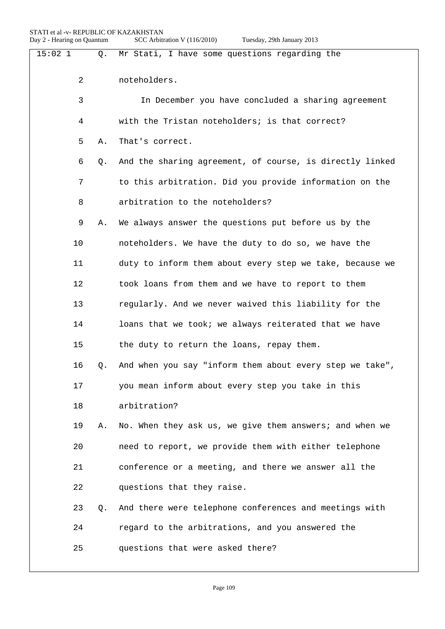| $15:02$ 1 |                | Q. | Mr Stati, I have some questions regarding the            |
|-----------|----------------|----|----------------------------------------------------------|
|           | $\overline{2}$ |    | noteholders.                                             |
|           | 3              |    | In December you have concluded a sharing agreement       |
|           | 4              |    | with the Tristan noteholders; is that correct?           |
|           | 5              | Α. | That's correct.                                          |
|           | 6              | Q. | And the sharing agreement, of course, is directly linked |
|           | 7              |    | to this arbitration. Did you provide information on the  |
|           | 8              |    | arbitration to the noteholders?                          |
|           | 9              | Α. | We always answer the questions put before us by the      |
| 10        |                |    | noteholders. We have the duty to do so, we have the      |
|           | 11             |    | duty to inform them about every step we take, because we |
|           | 12             |    | took loans from them and we have to report to them       |
|           | 13             |    | regularly. And we never waived this liability for the    |
|           | 14             |    | loans that we took; we always reiterated that we have    |
|           | 15             |    | the duty to return the loans, repay them.                |
|           | 16             | Q. | And when you say "inform them about every step we take", |
|           | 17             |    | you mean inform about every step you take in this        |
|           | 18             |    | arbitration?                                             |
|           | 19             | Α. | No. When they ask us, we give them answers; and when we  |
|           | 20             |    | need to report, we provide them with either telephone    |
|           | 21             |    | conference or a meeting, and there we answer all the     |
|           | 22             |    | questions that they raise.                               |
|           | 23             | Q. | And there were telephone conferences and meetings with   |
|           | 24             |    | regard to the arbitrations, and you answered the         |
|           | 25             |    | questions that were asked there?                         |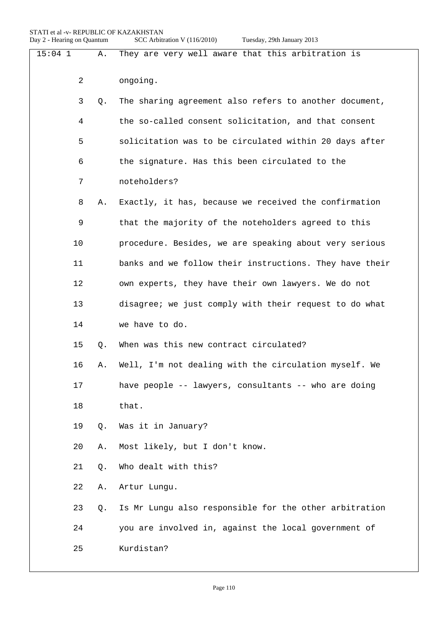| $15:04$ 1      | Α. | They are very well aware that this arbitration is       |
|----------------|----|---------------------------------------------------------|
|                |    |                                                         |
| $\overline{2}$ |    | ongoing.                                                |
| 3              | Q. | The sharing agreement also refers to another document,  |
| 4              |    | the so-called consent solicitation, and that consent    |
| 5              |    | solicitation was to be circulated within 20 days after  |
| 6              |    | the signature. Has this been circulated to the          |
| 7              |    | noteholders?                                            |
| 8              | Α. | Exactly, it has, because we received the confirmation   |
| 9              |    | that the majority of the noteholders agreed to this     |
| 10             |    | procedure. Besides, we are speaking about very serious  |
| 11             |    | banks and we follow their instructions. They have their |
| 12             |    | own experts, they have their own lawyers. We do not     |
| 13             |    | disagree; we just comply with their request to do what  |
| 14             |    | we have to do.                                          |
| 15             | Q. | When was this new contract circulated?                  |
| 16             | Α. | Well, I'm not dealing with the circulation myself. We   |
| 17             |    | have people -- lawyers, consultants -- who are doing    |
| 18             |    | that.                                                   |
| 19             | Q. | Was it in January?                                      |
| 20             | Α. | Most likely, but I don't know.                          |
| 21             | Q. | Who dealt with this?                                    |
| 22             | Α. | Artur Lungu.                                            |
| 23             | Q. | Is Mr Lungu also responsible for the other arbitration  |
| 24             |    | you are involved in, against the local government of    |
| 25             |    | Kurdistan?                                              |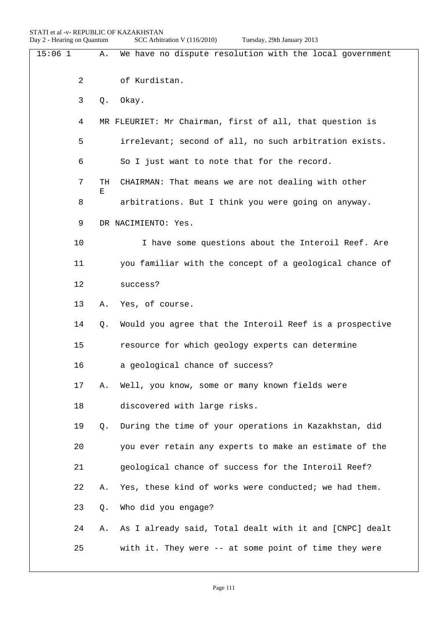| $15:06$ 1      | Α.      | We have no dispute resolution with the local government  |
|----------------|---------|----------------------------------------------------------|
| $\overline{2}$ |         | of Kurdistan.                                            |
| 3              | Q.      | Okay.                                                    |
| 4              |         | MR FLEURIET: Mr Chairman, first of all, that question is |
| 5              |         | irrelevant; second of all, no such arbitration exists.   |
| 6              |         | So I just want to note that for the record.              |
| 7              | TH<br>Е | CHAIRMAN: That means we are not dealing with other       |
| 8              |         | arbitrations. But I think you were going on anyway.      |
| 9              |         | DR NACIMIENTO: Yes.                                      |
| 10             |         | I have some questions about the Interoil Reef. Are       |
| 11             |         | you familiar with the concept of a geological chance of  |
| 12             |         | success?                                                 |
| 13             | Α.      | Yes, of course.                                          |
| 14             | Q.      | Would you agree that the Interoil Reef is a prospective  |
| 15             |         | resource for which geology experts can determine         |
| 16             |         | a geological chance of success?                          |
| 17             | Α.      | Well, you know, some or many known fields were           |
| 18             |         | discovered with large risks.                             |
| 19             | Q.      | During the time of your operations in Kazakhstan, did    |
| 20             |         | you ever retain any experts to make an estimate of the   |
| 21             |         | geological chance of success for the Interoil Reef?      |
| 22             | Α.      | Yes, these kind of works were conducted; we had them.    |
| 23             | Q.      | Who did you engage?                                      |
| 24             | Α.      | As I already said, Total dealt with it and [CNPC] dealt  |
| 25             |         | with it. They were -- at some point of time they were    |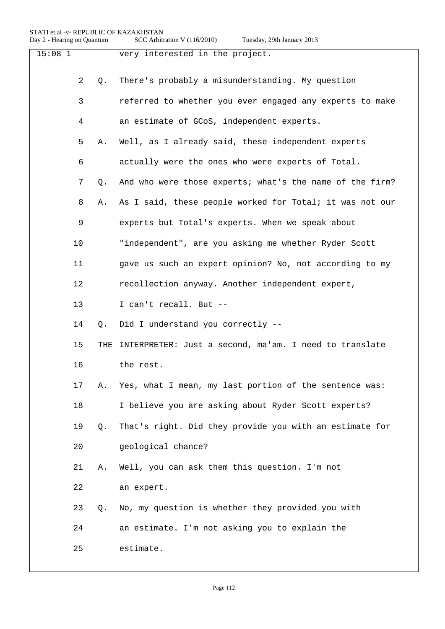| $15:08$ 1 |    |    | very interested in the project.                            |
|-----------|----|----|------------------------------------------------------------|
|           | 2  | Q. | There's probably a misunderstanding. My question           |
|           | 3  |    | referred to whether you ever engaged any experts to make   |
|           | 4  |    | an estimate of GCoS, independent experts.                  |
|           | 5  | Α. | Well, as I already said, these independent experts         |
|           | 6  |    | actually were the ones who were experts of Total.          |
|           | 7  | Q. | And who were those experts; what's the name of the firm?   |
|           | 8  | Α. | As I said, these people worked for Total; it was not our   |
|           | 9  |    | experts but Total's experts. When we speak about           |
|           | 10 |    | "independent", are you asking me whether Ryder Scott       |
|           | 11 |    | gave us such an expert opinion? No, not according to my    |
|           | 12 |    | recollection anyway. Another independent expert,           |
|           | 13 |    | I can't recall. But --                                     |
|           | 14 | Q. | Did I understand you correctly --                          |
|           | 15 |    | THE INTERPRETER: Just a second, ma'am. I need to translate |
|           | 16 |    | the rest.                                                  |
|           | 17 | Α. | Yes, what I mean, my last portion of the sentence was:     |
|           | 18 |    | I believe you are asking about Ryder Scott experts?        |
|           | 19 | Q. | That's right. Did they provide you with an estimate for    |
|           | 20 |    | geological chance?                                         |
|           | 21 | Α. | Well, you can ask them this question. I'm not              |
|           | 22 |    | an expert.                                                 |
|           | 23 | О. | No, my question is whether they provided you with          |
|           | 24 |    | an estimate. I'm not asking you to explain the             |
|           | 25 |    | estimate.                                                  |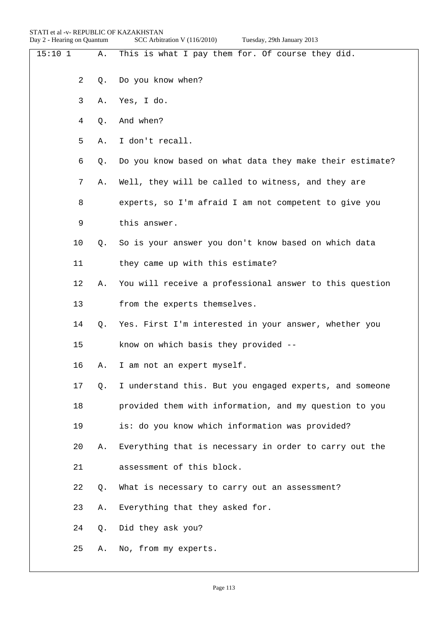| $15:10$ 1 | Α. | This is what I pay them for. Of course they did.         |
|-----------|----|----------------------------------------------------------|
| 2         | Q. | Do you know when?                                        |
| 3         | Α. | Yes, I do.                                               |
| 4         | Q. | And when?                                                |
| 5         | Α. | I don't recall.                                          |
| 6         | Q. | Do you know based on what data they make their estimate? |
| 7         | Α. | Well, they will be called to witness, and they are       |
| 8         |    | experts, so I'm afraid I am not competent to give you    |
| 9         |    | this answer.                                             |
| 10        | Q. | So is your answer you don't know based on which data     |
| 11        |    | they came up with this estimate?                         |
| 12        | Α. | You will receive a professional answer to this question  |
| 13        |    | from the experts themselves.                             |
| 14        | Q. | Yes. First I'm interested in your answer, whether you    |
| 15        |    | know on which basis they provided --                     |
| 16        | Α. | I am not an expert myself.                               |
| 17        | Q. | I understand this. But you engaged experts, and someone  |
| 18        |    | provided them with information, and my question to you   |
| 19        |    | is: do you know which information was provided?          |
| 20        | Α. | Everything that is necessary in order to carry out the   |
| 21        |    | assessment of this block.                                |
| 22        | Q. | What is necessary to carry out an assessment?            |
| 23        | Α. | Everything that they asked for.                          |
| 24        | Q. | Did they ask you?                                        |
| 25        | Α. | No, from my experts.                                     |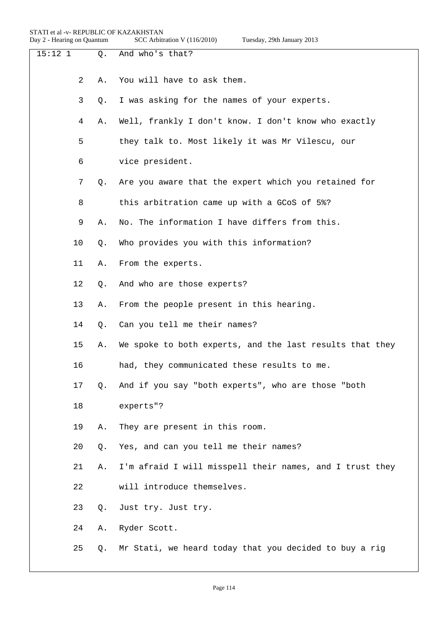| Tuesday, 29th January 2013 |  |  |  |  |
|----------------------------|--|--|--|--|
|----------------------------|--|--|--|--|

| $15:12$ 1 | Q.        | And who's that?                                          |
|-----------|-----------|----------------------------------------------------------|
| 2         | Α.        | You will have to ask them.                               |
| 3         | Q.        | I was asking for the names of your experts.              |
| 4         | Α.        | Well, frankly I don't know. I don't know who exactly     |
| 5         |           | they talk to. Most likely it was Mr Vilescu, our         |
| 6         |           | vice president.                                          |
| 7         | Q.        | Are you aware that the expert which you retained for     |
| 8         |           | this arbitration came up with a GCoS of 5%?              |
| 9         | Α.        | No. The information I have differs from this.            |
| 10        | Q.        | Who provides you with this information?                  |
| 11        | Α.        | From the experts.                                        |
| 12        | 0.        | And who are those experts?                               |
| 13        | Α.        | From the people present in this hearing.                 |
| 14        | Q.        | Can you tell me their names?                             |
| 15        | Α.        | We spoke to both experts, and the last results that they |
| 16        |           | had, they communicated these results to me.              |
| 17        | $\circ$ . | And if you say "both experts", who are those "both       |
| 18        |           | experts"?                                                |
| 19        | Α.        | They are present in this room.                           |
| 20        | Q.        | Yes, and can you tell me their names?                    |
| 21        | Α.        | I'm afraid I will misspell their names, and I trust they |
| 22        |           | will introduce themselves.                               |
| 23        | O.        | Just try. Just try.                                      |
| 24        | Α.        | Ryder Scott.                                             |
| 25        | Q.        | Mr Stati, we heard today that you decided to buy a rig   |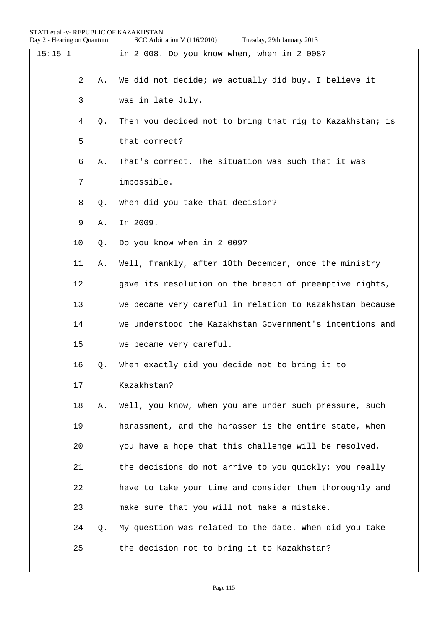| Tuesday, 29th January 2013 |
|----------------------------|
|----------------------------|

| $15:15$ 1 |    |    | in 2 008. Do you know when, when in 2 008?               |
|-----------|----|----|----------------------------------------------------------|
|           | 2  | Α. | We did not decide; we actually did buy. I believe it     |
|           | 3  |    | was in late July.                                        |
|           | 4  | Q. | Then you decided not to bring that rig to Kazakhstan; is |
|           | 5  |    | that correct?                                            |
|           | 6  | Α. | That's correct. The situation was such that it was       |
|           | 7  |    | impossible.                                              |
|           | 8  | Q. | When did you take that decision?                         |
|           | 9  | Α. | In 2009.                                                 |
|           | 10 | Q. | Do you know when in 2 009?                               |
|           | 11 | Α. | Well, frankly, after 18th December, once the ministry    |
|           | 12 |    | gave its resolution on the breach of preemptive rights,  |
|           | 13 |    | we became very careful in relation to Kazakhstan because |
|           | 14 |    | we understood the Kazakhstan Government's intentions and |
|           | 15 |    | we became very careful.                                  |
|           | 16 | Q. | When exactly did you decide not to bring it to           |
|           | 17 |    | Kazakhstan?                                              |
|           | 18 | Α. | Well, you know, when you are under such pressure, such   |
|           | 19 |    | harassment, and the harasser is the entire state, when   |
|           | 20 |    | you have a hope that this challenge will be resolved,    |
|           | 21 |    | the decisions do not arrive to you quickly; you really   |
|           | 22 |    | have to take your time and consider them thoroughly and  |
|           | 23 |    | make sure that you will not make a mistake.              |
|           | 24 | Q. | My question was related to the date. When did you take   |
|           | 25 |    | the decision not to bring it to Kazakhstan?              |
|           |    |    |                                                          |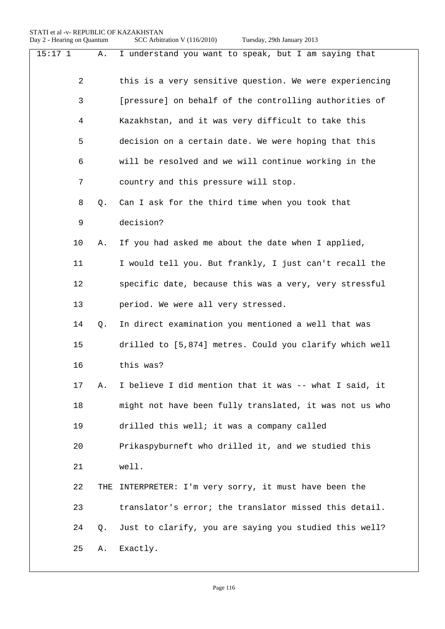| $15:17$ 1 | Α.  | I understand you want to speak, but I am saying that    |
|-----------|-----|---------------------------------------------------------|
| 2         |     | this is a very sensitive question. We were experiencing |
| 3         |     | [pressure] on behalf of the controlling authorities of  |
| 4         |     | Kazakhstan, and it was very difficult to take this      |
| 5         |     | decision on a certain date. We were hoping that this    |
| 6         |     | will be resolved and we will continue working in the    |
| 7         |     | country and this pressure will stop.                    |
| 8         | Q.  | Can I ask for the third time when you took that         |
| 9         |     | decision?                                               |
| 10        | Α.  | If you had asked me about the date when I applied,      |
| 11        |     | I would tell you. But frankly, I just can't recall the  |
| 12        |     | specific date, because this was a very, very stressful  |
| 13        |     | period. We were all very stressed.                      |
| 14        | Q.  | In direct examination you mentioned a well that was     |
| 15        |     | drilled to [5,874] metres. Could you clarify which well |
| 16        |     | this was?                                               |
| 17        | Α.  | I believe I did mention that it was -- what I said, it  |
| 18        |     | might not have been fully translated, it was not us who |
| 19        |     | drilled this well; it was a company called              |
| 20        |     | Prikaspyburneft who drilled it, and we studied this     |
| 21        |     | well.                                                   |
| 22        | THE | INTERPRETER: I'm very sorry, it must have been the      |
| 23        |     | translator's error; the translator missed this detail.  |
| 24        | Q.  | Just to clarify, you are saying you studied this well?  |
| 25        | Α.  | Exactly.                                                |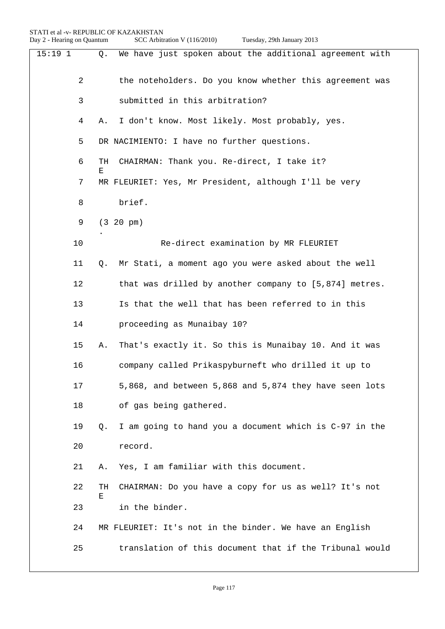|  | Tuesday, 29th January 2013 |  |
|--|----------------------------|--|
|--|----------------------------|--|

| $15:19$ 1 |                | Q.      | We have just spoken about the additional agreement with |
|-----------|----------------|---------|---------------------------------------------------------|
|           | $\overline{c}$ |         | the noteholders. Do you know whether this agreement was |
|           | 3              |         | submitted in this arbitration?                          |
|           | 4              | Α.      | I don't know. Most likely. Most probably, yes.          |
|           | 5              |         | DR NACIMIENTO: I have no further questions.             |
|           | 6              | TH<br>Е | CHAIRMAN: Thank you. Re-direct, I take it?              |
|           | 7              |         | MR FLEURIET: Yes, Mr President, although I'll be very   |
|           | 8              |         | brief.                                                  |
|           | 9              |         | (3 20 pm)                                               |
|           | 10             |         | Re-direct examination by MR FLEURIET                    |
|           | 11             | Q.      | Mr Stati, a moment ago you were asked about the well    |
|           | 12             |         | that was drilled by another company to [5,874] metres.  |
|           | 13             |         | Is that the well that has been referred to in this      |
|           | 14             |         | proceeding as Munaibay 10?                              |
|           | 15             | Α.      | That's exactly it. So this is Munaibay 10. And it was   |
|           | 16             |         | company called Prikaspyburneft who drilled it up to     |
|           | 17             |         | 5,868, and between 5,868 and 5,874 they have seen lots  |
|           | 18             |         | of gas being gathered.                                  |
|           | 19             | Q.      | I am going to hand you a document which is C-97 in the  |
|           | 20             |         | record.                                                 |
|           | 21             | Α.      | Yes, I am familiar with this document.                  |
|           | 22             | TH<br>E | CHAIRMAN: Do you have a copy for us as well? It's not   |
|           | 23             |         | in the binder.                                          |
|           | 24             |         | MR FLEURIET: It's not in the binder. We have an English |
|           | 25             |         | translation of this document that if the Tribunal would |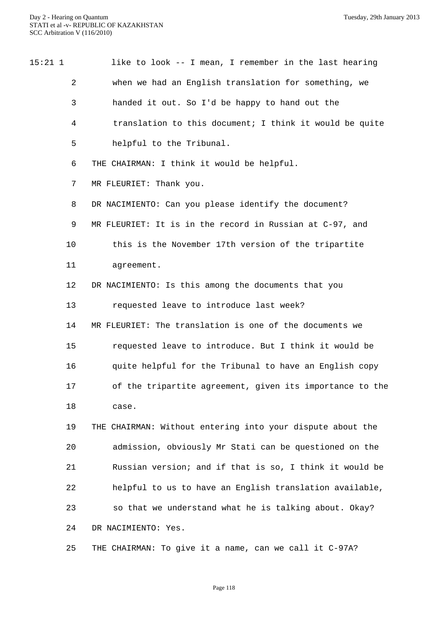| 15:21 1        | like to look -- I mean, I remember in the last hearing     |
|----------------|------------------------------------------------------------|
| $\overline{2}$ | when we had an English translation for something, we       |
| 3              | handed it out. So I'd be happy to hand out the             |
| 4              | translation to this document; I think it would be quite    |
| 5              | helpful to the Tribunal.                                   |
| 6              | THE CHAIRMAN: I think it would be helpful.                 |
| 7              | MR FLEURIET: Thank you.                                    |
| 8              | DR NACIMIENTO: Can you please identify the document?       |
| 9              | MR FLEURIET: It is in the record in Russian at C-97, and   |
| 10             | this is the November 17th version of the tripartite        |
| 11             | agreement.                                                 |
| 12             | DR NACIMIENTO: Is this among the documents that you        |
| 13             | requested leave to introduce last week?                    |
| 14             | MR FLEURIET: The translation is one of the documents we    |
| 15             | requested leave to introduce. But I think it would be      |
| 16             | quite helpful for the Tribunal to have an English copy     |
| 17             | of the tripartite agreement, given its importance to the   |
| 18             | case.                                                      |
| 19             | THE CHAIRMAN: Without entering into your dispute about the |
| 20             | admission, obviously Mr Stati can be questioned on the     |
| 21             | Russian version; and if that is so, I think it would be    |
| 22             | helpful to us to have an English translation available,    |
| 23             | so that we understand what he is talking about. Okay?      |
| 24             | DR NACIMIENTO: Yes.                                        |
| 25             | THE CHAIRMAN: To give it a name, can we call it C-97A?     |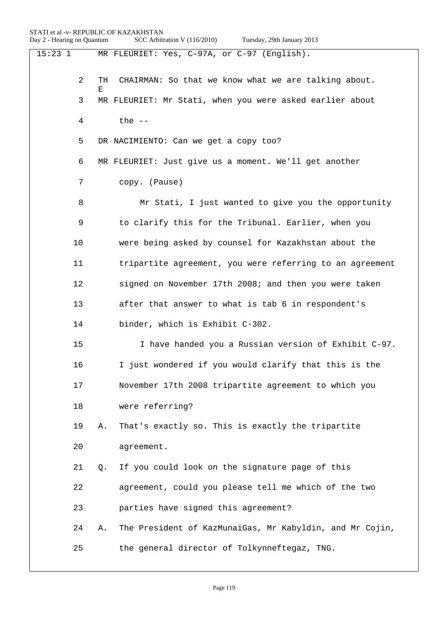| Day 2 - Hearing on Quantum |                           | STATI et al -v- REPUBLIC OF KAZAKHSTAN<br>SCC Arbitration V (116/2010)<br>Tuesday, 29th January 2013 |
|----------------------------|---------------------------|------------------------------------------------------------------------------------------------------|
| $15:23$ 1                  |                           | MR FLEURIET: Yes, C-97A, or C-97 (English).                                                          |
|                            | $\overline{2}$<br>TH<br>Ε | CHAIRMAN: So that we know what we are talking about.                                                 |
|                            | 3                         | MR FLEURIET: Mr Stati, when you were asked earlier about                                             |
|                            | 4                         | the $-$                                                                                              |
|                            | 5                         | DR NACIMIENTO: Can we get a copy too?                                                                |
|                            | 6                         | MR FLEURIET: Just give us a moment. We'll get another                                                |
|                            | 7                         | copy. (Pause)                                                                                        |
|                            | 8                         | Mr Stati, I just wanted to give you the opportunity                                                  |
|                            | 9                         | to clarify this for the Tribunal. Earlier, when you                                                  |
| 10                         |                           | were being asked by counsel for Kazakhstan about the                                                 |
|                            | 11                        | tripartite agreement, you were referring to an agreement                                             |
|                            | 12                        | signed on November 17th 2008; and then you were taken                                                |
|                            | 13                        | after that answer to what is tab 6 in respondent's                                                   |
|                            | 14                        | binder, which is Exhibit C-302.                                                                      |
| 15                         |                           | I have handed you a Russian version of Exhibit C-97.                                                 |
|                            | 16                        | I just wondered if you would clarify that this is the                                                |
|                            | 17                        | November 17th 2008 tripartite agreement to which you                                                 |
|                            | 18                        | were referring?                                                                                      |
|                            | 19<br>Α.                  | That's exactly so. This is exactly the tripartite                                                    |
|                            | 20                        | agreement.                                                                                           |
|                            | 21<br>Q.                  | If you could look on the signature page of this                                                      |
|                            | 22                        | agreement, could you please tell me which of the two                                                 |
|                            | 23                        | parties have signed this agreement?                                                                  |
|                            | 24<br>Α.                  | The President of KazMunaiGas, Mr Kabyldin, and Mr Cojin,                                             |
|                            | 25                        | the general director of Tolkynneftegaz, TNG.                                                         |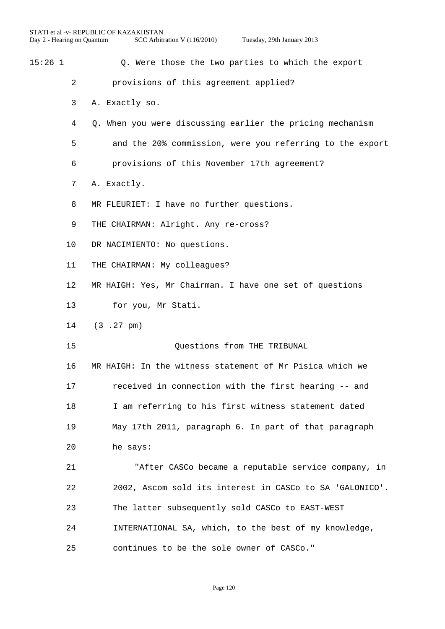15:26 1 Q. Were those the two parties to which the export provisions of this agreement applied?

- A. Exactly so.
- Q. When you were discussing earlier the pricing mechanism
- and the 20% commission, were you referring to the export provisions of this November 17th agreement?
- A. Exactly.
- MR FLEURIET: I have no further questions.
- THE CHAIRMAN: Alright. Any re-cross?
- DR NACIMIENTO: No questions.
- THE CHAIRMAN: My colleagues?
- MR HAIGH: Yes, Mr Chairman. I have one set of questions
- 13 for you, Mr Stati.
- (3 .27 pm)
- Questions from THE TRIBUNAL

 MR HAIGH: In the witness statement of Mr Pisica which we received in connection with the first hearing -- and I am referring to his first witness statement dated May 17th 2011, paragraph 6. In part of that paragraph he says:

 "After CASCo became a reputable service company, in 2002, Ascom sold its interest in CASCo to SA 'GALONICO'. The latter subsequently sold CASCo to EAST-WEST INTERNATIONAL SA, which, to the best of my knowledge, continues to be the sole owner of CASCo."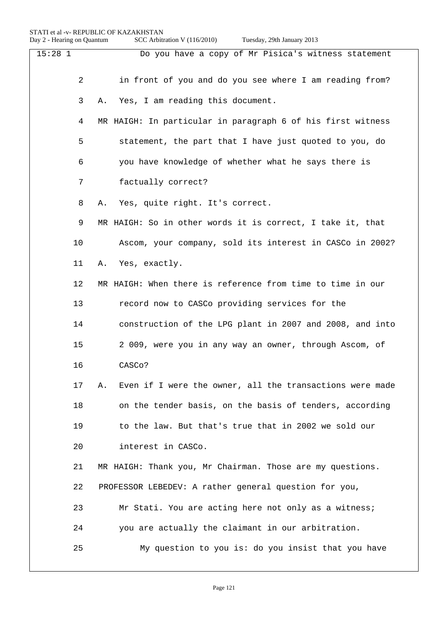| $15:28$ 1 |    | Do you have a copy of Mr Pisica's witness statement            |
|-----------|----|----------------------------------------------------------------|
|           | 2  | in front of you and do you see where I am reading from?        |
|           | 3  | Yes, I am reading this document.<br>Α.                         |
|           | 4  | MR HAIGH: In particular in paragraph 6 of his first witness    |
|           | 5  | statement, the part that I have just quoted to you, do         |
|           | 6  | you have knowledge of whether what he says there is            |
|           | 7  | factually correct?                                             |
|           | 8  | Yes, quite right. It's correct.<br>Α.                          |
|           | 9  | MR HAIGH: So in other words it is correct, I take it, that     |
|           | 10 | Ascom, your company, sold its interest in CASCo in 2002?       |
|           | 11 | Yes, exactly.<br>Α.                                            |
|           | 12 | MR HAIGH: When there is reference from time to time in our     |
|           | 13 | record now to CASCo providing services for the                 |
|           | 14 | construction of the LPG plant in 2007 and 2008, and into       |
|           | 15 | 2 009, were you in any way an owner, through Ascom, of         |
|           | 16 | CASCo?                                                         |
|           | 17 | Even if I were the owner, all the transactions were made<br>Α. |
|           | 18 | on the tender basis, on the basis of tenders, according        |
|           | 19 | to the law. But that's true that in 2002 we sold our           |
|           | 20 | interest in CASCo.                                             |
|           | 21 | MR HAIGH: Thank you, Mr Chairman. Those are my questions.      |
|           | 22 | PROFESSOR LEBEDEV: A rather general question for you,          |
|           | 23 | Mr Stati. You are acting here not only as a witness;           |
|           | 24 | you are actually the claimant in our arbitration.              |
|           | 25 | My question to you is: do you insist that you have             |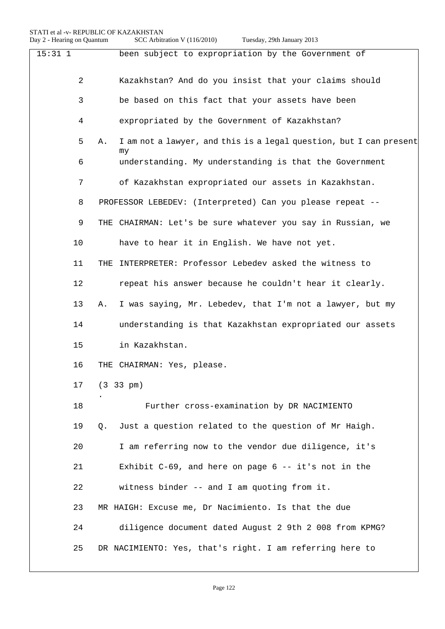| $15:31$ 1      | been subject to expropriation by the Government of                             |
|----------------|--------------------------------------------------------------------------------|
|                |                                                                                |
| $\overline{2}$ | Kazakhstan? And do you insist that your claims should                          |
| 3              | be based on this fact that your assets have been                               |
| 4              | expropriated by the Government of Kazakhstan?                                  |
| 5              | I am not a lawyer, and this is a legal question, but I can present<br>Α.<br>my |
| 6              | understanding. My understanding is that the Government                         |
| 7              | of Kazakhstan expropriated our assets in Kazakhstan.                           |
| 8              | PROFESSOR LEBEDEV: (Interpreted) Can you please repeat --                      |
| 9              | THE CHAIRMAN: Let's be sure whatever you say in Russian, we                    |
| $10 \,$        | have to hear it in English. We have not yet.                                   |
| 11             | THE INTERPRETER: Professor Lebedev asked the witness to                        |
| $12 \,$        | repeat his answer because he couldn't hear it clearly.                         |
| 13             | I was saying, Mr. Lebedev, that I'm not a lawyer, but my<br>Α.                 |
| 14             | understanding is that Kazakhstan expropriated our assets                       |
| 15             | in Kazakhstan.                                                                 |
| 16             | THE CHAIRMAN: Yes, please.                                                     |
| 17             | $(3 \ 33 \ pm)$                                                                |
| 18             | Further cross-examination by DR NACIMIENTO                                     |
| 19             | Just a question related to the question of Mr Haigh.<br>$\circ$ .              |
| 20             | I am referring now to the vendor due diligence, it's                           |
| 21             | Exhibit $C-69$ , and here on page $6 - - it$ 's not in the                     |
| 22             | witness binder -- and I am quoting from it.                                    |
| 23             | MR HAIGH: Excuse me, Dr Nacimiento. Is that the due                            |
| 24             | diligence document dated August 2 9th 2 008 from KPMG?                         |
| 25             | DR NACIMIENTO: Yes, that's right. I am referring here to                       |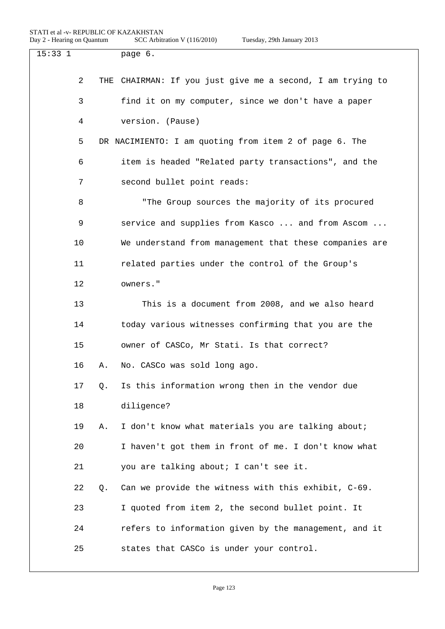| 15:331 |    |    | page 6.                                                    |
|--------|----|----|------------------------------------------------------------|
|        | 2  |    | THE CHAIRMAN: If you just give me a second, I am trying to |
|        | 3  |    | find it on my computer, since we don't have a paper        |
|        | 4  |    | version. (Pause)                                           |
|        | 5  |    | DR NACIMIENTO: I am quoting from item 2 of page 6. The     |
|        | 6  |    | item is headed "Related party transactions", and the       |
|        | 7  |    | second bullet point reads:                                 |
|        | 8  |    | "The Group sources the majority of its procured            |
|        | 9  |    | service and supplies from Kasco  and from Ascom            |
|        | 10 |    | We understand from management that these companies are     |
|        | 11 |    | related parties under the control of the Group's           |
|        | 12 |    | owners."                                                   |
|        | 13 |    | This is a document from 2008, and we also heard            |
|        | 14 |    | today various witnesses confirming that you are the        |
|        | 15 |    | owner of CASCo, Mr Stati. Is that correct?                 |
|        | 16 | Α. | No. CASCo was sold long ago.                               |
|        | 17 | Q. | Is this information wrong then in the vendor due           |
|        | 18 |    | diligence?                                                 |
|        | 19 | Α. | I don't know what materials you are talking about;         |
|        | 20 |    | I haven't got them in front of me. I don't know what       |
|        | 21 |    | you are talking about; I can't see it.                     |
|        | 22 | Q. | Can we provide the witness with this exhibit, C-69.        |
|        | 23 |    | I quoted from item 2, the second bullet point. It          |
|        | 24 |    | refers to information given by the management, and it      |
|        | 25 |    | states that CASCo is under your control.                   |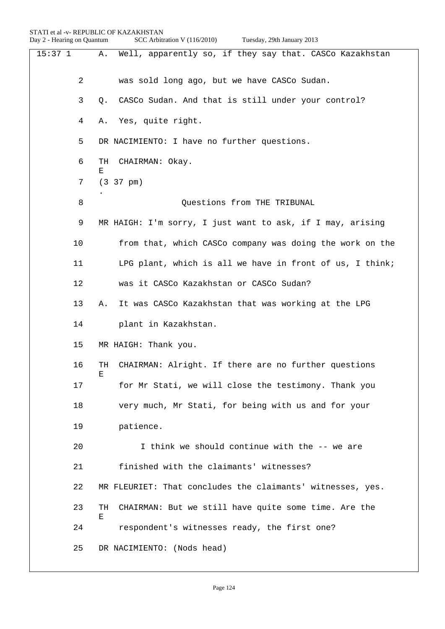STATI et al -v- REPUBLIC OF KAZAKHSTAN<br>Day 2 - Hearing on Quantum SCC Arbitr

| $15:37$ 1 |    | Well, apparently so, if they say that. CASCo Kazakhstan<br>Α.   |
|-----------|----|-----------------------------------------------------------------|
|           | 2  | was sold long ago, but we have CASCo Sudan.                     |
|           | 3  | CASCo Sudan. And that is still under your control?<br>Q.        |
|           | 4  | Yes, quite right.<br>Α.                                         |
|           | 5  | DR NACIMIENTO: I have no further questions.                     |
|           | 6  | TH<br>CHAIRMAN: Okay.<br>E                                      |
|           | 7  | $(3\;37\;pm)$                                                   |
|           | 8  | Questions from THE TRIBUNAL                                     |
|           | 9  | MR HAIGH: I'm sorry, I just want to ask, if I may, arising      |
|           | 10 | from that, which CASCo company was doing the work on the        |
|           | 11 | LPG plant, which is all we have in front of us, I think;        |
|           | 12 | was it CASCo Kazakhstan or CASCo Sudan?                         |
|           | 13 | It was CASCo Kazakhstan that was working at the LPG<br>Α.       |
|           | 14 | plant in Kazakhstan.                                            |
|           | 15 | MR HAIGH: Thank you.                                            |
|           | 16 | TH<br>CHAIRMAN: Alright. If there are no further questions<br>E |
|           | 17 | for Mr Stati, we will close the testimony. Thank you            |
|           | 18 | very much, Mr Stati, for being with us and for your             |
|           | 19 | patience.                                                       |
|           | 20 | I think we should continue with the -- we are                   |
|           | 21 | finished with the claimants' witnesses?                         |
|           | 22 | MR FLEURIET: That concludes the claimants' witnesses, yes.      |
|           | 23 | CHAIRMAN: But we still have quite some time. Are the<br>TН<br>Е |
|           | 24 | respondent's witnesses ready, the first one?                    |
|           | 25 | DR NACIMIENTO: (Nods head)                                      |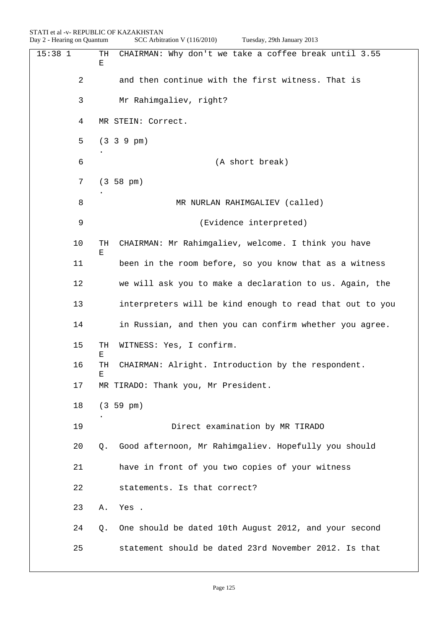STATI et al -v- REPUBLIC OF KAZAKHSTAN<br>Day 2 - Hearing on Quantum SCC Arbitr

| $15:38$ 1      | TH<br>E                                                                                              | CHAIRMAN: Why don't we take a coffee break until 3.55    |
|----------------|------------------------------------------------------------------------------------------------------|----------------------------------------------------------|
| $\overline{2}$ |                                                                                                      | and then continue with the first witness. That is        |
| 3              |                                                                                                      | Mr Rahimgaliev, right?                                   |
| 4              |                                                                                                      | MR STEIN: Correct.                                       |
| 5              |                                                                                                      | $(3 \ 3 \ 9 \ pm)$                                       |
| 6              |                                                                                                      | (A short break)                                          |
| 7              |                                                                                                      | (3 58 pm)                                                |
| 8              |                                                                                                      | MR NURLAN RAHIMGALIEV (called)                           |
| 9              |                                                                                                      | (Evidence interpreted)                                   |
| 10             | TH<br>Е                                                                                              | CHAIRMAN: Mr Rahimgaliev, welcome. I think you have      |
| 11             |                                                                                                      | been in the room before, so you know that as a witness   |
| 12             |                                                                                                      | we will ask you to make a declaration to us. Again, the  |
| 13             |                                                                                                      | interpreters will be kind enough to read that out to you |
| 14             |                                                                                                      | in Russian, and then you can confirm whether you agree.  |
| 15             | TH<br>$\mathbf{E}% _{t}\left  \mathbf{1}\right\rangle =\mathbf{1}_{t}\left  \mathbf{1}\right\rangle$ | WITNESS: Yes, I confirm.                                 |
| 16             | TH<br>Ε                                                                                              | CHAIRMAN: Alright. Introduction by the respondent.       |
| 17             |                                                                                                      | MR TIRADO: Thank you, Mr President.                      |
| 18             |                                                                                                      | (3 59 pm)                                                |
| 19             |                                                                                                      | Direct examination by MR TIRADO                          |
| 20             | Q.                                                                                                   | Good afternoon, Mr Rahimgaliev. Hopefully you should     |
| 21             |                                                                                                      | have in front of you two copies of your witness          |
| 22             |                                                                                                      | statements. Is that correct?                             |
| 23             | Α.                                                                                                   | Yes.                                                     |
| 24             | Q.                                                                                                   | One should be dated 10th August 2012, and your second    |
| 25             |                                                                                                      | statement should be dated 23rd November 2012. Is that    |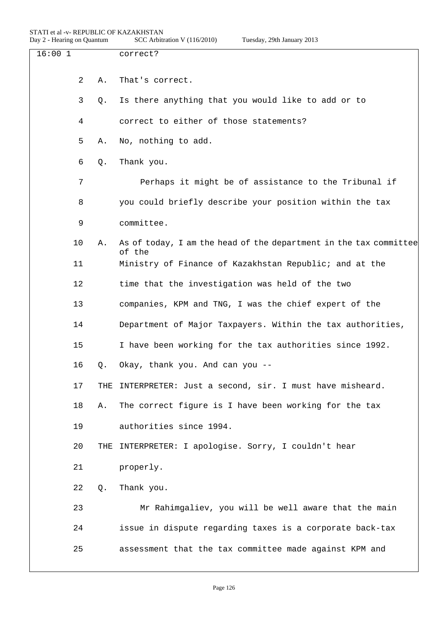| 16:001         |     | correct?                                                                    |
|----------------|-----|-----------------------------------------------------------------------------|
| $\overline{2}$ | Α.  | That's correct.                                                             |
| 3              | O.  | Is there anything that you would like to add or to                          |
| 4              |     | correct to either of those statements?                                      |
| 5              | Α.  | No, nothing to add.                                                         |
| 6              | Q.  | Thank you.                                                                  |
| 7              |     | Perhaps it might be of assistance to the Tribunal if                        |
| 8              |     | you could briefly describe your position within the tax                     |
| 9              |     | committee.                                                                  |
| 10             | Α.  | As of today, I am the head of the department in the tax committee<br>of the |
| 11             |     | Ministry of Finance of Kazakhstan Republic; and at the                      |
| 12             |     | time that the investigation was held of the two                             |
| 13             |     | companies, KPM and TNG, I was the chief expert of the                       |
| 14             |     | Department of Major Taxpayers. Within the tax authorities,                  |
| 15             |     | I have been working for the tax authorities since 1992.                     |
| 16             | Q.  | Okay, thank you. And can you --                                             |
| 17             | THE | INTERPRETER: Just a second, sir. I must have misheard.                      |
| 18             | Α.  | The correct figure is I have been working for the tax                       |
| 19             |     | authorities since 1994.                                                     |
| 20             |     | THE INTERPRETER: I apologise. Sorry, I couldn't hear                        |
| 21             |     | properly.                                                                   |
| 22             | Q.  | Thank you.                                                                  |
| 23             |     | Mr Rahimgaliev, you will be well aware that the main                        |
| 24             |     | issue in dispute regarding taxes is a corporate back-tax                    |
| 25             |     | assessment that the tax committee made against KPM and                      |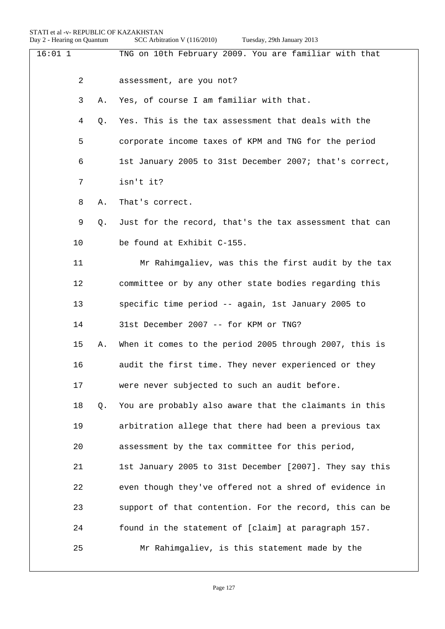| $16:01$ 1 |                |    | TNG on 10th February 2009. You are familiar with that   |
|-----------|----------------|----|---------------------------------------------------------|
|           | $\overline{a}$ |    | assessment, are you not?                                |
|           | 3              | Α. | Yes, of course I am familiar with that.                 |
|           | 4              | Q. | Yes. This is the tax assessment that deals with the     |
|           | 5              |    | corporate income taxes of KPM and TNG for the period    |
|           | 6              |    | 1st January 2005 to 31st December 2007; that's correct, |
|           | 7              |    | isn't it?                                               |
|           | 8              | Α. | That's correct.                                         |
|           | 9              | Q. | Just for the record, that's the tax assessment that can |
|           | 10             |    | be found at Exhibit C-155.                              |
|           | 11             |    | Mr Rahimgaliev, was this the first audit by the tax     |
|           | 12             |    | committee or by any other state bodies regarding this   |
|           | 13             |    | specific time period -- again, 1st January 2005 to      |
|           | 14             |    | 31st December 2007 -- for KPM or TNG?                   |
|           | 15             | Α. | When it comes to the period 2005 through 2007, this is  |
|           | 16             |    | audit the first time. They never experienced or they    |
|           | 17             |    | were never subjected to such an audit before.           |
|           | 18             | Q. | You are probably also aware that the claimants in this  |
|           | 19             |    | arbitration allege that there had been a previous tax   |
|           | 20             |    | assessment by the tax committee for this period,        |
|           | 21             |    | 1st January 2005 to 31st December [2007]. They say this |
|           | 22             |    | even though they've offered not a shred of evidence in  |
|           | 23             |    | support of that contention. For the record, this can be |
|           | 24             |    | found in the statement of [claim] at paragraph 157.     |
|           | 25             |    | Mr Rahimgaliev, is this statement made by the           |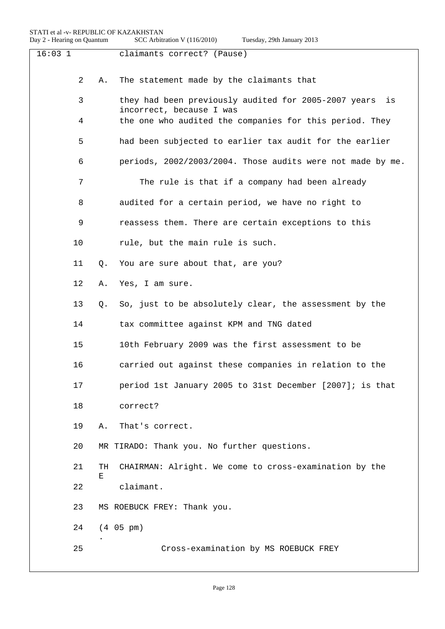| $16:03$ 1      |         | claimants correct? (Pause)                                 |
|----------------|---------|------------------------------------------------------------|
| $\overline{2}$ | Α.      | The statement made by the claimants that                   |
| 3              |         | they had been previously audited for 2005-2007 years is    |
|                |         | incorrect, because I was                                   |
| 4              |         | the one who audited the companies for this period. They    |
| 5              |         | had been subjected to earlier tax audit for the earlier    |
| 6              |         | periods, 2002/2003/2004. Those audits were not made by me. |
| 7              |         | The rule is that if a company had been already             |
| 8              |         | audited for a certain period, we have no right to          |
| 9              |         | reassess them. There are certain exceptions to this        |
| 10             |         | rule, but the main rule is such.                           |
| 11             | Q.      | You are sure about that, are you?                          |
| 12             | Α.      | Yes, I am sure.                                            |
| 13             | Q.      | So, just to be absolutely clear, the assessment by the     |
| 14             |         | tax committee against KPM and TNG dated                    |
| 15             |         | 10th February 2009 was the first assessment to be          |
| 16             |         | carried out against these companies in relation to the     |
| 17             |         | period 1st January 2005 to 31st December [2007]; is that   |
| 18             |         | correct?                                                   |
| 19             | Α.      | That's correct.                                            |
| 20             |         | MR TIRADO: Thank you. No further questions.                |
| 21             | TH<br>Е | CHAIRMAN: Alright. We come to cross-examination by the     |
| 22             |         | claimant.                                                  |
| 23             |         | MS ROEBUCK FREY: Thank you.                                |
| 24             |         | $(4\ 05\ pm)$                                              |
| 25             |         | Cross-examination by MS ROEBUCK FREY                       |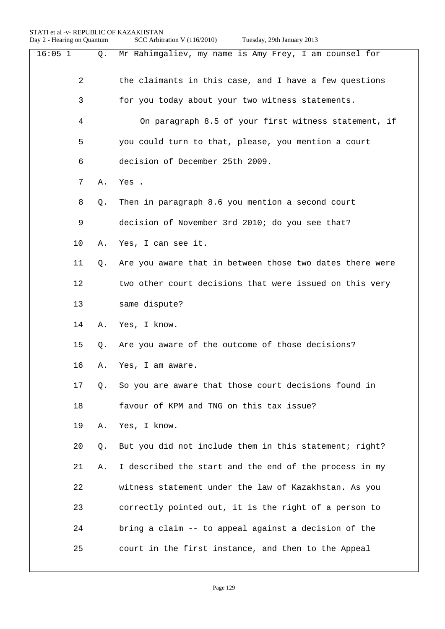| Tuesday, 29th January 2013 |  |
|----------------------------|--|
|                            |  |

| $16:05$ 1      | Q. | Mr Rahimgaliev, my name is Amy Frey, I am counsel for    |
|----------------|----|----------------------------------------------------------|
|                |    |                                                          |
| 2              |    | the claimants in this case, and I have a few questions   |
| 3              |    | for you today about your two witness statements.         |
| $\overline{4}$ |    | On paragraph 8.5 of your first witness statement, if     |
| 5              |    | you could turn to that, please, you mention a court      |
| 6              |    | decision of December 25th 2009.                          |
| 7              | Α. | Yes.                                                     |
| 8              | Q. | Then in paragraph 8.6 you mention a second court         |
| 9              |    | decision of November 3rd 2010; do you see that?          |
| 10             | Α. | Yes, I can see it.                                       |
| 11             | Q. | Are you aware that in between those two dates there were |
| $12 \,$        |    | two other court decisions that were issued on this very  |
| 13             |    | same dispute?                                            |
| 14             | Α. | Yes, I know.                                             |
| 15             | О. | Are you aware of the outcome of those decisions?         |
| 16             | Α. | Yes, I am aware.                                         |
| 17             | Q. | So you are aware that those court decisions found in     |
| 18             |    | favour of KPM and TNG on this tax issue?                 |
| 19             | Α. | Yes, I know.                                             |
| 20             | Q. | But you did not include them in this statement; right?   |
| 21             | Α. | I described the start and the end of the process in my   |
| 22             |    | witness statement under the law of Kazakhstan. As you    |
| 23             |    | correctly pointed out, it is the right of a person to    |
| 24             |    | bring a claim -- to appeal against a decision of the     |
| 25             |    | court in the first instance, and then to the Appeal      |
|                |    |                                                          |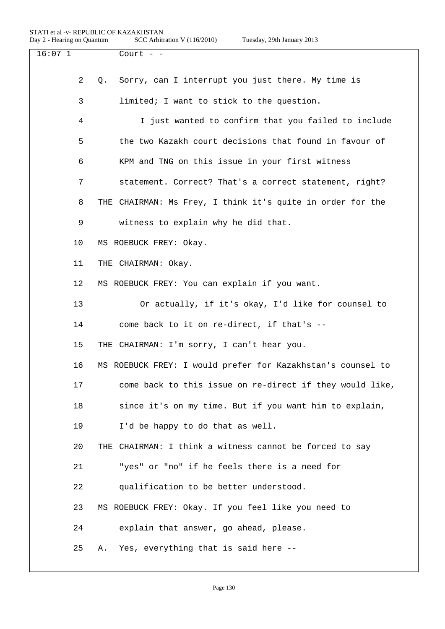| $16:07$ 1 | Court $ -$                                                     |
|-----------|----------------------------------------------------------------|
| 2         | Sorry, can I interrupt you just there. My time is<br>$\circ$ . |
| 3         | limited; I want to stick to the question.                      |
| 4         | I just wanted to confirm that you failed to include            |
| 5         | the two Kazakh court decisions that found in favour of         |
| 6         | KPM and TNG on this issue in your first witness                |
| 7         | statement. Correct? That's a correct statement, right?         |
| 8         | THE CHAIRMAN: Ms Frey, I think it's quite in order for the     |
| 9         | witness to explain why he did that.                            |
| 10        | MS ROEBUCK FREY: Okay.                                         |
| 11        | THE CHAIRMAN: Okay.                                            |
| 12        | MS ROEBUCK FREY: You can explain if you want.                  |
| 13        | Or actually, if it's okay, I'd like for counsel to             |
| 14        | come back to it on re-direct, if that's --                     |
| 15        | THE CHAIRMAN: I'm sorry, I can't hear you.                     |
| 16        | MS ROEBUCK FREY: I would prefer for Kazakhstan's counsel to    |
| 17        | come back to this issue on re-direct if they would like,       |
| 18        | since it's on my time. But if you want him to explain,         |
| 19        | I'd be happy to do that as well.                               |
| 20        | THE CHAIRMAN: I think a witness cannot be forced to say        |
| 21        | "yes" or "no" if he feels there is a need for                  |
| 22        | qualification to be better understood.                         |
| 23        | MS ROEBUCK FREY: Okay. If you feel like you need to            |
| 24        | explain that answer, go ahead, please.                         |
| 25        | Yes, everything that is said here --<br>Α.                     |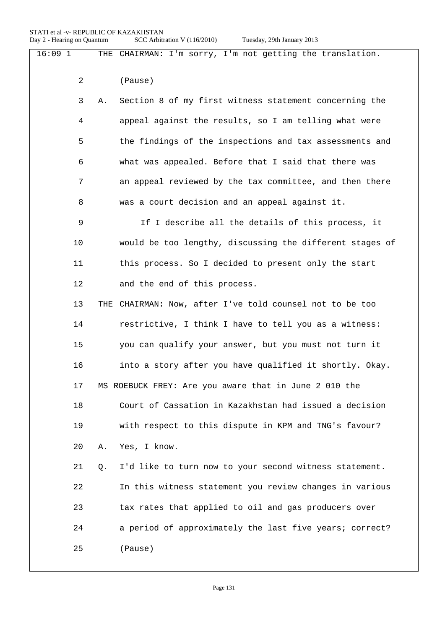| $16:09$ 1 |                |           | THE CHAIRMAN: I'm sorry, I'm not getting the translation. |
|-----------|----------------|-----------|-----------------------------------------------------------|
|           | $\overline{a}$ |           | (Pause)                                                   |
|           | 3              | Α.        | Section 8 of my first witness statement concerning the    |
|           | 4              |           | appeal against the results, so I am telling what were     |
|           | 5              |           | the findings of the inspections and tax assessments and   |
|           | 6              |           | what was appealed. Before that I said that there was      |
|           | 7              |           | an appeal reviewed by the tax committee, and then there   |
|           | 8              |           | was a court decision and an appeal against it.            |
|           | 9              |           | If I describe all the details of this process, it         |
|           | 10             |           | would be too lengthy, discussing the different stages of  |
|           | 11             |           | this process. So I decided to present only the start      |
|           | 12             |           | and the end of this process.                              |
|           | 13             |           | THE CHAIRMAN: Now, after I've told counsel not to be too  |
|           | 14             |           | restrictive, I think I have to tell you as a witness:     |
|           | 15             |           | you can qualify your answer, but you must not turn it     |
|           | 16             |           | into a story after you have qualified it shortly. Okay.   |
|           | 17             |           | MS ROEBUCK FREY: Are you aware that in June 2 010 the     |
|           | 18             |           | Court of Cassation in Kazakhstan had issued a decision    |
|           | 19             |           | with respect to this dispute in KPM and TNG's favour?     |
|           | 20             | Α.        | Yes, I know.                                              |
|           | 21             | $\circ$ . | I'd like to turn now to your second witness statement.    |
|           | 22             |           | In this witness statement you review changes in various   |
|           | 23             |           | tax rates that applied to oil and gas producers over      |
|           | 24             |           | a period of approximately the last five years; correct?   |
|           | 25             |           | (Pause)                                                   |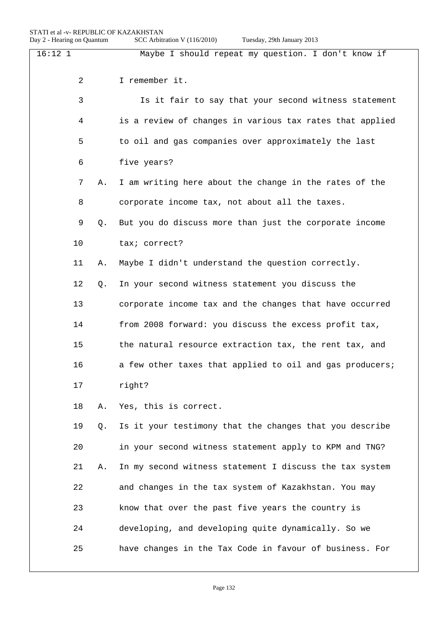| $16:12$ 1 |    | Maybe I should repeat my question. I don't know if       |
|-----------|----|----------------------------------------------------------|
| 2         |    | I remember it.                                           |
| 3         |    | Is it fair to say that your second witness statement     |
| 4         |    | is a review of changes in various tax rates that applied |
|           |    |                                                          |
| 5         |    | to oil and gas companies over approximately the last     |
| 6         |    | five years?                                              |
| 7         | Α. | I am writing here about the change in the rates of the   |
| 8         |    | corporate income tax, not about all the taxes.           |
| 9         | Q. | But you do discuss more than just the corporate income   |
| 10        |    | tax; correct?                                            |
| 11        | Α. | Maybe I didn't understand the question correctly.        |
| 12        | Q. | In your second witness statement you discuss the         |
| 13        |    | corporate income tax and the changes that have occurred  |
| 14        |    | from 2008 forward: you discuss the excess profit tax,    |
| 15        |    | the natural resource extraction tax, the rent tax, and   |
| 16        |    | a few other taxes that applied to oil and gas producers; |
| 17        |    | right?                                                   |
| 18        | Α. | Yes, this is correct.                                    |
| 19        | Q. | Is it your testimony that the changes that you describe  |
| 20        |    | in your second witness statement apply to KPM and TNG?   |
| 21        | Α. | In my second witness statement I discuss the tax system  |
| 22        |    | and changes in the tax system of Kazakhstan. You may     |
| 23        |    | know that over the past five years the country is        |
| 24        |    | developing, and developing quite dynamically. So we      |
| 25        |    | have changes in the Tax Code in favour of business. For  |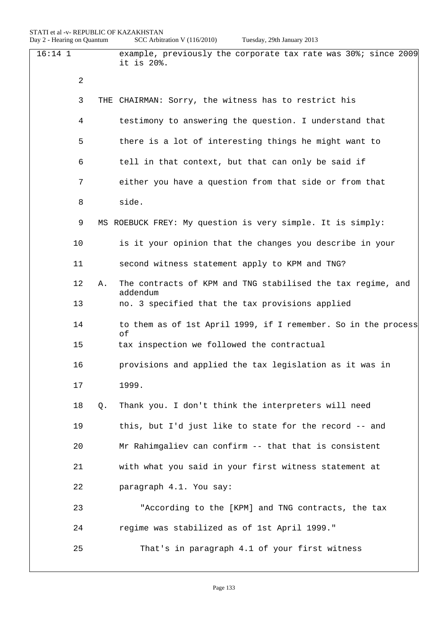# STATI et al -v- REPUBLIC OF KAZAKHSTAN<br>Day 2 - Hearing on Quantum SCC Arbitr

| t et al -v- REFUDLIC UP RAZARIISTAIN |                              |                            |
|--------------------------------------|------------------------------|----------------------------|
| - Hearing on Quantum                 | SCC Arbitration V (116/2010) | Tuesday, 29th January 2013 |

| $16:14$ 1      |    | example, previously the corporate tax rate was 30%; since 2009<br>it is 20%. |
|----------------|----|------------------------------------------------------------------------------|
| $\overline{2}$ |    |                                                                              |
| 3              |    | THE CHAIRMAN: Sorry, the witness has to restrict his                         |
| 4              |    | testimony to answering the question. I understand that                       |
| 5              |    | there is a lot of interesting things he might want to                        |
| 6              |    | tell in that context, but that can only be said if                           |
| 7              |    | either you have a question from that side or from that                       |
| 8              |    | side.                                                                        |
| 9              |    | MS ROEBUCK FREY: My question is very simple. It is simply:                   |
| 10             |    | is it your opinion that the changes you describe in your                     |
| 11             |    | second witness statement apply to KPM and TNG?                               |
| 12             | Α. | The contracts of KPM and TNG stabilised the tax regime, and<br>addendum      |
| 13             |    | no. 3 specified that the tax provisions applied                              |
| 14             |    | to them as of 1st April 1999, if I remember. So in the process<br>оf         |
| 15             |    | tax inspection we followed the contractual                                   |
| 16             |    | provisions and applied the tax legislation as it was in                      |
| 17             |    | 1999.                                                                        |
| 18             | Q. | Thank you. I don't think the interpreters will need                          |
| 19             |    | this, but I'd just like to state for the record -- and                       |
| 20             |    | Mr Rahimgaliev can confirm -- that that is consistent                        |
| 21             |    | with what you said in your first witness statement at                        |
| 22             |    | paragraph 4.1. You say:                                                      |
| 23             |    | "According to the [KPM] and TNG contracts, the tax                           |
| 24             |    | regime was stabilized as of 1st April 1999."                                 |
| 25             |    | That's in paragraph 4.1 of your first witness                                |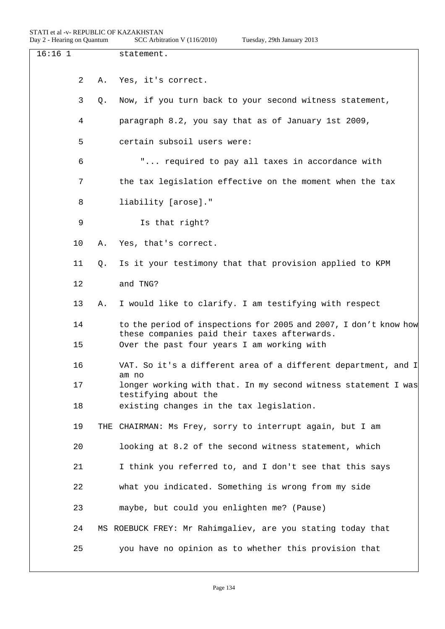| $16:16$ 1 |    | statement.                                                                                                       |
|-----------|----|------------------------------------------------------------------------------------------------------------------|
|           |    |                                                                                                                  |
| 2         | Α. | Yes, it's correct.                                                                                               |
| 3         | O. | Now, if you turn back to your second witness statement,                                                          |
| 4         |    | paragraph 8.2, you say that as of January 1st 2009,                                                              |
| 5         |    | certain subsoil users were:                                                                                      |
| 6         |    | " required to pay all taxes in accordance with                                                                   |
| 7         |    | the tax legislation effective on the moment when the tax                                                         |
| 8         |    | liability [arose]."                                                                                              |
| 9         |    | Is that right?                                                                                                   |
| 10        | Α. | Yes, that's correct.                                                                                             |
| 11        | 0. | Is it your testimony that that provision applied to KPM                                                          |
| 12        |    | and TNG?                                                                                                         |
| 13        | Α. | I would like to clarify. I am testifying with respect                                                            |
| 14        |    | to the period of inspections for 2005 and 2007, I don't know how<br>these companies paid their taxes afterwards. |
| 15        |    | Over the past four years I am working with                                                                       |
| 16        |    | VAT. So it's a different area of a different department, and I<br>am no                                          |
| 17        |    | longer working with that. In my second witness statement I was<br>testifying about the                           |
| 18        |    | existing changes in the tax legislation.                                                                         |
| 19        |    | THE CHAIRMAN: Ms Frey, sorry to interrupt again, but I am                                                        |
| 20        |    | looking at 8.2 of the second witness statement, which                                                            |
| 21        |    | I think you referred to, and I don't see that this says                                                          |
| 22        |    | what you indicated. Something is wrong from my side                                                              |
| 23        |    | maybe, but could you enlighten me? (Pause)                                                                       |
| 24        |    | MS ROEBUCK FREY: Mr Rahimgaliev, are you stating today that                                                      |
| 25        |    | you have no opinion as to whether this provision that                                                            |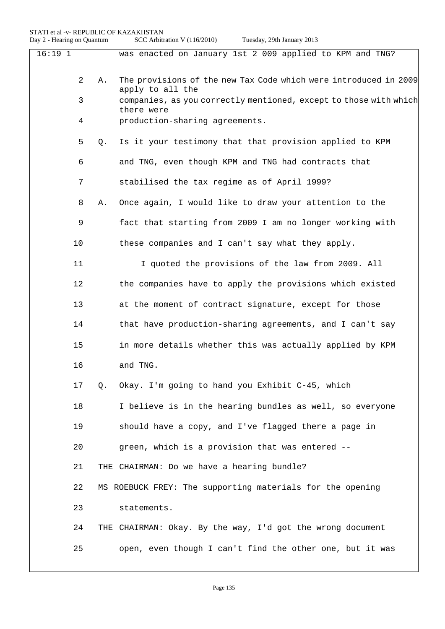| $16:19$ 1      |    | was enacted on January 1st 2 009 applied to KPM and TNG?                             |
|----------------|----|--------------------------------------------------------------------------------------|
| $\overline{2}$ | Α. | The provisions of the new Tax Code which were introduced in 2009<br>apply to all the |
| 3              |    | companies, as you correctly mentioned, except to those with which<br>there were      |
| 4              |    | production-sharing agreements.                                                       |
| 5              | 0. | Is it your testimony that that provision applied to KPM                              |
| 6              |    | and TNG, even though KPM and TNG had contracts that                                  |
| 7              |    | stabilised the tax regime as of April 1999?                                          |
| 8              | Α. | Once again, I would like to draw your attention to the                               |
| 9              |    | fact that starting from 2009 I am no longer working with                             |
| 10             |    | these companies and I can't say what they apply.                                     |
| 11             |    | I quoted the provisions of the law from 2009. All                                    |
| 12             |    | the companies have to apply the provisions which existed                             |
| 13             |    | at the moment of contract signature, except for those                                |
| 14             |    | that have production-sharing agreements, and I can't say                             |
| 15             |    | in more details whether this was actually applied by KPM                             |
| 16             |    | and TNG.                                                                             |
| 17             | Q. | Okay. I'm going to hand you Exhibit C-45, which                                      |
| 18             |    | I believe is in the hearing bundles as well, so everyone                             |
| 19             |    | should have a copy, and I've flagged there a page in                                 |
| 20             |    | green, which is a provision that was entered --                                      |
| 21             |    | THE CHAIRMAN: Do we have a hearing bundle?                                           |
| 22             |    | MS ROEBUCK FREY: The supporting materials for the opening                            |
| 23             |    | statements.                                                                          |
| 24             |    | THE CHAIRMAN: Okay. By the way, I'd got the wrong document                           |
| 25             |    | open, even though I can't find the other one, but it was                             |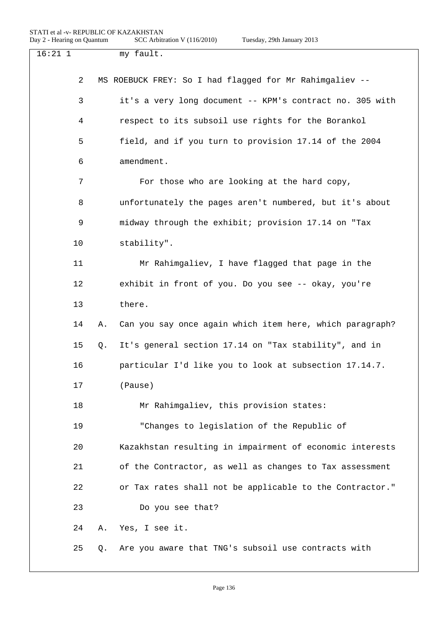| $16:21$ 1 |    |                | my fault.                                                |
|-----------|----|----------------|----------------------------------------------------------|
|           | 2  |                | MS ROEBUCK FREY: So I had flagged for Mr Rahimgaliev --  |
|           | 3  |                | it's a very long document -- KPM's contract no. 305 with |
|           | 4  |                | respect to its subsoil use rights for the Borankol       |
|           | 5  |                | field, and if you turn to provision 17.14 of the 2004    |
|           | 6  |                | amendment.                                               |
|           | 7  |                | For those who are looking at the hard copy,              |
|           | 8  |                | unfortunately the pages aren't numbered, but it's about  |
|           | 9  |                | midway through the exhibit; provision 17.14 on "Tax      |
|           | 10 |                | stability".                                              |
|           | 11 |                | Mr Rahimgaliev, I have flagged that page in the          |
|           | 12 |                | exhibit in front of you. Do you see -- okay, you're      |
|           | 13 |                | there.                                                   |
|           | 14 | Α.             | Can you say once again which item here, which paragraph? |
|           | 15 | Q <sub>1</sub> | It's general section 17.14 on "Tax stability", and in    |
|           | 16 |                | particular I'd like you to look at subsection 17.14.7.   |
|           | 17 |                | (Pause)                                                  |
|           | 18 |                | Mr Rahimgaliev, this provision states:                   |
|           | 19 |                | "Changes to legislation of the Republic of               |
|           | 20 |                | Kazakhstan resulting in impairment of economic interests |
|           | 21 |                | of the Contractor, as well as changes to Tax assessment  |
|           | 22 |                | or Tax rates shall not be applicable to the Contractor." |
|           | 23 |                | Do you see that?                                         |
|           | 24 | Α.             | Yes, I see it.                                           |
|           | 25 | Q.             | Are you aware that TNG's subsoil use contracts with      |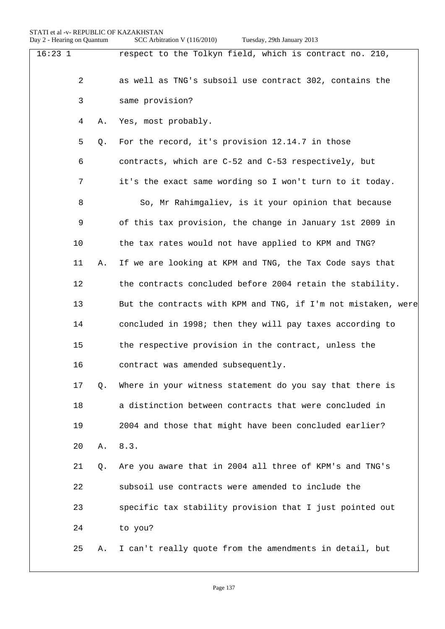| Tuesday, 29th January 2013 |  |  |  |  |
|----------------------------|--|--|--|--|
|----------------------------|--|--|--|--|

| $16:23$ 1 |                     | respect to the Tolkyn field, which is contract no. 210,       |
|-----------|---------------------|---------------------------------------------------------------|
|           | 2                   | as well as TNG's subsoil use contract 302, contains the       |
|           | 3                   | same provision?                                               |
|           | 4<br>Α.             | Yes, most probably.                                           |
|           | 5<br>Q <sub>z</sub> | For the record, it's provision 12.14.7 in those               |
|           | 6                   | contracts, which are C-52 and C-53 respectively, but          |
|           | 7                   | it's the exact same wording so I won't turn to it today.      |
|           | 8                   | So, Mr Rahimgaliev, is it your opinion that because           |
|           | 9                   | of this tax provision, the change in January 1st 2009 in      |
| 10        |                     | the tax rates would not have applied to KPM and TNG?          |
| 11        | Α.                  | If we are looking at KPM and TNG, the Tax Code says that      |
| 12        |                     | the contracts concluded before 2004 retain the stability.     |
| 13        |                     | But the contracts with KPM and TNG, if I'm not mistaken, were |
| 14        |                     | concluded in 1998; then they will pay taxes according to      |
| 15        |                     | the respective provision in the contract, unless the          |
| 16        |                     | contract was amended subsequently.                            |
| 17        | Q.                  | Where in your witness statement do you say that there is      |
| 18        |                     | a distinction between contracts that were concluded in        |
| 19        |                     | 2004 and those that might have been concluded earlier?        |
| 20        | Α.                  | 8.3.                                                          |
| 21        | Q.                  | Are you aware that in 2004 all three of KPM's and TNG's       |
| 22        |                     | subsoil use contracts were amended to include the             |
| 23        |                     | specific tax stability provision that I just pointed out      |
| 24        |                     | to you?                                                       |
| 25        | Α.                  | I can't really quote from the amendments in detail, but       |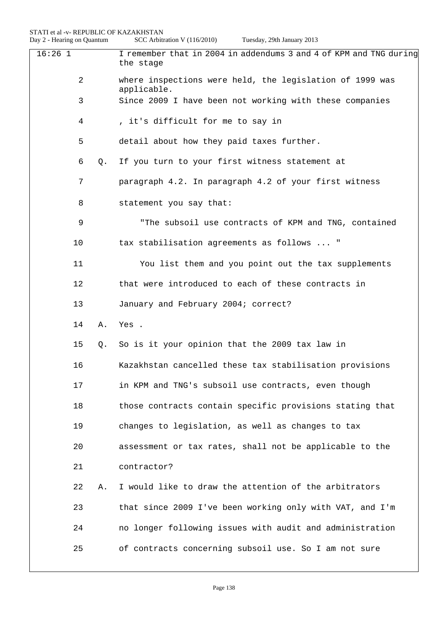#### STATI et al -v- REPUBLIC OF KAZAKHSTAN

Day 2 - Hearing on Quantum SCC Arbitration V (116/2010) Tuesday, 29th January 2013 16:26 1 I remember that in 2004 in addendums 3 and 4 of KPM and TNG during the stage 2 where inspections were held, the legislation of 1999 was applicable. 3 Since 2009 I have been not working with these companies 4 , it's difficult for me to say in 5 detail about how they paid taxes further. 6 Q. If you turn to your first witness statement at 7 paragraph 4.2. In paragraph 4.2 of your first witness 8 statement you say that: 9 "The subsoil use contracts of KPM and TNG, contained 10 tax stabilisation agreements as follows ... " 11 You list them and you point out the tax supplements 12 that were introduced to each of these contracts in 13 January and February 2004; correct? 14 A. Yes . 15 Q. So is it your opinion that the 2009 tax law in 16 Kazakhstan cancelled these tax stabilisation provisions

> 17 in KPM and TNG's subsoil use contracts, even though 18 those contracts contain specific provisions stating that 19 changes to legislation, as well as changes to tax 20 assessment or tax rates, shall not be applicable to the 21 contractor?

> 22 A. I would like to draw the attention of the arbitrators 23 that since 2009 I've been working only with VAT, and I'm 24 no longer following issues with audit and administration 25 of contracts concerning subsoil use. So I am not sure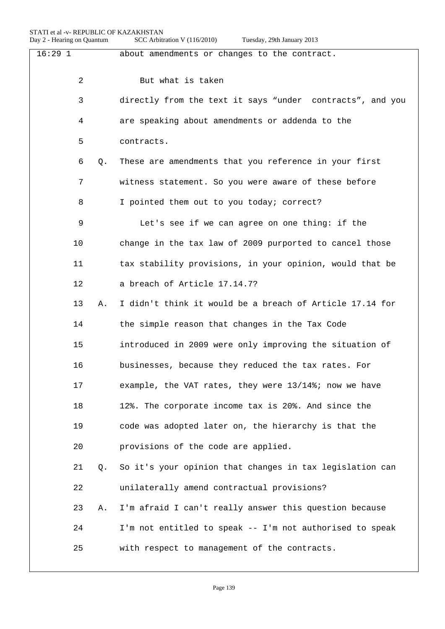| $16:29$ 1 |                |    | about amendments or changes to the contract.              |
|-----------|----------------|----|-----------------------------------------------------------|
|           | $\overline{2}$ |    | But what is taken                                         |
|           | 3              |    | directly from the text it says "under contracts", and you |
|           | 4              |    | are speaking about amendments or addenda to the           |
|           | 5              |    | contracts.                                                |
|           | 6              | Q. | These are amendments that you reference in your first     |
|           | 7              |    | witness statement. So you were aware of these before      |
|           | 8              |    | I pointed them out to you today; correct?                 |
|           | 9              |    | Let's see if we can agree on one thing: if the            |
|           | 10             |    | change in the tax law of 2009 purported to cancel those   |
|           | 11             |    | tax stability provisions, in your opinion, would that be  |
|           | 12             |    | a breach of Article 17.14.7?                              |
|           | 13             | Α. | I didn't think it would be a breach of Article 17.14 for  |
|           | 14             |    | the simple reason that changes in the Tax Code            |
|           | 15             |    | introduced in 2009 were only improving the situation of   |
|           | 16             |    | businesses, because they reduced the tax rates. For       |
|           | 17             |    | example, the VAT rates, they were 13/14%; now we have     |
|           | 18             |    | 12%. The corporate income tax is 20%. And since the       |
|           | 19             |    | code was adopted later on, the hierarchy is that the      |
|           | 20             |    | provisions of the code are applied.                       |
|           | 21             | Q. | So it's your opinion that changes in tax legislation can  |
|           | 22             |    | unilaterally amend contractual provisions?                |
|           | 23             | Α. | I'm afraid I can't really answer this question because    |
|           | 24             |    | I'm not entitled to speak -- I'm not authorised to speak  |
|           | 25             |    | with respect to management of the contracts.              |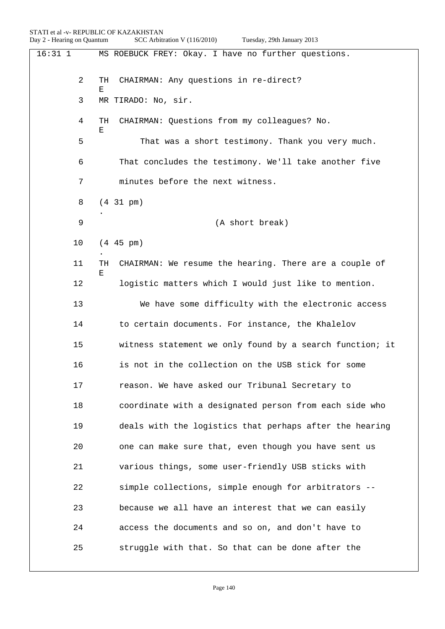| STATI et al -v- REPUBLIC OF KAZAKHSTAN<br>Day 2 - Hearing on Quantum |                      | SCC Arbitration V (116/2010)<br>Tuesday, 29th January 2013 |
|----------------------------------------------------------------------|----------------------|------------------------------------------------------------|
| $16:31$ 1                                                            |                      | MS ROEBUCK FREY: Okay. I have no further questions.        |
| 2                                                                    | TH<br>Ε              | CHAIRMAN: Any questions in re-direct?                      |
| 3                                                                    |                      | MR TIRADO: No, sir.                                        |
| $\overline{4}$                                                       | TН<br>Ε              | CHAIRMAN: Questions from my colleagues? No.                |
| 5                                                                    |                      | That was a short testimony. Thank you very much.           |
| 6                                                                    |                      | That concludes the testimony. We'll take another five      |
| 7                                                                    |                      | minutes before the next witness.                           |
| 8                                                                    |                      | $(4 \ 31 \ pm)$                                            |
| 9                                                                    |                      | (A short break)                                            |
| 10                                                                   |                      | $(4\;45\;pm)$                                              |
| 11                                                                   | $\bullet$<br>TH<br>E | CHAIRMAN: We resume the hearing. There are a couple of     |
| 12                                                                   |                      | logistic matters which I would just like to mention.       |
| 13                                                                   |                      | We have some difficulty with the electronic access         |
| 14                                                                   |                      | to certain documents. For instance, the Khalelov           |
| 15                                                                   |                      | witness statement we only found by a search function; it   |
| 16                                                                   |                      | is not in the collection on the USB stick for some         |
| 17                                                                   |                      | reason. We have asked our Tribunal Secretary to            |
| 18                                                                   |                      | coordinate with a designated person from each side who     |
| 19                                                                   |                      | deals with the logistics that perhaps after the hearing    |
| 20                                                                   |                      | one can make sure that, even though you have sent us       |
| 21                                                                   |                      | various things, some user-friendly USB sticks with         |
| 22                                                                   |                      | simple collections, simple enough for arbitrators --       |
| 23                                                                   |                      | because we all have an interest that we can easily         |
| 24                                                                   |                      | access the documents and so on, and don't have to          |
| 25                                                                   |                      | struggle with that. So that can be done after the          |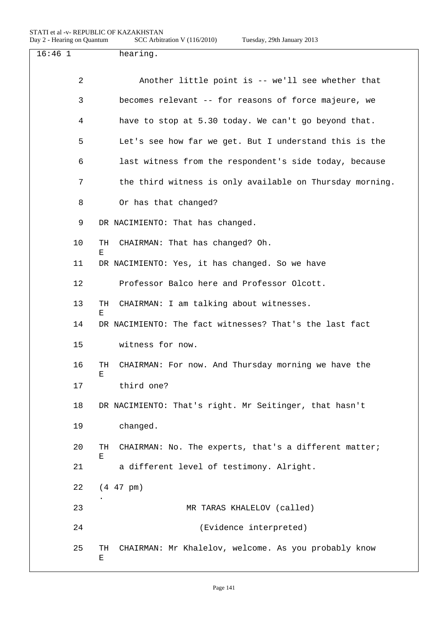| $16:46$ 1       | hearing.                                                         |
|-----------------|------------------------------------------------------------------|
| $\overline{2}$  | Another little point is -- we'll see whether that                |
| 3               | becomes relevant -- for reasons of force majeure, we             |
| 4               | have to stop at 5.30 today. We can't go beyond that.             |
| 5               | Let's see how far we get. But I understand this is the           |
| 6               | last witness from the respondent's side today, because           |
| 7               | the third witness is only available on Thursday morning.         |
| 8               | Or has that changed?                                             |
| 9               | DR NACIMIENTO: That has changed.                                 |
| 10              | CHAIRMAN: That has changed? Oh.<br>TH<br>Ε                       |
| 11              | DR NACIMIENTO: Yes, it has changed. So we have                   |
| 12              | Professor Balco here and Professor Olcott.                       |
| 13              | TH<br>CHAIRMAN: I am talking about witnesses.<br>Ε               |
| 14              | DR NACIMIENTO: The fact witnesses? That's the last fact          |
| 15 <sub>1</sub> | witness for now.                                                 |
| 16              | CHAIRMAN: For now. And Thursday morning we have the<br>TH<br>Е   |
| $17 \,$         | third one?                                                       |
| 18              | DR NACIMIENTO: That's right. Mr Seitinger, that hasn't           |
| 19              | changed.                                                         |
| 20              | CHAIRMAN: No. The experts, that's a different matter;<br>TH<br>Е |
| 21              | a different level of testimony. Alright.                         |
| 22              | (4 47 pm)                                                        |
| 23              | MR TARAS KHALELOV (called)                                       |
| 24              | (Evidence interpreted)                                           |
| 25              | CHAIRMAN: Mr Khalelov, welcome. As you probably know<br>TH<br>Ε  |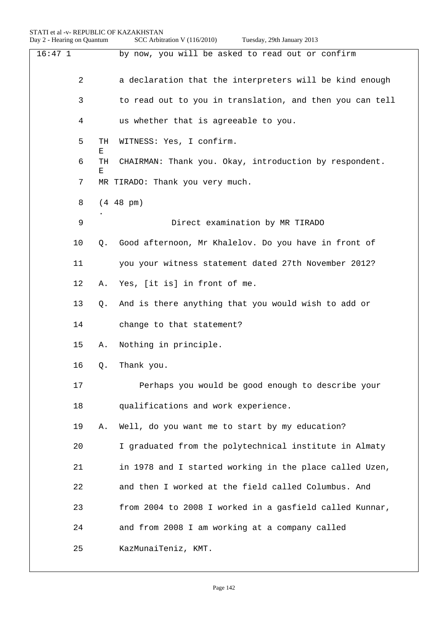| $16:47$ 1      |         | by now, you will be asked to read out or confirm         |
|----------------|---------|----------------------------------------------------------|
| $\overline{a}$ |         | a declaration that the interpreters will be kind enough  |
| 3              |         | to read out to you in translation, and then you can tell |
| 4              |         | us whether that is agreeable to you.                     |
| 5              | TH<br>E | WITNESS: Yes, I confirm.                                 |
| 6              | TH<br>Е | CHAIRMAN: Thank you. Okay, introduction by respondent.   |
| 7              |         | MR TIRADO: Thank you very much.                          |
| 8              |         | (4 48 pm)                                                |
| $\mathsf 9$    |         | Direct examination by MR TIRADO                          |
| 10             | Q.      | Good afternoon, Mr Khalelov. Do you have in front of     |
| 11             |         | you your witness statement dated 27th November 2012?     |
| 12             | Α.      | Yes, [it is] in front of me.                             |
| 13             | Q.      | And is there anything that you would wish to add or      |
| 14             |         | change to that statement?                                |
| 15             | Α.      | Nothing in principle.                                    |
| 16             | Q.      | Thank you.                                               |
| 17             |         | Perhaps you would be good enough to describe your        |
| 18             |         | qualifications and work experience.                      |
| 19             | Α.      | Well, do you want me to start by my education?           |
| 20             |         | I graduated from the polytechnical institute in Almaty   |
| 21             |         | in 1978 and I started working in the place called Uzen,  |
| 22             |         | and then I worked at the field called Columbus. And      |
| 23             |         | from 2004 to 2008 I worked in a gasfield called Kunnar,  |
| 24             |         | and from 2008 I am working at a company called           |
| 25             |         | KazMunaiTeniz, KMT.                                      |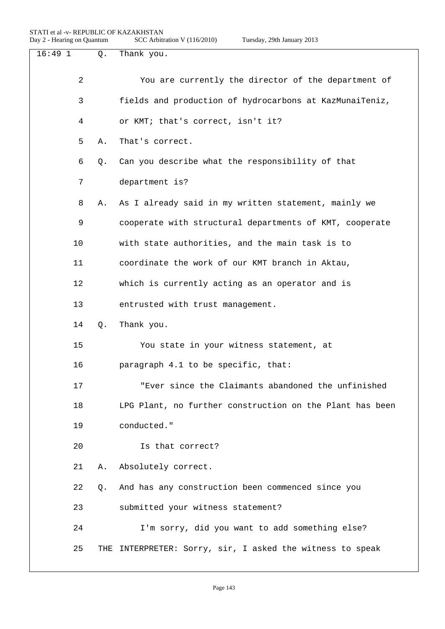| $16:49$ 1 |         | Q. | Thank you.                                                |
|-----------|---------|----|-----------------------------------------------------------|
|           | 2       |    | You are currently the director of the department of       |
|           | 3       |    | fields and production of hydrocarbons at KazMunaiTeniz,   |
|           | 4       |    | or KMT; that's correct, isn't it?                         |
|           | 5       | Α. | That's correct.                                           |
|           | 6       | Q. | Can you describe what the responsibility of that          |
|           | 7       |    | department is?                                            |
|           | 8       | Α. | As I already said in my written statement, mainly we      |
|           | 9       |    | cooperate with structural departments of KMT, cooperate   |
|           | $10 \,$ |    | with state authorities, and the main task is to           |
|           | 11      |    | coordinate the work of our KMT branch in Aktau,           |
|           | 12      |    | which is currently acting as an operator and is           |
|           | 13      |    | entrusted with trust management.                          |
|           | 14      | Q. | Thank you.                                                |
|           | 15      |    | You state in your witness statement, at                   |
|           | 16      |    | paragraph 4.1 to be specific, that:                       |
|           | 17      |    | "Ever since the Claimants abandoned the unfinished        |
|           | 18      |    | LPG Plant, no further construction on the Plant has been  |
|           | 19      |    | conducted."                                               |
|           | 20      |    | Is that correct?                                          |
|           | 21      | Α. | Absolutely correct.                                       |
|           | 22      | Q. | And has any construction been commenced since you         |
|           | 23      |    | submitted your witness statement?                         |
|           | 24      |    | I'm sorry, did you want to add something else?            |
|           | 25      |    | THE INTERPRETER: Sorry, sir, I asked the witness to speak |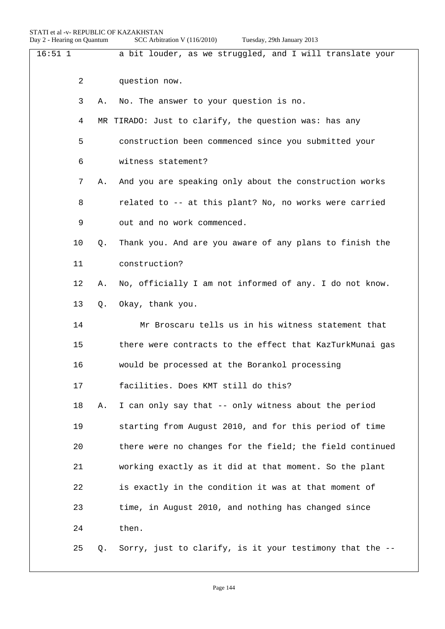| $16:51$ 1      |    | a bit louder, as we struggled, and I will translate your |
|----------------|----|----------------------------------------------------------|
| $\overline{2}$ |    | question now.                                            |
| 3              | Α. | No. The answer to your question is no.                   |
| 4              |    | MR TIRADO: Just to clarify, the question was: has any    |
| 5              |    | construction been commenced since you submitted your     |
| 6              |    | witness statement?                                       |
| 7              | Α. | And you are speaking only about the construction works   |
| 8              |    | related to -- at this plant? No, no works were carried   |
| 9              |    | out and no work commenced.                               |
| 10             | Q. | Thank you. And are you aware of any plans to finish the  |
| 11             |    | construction?                                            |
| 12             | Α. | No, officially I am not informed of any. I do not know.  |
| 13             | Q. | Okay, thank you.                                         |
| 14             |    | Mr Broscaru tells us in his witness statement that       |
| 15             |    | there were contracts to the effect that KazTurkMunai gas |
| 16             |    | would be processed at the Borankol processing            |
| 17             |    | facilities. Does KMT still do this?                      |
| 18             | Α. | I can only say that -- only witness about the period     |
| 19             |    | starting from August 2010, and for this period of time   |
| 20             |    | there were no changes for the field; the field continued |
| 21             |    | working exactly as it did at that moment. So the plant   |
| 22             |    | is exactly in the condition it was at that moment of     |
| 23             |    | time, in August 2010, and nothing has changed since      |
| 24             |    | then.                                                    |
| 25             | Q. | Sorry, just to clarify, is it your testimony that the -- |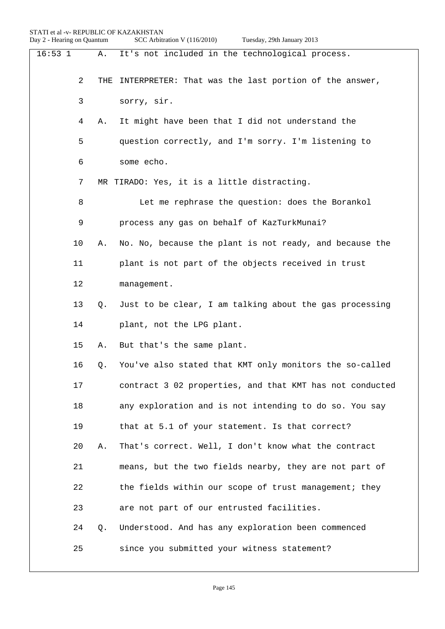| $16:53$ 1 |                | Α.        | It's not included in the technological process.           |
|-----------|----------------|-----------|-----------------------------------------------------------|
|           | $\overline{2}$ |           | THE INTERPRETER: That was the last portion of the answer, |
|           | 3              |           | sorry, sir.                                               |
|           | 4              | Α.        | It might have been that I did not understand the          |
|           | 5              |           | question correctly, and I'm sorry. I'm listening to       |
|           | 6              |           | some echo.                                                |
|           | 7              |           | MR TIRADO: Yes, it is a little distracting.               |
|           | 8              |           | Let me rephrase the question: does the Borankol           |
|           | 9              |           | process any gas on behalf of KazTurkMunai?                |
|           | 10             | Α.        | No. No, because the plant is not ready, and because the   |
|           | 11             |           | plant is not part of the objects received in trust        |
|           | 12             |           | management.                                               |
|           | 13             | $\circ$ . | Just to be clear, I am talking about the gas processing   |
|           | 14             |           | plant, not the LPG plant.                                 |
|           | 15             | Α.        | But that's the same plant.                                |
| 16        |                | Q.        | You've also stated that KMT only monitors the so-called   |
|           | 17             |           | contract 3 02 properties, and that KMT has not conducted  |
| 18        |                |           | any exploration and is not intending to do so. You say    |
| 19        |                |           | that at 5.1 of your statement. Is that correct?           |
| 20        |                | Α.        | That's correct. Well, I don't know what the contract      |
|           | 21             |           | means, but the two fields nearby, they are not part of    |
| 22        |                |           | the fields within our scope of trust management; they     |
|           | 23             |           | are not part of our entrusted facilities.                 |
|           | 24             | Q.        | Understood. And has any exploration been commenced        |
| 25        |                |           | since you submitted your witness statement?               |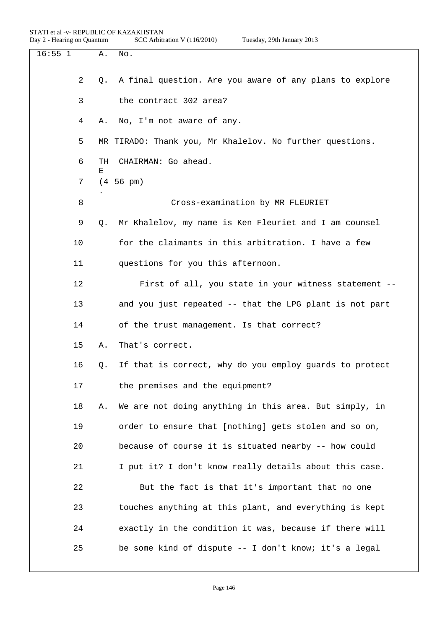| $16:55$ 1 |    | Α.        | No.                                                      |
|-----------|----|-----------|----------------------------------------------------------|
|           | 2  | $\circ$ . | A final question. Are you aware of any plans to explore  |
|           | 3  |           | the contract 302 area?                                   |
|           | 4  | Α.        | No, I'm not aware of any.                                |
|           | 5  |           | MR TIRADO: Thank you, Mr Khalelov. No further questions. |
|           | 6  | TH<br>Е   | CHAIRMAN: Go ahead.                                      |
|           | 7  |           | $(4\;56\;pm)$                                            |
|           | 8  |           | Cross-examination by MR FLEURIET                         |
|           | 9  | Q.        | Mr Khalelov, my name is Ken Fleuriet and I am counsel    |
|           | 10 |           | for the claimants in this arbitration. I have a few      |
|           | 11 |           | questions for you this afternoon.                        |
|           | 12 |           | First of all, you state in your witness statement --     |
|           | 13 |           | and you just repeated -- that the LPG plant is not part  |
|           | 14 |           | of the trust management. Is that correct?                |
|           | 15 | Α.        | That's correct.                                          |
|           | 16 | Q.        | If that is correct, why do you employ guards to protect  |
|           | 17 |           | the premises and the equipment?                          |
|           | 18 | Α.        | We are not doing anything in this area. But simply, in   |
|           | 19 |           | order to ensure that [nothing] gets stolen and so on,    |
|           | 20 |           | because of course it is situated nearby -- how could     |
|           | 21 |           | I put it? I don't know really details about this case.   |
|           | 22 |           | But the fact is that it's important that no one          |
|           | 23 |           | touches anything at this plant, and everything is kept   |
|           | 24 |           | exactly in the condition it was, because if there will   |
|           | 25 |           | be some kind of dispute -- I don't know; it's a legal    |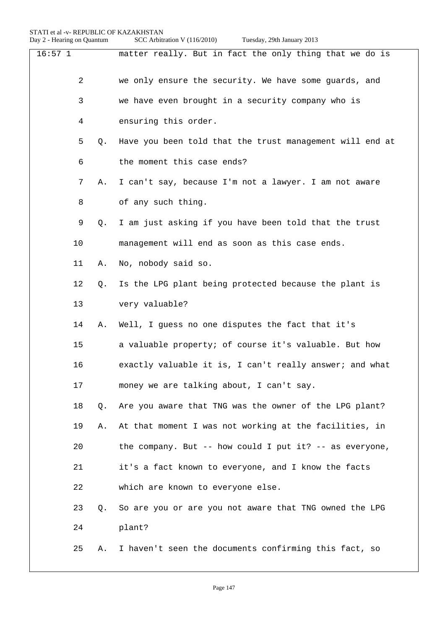| $16:57$ 1 |   |                | matter really. But in fact the only thing that we do is       |
|-----------|---|----------------|---------------------------------------------------------------|
|           | 2 |                | we only ensure the security. We have some guards, and         |
|           | 3 |                | we have even brought in a security company who is             |
|           | 4 |                | ensuring this order.                                          |
|           | 5 | Q.             | Have you been told that the trust management will end at      |
|           | 6 |                | the moment this case ends?                                    |
|           | 7 | Α.             | I can't say, because I'm not a lawyer. I am not aware         |
|           | 8 |                | of any such thing.                                            |
|           | 9 | Q.             | I am just asking if you have been told that the trust         |
| 10        |   |                | management will end as soon as this case ends.                |
| 11        |   | Α.             | No, nobody said so.                                           |
| 12        |   | Q <sub>z</sub> | Is the LPG plant being protected because the plant is         |
| 13        |   |                | very valuable?                                                |
| 14        |   | Α.             | Well, I guess no one disputes the fact that it's              |
| 15        |   |                | a valuable property; of course it's valuable. But how         |
| 16        |   |                | exactly valuable it is, I can't really answer; and what       |
| 17        |   |                | money we are talking about, I can't say.                      |
| 18        |   | Q.             | Are you aware that TNG was the owner of the LPG plant?        |
| 19        |   | Α.             | At that moment I was not working at the facilities, in        |
| 20        |   |                | the company. But $-$ - how could I put it? $-$ - as everyone, |
| 21        |   |                | it's a fact known to everyone, and I know the facts           |
| 22        |   |                | which are known to everyone else.                             |
| 23        |   | О.             | So are you or are you not aware that TNG owned the LPG        |
| 24        |   |                | plant?                                                        |
| 25        |   | Α.             | I haven't seen the documents confirming this fact, so         |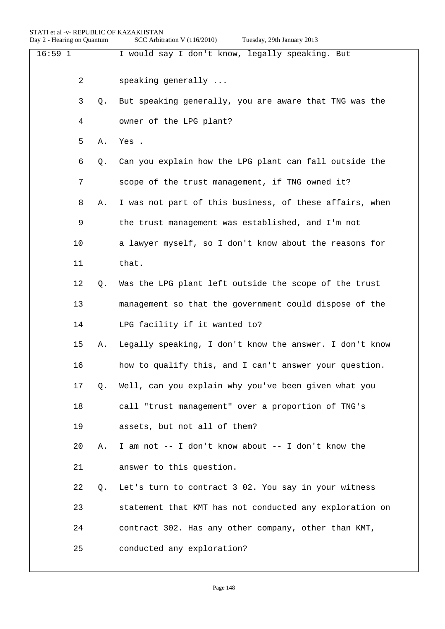SCC Arbitration V (116/2010) Tuesday, 29th January 2013

| $16:59$ 1 |                |    | I would say I don't know, legally speaking. But         |
|-----------|----------------|----|---------------------------------------------------------|
|           | $\overline{a}$ |    | speaking generally                                      |
|           | 3              | O. | But speaking generally, you are aware that TNG was the  |
|           | 4              |    | owner of the LPG plant?                                 |
|           | 5              | Α. | Yes .                                                   |
|           | 6              | Q. | Can you explain how the LPG plant can fall outside the  |
|           | 7              |    | scope of the trust management, if TNG owned it?         |
|           | 8              | Α. | I was not part of this business, of these affairs, when |
|           | 9              |    | the trust management was established, and I'm not       |
|           | 10             |    | a lawyer myself, so I don't know about the reasons for  |
|           | 11             |    | that.                                                   |
|           | 12             | Q. | Was the LPG plant left outside the scope of the trust   |
|           | 13             |    | management so that the government could dispose of the  |
|           | 14             |    | LPG facility if it wanted to?                           |
|           | 15             | Α. | Legally speaking, I don't know the answer. I don't know |
|           | 16             |    | how to qualify this, and I can't answer your question.  |
|           | 17             | Q. | Well, can you explain why you've been given what you    |
|           | 18             |    | call "trust management" over a proportion of TNG's      |
|           | 19             |    | assets, but not all of them?                            |
|           | 20             | Α. | I am not -- I don't know about -- I don't know the      |
|           | 21             |    | answer to this question.                                |
|           | 22             | O. | Let's turn to contract 3 02. You say in your witness    |
|           | 23             |    | statement that KMT has not conducted any exploration on |
|           | 24             |    | contract 302. Has any other company, other than KMT,    |
|           | 25             |    | conducted any exploration?                              |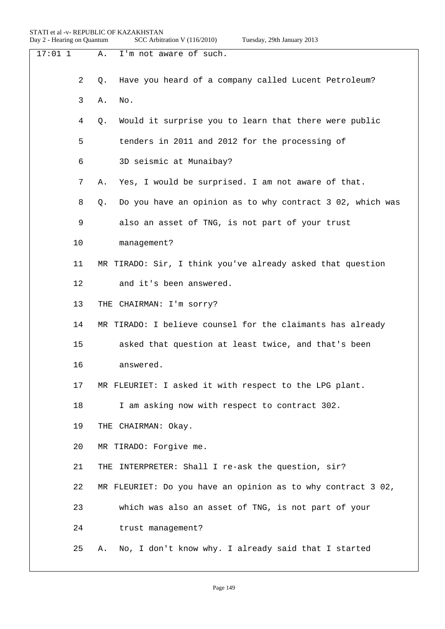| Day 2 - Hearing on Quantum | STATI et al -v- REPUBLIC OF KAZAKHSTAN<br>SCC Arbitration V (116/2010)<br>Tuesday, 29th January 2013 |
|----------------------------|------------------------------------------------------------------------------------------------------|
| $17:01$ 1                  | I'm not aware of such.<br>Α.                                                                         |
| $\overline{a}$             | Have you heard of a company called Lucent Petroleum?<br>Q.                                           |
| 3                          | No.<br>Α.                                                                                            |
| 4                          | Would it surprise you to learn that there were public<br>Q.                                          |
| 5                          | tenders in 2011 and 2012 for the processing of                                                       |
| 6                          | 3D seismic at Munaibay?                                                                              |
| 7                          | Yes, I would be surprised. I am not aware of that.<br>Α.                                             |
| 8                          | Do you have an opinion as to why contract 3 02, which was<br>Q.                                      |
| 9                          | also an asset of TNG, is not part of your trust                                                      |
| 10                         | management?                                                                                          |
| 11                         | MR TIRADO: Sir, I think you've already asked that question                                           |
| 12                         | and it's been answered.                                                                              |
| 13                         | THE CHAIRMAN: I'm sorry?                                                                             |
| 14                         | MR TIRADO: I believe counsel for the claimants has already                                           |
| 15                         | asked that question at least twice, and that's been                                                  |
| 16                         | answered.                                                                                            |
| 17                         | MR FLEURIET: I asked it with respect to the LPG plant.                                               |
| 18                         | I am asking now with respect to contract 302.                                                        |
| 19                         | THE CHAIRMAN: Okay.                                                                                  |
| 20                         | MR TIRADO: Forgive me.                                                                               |
| 21                         | THE INTERPRETER: Shall I re-ask the question, sir?                                                   |
| 22                         | MR FLEURIET: Do you have an opinion as to why contract 3 02,                                         |
| 23                         | which was also an asset of TNG, is not part of your                                                  |
| 24                         | trust management?                                                                                    |
| 25                         | No, I don't know why. I already said that I started<br>Α.                                            |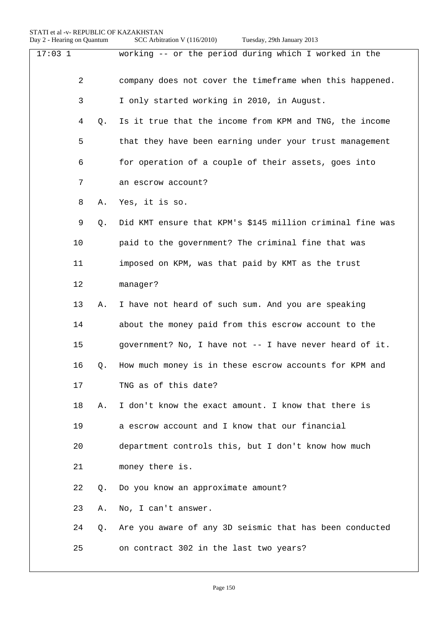|  | Tuesday, 29th January 2013 |  |
|--|----------------------------|--|
|--|----------------------------|--|

| $17:03$ 1 |    |    | working -- or the period during which I worked in the     |
|-----------|----|----|-----------------------------------------------------------|
|           |    |    |                                                           |
|           | 2  |    | company does not cover the timeframe when this happened.  |
|           | 3  |    | I only started working in 2010, in August.                |
|           | 4  | Q. | Is it true that the income from KPM and TNG, the income   |
|           | 5  |    | that they have been earning under your trust management   |
|           | 6  |    | for operation of a couple of their assets, goes into      |
|           | 7  |    | an escrow account?                                        |
|           | 8  | Α. | Yes, it is so.                                            |
|           | 9  | Q. | Did KMT ensure that KPM's \$145 million criminal fine was |
|           | 10 |    | paid to the government? The criminal fine that was        |
|           | 11 |    | imposed on KPM, was that paid by KMT as the trust         |
|           | 12 |    | manager?                                                  |
|           | 13 | Α. | I have not heard of such sum. And you are speaking        |
|           | 14 |    | about the money paid from this escrow account to the      |
|           | 15 |    | government? No, I have not -- I have never heard of it.   |
|           | 16 | Q. | How much money is in these escrow accounts for KPM and    |
|           | 17 |    | TNG as of this date?                                      |
|           | 18 | Α. | I don't know the exact amount. I know that there is       |
|           | 19 |    | a escrow account and I know that our financial            |
|           | 20 |    | department controls this, but I don't know how much       |
|           | 21 |    | money there is.                                           |
|           | 22 | Q. | Do you know an approximate amount?                        |
|           | 23 | Α. | No, I can't answer.                                       |
|           | 24 | Q. | Are you aware of any 3D seismic that has been conducted   |
|           | 25 |    | on contract 302 in the last two years?                    |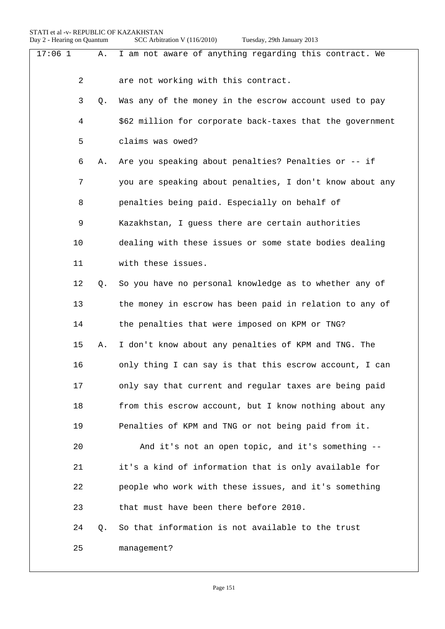# STATI et al -v- REPUBLIC OF KAZAKHSTAN

| Day 2 - Hearing on Quantum |    | Tuesday, 29th January 2013<br>SCC Arbitration V (116/2010) |
|----------------------------|----|------------------------------------------------------------|
| $17:06$ 1                  | Α. | I am not aware of anything regarding this contract. We     |
| $\overline{a}$             |    | are not working with this contract.                        |
| 3                          | Q. | Was any of the money in the escrow account used to pay     |
| $\overline{4}$             |    | \$62 million for corporate back-taxes that the government  |
| 5                          |    | claims was owed?                                           |
| 6                          | Α. | Are you speaking about penalties? Penalties or -- if       |
| 7                          |    | you are speaking about penalties, I don't know about any   |
| 8                          |    | penalties being paid. Especially on behalf of              |
| 9                          |    | Kazakhstan, I guess there are certain authorities          |
| 10                         |    | dealing with these issues or some state bodies dealing     |
| 11                         |    | with these issues.                                         |
| 12                         | Q. | So you have no personal knowledge as to whether any of     |
| 13                         |    | the money in escrow has been paid in relation to any of    |
| 14                         |    | the penalties that were imposed on KPM or TNG?             |
| 15                         | Α. | I don't know about any penalties of KPM and TNG. The       |
| 16                         |    | only thing I can say is that this escrow account, I can    |
| 17                         |    | only say that current and regular taxes are being paid     |
| 18                         |    | from this escrow account, but I know nothing about any     |
| 19                         |    | Penalties of KPM and TNG or not being paid from it.        |
|                            |    |                                                            |

20 And it's not an open topic, and it's something -- 21 it's a kind of information that is only available for 22 people who work with these issues, and it's something 23 that must have been there before 2010.

24 Q. So that information is not available to the trust 25 management?

# Page 151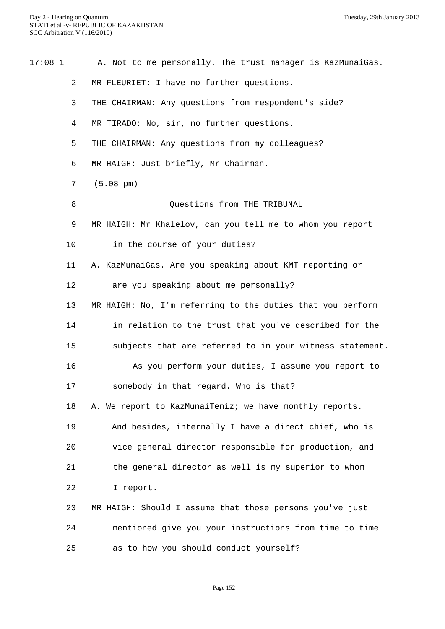| $17:08$ 1      | A. Not to me personally. The trust manager is KazMunaiGas. |
|----------------|------------------------------------------------------------|
| $\overline{2}$ | MR FLEURIET: I have no further questions.                  |
| 3              | THE CHAIRMAN: Any questions from respondent's side?        |
| 4              | MR TIRADO: No, sir, no further questions.                  |
| 5              | THE CHAIRMAN: Any questions from my colleagues?            |
| 6              | MR HAIGH: Just briefly, Mr Chairman.                       |
| 7              | $(5.08 \text{ pm})$                                        |
| 8              | Questions from THE TRIBUNAL                                |
| 9              | MR HAIGH: Mr Khalelov, can you tell me to whom you report  |
| 10             | in the course of your duties?                              |
| 11             | A. KazMunaiGas. Are you speaking about KMT reporting or    |
| 12             | are you speaking about me personally?                      |
| 13             | MR HAIGH: No, I'm referring to the duties that you perform |
| 14             | in relation to the trust that you've described for the     |
| 15             | subjects that are referred to in your witness statement.   |
| 16             | As you perform your duties, I assume you report to         |
| 17             | somebody in that regard. Who is that?                      |
| 18             | A. We report to KazMunaiTeniz; we have monthly reports.    |
| 19             | And besides, internally I have a direct chief, who is      |
| 20             | vice general director responsible for production, and      |
| 21             | the general director as well is my superior to whom        |
| 22             | I report.                                                  |
| 23             | MR HAIGH: Should I assume that those persons you've just   |
| 24             | mentioned give you your instructions from time to time     |
| 25             | as to how you should conduct yourself?                     |

Page 152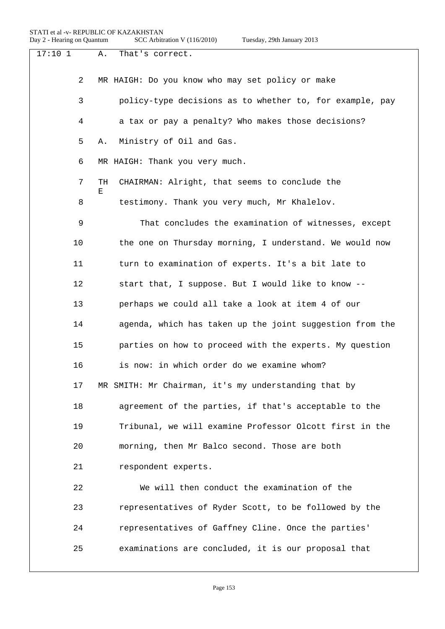| $17:10$ 1 |    | Α.      | That's correct.                                          |
|-----------|----|---------|----------------------------------------------------------|
|           |    |         |                                                          |
|           | 2  |         | MR HAIGH: Do you know who may set policy or make         |
|           | 3  |         | policy-type decisions as to whether to, for example, pay |
|           | 4  |         | a tax or pay a penalty? Who makes those decisions?       |
|           | 5  | Α.      | Ministry of Oil and Gas.                                 |
|           | 6  |         | MR HAIGH: Thank you very much.                           |
|           | 7  | TH<br>Ε | CHAIRMAN: Alright, that seems to conclude the            |
|           | 8  |         | testimony. Thank you very much, Mr Khalelov.             |
|           | 9  |         | That concludes the examination of witnesses, except      |
|           | 10 |         | the one on Thursday morning, I understand. We would now  |
|           | 11 |         | turn to examination of experts. It's a bit late to       |
|           | 12 |         | start that, I suppose. But I would like to know --       |
|           | 13 |         | perhaps we could all take a look at item 4 of our        |
|           | 14 |         | agenda, which has taken up the joint suggestion from the |
|           | 15 |         | parties on how to proceed with the experts. My question  |
|           | 16 |         | is now: in which order do we examine whom?               |
|           | 17 |         | MR SMITH: Mr Chairman, it's my understanding that by     |
|           | 18 |         | agreement of the parties, if that's acceptable to the    |
|           | 19 |         | Tribunal, we will examine Professor Olcott first in the  |
|           | 20 |         | morning, then Mr Balco second. Those are both            |
|           | 21 |         | respondent experts.                                      |
|           | 22 |         | We will then conduct the examination of the              |
|           | 23 |         | representatives of Ryder Scott, to be followed by the    |
|           | 24 |         | representatives of Gaffney Cline. Once the parties'      |
|           | 25 |         | examinations are concluded, it is our proposal that      |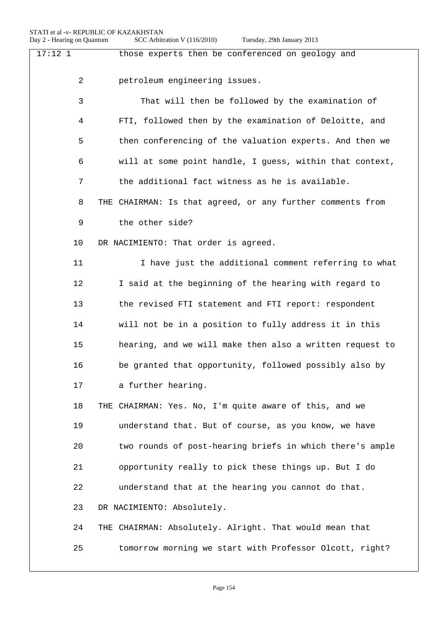SCC Arbitration V (116/2010) Tuesday, 29th January 2013

| $17:12$ 1      | those experts then be conferenced on geology and           |
|----------------|------------------------------------------------------------|
| $\overline{2}$ | petroleum engineering issues.                              |
| 3              | That will then be followed by the examination of           |
| 4              | FTI, followed then by the examination of Deloitte, and     |
| 5              | then conferencing of the valuation experts. And then we    |
| 6              | will at some point handle, I guess, within that context,   |
| 7              | the additional fact witness as he is available.            |
| 8              | THE CHAIRMAN: Is that agreed, or any further comments from |
| 9              | the other side?                                            |
| 10             | DR NACIMIENTO: That order is agreed.                       |
| 11             | I have just the additional comment referring to what       |
| 12             | I said at the beginning of the hearing with regard to      |
| 13             | the revised FTI statement and FTI report: respondent       |
| 14             | will not be in a position to fully address it in this      |
| 15             | hearing, and we will make then also a written request to   |
| 16             | be granted that opportunity, followed possibly also by     |
| 17             | a further hearing.                                         |
| 18             | THE CHAIRMAN: Yes. No, I'm quite aware of this, and we     |
| 19             | understand that. But of course, as you know, we have       |
| 20             | two rounds of post-hearing briefs in which there's ample   |
| 21             | opportunity really to pick these things up. But I do       |
| 22             | understand that at the hearing you cannot do that.         |
| 23             | DR NACIMIENTO: Absolutely.                                 |
| 24             | THE CHAIRMAN: Absolutely. Alright. That would mean that    |
| 25             | tomorrow morning we start with Professor Olcott, right?    |
|                |                                                            |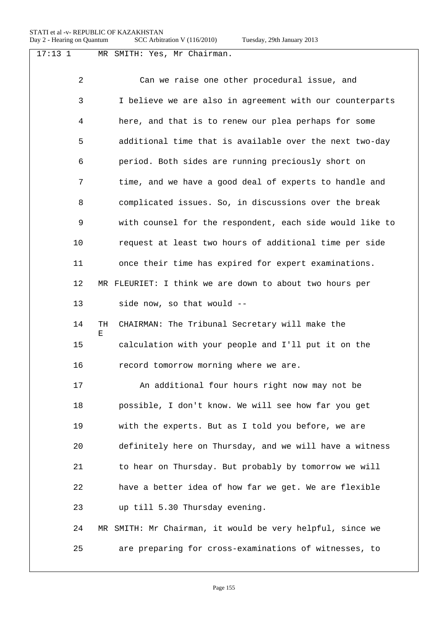| $17:13$ 1 | MR SMITH: Yes, Mr Chairman.                               |
|-----------|-----------------------------------------------------------|
| 2         | Can we raise one other procedural issue, and              |
| 3         | I believe we are also in agreement with our counterparts  |
| 4         | here, and that is to renew our plea perhaps for some      |
| 5         | additional time that is available over the next two-day   |
| 6         | period. Both sides are running preciously short on        |
| 7         | time, and we have a good deal of experts to handle and    |
| 8         | complicated issues. So, in discussions over the break     |
| 9         | with counsel for the respondent, each side would like to  |
| 10        | request at least two hours of additional time per side    |
| 11        | once their time has expired for expert examinations.      |
| 12        | MR FLEURIET: I think we are down to about two hours per   |
| 13        | side now, so that would --                                |
| 14        | TH<br>CHAIRMAN: The Tribunal Secretary will make the<br>E |
| 15        | calculation with your people and I'll put it on the       |
| 16        | record tomorrow morning where we are.                     |
| 17        | An additional four hours right now may not be             |
| 18        | possible, I don't know. We will see how far you get       |
| 19        | with the experts. But as I told you before, we are        |
| 20        | definitely here on Thursday, and we will have a witness   |
| 21        | to hear on Thursday. But probably by tomorrow we will     |
| 22        | have a better idea of how far we get. We are flexible     |
| 23        | up till 5.30 Thursday evening.                            |
| 24        | MR SMITH: Mr Chairman, it would be very helpful, since we |
| 25        | are preparing for cross-examinations of witnesses, to     |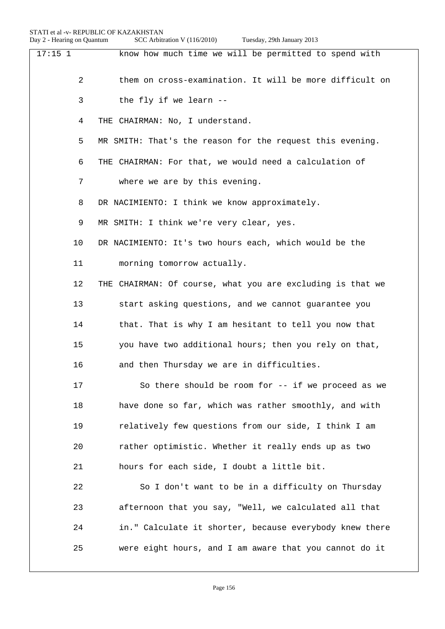| $17:15$ 1      | know how much time we will be permitted to spend with      |
|----------------|------------------------------------------------------------|
| $\overline{2}$ | them on cross-examination. It will be more difficult on    |
|                |                                                            |
| 3              | the fly if we learn --                                     |
| 4              | THE CHAIRMAN: No, I understand.                            |
| 5              | MR SMITH: That's the reason for the request this evening.  |
| 6              | THE CHAIRMAN: For that, we would need a calculation of     |
| 7              | where we are by this evening.                              |
| 8              | DR NACIMIENTO: I think we know approximately.              |
| 9              | MR SMITH: I think we're very clear, yes.                   |
| 10             | DR NACIMIENTO: It's two hours each, which would be the     |
| 11             | morning tomorrow actually.                                 |
| 12             | THE CHAIRMAN: Of course, what you are excluding is that we |
| 13             | start asking questions, and we cannot guarantee you        |
| 14             | that. That is why I am hesitant to tell you now that       |
| 15             | you have two additional hours; then you rely on that,      |
| 16             | and then Thursday we are in difficulties.                  |
| 17             | So there should be room for -- if we proceed as we         |
| 18             | have done so far, which was rather smoothly, and with      |
| 19             | relatively few questions from our side, I think I am       |
| 20             | rather optimistic. Whether it really ends up as two        |
| 21             | hours for each side, I doubt a little bit.                 |
| 22             | So I don't want to be in a difficulty on Thursday          |
| 23             | afternoon that you say, "Well, we calculated all that      |
| 24             | in." Calculate it shorter, because everybody knew there    |
| 25             | were eight hours, and I am aware that you cannot do it     |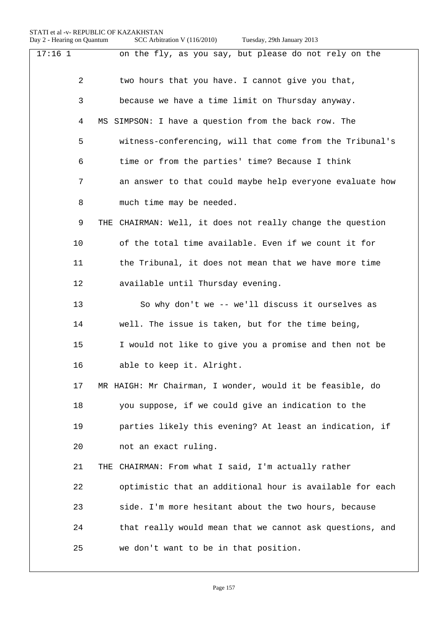| $17:16$ 1 | on the fly, as you say, but please do not rely on the      |
|-----------|------------------------------------------------------------|
| 2         | two hours that you have. I cannot give you that,           |
| 3         | because we have a time limit on Thursday anyway.           |
| 4         | MS SIMPSON: I have a question from the back row. The       |
| 5         | witness-conferencing, will that come from the Tribunal's   |
| 6         | time or from the parties' time? Because I think            |
| 7         | an answer to that could maybe help everyone evaluate how   |
| 8         | much time may be needed.                                   |
| 9         | THE CHAIRMAN: Well, it does not really change the question |
| 10        | of the total time available. Even if we count it for       |
| 11        | the Tribunal, it does not mean that we have more time      |
| 12        | available until Thursday evening.                          |
| 13        | So why don't we -- we'll discuss it ourselves as           |
| 14        | well. The issue is taken, but for the time being,          |
| 15        | I would not like to give you a promise and then not be     |
| 16        | able to keep it. Alright.                                  |
| 17        | MR HAIGH: Mr Chairman, I wonder, would it be feasible, do  |
| 18        | you suppose, if we could give an indication to the         |
| 19        | parties likely this evening? At least an indication, if    |
| 20        | not an exact ruling.                                       |
| 21        | THE CHAIRMAN: From what I said, I'm actually rather        |
| 22        | optimistic that an additional hour is available for each   |
| 23        | side. I'm more hesitant about the two hours, because       |
| 24        | that really would mean that we cannot ask questions, and   |
| 25        | we don't want to be in that position.                      |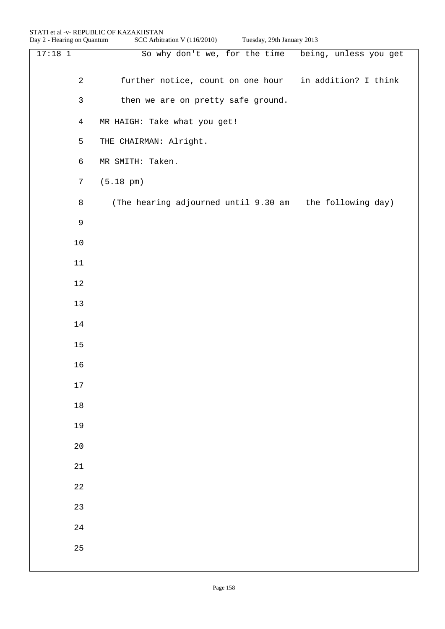| $17:18$ 1       | So why don't we, for the time being, unless you get     |  |
|-----------------|---------------------------------------------------------|--|
| $\overline{a}$  | further notice, count on one hour in addition? I think  |  |
| $\mathbf{3}$    | then we are on pretty safe ground.                      |  |
| $\overline{4}$  | MR HAIGH: Take what you get!                            |  |
| 5               | THE CHAIRMAN: Alright.                                  |  |
| $\epsilon$      | MR SMITH: Taken.                                        |  |
| $7\phantom{.0}$ | $(5.18 \text{ pm})$                                     |  |
| 8               | (The hearing adjourned until 9.30 am the following day) |  |
| $\mathsf 9$     |                                                         |  |
| $10$            |                                                         |  |
| $11\,$          |                                                         |  |
| $12$            |                                                         |  |
| 13              |                                                         |  |
| 14              |                                                         |  |
| $15\,$          |                                                         |  |
| 16              |                                                         |  |
| $17\,$          |                                                         |  |
| $18\,$          |                                                         |  |
| 19              |                                                         |  |
| $20$            |                                                         |  |
| $21\,$          |                                                         |  |
| $2\sqrt{2}$     |                                                         |  |
| 23              |                                                         |  |
| 24              |                                                         |  |
| 25              |                                                         |  |
|                 |                                                         |  |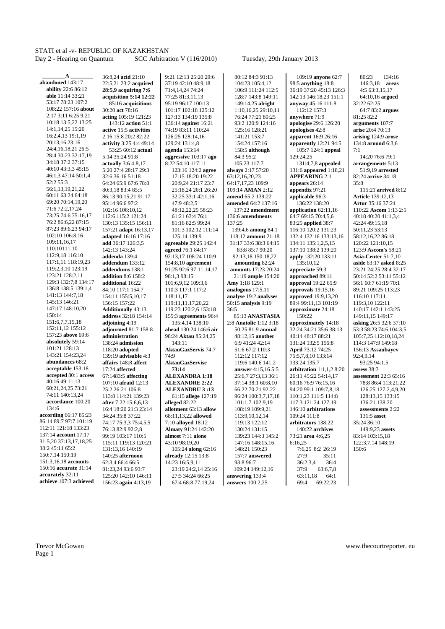$\mathbf{A}$ abandoned  $143.17$ ability 22:6 86:12 able 11:14 33:21 53:17 78:23 107:2 108:22 157:16 about 2:17 3:11 6:25 9:21  $10.18$   $13.5$   $22$   $13.25$  $14.1$   $14$   $25$   $15.20$ 16:2,4,13 19:1,19 20:13.16 23:16 24:4 16 18 21 26:5 28:4 30:23 32:17.19  $34.1837.23715$  $40.1043334515$ 46:1,3 47:14 50:1,4  $52:255:3$ 56:1,13,19,21,22  $60.11$   $63.24$   $64.18$ 69:20 70:14 19 20  $71.672.217.24$ 73:25 74:6 75:16,17 76:2 86:6,22 87:15 87:23 89:6,23 94:17  $102.10106.816$  $109.111617$  $110.10111.10$ 112:9 18 116:10 117:1.11 118:19.23 119:2,3,10 123:19 123:21 128:2.11 129:3 132:7.8 134:17 136:8 138:5 139:1.4 141:13 144:7,18 145:13 146:21 147:17 148:10,20  $150:14$  $151.6771518$ 152:11.12 155:12 157:23 above 69:6 absolutely 59:14 101:21 128:13 143:21 154:23.24 abundances 68:2 acceptable 153:18 accepted 80:1 access 40:16 49:11,13 60:21,24,25 73:21 74.11 140.13 24 accordance 100:20  $134.6$ according 66:17 85:23 86:14 89:7 97:7 101:19 112:11 121:18 133:23  $137.14$  account  $17.17$ 31:5.20 37:13.17.18.25 38:2 45:11 65:2 150:7.14 150:19 151:3,16,18 accounts 150:16 accurate 31:14 accurately 32:11 achieve 107:3 achieved 36:8,24 acid 21:10 22:5,21 23:2 acquired 28:5,9 acquiring 7:6  $\overline{a}$ causition 5:14 12:22 85:16 acquisitions  $30.20$  act  $78.16$ acting 105:19 121:23 143:12 action 51:1 active 15:5 activities 2:16 15:8 20:2 82:22 activity 3:25 4:4 49:14  $53.2560.12$  actual 5:14 35:24 91:8 actually 3:6 4:8,17 5:20 27:4 28:17 29:3 32:636:1651:18  $64.2465.967678.8$ 80:3.18 83:4 85:5 86:13 90:15 21 91:17 95:14 96:6 97:2 102:16 106:10.12 112:6 115:2 121:24 130:13 135:15 156:11 157:21 adapt 16:13,17 adapted 16:16 17:16 add 36:17 126:3,5  $142.13143.24$ addenda 139:4 addendum 133.12 addendums 138.1 addition 8:6 158:2 additional 16:22 84:10 117:1 154:7 154:11 155:5.10.17  $156.15157.22$ **Additionally 43:13** address 32:18 154:14 adjoining 4:19 adjourned 81:7 158:8 administration 138.24 admission  $118.20$  adopted 139:19 advisable 4:3 affairs 148:8 affect 17:24 affected  $67.1483.5$  affecting 107:10 afraid 12:13 25:2 26:21 106:8 113:8 114:21 139:23 after 7:22 15:6.6.13 16:4 18:20 21:3 23:14  $34.2435.837.22$ 74:17 75:3.3 75:4.5.5 76:13 82:9 92:2,8 99:19 103:17 110:5 115:11 119:13 120:21 131:13.16 140:19  $140.25$  afternoon 62:3.4 66:4 66:5 81:23,24 93:6 93:7 125:20 142:10 146:11 156:23 again 4:13,19

9:21 12:13 25:20 29:6 37:19 42:10 48:9,18 71:4,14,24 74:24 77:25 81:3.11.13 95:19 96:17 100:13  $101.17$   $102.18$   $125.12$ 127:13 134:19 135:8 136:14 against 16:21 74:19 83:11 110:24  $126:25$  128:14 16 129:24 131:4.8 agenda  $153.14$ aggressive 103:17 ago 8:22 54:10 117:11 123:16 124:2 agree 17:15 18:20 19:22 20:9.24 21:17 23:7 25:18.24 26:1 26:20  $32.2533142116$ 47:9 48:2,5 48:12,22,25 58:23  $61:21$  63:4 76:1  $81.168259924$  $101.3102.12111.14$ 125:14 139:9 agreeable 29:25 142:4 agreed 76:1 84:17 92:13.17 108:24 110:9 154:8.10 agreement 91:25 92:6 97:11.14.17 98:1,3 98:15 101:6,9,12 109:3,6 110:3 117:1 117:2 118:11.17 119:11 11 17 20 22 119:23 120:2.6 153:18 155:3 agreements 96:4 135:4,14 138:10 ahead 130:24 146:6 air 98:24 Aktau 85:24.25  $143.11$ AktanGazServis 74.7  $74.9$ **AktauGazServise** 73:14 **ALEXANDRA 1:18** ALEXANDRE 2.22 **ALEXANDRU 3:13** 61:15 allege 127:19 alleged 82:22 allotment 63:13 allow 68:11.13.22 allowed 7:10 alloved 18:12 Almaty 91:24 142:20 almost 7:11 alone 43:10 98:19,20 105:24 along 62:16 already  $12.15, 13.8$ 14:23 16:5.9.11 23:19 24:2,14 25:16 27:5 34:24 66:25 67:4 68:8 77:19,24

80:12 84:3 91:13 104:23 105:4,12 106:9 111:24 112:5 128:7 143:8 149:11 149:14.25 alright 1:10.16.25 29:10.11 76:24 77:21 80:25 93:2 120:9 124:16 125:16 128:21  $141.21$  153.7 154:24 157:16 158:5 although 84:3 95:2 105:23 117:7 always 2:17 57:20 63:12.16.20.23  $64.171723109.9$ 109:14 AMAN 2:12 amend  $65.2139.22$ amended 64:2 137:16 137:22 amendment 136:6 amendments  $137.25$ 139:4,6 among 84:1 118:12 amount 21:18 31:17 33:6 38:3 64:15 83.8 85.7 90.20 92:13.18 150:18.22 amounting 82:24 amounts 17:23 20:24 21:19 ample 154:20 Amy 1:18 129:1 analogous 17:5,11 analyse 19:2 analyses 50:15 analysis 9:19  $36:5$ 85:13 ANASTASIA 2:8 Anatolie 1:12 3:18 50:25 81:9 annual 48:12.15 another  $6.941.2442.14$  $51.667.2110.3$ 112:12 117:12 119:6 140:6 141:2 answer 4:15,16 5:5 25.6.7.27.3.13.36.1  $37.1438.160810$ 66:22 70:21 92:22 96:24 100:3.7.17.18 101:1.7 102:9.19 108:19 109:9.21 113.9 10 12 14 119:13 122:12 130:24 131:15 139:23 144:3 145:2 147:16 148:15,16 148:21 150:23  $157.7$  answered  $93.896.7$ 109:24 149:12,16 answering 133:4 **answers** 100:2,25

### Tuesday, 29th January 2013

109:19 anyone 62:7 98:5 anything 18:8 36:19 37:20 45:13 126:3 142:13 146:18.23 151:1 anyway 45:16 111:8  $112.12$  157.3 anywhere 71:9 apologise 29:6 126:20 apologises 42:8 apparent 16:9 26:16 apparently 12:21 94:5 105:7 124:1 appeal 129:24.25 131:4,7,8 appealed 131:6 appeared 1:18,21 **APPEARING 2:1** appears 26:14 appendix 97:21 applicable 96:3 136:22 138:20 application  $62:11,16$ 64:7 69:15 70:4,5,6 83:25 applied 38:7 116:10 120:2 131:23 132:4 132:16 133:13,16 134:11 135:1,2,5,15 137:10 138:2 139:20 apply 132:20 133:11  $135.1012$ appreciate 59:3 approached 89:11 approval 19:22 65:9 approvals 19:15.16 approved 19:9,13,20 89:4 99:11 13 101:19 approximate 24:18 150:22 approximately 14:18 32:24 34:21 35:6 38:13 40:14 48:17 88:21  $131.24$   $132.5$   $156.8$ April 73.12.74.25 75:5,7,8,10 133:14 133:24 135:7 arbitration 1:1.1.2 8:20 26.11 45.22 54.14 17  $60.16769761516$ 94:20 99:1 109:7.8.18 110:1,23 111:5 114:8 117:3 121:24 127:19 146:10 arbitrations  $109.24$   $111.8$ arbitrators  $138.22$ 140:22 archives 73:21 area 4:6.25 6:16,25 7:6.25 8:2 26:19  $27.9$  $35.11$ 36:2,3,4  $36.4$  $37:9$ 63:6,7,8 63:11,18  $64:1$ 69:4 69:22,23

 $80:23$ 134:16 146:3,18 areas 4:5 63:3,15,17 64:10.16 argued 32:22 62:25 64:7 83:2 argues 81:25 82:2 arguments 107:7 arise 20:4 70:13 arising 124.9 arose 134:8 around 6:3.6  $7.1$ 14:20 76:6 79:1 arrangements 5:13 51:9,19 arrested 82:24 arrive 34:18  $35.8$ 115:21 arrived 8:12 Article 139:12.13 Artur 35:16 37:24 110:22 Ascom 1:13 2:5 40:18 40:20 41:1,3,4  $42.2449.1518$  $50.11$  23  $53.13$ 58:12,16,22 86:18 120:22 121:10,15 123:9 Ascom's 58:21 Asia-Center 51:7.10 aside  $63.17$  asked  $8.25$ 23:21 24:25 28:4 32:17 50:14 52:2 53:11 55:12 56:1 60:7 61:19 70:1 89:21 109:25 113:23 116:10 117:11  $119.310122.11$ 140:17 142:1 143:25 149:11,15 149:17 asking 26:5 32:6 37:10 53:3 58:23 74:6 104:3,5 105:7.25 112:10.18.24 114.3 147.9 149.18 156:13 Assauhavev 92:4,9,14 93:25 94:1,5 assess 38:3 assessment  $22.365.16$ 78:8 86:4 113:21.22 126:25 127:2,4,9,20 128:13,15 133:15 136:21 138:20 assessments 2:22  $131.5$  asset  $35.2436.10$ 149:9,23 assets 83:14 103:15,18 122:3,7,14 148:19  $150:6$ 

**Trevor McGowan** Page 1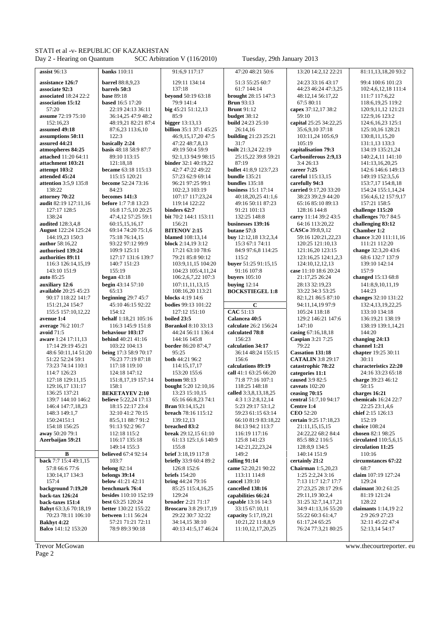assistance 126.7 accoriate 02:3 associated 18:24 22:2 association 15:12  $57.20$ assume  $72.1975.10$  $152.1623$ assumed 49:18 assumptions 50:11 assured 44:21 atmospheres 84:25 attached 11:20 64:11 attachment 103:21 attempt 103:2 attended 45:24 attention 3:5.9 135:8 138:22 attorney 70:22 audit 82:19 127:11,16 127:17 128:5 138:24 audited 128:3.4.8 August 122:24 125:24 144:19.23 150:3 author 58:16.22 authorised 139.24 authorities 89:11 116:3 126:14,15,19 143:10 151:9 auto  $85.25$ auxiliary 12:6 available 20:25 45:23 90:17 118:22 141:7  $151.21$  24  $154.7$ 155:5 157:10.12.22 avenue 1:4 average 76:2 101:7 avoid  $71.5$ aware 1:24 17:11.13 17:14 29:19 45:21 48:6 50:11,14 51:20  $51.22522459.1$ 73.23.74.14.110.1  $114.7126.23$ 127:18 129:11.15 129:16,17 131:17  $136.25137.21$  $130.7144.10146.2$ 146:4 147:7.18.23 148:3 149:1,7 150:24151:1  $154.18$  156.25 away  $50.2079.1$ Azerbaijan 59:21  $\overline{R}$ back 7:7 15:4 49:1.15 57:8 66:6 77:6 130:14.17 134:3  $157 - A$ background 7:19,20 back-tax 126:24 hack-taxes 151.4 Rahyt 63:3 6 70:18 19 70.23.78.11.106.10

assist  $96:13$ 

banks  $110:11$ harrel 88.8.9.23 barrels 50:3 **base 89:18 based** 16:5 17:20 22:19 24:13 36:11  $36.1425479482$ 48.19.21.82.21.87.4 87:6,23 113:6,10  $122:3$ basically 2:24 hasis 48.18.58.9.87.7  $89.10113.15$  $121 \cdot 1818$ became 63:18 115:13 115:15 120:21 become  $52:2473:16$  $84.23$ becomes 141:3 before 1:7 7:8 13:23 16:8 17:5.10 20:25 47:4.12 57:25 59:1 60:15.15.16.17 69:14 74:20 75:1,6 75:18 76:14,15 93:22 97:12 99:9  $109.9125.11$ 127:17 131:6 139:7 140:7 151:23 155:19 hegan  $43.18$ begin 43:14 57:10  $65.13$ **beginning 29:7 45:7**  $45:1046:1592:22$  $154.12$ behalf 1:18,21 105:16 116:3 145:9 151:8 hehaviour 103.17 behind 40:21 41:16 103:22 104:13 being 17:3 58:9 70:17 76:23 77:19 87:18  $117.18119.10$  $124.18$   $147.12$ 151:8.17.19 157:14  $158:1$ **REKETAVEV 2.10 believe** 5:22.24 17:13 18:15 22:17 23:4 32:10 41:2 70:15 85:5.11 88:7 91:2  $91.13922967$  $112.18115.2$  $116.17135.18$ 149:14 155:3 believed  $67.492.14$  $103.7$ belong  $82:14$ belongs 39:14 helow  $41.2142.11$ benchmark 76:4 besides 110:10 152:19 hest  $63.25120.24$ hetter  $130.22 155.22$ hetween  $1.11$  56.24 57:21 71:21 72:11 78:9 89:3 90:18

91:6.9 117:17  $129.11134.14$  $137.18$ beyond 50:19 63:18 79:9 141:4 big 45:21 51:12,13  $85.9$ bigger 13:13.13 **billion** 35:1 37:1 45:25 46:9,15,17,20 47:5 47:22 48:7,8,13  $49.19504599$  $92.11394.998.15$ binder 32:1 40:19,22 42:7 47:22 49:22 57:23 62:9 69:14 96:21 97:25 99:1 102:2.3 103:19 107:17 117:23,24 119:14 122:22 binders  $62:7$ bit 70:2 144:1 153:11  $156.21$ **RITENOV 2.15 blamed** 108:13,14 block 2:14.19 3:12  $17.2163.10786$ 79:21 85:8 90:12 103:9,11,15 104:20 104:23 105:4,11,24  $106:26722107:3$  $107.11$  11 13 15  $108.1620113.21$ blocks 4:19 14:6 **bodies** 99:13 101:22  $127.12151.10$ hoiled  $23.5$ **Borankol** 8:10 33:13  $44.2456.11136.4$  $144.16$   $145.8$ border 86:20 87:4,7  $95.25$ **both** 44:21 96:2  $114.151717$  $153.20$  155.6 bottom  $98:13$ bought 5:20 12:10,16  $13.2315.1015$  $65.1666823711$ **Bran** 93:14.15.21 breach 78:16 115:12 139:12.13 hreached  $83.2$ hreak  $29.121561.10$ 61:13 125:1,6 140:9  $155:8$ brief 3:18 19 117:8 briefly 33:9 60:4 89:2 126:8 152:6 hriefs  $154.20$ bring 44:24 79:16 85:25 115:4,16,25  $129.24$ broader  $2.21$   $71.17$ **Broscaru** 3.8.29.17.19  $29.2230.732.22$  $34.14$  15 38.10 40:13 41:5.17 46:24

 $51.355.2560.7$  $61.7144.14$ brought 28:15 147:3 **Brun** 93:13 **Brunt** 91:12 hudget 38.12 **build** 24:23.25:10  $26.1416$ **building** 21:23 25:21  $31:7$ built 21:3 24 22:19 25:15.22 39:8 59:21  $87.19$ **bullet** 41:8.9 123:7.23 bundle  $135:21$ bundles  $135:18$ **business** 15:1 17:14 40:18,20,25 41:1,6 49:16 50:11 87:23 91:21 101:13 132:25 148:8 businesses 139:16 butane 57:3 buy 12:12,18 13:2,3,4 15:3 67:1 74:11 84:9 97:6.8 114:25  $115.2$ buyer 51:25 91:15,15 91:16 107:8 buvers  $105:10$ huving  $12.14$ **BOCKSTIEGEL 1:8**  $\overline{C}$  $CAC 51-13$ Calancea 40:5 calculate 26:2 156:24 calculated 78.8  $156.23$ calculation 34:17 36:14 48:24 155:15  $156.6$ calculations 89:19 call 41:1 63:25 66:20 71:8 77:16 107:1 118:25 148:18 called 3:3 8 13 18 25  $4.31.3281214$ 5:23 29:17 53:1,2 59:23 61:15 63:14 66:10 81:9 83:18.22  $84.1394.2113.7$  $116.19117.16$  $125.8141.23$ 142:21.22.23.24  $149.2$ calling 91:14 came 52:20.21 90:22  $113.11114.8$ cancel  $130.10$ cancelled 138:16 capabilities 66:24 capable 13:16 14:3  $33.1567.1011$ capacity 5:17,19,21  $10.21$  22 11 8 8 9 11:10.12.17.20.25

Tuesday, 29th January 2013

13:20 14:2.12 22:21

47:20 48:21 50:6

 $24.2333164317$  $44.2346.2447.325$ 48:12.14 56:17.22 67:5 80:11 capex 37:12,17 38:2  $59.10$ capital 25:25 34:22,25 35:6,9,10 37:18 103:11.24 105:6.9  $105:19$ canitalisation 79.3 Carboniferous 2:9,13 3:4 26:13 career 7:25 careful 115:13,15 carefully 94:3 carried 9:17.20 33:20 38:23 39:2,9 44:20  $65.1685.1089.13$ 128:16 144:8 carry 11:14 39:2 43:5 64:16 113:20.22 CASCo 39:8,9,12 59:16 120:21,22,23 120:25 121:10.13  $121.1620123.15$ 123:16,25 124:1,2,3 124:10,12,12,13 case 11:10 18:6 20:24  $21.172526.24$  $28.1332.1923$  $33.22.34.353.25$ 82:1.21 86:5 87:10 94:11.14.19 97:9  $105.24$  118.18 129:2 146:21 147:6  $147:10$ casing 67:16.18.18 Caspian 3:21 7:25 79:22 **Cassation 131:18 CATALIN** 3:8 29:17 catastrophic 78:22 categories 11:1 caused  $3.982.5$ caveats 102:20 ceasing 70:15 central 51.7 10 94.17 Centre 1:4 CEO 52:20 certain 9:25 17:18.23  $21.11$  15 15 15  $24.222268.284.4$  $85.588.2116.5$ 128:8.9 134:5  $140.14$  151.9 certainly 21:2 Chairman 1:5.20.23  $1:25$  2:2.24 3:16  $7.13$  11.7 12:7 17:7 27:23,25 28:17 29:6 29:11,19 30:2,4  $31.2532.7141721$  $34.941.131655.20$  $55.226036147$  $61.172465.25$ 76:24 77:3.21 80:25

81:11,13,18,20 93:2 99:4 100:6 101:23  $102.461218111.4$ 111:7 117:6.22 118:6, 19, 25 119:2 120:9,11,12 121:21  $122.916123.2$  $124.61623125.1$ 125:10,16 128:21 130:8,11,15,20 131:1,13 133:3 134.19 135.21 24 140:2.4.11 141:10 141:13,16,20,25 142:6 146:6 149:13 149:19 152:3,5,6 153:7.17 154:8.18 154:24 155:1.14.24 156:4,6,12 157:9,17 157:21 158:5 challenge 115:20 challenges 70:7 84:5 challenging 83:12 Chamber 1:2 chance 3:20 111:11,16 111:21 112:20 change 32:3.20 43:6 68:6 132:7 137:9 139:10 142:14  $157:9$ changed 15:13 68:8  $141.89101119$  $144.23$ changes 32:10 131:22 132:4 13 19 22 25  $133.10134.18$ 136:19,21 138:19 138:19 139:1.14.21  $144.20$ changing 24:13  $channel$ <sup>1:21</sup> chapter 19:25 30:11  $30.11$ characteristics 22:20 24:16 33:23 65:18 charge 39:23 46:12  $50:15$  $charces 16:21$ chemicals  $16:24$   $22.7$ 22:25 23:1.4.6 chief 2:15 126:13  $152.19$ choice  $108.24$ chosen  $82.1$   $98.25$ circulated 110:5,6,15 circulation 11:25  $110.16$ circumstances 67:22  $68:7$ claim 107:19 127:24  $129.24$ claimant 30:2 61:25 81:19 121:24  $128.22$ claimants  $1.14$  19  $2.2$  $2.926927.23$ 32:11 45:22 47:4 52:13.14 54:17

**Trevor McGowan** 

Balco 141:12 153:20

**Bakhyt 4:22** 

Page 2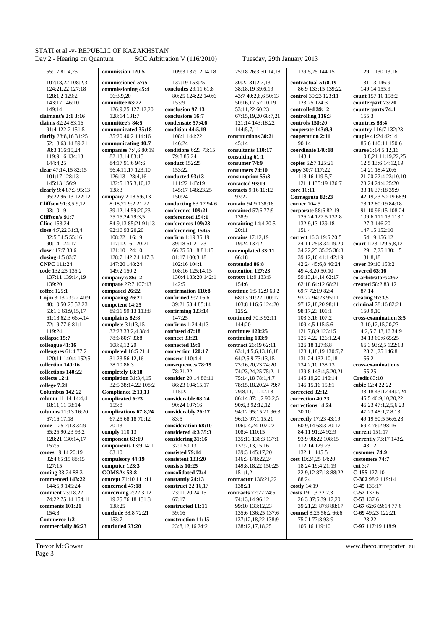**Cojin** 3:13 23:22 40:9 74:22 75:14 154:11 19:25 7<br>**mments 101:21** 138:25

149:14 126:9,25 127:12,20 **conclusion 97:13** 53:11,22 60:23 **controlled 39:12 counterparts 74:1 completion** 31:3,4,15 **Compliance 2:13,13** <br> **Complicated 6:23 considerable 68:24 Commerce 1:2** 153:7 **construction 11:15** 137:12,18,22 138:9 75:21 77:8 93:9 123:22<br> **commercially 86:23** concluded 73:20 23:8,12,16 24:2 138:12,17,18.25 106:16 119:10 **C-97** 117:19 118:9 **commercially 86:23** concluded 73:20 23:8,12,16 24:2

**contention 127:23**<br>130:4 133:20 142:1 **context** 11:9 133:6

55:17 81:4,25 **commission 120:5** 109:3 137:12,14,18 25:18 26:3 30:14,18 139:5,25 144:15 129:1 130:13,16 107:18,22 108:2,3 **commissioned 57:5** 137:19 153:25 30:22 31:2,7,13 **contractual 51:8,19** 131:13 146:9 124:21.22 127:18 **commissioning 45:4 concludes** 29:11 61:8 38:18.19 39:6.19 86:9 133:15 139:22 149:14 155:9 128:1,2 129:2 56:3,9,20 56:3,9,20 80:25 124:22 140:6 43:7 49:2,6,6 50:13 **control** 39:23 123:11 **count** 157:10 158:2<br>143:17 146:10 **committee 63:22** 153:9 123:25 124:3 **counterpart 73:20** 143:17 146:10 **committee 63:22** 153:9 50:16,17 52:10,19 123:25 124:3 **counterpart 73:20 counterpart 73:20 conclusion 97:13** 53:11,22 60:23 **controlled 39:12 counterparts 74:1 claimant's 2:1 3:16** 128:14 131:7 **conclusions 16:7** 67:15,19,20 68:7,21 **controlling 116:3** 155:3 **claims** 82:24 83:16 **committee's 84:5 condensate 57:4,6** 121:14 143:18,22 **controls 150:20 countries 88:4**  91:4 122:2 151:5 **communicated 35:18 condition 44:5,19 condition 44:5,19 cooperate 143:9,9 country** 116:7 132:23<br>**constructions 30:21 cooperation 2:11 couple** 41:24 42:14 **constructions 30:21 constructions 30:21 constructions 30:21 constructions 30:21 constructions 30:21 constructions 30:21 constructions 30:21 constructions 30:21 constructions 30:21 constructions 30:21 c** 52:18 63:14 89:21 **communicating 40:7** 146:24 45:14 45:14 45:14 90:14 90:14 86:6 140:11 150:0<br>98:3 116:15 24 commanies 7:4 6 80:19 conditions 6:23 73:15 consultants 110:17 coordinate 140:18 course 3:14 5:12 98:3 116:15,24 **companies** 7:4,6 80:19 **conditions** 6:23 73:15 **consultants 110:17 coordinate 140:18 course** 3:14 5:12,16 119:9,16 134:13 82:13,14 83:13 79:8 85:24 **consulting 61:1** 143:11 10:8,21 11:19,22,25 144:4,25 84:17 91:6 94:6 **conduct** 152:25 **consumer 74:9 copies** 62:7 125:21 12:5 13:6 14:12,19 **clear** 47:14,15 82:15 96:4,11,17 123:10 153:22 **consumers 74:10** copy 30:7 117:22 14:21 18:4 20:6<br>101:17 128:13 126:13 128:4,16 **conducted 93:13** consumption 55:3 118:16 119:5,7 12:20 22:4 23:10 145:13 156:9 132:5 135:3,10,12 111:22 143:19 **contacted 93:19** 121:1 135:19 136:7 23:24 24:4 25:20 **clearly** 9:4 87:3 95:13 138:3 145:17 148:23.25 **contacts** 9:16 10:12 **core** 10:11 33:16 37:18 39:9 95:22 96:13 122:12 **company** 2:18 5:6,13 150:24 93:22 23 **company** 2:18 5:6,13 150:24 93:22 **company** 2:18 5:6,13 150:24 93:22 **company** 2:18 5:6,13 150:24 **company** 2:18 5:6,13 150:24 **company** 2:18 2:23 16:19 84:18 178:1 **Contain** 94:9 138:18 **conducting** 83:17 94:6 **contain** 94:9 138:18 **corner** 104:5 78:12 80:19 84:18 73:10.19 **contained** 57:6 77:9 **contained** 57:6 77:9 **contained** 57:6 82:19 91:10 96:15 108:24 93:10,19 39:12,14 59:20,23 **conference 109:21** contained 57:6 77:9 **corporate** 58:6 82:19 91:10 96:15 108:24<br>**Cliffson's 91:7** 75:15.24 79:3.5 **conferenced 154:1** 138:9 **Cliffson's 91:7 conferenced 154:1** 138:9 126:24 127:5 132:8 109:6 111:13 113:1 **Cline** 153:24 84:9,13 85:21 91:13 **conferences 109:23** containing 14:4 20:5 132:9,13 139:18 127:3 146:20 **close** 4:7,22 31:3,4 92:16 93:20,20 **conferencing 154:5** 20:11 151:4 147:15 152:10<br>32:5 34:5 55:16 108:22 116:19 **confirm** 1:19 36:19 **contains** 17:12,19 **correct** 16:3 19:6 20:5 154:19 156:12 32:5 34:5 55:16 108:22 116:19 **confirm** 1:19 36:19 **contains** 17:12,19 **correct** 16:3 19:6 20:5 154:19 156:12 90:14 124:17 117:12,16 120:21 39:18 61:21,23 19:24 137:2 24:11 25:3 34:19,20 **court** 1:23 129:5,8,12 **closer** 17:7 33:6 121:10 124:10 66:25 68:18 81:15 **contemplated 33:11** 34:22,23 35:25 36:8 129:17.25 130:1.5 **closing** 4:5 83:7 128:7 142:24 147:3 81:17 100:3,18 66:18 39:12,16 41:1 42:19 131:8,18 **CNPC** 111:24 147:20 148:24 102:16 104:1 **contended 86:8** 24 2:24 45:6,8 46:24 **cover** 39:10 150:2 **code** 132:25 135:2 149:2 150:2 137:11 139:14,19 **company's 86:12** 130:4 133:20 142:1 **context** 11:9 133:6 59:13,14,14 62:17 **co-arbitrators 29:7 compare** 27:7 107:13 142:5 154:6 62:18 64:12 68:21 **coffee** 125:1 **compared 26:22 confirmation 110:8 continue** 1:5 12:9 63:2 **continue** 1:5 12:9 63:2 **comparing 26:21 confirmed** 9:7 16:6 **comparing 26:21 confirmed** 9:7 16:6 **comparing 26:21 creating 97:3,5** 40:10 50:25 52:23 **competent 14:25** 39:21 53:4 85:14 103:8 116:6 124:20 97:12,18,20 98:11 **criminal** 78:16 82:21 53:1,3 61:9,15,17 89:11 99:13 113:8 **confirming 123:14** 125:2 98:17,23 101:1 150:9,10 61:18 62:3 66:4,14 **complaints 82:8** 147:25 **continued** 70:3 92:11 103:3,16 107:2 **cross-examination 3:5 complete** 31:13,15 **confirms** 1:24 4:13 144:20 109:4,5 115:5,6 32:23 33:2.4 38:4 **confused 47:18 continues 120:25** 121:7.8.9 123:15 119:24 32:23 33:2,4 38:4 **confused 47:18 continues 120:25** 121:7,8,9 123:15 4:2,5 7:13,16 34:9 **confused 47:18 continuing 103:9** 125:4,22 126:1,2,4 34:13 60:6 65:25 **colleague 41:16 colleague 41:16 contracted 19:1 contract** 26:19 62:11 **contract** 26:19 **contract** 26:19 **contract** 26:19 **contract** 26:19 **contract** 26:19 **contract** 26:18 127:6,8 **contract** 26:18 127:6,8 **colleagues** 61:4 77:21 **completed** 16:5 21:4 **connection 120:17** 63:1,4,5,6,13,16,18 128:1,18,19 130:7,7 128:21,25 146:8 120:11 140:4 152:5 31:23 56:12,16 **consent** 110:4,4 **collection 140:16** 156:2<br>**collection 140:16** 78:10 86:3 **consequences 78:19** 73:16,20,23 74:20 134:2,10 138:13 **cross-examinations collection 140:16 collections 140:22 completely 18:18 consequences 78:19 7**3:16,20,23 74:20 **consequences 78:19 73:16,20,23 74:20 134:2,10 138:13 cross-exam collections 140:22 completely 18:18 78:21,22 collections 140:22** completely 18:18 78:21,22 74:23,24,25 75:2,11 139:8 143:4,5,20,21 155:25<br>
completes 12:1 completion 31:3 4.15 consider 20:14 86:11 75:14 18 78:14 17 145:19 20:146:14 Credit 83:10 **college 7:21 college 7:21** 32:5 38:14,22 108:2 86:23 104:15,17 <br>**Columbus 142:22 Compliance 2:13,13** 115:22 79:8,11,11,12,18 **corrected 32:12** 33:18 43:12 44:2.24 **column** 11:14 14:4,4 **complicated 6:23 considerable 68:24 b** 86:14 87:1,2 90:2,5 **correction 40:23 correction 40:23 corrections 14:24** 46:23 47:1,2,5,6,23 90:24 107:16 90:6,8 92:12,12 **corrections 14:24** 46:23 47:1,2,5,6,23<br> **considerably 26:17** 94:12 95:15,21 96:3 30:10 47:23 48:1,7,8,13 **columns** 11:13 16:20 **complications 67:8.24 considerably 26:17** 94:12 95:15,21 96:3 30:10 47:23 48:1,7,8,13 67:16,17,18 67:25 68:18 70:12 83:5 ame 1:25 7:13 34:9 67:13 43:19 70:13 70:13 correctly 17:23 43:19 70:13 correctly 17:23 43:19 70:13 **consideration 68:10** 106:24,24 107:22 60:9,14 68:3 70:17 69:4 76:2 9<br>65:25 90:23 93:2 comply 110:13 considered 4:3 35:3 108:4 110:15 84:11 91:24 92:9 current 151:17 65:25 90:23 93:2 **comply** 110:13 **considered 4:3 35:3** 108:4 110:15 84:11 91:24 92:9 **current** 151:17 **128:21 130:21 135:13 136:3 137:1 considering 31:16 currently** 73:17 143:2<br> **12:14 129:23** 143:12 157:5 **components** 13:9 14:1 37:1 50:13<br> **components** 13:9 14:1 37:2,13,15,16 112:14 129:23 14:12<br> **components** 13:10<br> **consisted 79:14** 139:3 145:17.20 132:11 145:5 **customer 74:9 comes** 19:14 20:19 **consisted 79:14** 139:3 145:17,20 132:11 145:5 **customer 74:9** 32:4 65:15 88:15 **compulsory 44:19 consistent 133:20** 146:3 148:22,24 **cost** 10:24,25 14:20 **customers 74:7 computer 123:3**<br> **computer 123:3**<br> **computer 123:3**<br> **computer 123:3**<br> **computer 123:3**<br> **computer 123:3**<br> **computer 123:4**<br> **computer 123:4**<br> **computer 12:19**<br> **computer 12:19**<br> **computer 15:11:12**<br> **computer 15:127:10 coming** 33:24 88:3 **COMSAs 58:8 consolidated 73:4 consolidated 73:4 commenced 143:22 C-155** 127:10 **constantly 24:13 contractor** 136:21.22 **consolidated 73:4 c** 23:02 **constantly 24:13 commenced 143:22 concept** 71:10 111:11 **constantly 24:13 contractor** 136:21,22 **constantly 24:18 construct** 22:16,17 **contractor** 138:21 **contractor** 144:5,9 145:24 **construct 22:16**,17 **construct 22:16**,17 **constan** 144:5,9 145:24 **concerned 47:18 construct** 22:16,17 **contracts** 72:22 74:5 **costly** 14:19 **contracts** 73:18,22 **concerning** 2:22 3:12 **contracts** 72:22 74:5 **costs** 19:1,3 22:2,3 **concerning** 2:22 3:12 23:11,20 24:15 **contracts** 72:22 74:5 **costs** 19:1,3 22:2,3 <br>19:25 76:18 131:3 67:17 74:13,14 96:12 26:3 37:6 39:17,20 **C-53** 137:6 **comments 101:21** 138:25 **constructed 11:11** 99:10 133:12,23 **comments 101:21 c-67** 62:6 69:14 77:6 154:8 **conclude** 38:8 72:21 59:16 135:6 136:25 137:6 **counsel** 8:25 56:2 66:6 **C-69** 49:23 122:21

**collapse 15:7** 78:6 80:7 83:8 **connect 33:21 continuing 103:9** 125:4,22 126:1,2,4 34:13 60:6 65:25

101:17 128:13 126:13 128:4,16 **conducted 93:13 consumption 55:3** 118:16 119:5,7 21:20 22:4 23:10,10

Page 3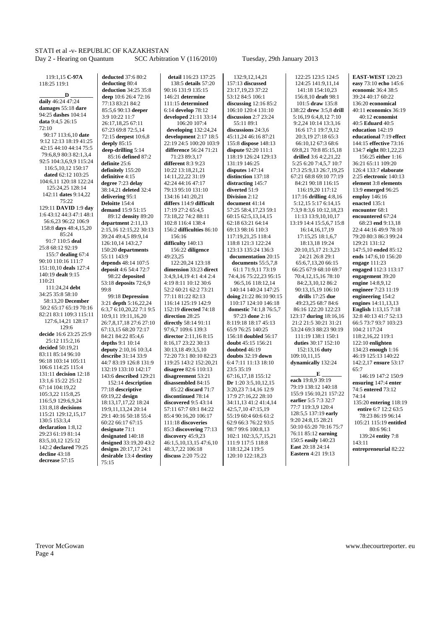118:25 119:1  $\mathbf{D}$ daily  $46.24$   $47.24$ damages 55:18 dare 94:25 dashes 104:14 data 9:4,5 26:15  $72:10$ 90:17 113:6,10 date  $9.12$   $12.13$   $18.19$   $41.25$  $42.1544.1044.1475.5$ 79:6,8,9 80:3 82:1,3,4 92:5 104:3,6,9,9 115:24 116:5, 10, 12 150:17 dated 62:12 103:25  $104.611120.18122.24$  $125.2425128.14$ 142:11 dates 9:14,22 75:22 129:11 DAVID 1:9 day 1:6 43:12 44:3 47:1 48:1 56:6.23.96:22.106:9 158:8 days 48:4,15,20  $85:24$ 91:7 110:5 deal 25:8 68:12 92:19 155:7 dealing 67:4  $90.10110.16111.7$ 151:10,10 deals 127:4 140:19 dealt 9:15  $110.21$ 111:24,24 debt  $34.253585810$  $58.13.20$  December 50:2 65:17 65:19 70:16 82:21 83:1 109:3 115:11 127:6,14,21 128:17 129:6 decide 16:6 23:25 25:9  $25.12115.216$ decided 50:19.21 83:11 85:14 96:10 96:18 103:14 105:11 106 6 114 25 115 4 131:11 decision 12:18  $13.1615.2225.12$ 67:14 104:19.22 105:3,22 115:8,25 116:5,9 129:6,9,24  $131.818$  decisions 115:21 129:12.15.17 130:5 153:3,4 declaration  $1.812$ 29:23 61:19 81:14 83:5,10,12 125:12 142:2 declared 79:25 decline  $43.18$ decrease 57:15

119:1.15 C-97A

deducted 37:6 80:2 deducting 80:4 deduction 34:25 35:8 deep 10:6 26:4 72:16 77:13 83:21 84:2 85:5,6 90:13 deeper 3:9 10:22 11:7 26:17,18,25 67:11 67:23 69:8 72:5,14 72:15 deepest 10:6,8 deeply  $85:15$ deep-drilling 5:14 85:16 defined 87:2 definite 25:6 definitely 155:20 definitive 4:15 degree 7:23 delay 38:14.21 deleted 32:4 delivering 95.1 Deloitte 154:4 demand 15:9 51:15 89:12 density 89:20 department 2:11 13 2:15.16 12:15.22 30:13 39:24 49:4,5 89:9,14 126:10,14 143:2,7 150:20 departments 55:11 143:9 depends 48:14 107:5 deposit 4:6 54:4 72:7 98:22 deposited 53:18 deposits 72:6,9 99:8 99:18 Depression 3.21 depth 5.16 22.24  $6.3761020227195$ 10:9,11 19:11,16,20 26:7,8,17,18 27:6 27:10 67:13,15 68:20 72:17 84:21 84:22 85:4.6 depths 9:1 10:14 deputy 2:10,16 10:3,4 describe 31:14 33:9 44:7 83:19 126:8 131:9 132:19 133:10 142:17 143:6 described 129:21 152:14 description 77:18 descriptive 69:19,22 design 18:13,17,17,22 18:24 19:9.11.13.24 20:14  $29.140.1650.18554$ 60:22 66:17 67:15 designate 71:1 designated 140:18 designed 33:19,20 43:2 designs 20:17.17 24:1  $\overline{\mathbf{a}}$  desirable 13.4 destiny  $75:15$ 

detail 116:23 137:25 138:5 details 57:20 90:16 131:9 135:15 146:21 determine 111:15 determined 6:14 develop 78:12 developed 21:11 33:14 106:20 107:4 developing 132:24,24 development 2:17 18:5 22:19 24:5 100:20 103:9 difference  $56.24$   $71.21$  $71.2389317$ different 8:3 9:23 10:22 13:18,21,21 14:11,22,22 31:19  $42.2444164717$ 79:13 95:10 131:10  $134.16$   $141.20$  21 differs 114:9 difficult 17:19 27:2 65:4,5 73:18,22 74:2 88:11  $102.8116.4138.4$ 156:2 difficulties 86:10 156:16 difficulty 140:13 156:22 diligence 49:23.25  $122.2024123.18$ dimension 33:23 direct 3:4,9,14,19 4:1 4:4 2:4 4:19 8:11 10:12 30:6 52:2 60:21 62:2 73:21 77:11 81:22 82:13 116.14 125.19 142.9 152:19 directed 74:18 direction 28:25 directly 58:14 91:11 97:6,7 109:6 139:3 director 2:11.16 8:15 8.16 17 23:22 30:13  $30.1318493510$ 72:20 73:1 80:10 82:23 119:25 143:2 152:20.21 disagree 82:6 110:13 disagreement 53:21 disassembled 84.15 85:22 discard 71:7 discontinued 78:14 discovered 9:5 43:14 57:11 67:7 69:1 84:22 85:4 90:16 20 106:17  $111.18$  discoveries 85:3 discovering 77:13 discovery 45:9,23 46:1,5,10,13,15 47:6,10 48:3.7.22 106:18 discuss  $2.20$   $75.22$ 

132:9,12,14,21 157:13 discussed 23:17,19,23 37:22 53:12 84:5 106:1 discussing  $12:1685:2$  $106:10$   $120:4$   $131:10$ discussion 2:7 23:24 55:11 89:1 discussions 24:3,6 45:11.24 46:16 87:21 155:8 dispose 148:13 dispute  $92:20$  111:1 118:19 126:24 129:13 131:19 146:25 disputes 147:14 distinction 137:18 distracting 145:7 diverted 51:9 Division  $2.12$ document 41:14 57:25 58:4,17,23 59:1 60:15 62:5,13,14,15  $62.1863.2164.14$ 69:13 98:16 110:3 117:19,21,25 118:4 118:8 121:3 122:24  $123.13135.24136.3$ documentation 20:15 documents 55.5 7 8 61:1 71:9.11 73:19 74:4,16 75:22,23 95:15 96:5,16 118:12,14 140:14 140:24 147:25 doing 21:22 86:10 90:15 110.17 124.10 146.18 domestic 74:1 8 76:5 7 97:23 done 2:16 8:119:18 18:17 45:13 65:9 76:25 140:25 156:18 doubled 56:17 doubt 45:15 156:21 doubted 46.19 doubts 32:19 down 6:4 7:11 11:13 18:10 23:5 35:19 67.16.17.18.155.12 Dr 1:20 3:5.10.12.15 3:20,23 7:14,16 12:9 17:9 27:16.22 28:10 34:11,13 41:2 41:4,14 42:5.7.10 47:15.19  $55.19604606612$ 62:9 66:3 76:22 93:5 98:7 99:6 100:8,13 102:1 102:3,5,7,15,21 111:9 117:5 118:8 118:12.24 119:5  $120 \cdot 10$   $122 \cdot 18$  23

#### Tuesday, 29th January 2013

122:25 123:5 124:5 124:25 141:9,11,14 141:18 154:10,23 156:8.10 draft 98:1 101:5 draw 135:8 138:22 drew 3:5.8 drill 5:16.19 6:4.8.12 7:10 9:2,24 10:14 13:3,16 16:6 17:1 19:7,9,12  $20.3192718653$ 66:10.12 67:3 68:6 69.8.21.70.8.85.15.18 drilled 3:6 4:2.21.22 5:25 6:20 7:4,5,7 10:7 17:3 25:9,13 26:7,19,25 67:21 68:8 69:10 77:19 84.21.90.18.116.15 116:19.20 117:12 117:16 drilling 4:8,16 5:12,15 5:17 6:14,15 7:3.9 8:3.6 10:12,18,23 11:13 13:9.10.10.17  $13.19$   $14.4$   $15.5$  6 7  $15.8$ 16:14.16.17.19 17:15,25 18:1,6,7 18:13,18 19:24 20:10,15,17 21:3,23 24:21 26:8 29:1  $65:67132066:15$  $66.256796810697$ 70:4,12,15,16 78:10 84:2,3,10,12 86:2 90:13,15,19 106:10 drills 17:25 due  $49.232568.7846$ 86:16 122:20 122:23 123:17 during 18:16,16 21:2 21:5 30:21 31:21 53:24 69:3 88:23 90:19 111:19 138:1 150:1 duties 30:17 152:10 152:13 16 duty 109:10,11,15 dynamically 132:24  $\mathbf{E}$ each 19.8 9 39.19 79.19 138.12 140.18 155:9 156:10 21 157:22 earlier 5:5 7:3 32:7 77:7 119:3,9 120:4

128:5,5 137:19 early

50:10 65:20 70:16 75:7

76:11 85:12 earning

 $150.5$  easily  $140.23$ 

Eastern 4:21 19:13

East 20:18 24:14

 $9.2024.81528.21$ 

easy 73:10 echo 145:6 economic 36:4 38:5 39:24 40:17 60:22 136:20 economical  $40.11$  economics  $36.19$ 40:12 economist 40:5 Eduard 40:5 education 142:19 educational 7:19 effect 144:15 effective 73:16 134.7 eight 80.1 22.23 156:25 either 1:16 36:21 65:11 109:20 126:4 133:7 elaborate 2:25 electronic 140:13 element 3.8 elements 13:9 emerged 96:25 employ  $146.16$ enacted 135:1 encounter 68:1 encountered 67:24  $68.23$  end  $9.1318$  $22.444.1649.978.10$ 79:20 80:3 86:3 99:24 129:21 131:12 147:5,10 ended 85:12 ends 147:6.10 156:20 engage  $111:23$ engaged 112:3 113:17 engagement 39:20 engine 14:8,9,12 engineer 7:23 11:19 engineering 154:2 engines 14:11 13 13 English 1:13.15 7:18 32:8 40:13 41:7 52:13 66:5 73:7 93:7 103:23 104:2 117:24 118:2.16.22 119:1 122:10 enlighten 134:23 enough 1:16 46:19 125:13 140:22 142:2.17 ensure 53:17  $65:7$ 146.19 147.2 150.9 ensuring 147:4 enter 74:5 entered 73:12 74:14 135:20 entering 118:19 entire 6:7 12:2 63:5 78.23 86.19 96.14 105:21 115:19 entitled  $80:696:1$ 139:24 entity 7:8 143:11 entrepreneurial 82:22

**EAST-WEST 120:23** 

**Trevor McGowan** Page 4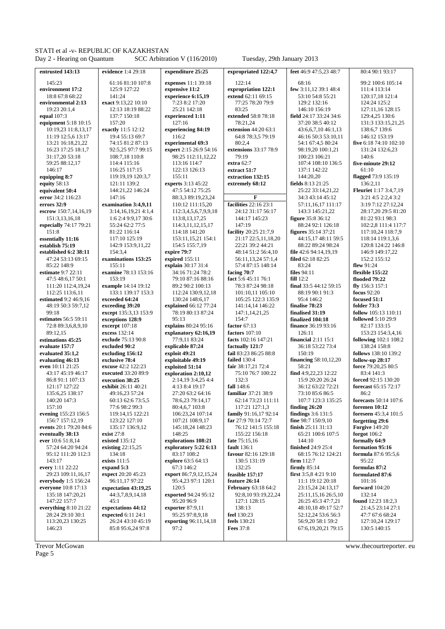| entrusted 143:13                        |
|-----------------------------------------|
| 145:23                                  |
| environment 17:2                        |
| 18:8 67:8 68:22                         |
| environmental 2:13                      |
| 19:23 20:1,4                            |
| equal $107:3$                           |
| equipment 5:18 10:15                    |
| 10:19,23 11:8,13,17                     |
| 11:19 12:5,6 13:17                      |
| 13:21 16:18,21,22                       |
| 16:23 17:25 18:1,7                      |
| 31:17,20 53:18                          |
| 59:25 88:12,17                          |
| 146:17                                  |
| equipping 8:7                           |
| equity 58:13                            |
| equivalent 50:4                         |
| error 34:2 116:23                       |
| errors 32:9                             |
| escrow 150:7,14,16,19                   |
| 151:3,13,16,18                          |
| especially 74:17 79:21                  |
| 151:8                                   |
| essentially 11:16                       |
| establish 75:19                         |
| established 6:2 38:11                   |
|                                         |
| 47:24 53:13 69:15                       |
| 85:22 148:9                             |
| estimate 9:7 22:11                      |
| 47:5 48:6,17 50:1<br>111:20 112:4,19,24 |
|                                         |
| 112:25 113:6,11                         |
| estimated 9:2 46:9,16                   |
| 48:19 50:3 59:7,12                      |
| 99:18                                   |
| estimates 56:5 59:11                    |
| 72:8 89:3,6,8,9,10                      |
| 89:12,15                                |
| estimations 45:25                       |
| evaluate 157:7                          |
| evaluated 35:1,2                        |
| evaluating 46:13                        |
| even 10:11 21:25                        |
| 43:17 45:19 46:17                       |
| 86:8 91:1 107:13                        |
| 121:17 127:22                           |
| 135:6,25 138:17                         |
| 140:20 147:3                            |
| 157:10                                  |
| evening 155:23 156:5                    |
| 156:7 157:12,19                         |
| events 20:1 79:20 84:6                  |
| eventually 38:13                        |
| ever 10:6 51:8,14                       |
| 57:24 64:20 94:24                       |
| 95:12 111:20 112:3                      |
| 143:17                                  |
| every 1:11 22:22                        |
| 29:23 109:11,16,17                      |
| everybody 1:5 156:24                    |
| everyone 10:8 17:13                     |
| 135:18 147:20,21                        |
| 147:22 157:7                            |
| everything 8:10 21:22                   |
| 28:24 29:10 30:1                        |
| 113:20,23 130:25                        |
| 146:23                                  |
|                                         |

**expenditure 25:25** expropriated 122:4,7 feet 46:9 47:5,23 48:7 80:4 90:1 93:17 **examination 3:4.9.11 | 110:12 111:15.20** 

**experts** 3:13 45:22 **extremely 68:12 extremely 68:12** explain 30:17 31:4 **explained** 66:12 77:24

145:23 61:16 81:10 107:8 **expenses** 11:1 39:18 122:14 68:16 99:2 100:6 105:14 **expensive 11:2 expropriation 122:1 expropriation 122:1 expropriation 122:1 expropriation 122:1 expropriation 122:1 expropriation 122:1 expropriation 122:1 expropriation 122:1 express** 18:24 experience 6:15,19 extend 62:11 69:15 53:10 54:8 55:21 120:17,18 121:4<br>
ret 9:13.22 10:10 7:23 8:2 17:20 77:25 78:20 79:9 129:2 132:16 124:24 125:2 **exact** 9:13,22 10:10 7:23 8:2 17:20 77:25 78:20 79:9 129:2 132:16 124:24 125:2<br>12:13 18:19 88:22 25:21 142:18 83:25 146:10 156:19 127:11,16 128:15 12:13 18:19 88:22 25:21 142:18 83:25 142:18 experienced 1:11 88:25 approximately asset in the context of the state of  $137:7$  150:18 129:4.25 130:6 **equipment** 5:18 10:15 157:20 157:20 127:16 157:20 127:16 131:3 133:15,21,25 **exactly** 11:5 12:12 **experiencing 84:19 extension** 44:20 63:1 **extension** 45:06,7,10 46:1,13 138:6,7 139:6<br>19:4 55:13 69:7 116:2 116:2 138:19 146:12 153:19 12:4 55:13 69:7 116:2 116:2 64:8 78:3,5 79:19 46:16 50:3 53:10,11<br>
74:15 81:2 87:13 experimental 69:3 80:2,4 16:23 17:25 18:1,7 92:5,25 97:7 99:15 **expert** 2:15 26:9 54:16 **extensions** 33:17 78:9 98:19,20 100:1,21 131:24 132:6,23 31:17,20 53:18 108:7,18 110:8 98:25 112:11,12,22 79:19 100:23 106:21 140:6 59:25 88:12,17 114:4 115:16 113:16 114:7 **extra** 62:7 107:4 108:10 136:5 **five-minute 29:12**  146:17 116:25 117:15 122:13 126:13 **extract 51:7** 137:1 142:22 61:10 **extraction 132:15** 144:20,20 **flagged** 73:9 135:19<br>121.11.139.2 **experts** 3:13.45:22 **extremely 68:12 fields** 8:13.21:25 **flagged** 73:9 135:19 **equivalent 50:4** 144:21,22 146:24 47:5 54:12 75:25 25:22 33:14,21,22 **Fleuriet** 1:17 3:4,7,19 **erroring** 147:16 88:3,3 89:19,23,24 **F** 34:3 43:14 45:12 3:21 4:5 2:2,4 3:2<br> **examination 3:4.9.11** 10:12 111:15 20 **facilities** 22:16 23:1 **escript 150:4,16,19,21 4:1,4** 112:3,4,5,6,7,9,9,18 24:12 31:17 56:17 143:3 145:21,22 28:17,20 29:5 81:20<br>113:8,13,17.25 144:17 145:23 **figure** 35:8 36:12 81:22 93:1 98:3 152:49:9,17 30:6 113:8,13,17,25 114:3,11,12.15.17 144:17 145:23 **figure** 35:8 36:12<br>55:24 62:2 77:5 114:3.11.12.15.17 147:19 88:24 92:1 126:18 **especially** 714:3,11,12,15,17 114:18 141:20 **facility** 20:25 21:7.9 **figures** 35:14 37:21 117:10.24 118:7.9 81:22 116:14 114:18 141:20 **facility** 20:25 21:7,9 **figures** 35:14 37:21 **essentially 11:16** 117:10 125:19 153:11,15,21 154:1 21:17 22:5,11,18,20 44:15,17 48:11 59:5 118:14 119:1,3,6 **expire 79:7** 153:9,11,22 153:9,11,22 154:5 155:7,19 22:21 39:2 44:21 18:22 89:24 88:22 89:24 120:8 124:22 146:8<br>154:3,4 **expire 79:7** 48:14 51:2 56:4,10 **file** 42:6 94:14,19,19 146:9 149:17,22 **expire 79:7 48:14 51:2 56:4,10 expired 155:11 56:11,13,24 57:1.4 examinations 153:25** expired 155:11 56:11,13,24 57:1,4 **filed** 62:18 82:25 152:2 155:12<br>155:11 **explain** 30:17 31:4 57:4 87:15 148:14 83:24 **filew** 91:24 **examine** 78:13 153:16 34:16 71:24 78:2 **facing 70:7 files** 94:11 **flexible 155:22 f** 153:19 79:10 87:16 88:16 **fact** 5:6 45:11 76:1 **fill** 12:2 **flooded 79:22** fact 5:6 45:11 76:1<br>78:3 87:24 98:18 111:20 112:4,19,24 **example** 14:14 19:12 89:2 90:2 100:13 78:3 87:24 98:18 **final** 33:5 44:12 59:15 **fly** 156:3 157:1 112:25 113:6,11 133:1 139:17 153:3 112:24 130:9,12,18 101:10,11 105:10 88:19 90:1 91:3 **focus** 92:20 **exceeded 64:24** 130:24 148:6,17 105:25 122:3 135:9 15:4 146:2 **focused 51:1 exceeding 39:20 explained** 66:12 77:24 14:14,14 146:22 **finalise 78:23 folder 73:3 except** 135:3,13 153:9 78:19 80:13 87:24 147:1,14,21,25 **finalised 31:19 finalised 31:19 follow** 105:13 110:11 **followed** 5:10 29:9 **exceptions 128:9** 95:13 154:7 **finalized 104:18**<br>**except** 107:18 **explains** 80:24 95:16 **f** actor 67:13 **finance** 36:19 93:16 72:8 89:3,6,8,9,10 **excerpt** 107:18 **explains** 80:24 95:16 **factor** 67:13 **finance** 36:19 93:16 82:17 133:15 **excess** 132:14 **explanatory 62:16,19 factors** 107:10 **exclude** 75:13 90:8 **exclude** 75:13 90:8 77:9,11 83:24 **facts** 102:16 147:21 **financial** 2:11 15:1 **following** 102:1 108:2 **exclude** 75:13 90:8 77:9,11 83:24 **facts** 102:16 147:21 **financial** 2:11 15:1 **following** 102:1 108:2 **excluded** 90:2 **following** 102:1 108:2 **explicable 87:24 factually 121:7** 36:18 53:22 73:4 138:24 158:8<br>**exploit 49:21** fail 83:23 86:25 88:8 150:19 **follows** 138:10 139:2 **excluding 156:12** exploit 49:21 **fail** 83:23 86:25 88:8 150:19 **exclusive 78:4 exploitable 49:19 final exploit and follows** 130:4 **exclusive 78:4 exploitable 49:19 failed** 130:4 **financing** 58:10,12,20 **follow-up 28:17 excuse** 42:2 122:23 **exploited 51:14 fair** 38:17,21 72:4 **force** 79:20,25 80:5 **excuse** 42:2 122:23 **executed 53:20 89:9 exploited 51:14 fair** 38:17,21 72:4 **force** 79:20,25 **executed** 33:20 89:9 **exploration 2:10.12** 75:10 76:7 100:22 **find** 4:9.22.23 12:22 83:4 141:3 **executed** 33:20 89:9 **exploration 2:10,12** <br>**exploration 2:10,12** <br>132:3 **find** 4:9,22,23 12:22<br>15:9 20:20 26:24 **execution 38:25**<br>**exhibit** 26:11 40:21 **exhibit** 26:11 40:21 **13**  $2:14,19$  3:4,25 4:4 **for all 148:6 for all 148:6** 15:12 63:22 72:21 **forecast** 65:15 72:17 **fall** 148:6<br> **familiar** 37:21 38:9<br> **familiar** 37:21 38:9<br> **familiar** 37:21 38:9<br> **familiar** 37:21 38:9<br> **familiar** 37:21 38:4 135:6,25 138:17 49:16,23 57:24 27:20 63:2 64:16 **familiar** 37:21 38:9 73:10 85:6 86:5 86:2 60:13 62:6 73:5,5 78:6,23 79:14,17 62:14 73:23 111:11 107:7 123:3 135:25 **forecasts** 50:14 107:6<br>77:6 98:2 99:3 80:4,6,7 103:8 117:21 127:1.3 **finding 26:20 foremen 10:12** 157:10 77:6 98:2 99:3 80:4,6,7 103:8 117:21 127:1,3 **finding 26:20 foremen 10:12 evening** 155:23 156:5 119:14,15 122:21 106:23,24 107:14 **family** 91:16,17 92:14 **findings** 3:6 131:5 **foreseen** 45:3,4 101:5 156:7 157:12,19 123:22 127:10 107:21 108:9,17 **far** 27:9 70:14 72:7 **fine** 98:7 150:9,10 **forgetting 29:6 exist 27:8 exist 27:8 exist 27:8 exist 27:8 finish** 25:11 31:13 **Forgive** 149:20 **forgot** 106:2 **exist** 27:8 **existed** 135:12 148:25 **existed** 135:12 **existed** 135:12 **existed** 135:12 **existed** 198:21 **for the 38:21** 144:10 **formally 64:9 ever** 10:6 51:8,14 **existed** 135:12 **explorations 108:21 fate** 75:15,16 144:10 **formally 64:9**  57:24 64:20 94:24 **existing** 22:15,25 **exploratory 5:22 6:13 fault** 136:1 **finished** 24:9 25:4 **formation 95:16**  95:22 134:18 **68:17 108:2 favour 82:16 129:18 68:15 76:12 124:21 formula** exists 111:5 **explore** 63:5 64:13 **formula** 87:02 **explore** 63:5 64:13 130:5 131:19 **firm** 112:7 95:22<br>67:3 146:2 132:25 **firmly** 85:14 **formulas 87:2 every** 1:11 22:22 **expand 5:3 formulas 87:2 formulas 87:2 formulas 87:2 formulas 87:2 expect** 20:20 45:23 **export** 86:7,9,12,15,24 **feasible 157:17 first** 3:5,8 4:21 9:10 **formulated 87:6 formulated 87:6 formulated 87:6 formulated 87:6 formulated 87:6 formulated 87:6 formulated 87:6 everybody** 11:1 120:1 **feature 26:14** 11:1 19:12 20:18 101:16<br>120:5 **February** 63:18 64:2 23:15 24 24:13 17 **forward** 104:20 **expectation 43:19,25** 120:5 **February** 63:18 64:2 23:15,24 24:13,17 **forward** 14:3,7,8,9,14,18 **exported** 94:24 95:12 92:8,10 93:19,22,24 25:11,15,16 26:5,10 132:14 14:3,7,8,9,14,18 **exported** 94:24 95:12 92:8,10 93:19,22,24 25:11,15,16 26:5,10<br>45:1 26:25 45:347:7.21 128:15 26:25 45:347:7.21 95:20 96:9 127:1 128:15 26:25 45:3 47:7,21 **found** 12:23 18:2,3<br>**exporter** 87:9,11 138:13 48:10,18 49:17 52:7 21:4,5 23:14 27:1 **expectations 44:12** exporter 87:9,11 138:13 48:10,18 49:17 52:<br>
expected 6:11 24:1 95:25 97:8,9,18 feel 130:23 52:12.24 53:6 56:3 **expected** 6:11 24:1 95:25 97:8,9,18 **feel** 130:23 52:12,24 53:6 56:3 **47:7 67:6 68:24**<br>26:24 43:10 45:19 **exporting** 96:11 14:18 **feels** 130:21 56:9 20 58:1 59:2

**field** 24:17 33:24 34:6 113:20:24 13:10 45:19 **exporting** 96:11,14,18 **feels** 130:21 56:9,20 58:1 59:2 127:10,24 129:17<br>85:8 95:6.24 97:8 97:2 **Fees** 37:8 67:6,19,20,21 79:15 130:5 140:15 f<sub>7</sub>:6,19,20,21 79:15

five 6:18 74:10 102:10

Page 5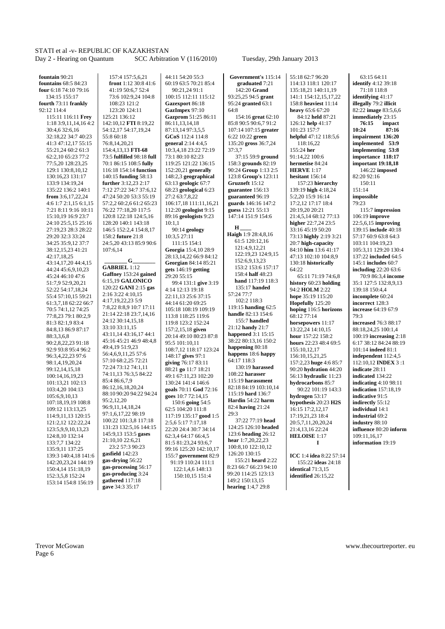**fountain** 90:21 **fountains** 68:5 84:23 **four** 6:18 74:10 79:16 134:15 155:17 **fourth** 73:11 **frankly** 92:12 114:4 115:11 116:11 **Frey** 1:18 3:9,11,14,16 4:2 30:4,6 32:6,16 32:18,22 34:7 40:23 41:3 47:12,17 55:15 55:21,24 60:2 61:3 62:2,10 65:23 77:2 77:5,20 128:23,25 129:1 130:8,10,12 130:16,23 131:17 133:9 134:19,24 135:22 136:2 140:1 **from** 3:6,17,22,24 4:6 1:7 2:1,15 6:1,15 7:21 8:11 9:16 10:11 15:10,19 16:9 23:7 24:10 25:5,15 25:16 27:19,23 28:3 28:22 29:20 32:3 33:24 34:25 35:9,12 37:7 38:12,15,23 41:21 42:17,18,25 43:14,17,20 44:4,15 44:24 45:6,9,10,23 45:24 46:10 47:6 51:7,9 52:9,20,21 52:22 54:17,18,24 55:4 57:10,15 59:21 61:3,7,18 62:22 66:7 70:5 74:1,12 74:25 77:8,23 79:1 80:2,9 81:3 82:1,9 83:4 84:8,13 86:9 87:17 88:3,3,6,8 90:2,8,22,23 91:18 92:9 93:8 95:4 96:2 96:3,4,22,23 97:6 98:1,4,19,20,24 99:12,14,15,18 100:14,16,19,23 101:13,21 102:13 103:4,20 104:13 105:6,9,10,13 107:18,19,19 108:8 109:12 113:13,25 114:9,11,13 120:15 121:2,12 122:22,24 123:5,9,9,10,13,23 124:8,10 132:14 133:7,7 134:22 135:9,11 137:25 139:3 140:4,18 141:6 142:20,23,24 144:19 150:4,14 151:18,19 152:3,5,8 152:24 153:14 154:8 156:19

157:4 157:5,6,21 **front** 1:12 30:8 41:6 41:19 50:6,7 52:4 73:6 102:9,24 104:8 108:23 121:2 123:20 124:11 125:21 136:12 142:10,12 **FTI** 8:19,22 54:12,17 54:17,19,24 55:8 60:18 76:8,14,20,21 154:4,13,13 **FTI-68** 73:5 **fulfilled** 98:18 **full** 70:1 86:15 108:5 **fully** 116:18 154:14 **function** 140:15 **funding** 58:13 **further** 3:12,23 2:17 7:12 27:22 34:7 37:6,12 47:24 50:20 53:3 55:19 57:2,2 60:2,6 61:2 65:23 76:22 77:18,20 117:5 120:8 122:18 124:5,16 128:20 140:1 143:18 146:5 152:2,4 154:8,17 158:2 **future** 21:8 24:5,20 43:13 85:9 90:6  $107.6,14$  **\_\_\_\_\_\_\_\_ G \_\_\_\_\_\_\_\_ GABRIEL** 1:12 **Gaffney** 153:24 **gained** 6:15,19 **GALONICO** 120:22 **GANI** 2:15 **gas** 2:16 3:22 4:10,15  $4.17,19,22,33$ 7:8,22 8:8,9 10:7 17:11 21:14 22:18 23:7,14,16 24:12 30:14,15,18 33:10 33:11,15 43:11,14 43:16,17 44:1 45:16 45:21 46:9 48:4,8 49:4,19 51:9,23 56:4,6,9,11,25 57:6 57:10 68:2,25 72:21 72:24 73:12 74:1,11 74:11,13 76:3,5 84:22  $85.486679$ 86:12,16,18,20,24 88:10 90:20 94:22 94:24 95:2,12,20 96:9,11,14,18,24 97:1,6,17,22 98:19 100:22 101:3,8 117:18 131:23 132:5,16 144:15 145:9,13 153:5 **gases** 21:10,10 22:6,21 23:2 57:3 90:23 **gasfield** 142:23 **gas-drying** 56:22 **gas-processing** 56:17 **gas-producing** 3:24

**gathered** 117:18 **gave** 34:3 35:17

44:11 54:20 55:3 60:19 63:5 70:21 85:4 90:21,24 91:1 100:15 112:11 115:12 **Gazexport** 86:18 **GazImpex** 97:10 **Gazprom** 51:25 86:11 86:11,13,14,18 87:13,14 97:3,5,5 **GCoS** 112:4 114:8 **general** 2:14 4:4,5  $10.3,4,18$  23:22 72:19 73:1 80:10 82:23 119:25 121:22 136:15 152:20,21 **generally** 148:2,3 **geographical** 63:13 **geologic** 67:7 68:23 **geological** 6:23  $27:263:78,22$ 106:17,18 111:11,16,21 112:20 **geologist** 9:15 89:16 **geologists** 9:23  $10 \cdot 1,1$ 90:14 **geology** 10:3,5 27:11 111:15 154:1 **Georgia** 15:4,10 28:9 28:13,14,22 66:9 84:12 **Georgian** 84:14 85:21 **gets** 146:19 **getting** 29:20 55:15 99:4 131:1 **give** 3:19 4:14 12:13 19:18 22:11,13 25:6 37:15 44:14 61:20 69:25 105:18 108:19 109:19 113:8 118:25 119:6 119:8 123:2 152:24 157:2,15,18 **given** 20:14 49:10 80:23 87:8 95:5 101:10,11 108:7,12 118:17 123:24 148:17 **gives** 97:1 **giving** 76:17 83:11 88:21 **go** 11:7 18:21 49:1 67:11,23 102:20 130:24 141:4 146:6 **goals** 70:11 **God** 72:16 **goes** 10:7 72:14,15 150:6 **going** 54:5 62:5 104:20 111:8 117:19 135:17 **good** 1:5 2:5,6 5:17 7:17,18 22:20 24:4 30:7 34:14 62:3,4 64:17 66:4,5 81:5 81:23,24 93:6,7 99:16 125:20 142:10,17 155:7 **government** 82:9 91:19 110:24 111:1 122:1,4,6 148:13 150:10,15 151:4

**Government's** 115:14 **graduated** 7:21 142:20 **Grand** 93:25,25 94:5 **grant** 95:24 **granted** 63:1 64:8 154:16 **great** 62:10 85:8 90:5 90:6,7 91:2 107:14 107:15 **greater** 6:22 10:22 **green** 135:20 **gross** 36:7,24  $37.37$ 37:15 59:9 **ground** 158:3 **grounds** 82:19 90:24 **Group** 1:13 2:5 123:8 **Group's** 123:11 **Gruzneft** 15:12 **guarantee** 156:13 **guaranteed** 96:19 **guards** 146:16 147:2 **guess** 12:21 55:13 147:14 151:9 154:6 **H Haigh** 1:9 28:4,8,16 61:5 120:12,16 121:4,9,12,21 122:19,23 124:9,15  $152.6913.23$ 153:2 153:6 157:17 158:4 **half** 48:23 **hand** 117:19 118:3 135:17 **handed** 57:24 77:7 102:2 118:3 119:15 **handing** 62:5 **handle** 82:13 154:6 155:7 **handled** 21:12 **handy** 21:7 **happened** 3:1 15:15 38:22 80:13,16 150:2 **happening** 80:18 **happens** 18:6 **happy** 64:17 118:3 130:19 **harassed** 108:22 **harasser** 115:19 **harassment** 82:18 84:19 103:10,14 115:19 **hard** 136:7 **Hardin** 54:22 **harm** 82:4 **having** 21:24 29:3 37:22 77:19 **head** 124:25 126:10 **headed** 123:6 **heading** 26:12 **hear** 1:7,20,22,23 100:8,10 122:10,12 126:20 130:15 155:21 **heard** 2:22 8:23 66:7 66:23 94:10 99:20 114:25 123:13 149:2 150:13,15 **hearing** 1:4,7 29:8

55:18 62:7 96:20 114:13 118:1 120:17 135:18,21 140:11,19 141:1 154:12,15,17,22 158:8 **heaviest** 11:14 **heavy** 65:6 67:20 84:12 **held** 87:21 126:12 **help** 41:17 101:23 157:7 **helpful** 47:12 118:5,6 118:16,22 155:24 **her** 91:14,22 100:6 **hermetise** 84:24 **HERVE** 1:17 **hesitant** 156:14 157:23 **hierarchy** 139:19 **high** 4:18,24 5:2,20 15:9 16:14 17:2,12 17:17 18:4 20:19,20 20:21 21:4,5,14 68:12 77:13 **higher** 22:7,24 23:5 33:16 45:19 50:20 73:13 **highly** 2:19 3:21 20:7 **high-capacity** 84:10 **him** 13:6 41:17 47:13 102:10 104:8,9 130:18 **historically** 64:22 65:11 71:19 74:6,8 **history** 60:23 **holding** 94:2 **HOLM** 2:22 **hope** 35:19 115:20 **Hopefully** 125:20 **hoping** 116:5 **horizons** 68:12 77:14 **horsepowers** 11:17 13:22,24 14:10,15 **hour** 157:22 158:2 **hours** 22:23 48:4 69:5 155:10,12,17 156:10,15,21,25 157:2,23 **huge** 4:6 85:7 90:20 **hydration** 44:20 56:13 **hydraulic** 11:23 **hydrocarbons** 85:7 90:22 101:19 143:3 **hydrogen** 53:17 **hypothesis** 20:23 **H2S** 16:15 17:2,12,17 17:19.21.23 18:4 20:5,7,11,20,20,24 21:4,13,16 22:24 **HELOISE** 1:17  **I ICC** 1:4 **idea** 8:22 57:14 155:22 **ideas** 24:18

**identical** 71:3,15 **identified** 26:15,22

63:15 64:11 **identify** 4:12 39:18 71:18 118:8 **identifying** 41:17 **illegally** 79:2 **illicit** 82:22 **image** 83:5,6,6 **immediately** 23:15 **76:15 impact 10:24 87:16 impairment 136:20 implemented 53:9 implementing 53:8 importance 118:17 important 19:18,18**  146:22 **imposed** 82:20 92:16 150:11 151:14 **impossible** 79:23 115:7 **impression** 106:19 **improve** 22:5,6,15 **improving** 139:15 **include** 40:18 57:17 60:9 63:8 64:3 103:11 104:19,23 105:3,11 129:20 130:4 137:22 **included** 64:5 145:1 **includes** 60:7 **including** 22:20 63:6 70:9 86:3,4 **income** 35:1 127:5 132:8,9,13 139:18 150:4,4 **incomplete** 60:24 **incorrect** 128:3 **increase** 64:19 67:9 79:3 **increased** 76:3 88:17 88:18,24,25 100:1,4 100:19 **increasing** 2:18 6:17 38:12 84:24 88:19 101:14 **indeed** 81:1 **independent** 112:4,5 112:10,12 **INDEX** 3 :1 **indicate** 28:11 **indicated** 134:22 **indicating** 4:10 98:11 **indication** 157:18,19 **indicative** 91:5 **indirectly** 55:12 **individual** 14:1 **industrial** 69:2 **industry** 88:10 **influence** 80:20 **inform** 109:11,16,17

**information** 19:19

Page 6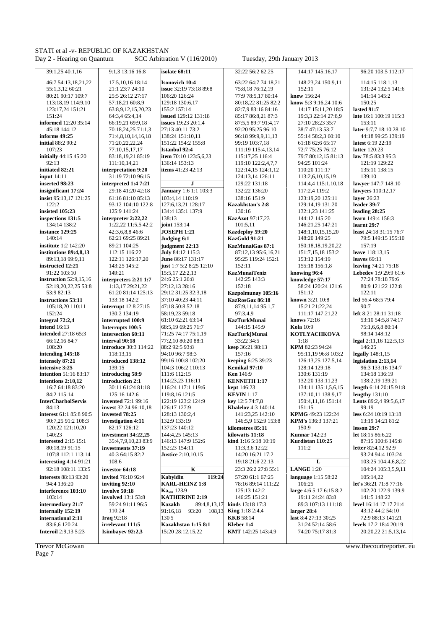# STATI et al -v- REPUBLIC OF KAZAKHSTAN

| Day 2 - Hearing on Quantum                                  |                                                           | SCC Arbitration V (116/2010)                                     | Tuesday, 29th January 2013                                   |                                             |                                                       |  |
|-------------------------------------------------------------|-----------------------------------------------------------|------------------------------------------------------------------|--------------------------------------------------------------|---------------------------------------------|-------------------------------------------------------|--|
| 39:1,25 40:1,16                                             | 9:1,3 13:16 16:8                                          | isolate 68:11                                                    | 32:22 56:2 62:25                                             | 144:17 145:16,17                            | 96:20 103:5 112:17                                    |  |
| 46:7 54:13,18,21,22<br>55:1,3,12 60:21<br>80:21 90:17 109:7 | 17:5, 10, 16 18:14<br>21:1 23:7 24:10<br>25:5 26:12 27:17 | <b>Isonovich 10:4</b><br>issue 32:19 73:18 89:8<br>106:20 126:24 | 63:22 64:7 74:18,21<br>75:8,1876:12,19<br>77:9 78:5,17 80:14 | 148:23,24 150:9,11<br>152:11<br>knew 156:24 | 114:15 118:1,13<br>131:24 132:5 141:6<br>141:14 145:2 |  |
| 113:18,19 114:9,10                                          | 57:18,21 60:8,9                                           | 129:18 130:6,17                                                  | 80:18,22 81:25 82:2                                          | know 5:3 9:16,24 10:6                       | 150:25                                                |  |
| 123:17,24 151:21                                            | 63:8,9,12,15,20,23                                        | 155:2 157:14                                                     | 82:7,9 83:16 84:16                                           | 14:17 15:11,20 18:5                         | lasted 91:7                                           |  |
| 151:24                                                      | 64:3,4 65:4,14                                            | <b>issued</b> 129:12 131:18                                      | 85:17 86:8,21 87:3                                           | 19:3,3 22:14 27:8,9                         | late 16:1 100:19 115:3                                |  |
| <b>informed</b> 12:20 35:14                                 | 66:19,21 69:9,18                                          | issues $19:23$ $20:1,4$                                          | 87:5,5 89:7 91:4,17                                          | 27:10 28:23 35:7                            | 153:11                                                |  |
| 45:18 144:12                                                | 70:18,24,25 71:1,3                                        | 27:13 40:11 73:2                                                 | 92:20 95:25 96:10                                            | 38:7 47:13 53:7                             | later 9:7,7 18:10 28:10                               |  |
| informs 49:25                                               | 71:4,8,10,14,16,18                                        | 138:24 151:10,11                                                 | 96:18 99:9,9,11,13                                           | 55:14 58:2,3 60:10                          | 44:18 99:25 139:19                                    |  |
| initial 88:2 90:2                                           | 71:20,22,22,24                                            | 151:22 154:2 155:8                                               | 99:19 103:7,18                                               | 61:18 62:6 65:17                            | latest 6:19 22:19                                     |  |
| 107:23                                                      | 77:10,15,17,17                                            | <b>Istanbul 92:4</b>                                             | 111:19 115:4,13,14                                           | 72:7 75:25 76:12                            | latter 120:23                                         |  |
| initially 44:15 45:20                                       | 83:18,19,21 85:19                                         | <b>item</b> 70:10 123:5,6,23                                     | 115:17,25 116:4                                              | 79:7 80:12,15 81:13                         | law 78:5 83:3 95:3                                    |  |
| 92:13                                                       | 111:10,14,21                                              | 136:14 153:13                                                    | 119:10 122:2,4,7,7                                           | 94:25 101:24                                | 121:19 129:22                                         |  |
| initiated 82:21                                             | interpretation 9:20                                       | <b>items</b> 41:23 42:13                                         | 122:14,15 124:1,12                                           | 110:20 111:17                               | 135:11 138:15                                         |  |
| input $14:11$                                               | 31:19 72:10 96:15                                         |                                                                  | 124:13,14 126:11                                             | 113:2,6,10,15,19                            | 139:10                                                |  |
| inserted 98:23                                              | interpreted 1:47:21                                       | $\mathbf J$                                                      | 129:22 131:18                                                | 114:4,4 115:1,10,18                         | lawyer 147:7 148:10                                   |  |
| insignificant 17:24                                         | 29:18 41:20 42:18                                         | January 1:6 1:1 103:3                                            | 132:22 136:20                                                | 117:2,4 119:2                               | lawyers 110:12,17                                     |  |
| insist 95:13,17 121:25                                      | 61:16 81:10 85:13                                         | 103:4,14 110:19                                                  | 138:16 151:9                                                 | 123:19,20 125:11                            | layer $26:23$                                         |  |
| 122:2                                                       | 93:12 104:10 122:8                                        | 127:6,13,21 128:17                                               | Kazakhstan's 2:8                                             | 129:14,19 131:20                            | leader 39:7                                           |  |
| insisted 105:23                                             | 125:9 141:24                                              | 134:4 135:1 137:9                                                | 130:16                                                       | 132:1,23 141:25                             | leading 28:25                                         |  |
| inspections 131:5                                           | interpreter 2:22,22                                       | 138:13                                                           | KazAzot 97:17,23                                             | 144:12 145:20                               | learn 149:4 156:3                                     |  |
| 134:14 138:2                                                | 1:22,22 11:5,5 42:2                                       | joint $153:14$                                                   | 101:5,11                                                     | 146:21,25 147:21                            | learnt 29:7                                           |  |
| instance 129:25                                             | 42:3,6,8,8 46:6                                           | <b>JOSEPH 1:21</b>                                               | Kazdeploy 59:20                                              | 148:1,10,15,15,20                           | least 24:18 31:15 76:7                                |  |
| 140:14                                                      | 62:21 69:25 89:21                                         | Judging 6:1                                                      | KazGold 91:21                                                | 148:20 149:25                               | 79:5 149:15 155:10                                    |  |
| <b>institute</b> 1:2 142:20                                 | 89:21 104:25                                              | judgment 22:13                                                   | KazMunaiGas 87:1                                             | 150:18,18,19,20,22                          | 157:19                                                |  |
| institutions 89:4,8,13<br>89:13,18 99:9,11                  | 112:15 116:22<br>122:11 126:17,20                         | <b>July</b> 84:12 115:3<br>June 86:17 131:17                     | 87:12,13 95:6,16,21<br>95:25 119:24 152:1                    | 151:7,15,18 153:2<br>153:12 154:19          | leave 118:13,15<br>leaves $69:11$                     |  |
| instructed 12:21                                            | 143:25 145:2                                              | just 1:7 5:2 8:25 12:10                                          | 152:11                                                       | 155:18 156:1,8                              | leaving 74:21 75:18                                   |  |
| 91:22 103:10                                                | 149:21                                                    | 15:5,17 22:2,13                                                  | <b>KazMunaiTeniz</b>                                         | knowing 96:4                                | Lebedev 1:9 29:9 61:6                                 |  |
| instruction $52:9,15,16$                                    | interpreters 2:21 1:7                                     | 24:6 25:1 26:8                                                   | 142:25 143:3                                                 | knowledge 57:17                             | 77:24 78:18 79:6                                      |  |
| 52:19,20,22,25 53:8                                         | 1:13,17 29:21,22                                          | 27:12,13 28:16                                                   | 152:18                                                       | 58:24 120:24 121:6                          | 80:9 121:22 122:8                                     |  |
| 53:9 82:13                                                  | 61:20 81:14 125:13                                        | 29:12 31:25 32:3,18                                              | Kazpolmunay 105:16                                           | 151:12                                      | 122:11                                                |  |
| instructions 53:11<br>105:18,20 110:11                      | 133:18 142:2<br>interrupt $12:827:15$                     | 37:10 40:23 44:11<br>47:18 50:8 52:18                            | KazRosGaz 86:18<br>87:9,11,14 95:1,7                         | known 3:21 10:8<br>15:21 21:22,24           | led 56:4 68:5 79:4<br>90:7                            |  |
| 152:24                                                      | 130:2 134:19                                              | 58:19,23 59:18                                                   | 97:3,4,9                                                     | 111:17 147:21,22                            | left 8:21 28:11 31:18                                 |  |
| integral 72:2,4                                             | interrupted 100:9                                         | 61:10 62:21 63:14                                                | KazTurkMunai                                                 | knows 72:16                                 | 53:10 54:5,8 74:17                                    |  |
| intend 16:13                                                | Interrupts 100:5                                          | 68:5,19 69:25 71:7                                               | 144:15 145:9                                                 | <b>Kola</b> 10:9                            | 75:1,6,6,8 80:14                                      |  |
| <b>intended</b> 27:18 65:3                                  | intersection 60:11                                        | 71:25 74:17 75:1,19                                              | KazTurk]Munai                                                | <b>KOTLYACHKOVA</b>                         | 98:14 148:12                                          |  |
| 66:12,16 84:7                                               | interval 90:18                                            | 77:2,10 80:20 88:1                                               | 33:22 34:5                                                   | 1:18                                        | legal 2:11,16 122:5,13                                |  |
| 108:20                                                      | <b>introduce</b> 30:3 114:22                              | 88:2 92:5 93:8                                                   | keep 36:21 98:13                                             | KPM 82:23 94:24                             | 146:25                                                |  |
| intending 145:18                                            | 118:13,15                                                 | 94:10 96:7 98:3                                                  | 157:16                                                       | 95:11,19 96:8 103:2                         | legally $148:1,15$                                    |  |
| intensely 87:21<br>intensive 3:25                           | introduced 138:12<br>139:15                               | 99:16 100:8 102:20<br>104:3 106:2 110:13                         | keeping 6:25 39:23<br>Kemikal 97:10                          | 126:13,25 127:5,14<br>128:14 129:18         | legislation 2:13,14<br>96:3 133:16 134:7              |  |
| intention 51:16 83:17                                       | introducing 58:9                                          | 111:6 112:15                                                     | <b>Ken</b> 146:9                                             | 130:6 131:19                                | 134:18 136:19                                         |  |
| intentions 2:10,12                                          | introduction 2:1                                          | 114:23,23 116:11                                                 | <b>KENNETH 1:17</b>                                          | 132:20 133:11,23                            | 138:2,19 139:21                                       |  |
| 16:7 64:18 83:20                                            | 30:11 61:24 81:18                                         | 116:24 117:1 119:6                                               | <b>kept</b> 146:23                                           | 134:11 135:1,5,6,15                         | length $6:14$ 20:15 91:8                              |  |
| 84:2 115:14                                                 | 125:16 142:6                                              | 119:8,16 121:5                                                   | <b>KEVIN</b> 1:17                                            | 137:10,11 138:9,17                          | lengthy $131:10$                                      |  |
| <b>InterCharbolServis</b>                                   | <b>invented</b> 72:1 99:16                                | 122:19 123:2 124:9                                               | key 12:5 74:7,8                                              | 150:4,11,16 151:14                          | Lents 89:2,4 99:5,6,17                                |  |
| 84:13                                                       | invest 32:24 96:10,18                                     | 126:17 127:9                                                     | <b>Khalelov</b> 4:3 140:14                                   | 151:15                                      | 99:19                                                 |  |
| <b>interest</b> 61:1 85:8 90:5                              | invested 78:25                                            | 128:13 130:2,4                                                   | 141:23,25 142:10                                             | KPMG 49:23 122:24                           | less 6:24 10:19 13:18                                 |  |
| 90:7,25 91:2 108:3                                          | investigation 4:11                                        | 132:9 133:19                                                     | 146:5.9 152:9 153:8                                          | <b>KPM's</b> 136:3 137:21                   | 13:19 14:21 81:2                                      |  |
| 120:22 121:10,20                                            | 82:17 126:12                                              | 137:23 140:12                                                    | kilometres 85:11                                             | 150:9                                       | lesson 29:7                                           |  |
| 140:23<br><b>interested</b> 2:15 15:1                       | investment 34:22,25<br>35:4,7,9,10,23 83:9                | 144:4,25 145:13<br>146:13 147:9 152:6                            | kilowatts 11:18<br><b>kind</b> $1:165:1810:19$               | <b>Kunnar</b> 142:23<br>Kurdistan 110:25    | let 18:15 86:6,22<br>87:15 100:6 145:8                |  |
| 80:18,19 91:15                                              | investments 37:19                                         | 152:23 154:11                                                    | 11:3,3,6 12:22                                               | 111:2                                       | <b>letter</b> 82:4,12 92:9                            |  |
| 107:8 112:1 113:14                                          | 40:3 64:15 82:2                                           | <b>Justice</b> 2:10,10,15                                        | 14:20 16:21 17:2                                             |                                             | 93:24 94:4 103:24                                     |  |
| interesting $4:1491:21$                                     | 108:6                                                     |                                                                  | 19:18 21:6 22:13                                             | L                                           | 103:25 104:4,6,8,22                                   |  |
| 92:18 108:11 133:5                                          | investor 64:18                                            | K                                                                | 23:3 26:2 27:8 55:1                                          | <b>LANGE 1:20</b>                           | 104:24 105:3,5,9,11                                   |  |
| interests 88:13 93:20                                       | invited 76:10 92:4                                        | Kabyldin<br>119:24                                               | 57:20 61:1 67:25                                             | language 1:15 58:22                         | 105:14,22                                             |  |
| 94:4 136:20                                                 | inviting 92:10                                            | <b>KARL-HEINZ 1:8</b>                                            | 78:16 89:14 111:22                                           | 106:25                                      | let's 36:21 71:8 77:16                                |  |
| interference 103:10                                         | involve 50:18                                             | $\mathrm{Ka}_{\mathrm{sco}}$ 123.9                               | 125:13 142:2                                                 | large $4:65:176:158:2$                      | 102:20 122:9 139:9                                    |  |
| 103:14                                                      | <b>involved</b> 13:1 53:8                                 | <b>KATHERINE 2:19</b>                                            | 146:25 151:21                                                | 19:11 24:24 83:8                            | 141:5 148:22                                          |  |
| intermediary 21:7                                           | 59:24 91:11 96:5                                          | Kazakh<br>89:4,8,13,17                                           | kinds 13:18 17:3                                             | 89:3 107:13 111:18                          | level 16:14 17:17 21:4                                |  |
| internally 152:19                                           | 110:24                                                    | 91:16,18<br>93:20<br>108.13                                      | <b>King</b> $1:182:4,4$                                      | larger 28:4                                 | 43:12 44:2 54:10                                      |  |
| international 2:11<br>83:6,6 120:24                         | Iraq $92:18$<br>irrelevant 111:5                          | 130.5<br>Kazakhstan 1:15 8:1                                     | <b>KKB</b> 58:14<br>Kleber 1:4                               | last 8:4 27:13 30:25<br>31:24 52:14 58:6    | 72:9 88:13 141:21<br><b>levels</b> 17:2 18:4 20:19    |  |
| <b>Interoil</b> 2:9,13 5:23                                 | Isimbayev 92:2,3                                          | 15:20 28:12,15,22                                                | KMT 142:25 143:4,9                                           | 74:20 75:17 81:3                            | 20:20,22 21:5,13,14                                   |  |
|                                                             |                                                           |                                                                  |                                                              |                                             |                                                       |  |

Page 7

Trevor McGowan News Alexander Communication of the Communication of the Communication of the Communication of the Communication of the Communication of the Communication of the Communication of the Communication of the Com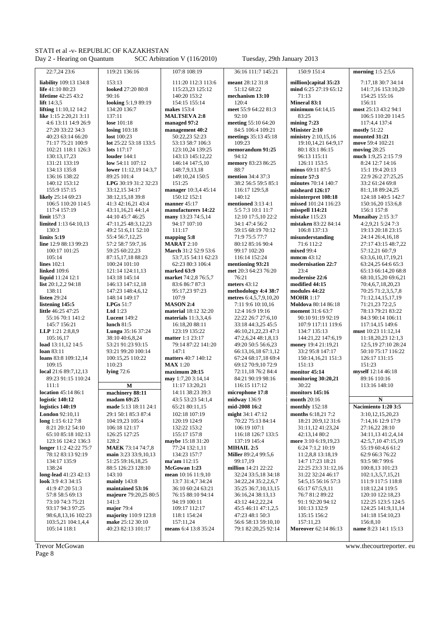**loans** 83:8 109:12,14 **location** 45:14 86:1 **machinery 88:11** 

**lot** 25:22 53:18 133:5 117:4 157:19 43:11,16,21 44:1,4 **manufacturers 14:22** 5:5 7:3 10:1 11:7 **misspell 114:21** 156:1 157:8 **madam 69:25** 

**lift** 14:3,5 **looking** 5:1,9 89:19 154:15 155:14 120:4 **Mineral 83:1**<br>**lifting** 11:10,12 14:2 134:20 136:7 **makes** 153:4 **meet** 55:9 64:22 81:3 **minimum** 64:14,15 136:16 138:22 89:25 101:4 149:10,24 150:5 **mention** 34:4 37:3<br>140:12 153:12 **I.PG** 30:19 31:2 32:23 151:25, 28:2 38:2 56:5 59:5 85:1 **line** 12:9 88:13 99:23 57:2 58:7 59:7,16 **MARAT** 2:10 80:12 85:16 90:4 71:6 112<br>100:17 101:25 59:25 60:22 23<br>**March** 31:2 52:9 53:6 99:17 102:20 **mixed** 99:4 **listen interes** 6:4,5,7,9,10,20 **load** 13:11,12 14:5 53:21 91:23 93:15 79:14 87:22 141:20 49:20 50:5 56:6,23 **money** 19:4 21:19,21 14:11 38:23 39:3 **microphone 17:8 monitors 145:16**  138:5 126:23 128:10 **McGowan 1:23** million 14:21 22:22<br>143:10 **mean** 10:16 11:9 10<br>32:24 33:5 18:34:18

22:7,24 23:6 119:21 136:16 107:8 108:19 36:16 111:7 145:21 150:9 151:4 **morning** 1:5 2:5,6 **liability** 109:13 134:8 153:13 153:13 111:20 112:3 113:6 **meant** 28:12 31:8 **million]capital 35:23** 7:17,18 30:7 34:14<br>**life** 41:10 80:23 10:23 10:0**ked** 27:20 80:8 115:23 23 125:12 11:20 22 11:12 68:22 11:12 16:3-10 20 **looked** 27:20 80:8 115:23,23 125:12 51:12 68:22 **mind** 6:25 27:19 65:12 141:7,16 153:10,20<br>90:16 140:20 153:2 **mechanism 13:10** 71:13 154:25 155:16 **lifetime** 42:25 43:2 90:16 140:20 153:2 **mechanism 13:10** 71:13 154:25 155:14 14:3,5 **lift** 14:3,5 **like** 1:15 2:20,21 3:11 | 137:11 | **MALTSEVA 2:8** | 92:10 | 83:25 | 106:5 110:20 114:5 4:6 13:11 14:9 26:9 **lose** 101:18 **managed 97:2 meeting** 55:10 64:20 **mining 7:23** 117:4,4 137:4 27:20 33:22 34:3 **losing** 103:18 **management 40:2 a** 84:5 106:4 109:21 **Minister 2:10 mostly** 51:22 **meetings** 35:13 45:18 **ministry** 2:10,15,16 **mounted 31:21 mounted 31:21** 40:23 63:14 66:20 **lost** 100:23 **lost** 100:23 **lost** 100:23 **lost** 100:23 **lost** 100:23 **lost** 53:13 58:7 106:3 **lost** 109:23 **lost** 100:25 **lost** 102:21 **lost** 102:21 **lost** 102:21 **lost** 102:21 **lost** 102:21 **lost** 102:2 102:21 118:1 126:3 **lots** 117:17 123:10,24 139:25 **memorandum 91:25** 80:1 83:1 86:15 **moving** 28:25 130:13,17,23 **louder** 144:1 143:13 145:12,22 94:12 96:13 115:11 **much** 1:9,25 2:15 7:9 131:21 133:19 **low** 54:11 107:12 146:14 147:5,10 **memory** 83:23 86:25 126:11 153:5 8:24 12:7 14:16<br>148:7.9.13.18 88:7 **minus** 69:11 87:5 15:1 19:4 20:13 134:13 135:8 **lower** 11:12,19 14:3,7 148:7,9,13,18 **lower** 11:12,19 14:3,7 148:7,9,13,18 **lower** 11:12,19 14:3,7 148:7,9,13,18 **minus** 69:11 87:5 15:1 19:4 20:13 136:16 138:22 19:25 101:4 149:10,24 150:5 **mention** 34:4 37: 140:12 153:12 **LPG** 30:19 31:2 32:23 151:25 38:2 56:5 59:5 85:1 **minutes** 70:14 140:7 33:2 61:24 69:8 155:9 157:15 33:12,15 34:17 **manager** 10:3,4 45:14 116:17 129:5,8 **misheard 126:17** 81:1,18 89:24,25 **likely** 25:14 69:23 38:12,15,18 39:8 150:12 152:1 140:12 140:12 **misinterpret 108:18** 124:18 140:5 142:7 166:5 110:20 114:5 113 42:16 124:18 140:5 142:7 106:5 110:20 114:5 41:3 42:16,21 43:4 **manner** 45:17 **mentioned** 3:13 4:1 **missed** 101:24 116:23 150:16,20 1:<br>117:4 157:19 156:1 157:8 **manufacturers** 14:22 5:5 7:3 10:1 11:7 **missell 114:21** 156:1 157:8 **limit** 157:3 **14:10 44:10 45:7 46:25 <b>many** 13:23 74:5,14 12:10 17:5,10 22:2 **mistake** 115:23 **Munaibay** 2:15 3:7 **limited** 1:13 64:10,13 47:11,25 48:3,12,23 94:17 107:10 34:1 47:4 56:2 **mistaken** 83:22 84:14 4:2,9,21 5:24 7:3 130:3 49:2 51:6,11 52:10 111:17 59:15 68:19 70:12 106:8 137:13 19:13 20:18 23:15 **limits 5:19 55:4 56:7,12,25 mapping 5:8 11:9 75:5 77:7 misunderstanding 12:9 88:13 99:23 <br><b>MARAT** 2:10 **MARAT** 2:10 **11:6 90:4 71:6 112:2 27:17 43:15 48:7 22** 100:17 101:25 59:25 60:22,23 **March** 31:2 52:9 53:6 99:17 102:20 **mixed** 99:4 57:12,21 60:7,9 105:14 87:15,17,18 88:23 53:7,15 54:11 62:23 116:14 152:24 **mmcm** 43:12 63:3,6,10,17,19,21 **lines** 102:1 100:24 101:10 100:24 101:10 62:23 80:3 106:4 **mentioning 93:21** modernisation 22:7 63:24,25 64:6 65:3<br>**linked** 109:6 121:14 124:11,13 **marked 63:9 met** 20:3 64:23 76:20 23:4 65:13 66:14,20 68:8 **linked** 109:6 121:14 124:11,13 **marked 63:9 met** 20:3 64:23 76:20 **met** 20:3 64:23 76:20 **met** 20:3 **marked 63:9 met** 20:3 65:13 **marked 63:9 market** 74:2.8 76:5.7 **marked 63:9 market** 74:2.8 76:5.7 **market** 74:2. **liquid** 11:24 12:1 **143:18 145:14 market** 74:2,8 76:5,7 **1 76:21 <b>modernise 22:6** 68:10,15,20 69:6,21 **list** 20:1,2,2 94:18 | 146:13 147:12,18 | 83:6 86:7 87:3 **meters** 43:12 **modified 44:15** 70:4,6,7,18,20,23 138:11 147:23 148:4,6,12 95:17,23 97:23 **methodology 4:4 38:7** modules 44:22 70:25 71:2,3,5,7,8<br>148:14 149:17 167:9 107:9 **metres** 6:4,5,7,9,10,20 **MOHR** 1:17 71:12,14,15,17,19 **listening 145:5 LPGs** 51:7 **MASON 2:4** 7:11 9:6 10:10,16 **Moldova** 80:14 86:18 71:21,23 72:2,5<br>**Little** 46:25 47:25 **Little** 46:25 47:25 **Little** 46:25 47:25 **Little** 46:95 47:21 83:2 **little** 46:25 47:25 **Ltd** 1:23 **material** 18:12 32:20 12:4 16:9 19:16 **moment** 31:6 63:7 78:13 79:21 83:22 55:16 70:1 141:2 **Lucent** 149:2 **materials** 11:3,3,4,6 22:22 26:7 27:6,10 90:10 91:19 92:19 84:3 90:14 106:11 145:7 156:21 **lunch** 81:5 **lunch** 81:5 16:18,20 88:11 **lunch** 81:5 **lungu** 35:16 37:24 123:19 135:22 146:10.21.22.23 47:1 149:10 134:7 135:13 **lungu** 35:16 37:24 123:19 135:22 146:10.21.22.23 47:1 149:7 135:13 **must** 10:23 **Lungu** 35:16 37:24 123:19 135:22 46:10,21,22,23 47:1 134:7 135:13 **must** 10:23 11:12,14<br>105:16,17 38:10 40:6.8.24 **matter** 1:1 23:17 47:2.6.24 48:1.8,13 144:21,22 147:6,19 11:18.20.23 12:1.3 105.10 40:6,8,24 **matter** 1:1 23:17 47:2,6,24 48:1,8,13 144:21,22 147:6,19 11:18,20,23 12:1,3<br>12:5 19:77:10 28:24 49:20 50:5 56:6 23 **money** 19:4 21:19 21 12:5 19:27:10 28:24 **loan** 83:11 93:21 99:20 100:14 147:1 66:13,16,18 67:1,12 33:2 95:8 147:17 50:10 75:17 116:22<br> **loans** 83:8 109:12,14 100:15.25 110:22 **matters** 40:7 140:12 67:24 68:17,18 69:4 150:14,16,21 151:3 126:17 131:15 109:15 110:23 **MAX** 1:20 69:12 70:9,10 72:9 151:13 151:23<br> **110:23 MAX** 1:20 **MAX** 1:20 69:12 70:9,10 72:9 15 15:13 15 151:23<br> **110:23 110:23 110:23 110:23 110:23 12:14 46:18 local** 21:6 89:7,12,13 **lying** 72:6 **maximum 20:15 dividend 20:15 maximum 20:15 maximum 20:14**,14 **maximum 20:14**,14 **maximum 20:14**,14 **maximum 20:19** 98:16 **monitoring 30:20,21 maximum 20:16** 110:16 89:23 91:15 110:24 **may** 1:7,20 3:14,14 84:21 90:19 98:16 **monitoring 30:20,21** 89:16 110:16 111:1 **M** | 11:17 13:20,21 | 116:15 117:12 | 30:22 | 113:16 148:10 **logistic 140:12 does not all madam 69:25 degree 1** 43:5 53:23 54:1,4 **midway** 136:9 **month** 20:16 **N logistics 140:19 made** 5:13 18:11 24:1 65:21 80:11,15 **mid-2008 16:2 monthly** 152:18 **Nacimiento 1:20 3:5 London** 92:10,11 29:1 50:1 85:3 87:4 102:18 107:19 **might** 34:1 47:12 **months** 6:18,21 7:2 3:10,12,15,20,23 **long** 1:15 6:12 7:8 104:19,23 105:4 120:19 124:9 70:22 75:13 84:14 18:21 20:9,12 31:6 7:14,16 12:9 17:9 8:21 20:12 54:10 106:18 121:17 132:22 153:2 153:2 106:19 107:1 31:11,12 41:23,24 27:16.22 28:10 65:10 85:18 102:13 126:25 127:25 155:17 157:8 166:10 85:18 102:13 126:25 127:25 155:17 157:8 123:16 124:2 136:3 128:2 **maybe** 15:18 31:20 137:19 145:4 **more** 3:10 6:19,19,23 42:5,7,10 47:15,19 **longer** 11:2 42:22 75:7 **MAEK** 73:14 74:7,8 77:24 132:1,11 **MIHAIL 2:5** 6:24 7:1,2 10:19 55:19 60:4,6 61:2 78:12 83:13 92:19 **main** 3:23 33:9,10,13 134:23 157:7 **Miller** 89:2,4 99:5,6 11:2,8,8 13:18,19 62:9 66:3 76:22 78:12 83:13 92:19 **main** 3:23 33:9,10,13 134:23 157:7 **Miller** 89:2,4 99:5,6 11:2,8,8 13:18,19 62:9 66:3 76:22<br>134:17 135:9 51:25 59:16,18.25 **ma'am** 112:15 99:17,19 14:7 17:23 18:21 93:5 98:7 99:6 134:17 135:9 51:25 59:16,18,25 **ma'am** 112:15 99:17,19 14:7 17:23 18:21 99:5 98:7 99:6 138:24 88:5 126:23 128:10 **McGowan 1:23** million 14:21 22:22 22:25 23:3 31:12,16 100:8,13 101:23 **long-lead** 41:23 42:13 143:10 **mean** 10:16 11:9,10 32:24 33:5,18 34:18 31:22 32:24 46:17 102:1,3,5,7,15,21 106k 3:9 4:3 34:15 **mainly** 143:8 13.7 31:47 34:24 35:2.2.6.7 **12:24** 35:2.2.6.7 **12:24** 35:2.2.6.7 **12:24** 35:2.2 **look** 3:9 4:3 34:15 **mainly** 143:8 **c** 13:7 31:4,7 34:24 35:2,2,4 35:2,2,6,7 56:16 57:3 111:9 117:5 118:8 41:9 47:20 51:3 **maintained 53:16** 36:10 60:24 63:21 35:25 36:7,10,13,15 65:17 67:5,9,11 118:12,24 119:5<br>57:8 58:5 69:13 **majeure** 79:20.25 80:5 76:15 88:10 94:14 36:16.24 38:13,13 76:7 81:2 89:22 120:10 122:18.23 **majeure** 79:20,25 80:5 76:15 88:10 94:14 36:16,24 38:13,13 76:7 81:2 89:22 120:10 122:18,23<br>141-3 94:19 100:11 43:12 44:2 22 24 91:1 92:20 94:12 122:25 123:5 124:5 73:10 74:3 75:21 141:3 94:19 100:11 43:12 44:2,22,24 91:1 92:20 94:12 122:25 123:5 124:5 93:17 94:3 97:25 **major** 79:4 **c** 109:17 112:17 **d** 45:5 46:11 47:1,2,5 101:13 132:9 124:25 141:9,11,14 98:6,8,13,16 102:23 **majority** 110:9 123:8 1 118:1 154:24 **1** 47:23 48:1 50:3 135:15 156:2 141:18 154:10.23 103:5,21 104:1,4,4 **make** 25:12 30:10 157:11,24 56:6 58:13 59:10,10 157:11,23 156:8,10<br>105:14 118:1 40:23 82:13 101:17 **means** 6:4 13:8 35:24 79:1 82:20,25 92:14 **Moreover** 62:14 86:13 **name** 8:23 14:1 15:13 **Moreover** 62:14 86:13

**linguish** 12:5:13 43:2 94:1

Page 8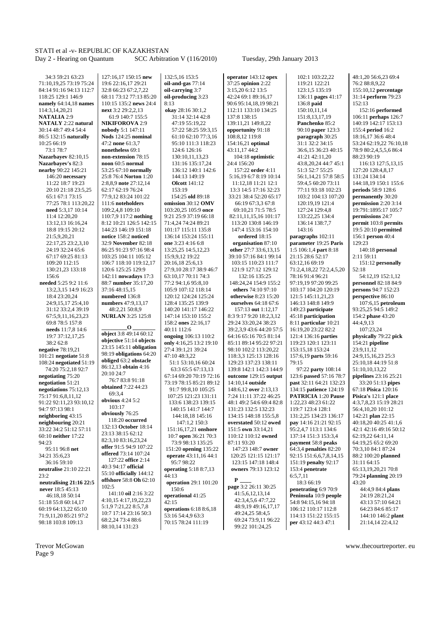34:3 59:21 63:23 71:10,19,25 73:19 75:24 84:14 91:16 94:13 112:7 118:25 129:1 146:9 **namely** 64:14,18 **names** 114:3,14,20,21 **NATALIA** 2:9 **NATALY** 2:22 **natural** 30:14 48:7 49:4 54:4 86:5 132:15 **naturally** 10:25 66:19 73:1 78:7 **Nazarbayev** 82:10,15 **Nazarbayev's** 82:3 **nearby** 90:22 145:21 146:20 **necessary** 11:22 18:7 19:23 20:10 21:18 23:5,25 65:1 67:1 73:15 77:25 78:1 113:20,22 **need** 5:3,17 10:14 11:4 12:20,20 13:12,13 16:16,24 18:8 19:15 20:12 21:5,9,20,21 22:17,25 23:2,3,10 24:19 32:24 65:6 67:17 69:25 81:13 109:20 112:15 130:21,23 133:18 156:6 **needed** 5:25 9:2 11:6 13:2,3,15 14:9 16:23 18:4 23:20,24 24:9,15,17 25:4,10 31:12 33:2,4 39:19 67:5,9,11,16,23,23 69:8 78:5 157:8 **needs** 11:7,8 14:6 19:7 37:12,17,25 38:2 62:8 **negative** 78:19,21 101:21 **negotiate** 51:8 108:24 **negotiated** 51:19 74:20 75:2,18 92:7 **negotiating** 75:20 **negotiation** 51:21 **negotiations** 75:12,13 75:17 91:6,8,11,12 91:22 92:11,23 93:10,12 94:7 97:13 98:1 **neighboring** 43:15 **neighbouring** 20:21 33:22 34:2 51:12 57:11 60:10 **neither** 17:22 94:23 95:11 96:8 **net** 34:21 35:6,23 36:16 59:10 **neutralise** 21:10 22:21 23:2 **neutralising 21:16 22:5 never** 18:5 45:13 46:18,18 50:14 51:18 55:8 60:14,17 60:19 64:13,22 65:10 71:9,11,20 85:21 97:2 98:18 103:8 109:13

127:16,17 150:15 **new** 19:6 22:16,17 29:21 32:8 66:23 67:2,7,22 68:11 73:12 77:13 85:20 110:15 135:2 **news** 24:4 **next** 3:2 29:2,2,13 61:9 140:7 155:5 **NIKIFOROVA** 2:9 **nobody** 5:1 147:11 **Nods** 124:25 **nominal** 47:2 **none** 61:3,7 **nonetheless** 69:1 **non-extension** 78:15 **noon** 60:5 **normal** 53:25 67:10 **normally** 25:8 76:4 **Norton** 1:20 2:8,8,9 **note** 27:12,14 62:17 62:19 76:24 77:9,12 83:24 101:22 111:6 **noteholders** 109:2,4,8 109:10 110:7,9 117:2 **nothing** 8:12 10:21 126:5 142:15 144:23 146:19 151:18 **notice** 158:2 **noticed** 32:9 **November** 82:18 86:25 91:23 97:16 98:4 103:25 104:11 105:12 106:7 118:10 119:12,17 120:6 125:25 129:9 142:11 **nowadays** 17:3 88:7 **number** 35:17,20 37:16 48:15,15 **numbered** 136:8 **numbers** 47:9,13,17  $48.2,2150.89$ **NURLAN** 3:25 125:8  **\_\_\_\_\_\_\_\_\_ O \_\_\_\_\_\_\_\_ object** 3:8 49:14 60:12 **objective** 51:14 **objects** 23:15 145:11 **obligation** 98:19 **obligations** 64:20 **obliged** 63:2 **obstacle** 86:12,13 **obtain** 4:16 20:10 24:7 76:7 83:8 91:18 **obtained** 7:22 44:23  $69.34$ **obvious** 4:24 5:2  $103 \cdot 17$ **obviously** 76:25 118:20 **occurred** 132:13 **October** 18:14 23:13 38:15 62:12 82:3,10 83:16,23,24 **offer** 91:5 94:9 107:22 **offered** 73:14 107:24 127:22 **office** 2:14 40:3 94:17 **official** 55:10 **officially** 144:12 **offshore** 58:8 **Oh** 62:10 102:5 141:10 **oil** 2:16 3:22 4:10,15 4:17,19,22,23 5:1,9 7:21,22 8:5,7,8 10:7 17:14 23:16 50:3

68:2,24 73:4 88:6 88:10,14 131:23

132:5,16 153:5 **oil-and-gas** 77:14 **oil-carrying** 3:7 **oil-producing** 3:23 8:13 **okay** 28:16 30:1,2 31:14 32:14 42:8 47:19 55:19,22 57:22 58:25 59:3,15 61:10 62:10 77:3,16 95:10 111:3 118:23 124:6 126:16 130:10,11,13,23 131:16 135:17,24 136:12 140:1 142:6 144:13 149:19 **Olcott** 141:12 153:19 154:25 **old** 89:18 **omission** 30:12 **OMV** 103:20,25 105:9 **once** 9:21 25:9 37:19 66:18 71:4,24 74:24 89:21 101:17 115:11 135:8 136:14 153:24 155:11 **one** 3:23 4:16 6:8 13:25,25 14:5,12,23 15:9,9,12 19:22 20:16,18 25:6,13 27:9,10 28:17 38:9 46:7 63:10,17 70:11 74:3 77:2 94:1,6 95:8,10 105:9 107:12 118:14 120:12 124:24 125:24 128:4 135:25 139:9 140:20 141:17 146:22 147:14 153:10 155:2 158:2 **ones** 22:16,17 40:11 112:6 **ongoing** 106:13 110:2 **only** 4:16,25 13:2 19:10 27:4 39:1,21 39:24 47:10 48:3,22 51:1 53:10,16 60:24 63:3 65:5 67:13,13 67:14 69:20 70:19 72:16 73:19 78:15 85:21 89:12 91:7 99:8,10 105:25 107:25 121:23 131:11 133:6 138:23 139:15 140:15 141:7 144:7 144:18,18 145:16  $147.1,2 150.3$ 151:16,17,21 **onshore** 10:7 **open** 36:21 70:3 73:9 98:13 135:25 151:20 **opening** 135:22 **operate** 43:11,16 44:1  $95.798.22$ **operating** 5:18 8:7,13 44:13 **operation** 29:1 101:20  $150:6$ **operational** 41:25  $42.15$ **operations** 6:18 8:6,18 53:16 54:4,9 63:3 70:15 78:24 111:19

### 37:25 **opinion** 2:22 3:15,20 6:12 13:5 42:24 69:1 89:16,17 90:6 95:14,18,19 98:21 112:11 133:10 134:25 137:8 138:15 139:11,21 149:8,22 **opportunity** 91:18 108:8,12 119:8 154:16,21 **optimal**  $43.11$ ,17  $44.2$ 104:18 **optimistic** 24:4 156:20 157:22 **order** 4:11 5:16,19 6:7 8:19 10:14 11:12,18 11:21 12:1 13:3 14:5 17:16 32:23 33:21 38:4 52:20 65:17 66:19 67:3,3 67:8 69:10,21 71:5 78:5 82:11,11,15,16 101:17 113:20 130:8 146:19 147:4 153:16 154:10 **ordered** 18:15 **organisation** 87:10 **other** 27:7 33:6,13,15 39:10 57:16 84:1 99:14 103:15 110:23 111:7 121:9 127:12 129:12 132:16 135:25 148:24,24 154:9 155:2 **others** 74:10 97:10 **otherwise** 8:23 15:20 **ourselves** 64:18 67:6 157:13 **out** 1:12,17 8:3 9:17 9:20 18:2,3,12 29:24 33:20,24 38:23 39:2,3,9 43:6 44:20 57:5 64:16 65:16 70:5 81:14 85:11 89:14 95:22 97:21 98:10 102:2 113:20,22 118:3,3 125:13 128:16 129:23 137:23 138:11 139:8 142:1 142:3 144:9 **outcome** 129:15 **output** 14:10,14 **outside** 148:6,12 **over** 2:13,13 7:24 11:11 37:22 46:25 48:1 49:2 54:6 69:4 82:8 131:23 132:5 132:23 134:15 148:18 155:5,8 **overstated** 50:12 **owed** 151:5 **own** 33:14,21 110:12 110:12 **owned** 87:11 93:20 147:23 148:7 **owner** 120:25 121:15 121:17 123:15 147:18 148:4 **owners** 79:13 123:12  **P \_\_\_\_ page** 3:2 26:11 30:25 41:5,6,12,13,14  $42.345647.722$ 48:9,19 49:16,17,17 49:24,25 58:4,5 69:24 73:9,11 96:22

99:22 101:24,25

**operator** 143:12 **opex**

## 136:8 **paid** 150:10,11,14 151:8,13,17,19 **Panchenko** 85:2 90:10 **paper** 123:3 **paragraph** 30:25 31:1 32:2 34:15 36:6,15 36:23 40:15  $41.2142.1120$ 43:8,20,24 44:7 45:1 51:3 52:7 55:25 56:1,14,21 57:8 58:5 59:4,5 60:20 73:11 77:11 93:18 102:23 103:2 104:13 107:20 120:19,19 121:4 127:24 129:4,8 133:22,25 134:4 136:14 138:7,7 143:16 **paragraphs** 102:11 **parameter** 19:25 **Paris** 1:5 106:1,4 **part** 8:18 21:15 28:6 52:17 63:12,16 69:19 71:2,4,18,22 72:2,4,5,20 78:16 91:4 96:21 97:19,19 97:20 99:25 103:17 104:20 120:19 121:5 145:11,21,23 146:13 148:8 149:9 149:23 **participate** 45:18 **participation** 8:11 **particular** 10:21 16:19,20 23:22 82:2 121:4 136:16 **parties** 119:23 120:1 123:11 153:15,18 153:24 157:6,19 **parts** 59:16 79:15 97:22 **party** 108:14 123:6 **passed** 57:16 78:7 **past** 32:11 64:21 132:23 134:15 **patience** 124:19 1:22,23 48:23 61:22 119:7 123:4 128:1

102:1 103:22,22 119:21 122:21 123:1,5 135:19 136:11 **pages** 41:17

**PATRICIA** 1:20 **Pause** 131:2,25 134:23 136:17 **pay** 14:16 21:21 92:15 95:2,4,7 113:1 134:6 137:14 151:3 153:3,4 **payment** 58:8 **peaks** 64:3,4 **penalties** 82:20  $92.15$  151:6678,14,15 151:19 **penalty** 92:17 153:4 **penetrate** 6:5,7,11

18:3 66:19 **penetrating** 6:9 70:9 **Peninsula** 10:9 **people** 54:8 94:15,16 94:18 106:12 110:17 112:8 114:13 151:22 155:15 **per** 43:12 44:3 47:1

48:1,20 56:6,23 69:4 76:2 88:8,9,22 155:10,12 **percentage** 31:14 **perform** 79:23 152:13 152:16 **performed** 106:11 **perhaps** 126:7 140:19 142:17 153:13 155:4 **period** 16:2 18:16,17 36:6 48:4 53:24 62:19,22 76:10,18 78:9 80:2,4,5,5,6 86:4 88:23 90:19 116:13 127:5,13,15 127:20 128:4,8,17 131:24 134:14 144:18,19 150:1 155:6 **periods** 58:9 128:6 **permanently** 30:20 **permission** 2:20 3:14 19:791:1895:17 105:7 **permissions** 24:7 **permit** 103:8 **permits** 19:5 20:10 **permitted** 156:1 **person** 40:4 129:23 140:18 **personal** 2:11 59:11 151:12 **personally**  $52.18$ 54:12,19 152:1,12 **personnel** 82:18 84:9 **persons** 94:7 152:23 **perspective** 86:10 107:6,15 **petroleum** 93:25,25 94:5 149:2 154:2 **phase** 43:20 44:4,9,13 107:23,24 **physically** 79:22 **pick** 154:21 **pipeline** 23:9,11,12 24:9,15,16,23 25:3 25:10,18 44:19 51:8 51:10,10,13,22 **pipelines** 23:16 25:21 33:20 51:13 **pipes** 67:18 **Pisica** 120:16 **Pisica's** 121:1 **place** 4:3,7,8,23 15:19 28:21 56:4,10,20 101:12 142:21 **plan** 22:15 40:18,20 40:25 41:1,6 42:1 42:16 49:16 50:12 62:19,22 64:11,14 64:19,25 65:2 69:20 70:3,10 84:1 87:24 88:2 100:20 **planned** 31:11 64:15 65:13,19,20,21 70:8 79:24 **planning** 20:19 43:20 44:4,9 84:4 **plans** 24:19 28:21,24 43:13 57:10 64:21 64:23 84:6 85:17 144:10 146:2 **plant**

Page 9

Trevor McGowan www.thecourtreporter. eu

21:14,14 22:4,12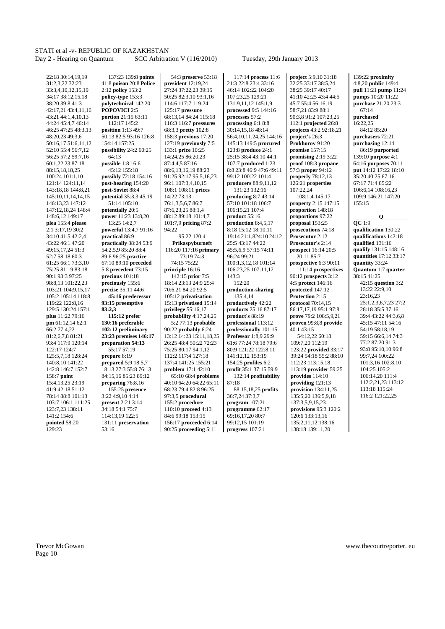22:18 30:14,19,19 31:2,3,22 32:23 33:3,4,10,12,15,19 34:17 38:12,15,18 38:20 39:8 41:3 42:17,21 43:4,11,16 43:21 44:1,4,10,13 44:24 45:4,7 46:14 46:25 47:25 48:3,13 48:20,23 49:3,6 50:16,17 51:6,11,12  $52:10$  55:4 56:7,12 56:25 57:2 59:7,16 60:1,22,23 87:18 88:15,18,18,25 100:24 101:1,10 121:14 124:11,14 143:18,18 144:8,21 145:10,11,14,14,15 146:13,23 147:12 147:12,18,24 148:4 148:6,12 149:17 **plea** 155:4 **please** 2:1 3:17,19 30:2 34:10 41:5 42:2,4 43:22 46:1 47:20 49:15,17,24 51:3 52:7 58:18 60:3 61:25 66:1 73:3,10 75:25 81:19 83:18 90:1 93:3 97:25 98:8,13 101:22,23 103:21 104:9,15,17 105:2 105:14 118:8 119:22 122:8,16 129:5 130:24 157:1 **plus** 11:22 79:16 **pm** 61:12,14 62:1 66:2 77:4,22 81:2,6,7,8 81:21 93:4 117:9 120:14 122:17 124:7 125:5,7,18 128:24 140:8,10 141:22 142:8 146:7 152:7 158:7 **point** 15:4,13,25 23:19 41:9 42:18 51:12 78:14 88:8 101:13 103:7 106:1 111:25 123:7,23 138:11  $141.21546$ **pointed** 58:20

 $129.23$ 

137:23 139:8 **points** 41:8 **poison** 20:8 **Police** 2:12 **policy** 153:2 **policy-type** 153:3 **polytechnical** 142:20 **POPOVICI** 2:5 **portion** 21:15 63:11 112:17 145:2 **position** 1:13 49:7 50:13 82:5 93:16 126:8 154:14 157:25 **possibility** 24:2 60:25  $64.13$ **possible** 1:8 16:6 45:12 155:18 **possibly** 72:18 154:16 **post-hearing** 154:20 **post-Soviet** 88:4 **potential** 35:3,3,45:19 51:14 105:10 **potentially** 20:5 **power** 11:23 13:8,20  $13.25$   $14.2$  7 **powerful** 13:4,7 91:16 **practical** 86:9 **practically** 38:24 53:9 54:2,5,9 85:20 88:4 89:6 96:25 **practice** 67:10 89:10 **preceded** 5:8 **precedent** 73:15 **precious** 101:18 **preciously** 155:6 **precise** 35:11 44:6 **45:16 predecessor 93:15 preemptive 83:2,3 115:12 prefer 130:16 preferable 102:12 preliminary 23:23 premises 146:17 preparation 54:13**  55:17 57:19 **prepare** 8:19 **prepared** 5:9 18:5,7 18:13 27:3 55:8 76:13 84:15,16 85:23 89:12 **preparing** 76:8,16 155:25 **presence** 3:22 4:9,10 4:14 **present** 2:21 3:14 34:18 54:1 75:7 114:13,19 122:5 131:11 **preservation** 53:16

54:3 **preserve** 53:18 **president** 12:19,24 27:24 37:22,23 39:15 50:25 82:3,10 93:1,16 114:6 117:7 119:24 125:17 **pressure** 68:13,14 84:24 115:18 116:3 116:7 **pressures** 68:3,3 **pretty** 102:8 158:3 **previous** 17:20 127:19 **previously** 7:5 133:1 **price** 10:25 14:24,25 86:20,23 87:4,4,5 87:16 88:6,13,16,19 88:23 91:25 92:17 95:5,16,23 96:1 107:3,4,10,15 108:1 108:11 **prices** 14:22 73:13 76:1,3,5,6,7 86:7 87:6,23,25 88:1,4 88:12 89:18 101:4,7 101:7,9 **pricing** 87:2 94:22 95:22 120:4 **Prikaspyburneft**  116:20 117:16 **primary** 73:19 74:3 74:15 75:22 **principle** 16:16 142:15 **prior** 7:5 18:14 23:13 24:9 25:4 70:6,21 84:20 92:5 105:12 **privatisation** 15:13 **privatised** 15:14 **privilege** 55:16,17 **probability** 4:17,24,25 5:2 77:13 **probable** 90:22 **probably** 6:24 13:12 14:23 15:11,18,25 26:25 48:4 50:22 72:23 75:25 80:17 94:1,12 112:2 117:4 127:18 137:4 141:25 155:21 **problem** 17:1 42:10 65:10 68:4 **problems** 40:10 64:20 64:22 65:11 68:23 79:4 82:8 96:25 97:3,5 **procedural** 155:2 **procedure** 110:10 **proceed** 4:13 84:6 99:18 153:15 156:17 **proceeded** 6:14 90:25 **proceeding** 5:11

**project** 5:9,10 31:18

117:14 **process** 11:6 21:3 22:8 23:4 33:16 46:14 102:22 104:20 107:23,25 129:21 131:9,11,12 145:1,9 **processed** 9:5 144:16 **processes** 57:2 **processing** 6:1 8:8 30:14,15,18 48:14 56:4,10,11,24,25 144:16 145:13 149:5 **procured** 123:8 **produce** 24:1 25:15 38:4 43:10 44:1 107:7 **produced** 1:23 8:8 23:8 46:9 47:6 49:11 99:12 100:22 101:4 **producers** 88:9,11,12 131:23 132:16 **producing** 8:7 43:14 57:10 101:18 106:7 106:15,21 107:4 **product** 55:16 **production** 8:4,5,17 8:18 15:12 18:10,11 19:14 21:1,824:10 24:12 25:5 43:17 44:22 45:5,6,9 57:15 74:11 96:24 99:21 100:1,3,12,18 101:14 106:23,25 107:11,12  $143.3$ 152:20 **production-sharing**  135:4,14 **productively** 42:22 **products** 25:16 87:17 **product's** 88:19 **professional** 113:12 **professionally** 101:15 **Professor** 1:8,9 29:9 61:6 77:24 78:18 79:6 80:9 121:22 122:8,11 141:12,12 153:19 154:25 **profiles** 6:2 **profit** 35:1 37:15 59:9 132:14 **profitability** 87:18 88:15,18,25 **profits** 36:7,24 37:3,7 **program** 107:21 **programme** 62:17  $69.16, 17, 20, 80.7$ 99:12,15 101:19 **progress** 107:21

32:25 33:17 38:5,24 38:25 39:17 40:17 41:10 42:25 43:4 44:5 45:7 55:4 56:16,19 58:7,21 83:9 88:1 90:3,8 91:2 107:23,25 112:1 **projected** 26:8 **projects** 43:2 92:18,21 **project's** 26:3 **Prokhorov** 91:20 **promise** 157:15 **promising** 2:19 3:22 **proof** 108:3 **propane** 57:3 **proper** 94:12 **properly** 78:12,13 126:21 **properties** 107:22,24 108:1,4 145:17 **property** 2:15 147:15 **proportion** 148:18 **proportions** 97:22 **proposal** 153:25 **prosecutions** 74:18 **Prosecutor** 2:12 **Prosecutor's** 2:14 **prospect** 16:14 20:5 20:11 85:7 **prospective** 6:3 90:11 111:14 **prospectives** 90:12 **prospects** 3:12 4:5 **protect** 146:16 **protected** 147:12 **Protection** 2:15 **protocol** 70:14,15 86:17,17,19 95:1 97:8 **prove** 79:2 108:5,9,21 **proven** 99:8,8 **provide** 40:1 43:15 54:12,22 60:18 109:7,20 112:19 123:22 **provided** 33:17 39:24 54:18 55:2 88:10 112:23 113:15,18 113:19 **provider** 59:25 **provides** 114:10 **providing** 121:13 **provision** 134:11,25 135:5,20 136:5,9,18 137:3,5,9,15,23 **provisions** 95:3 120:2  $120.6133.13,16$ 135:2,11,12 138:16 138:18 139:11,20

139:22 **proximity** 4:8,20 **public** 149:4 **pull** 11:21 **pump** 11:24 **pumps** 10:20 11:22 **purchase** 21:20 23:3 67:14 **purchased** 16:22,25 84:12 85:20 **purchasers** 72:21 **purchasing** 12:14 86:19 **purported** 139:10 **purpose** 4:1 64:16 **purposes** 70:11 **put** 14:12 17:22 18:10 35:20 40:25 67:16 67:17 71:4 85:22 106:6,14 108:16,23 109:9 146:21 147:20  $155.15$  **\_\_\_\_\_\_\_\_ Q \_\_\_\_\_\_\_\_**   $\overline{OC}$  1:9

**qualification** 130:22 **qualifications** 142:18 **qualified** 131:16 **qualify** 131:15 148:16 **quantities** 17:12 33:17 **quantity** 33:24 **Quantum** 1:7 **quarter** 38:15 41:25 42:15 **question** 3:2 13:22 22:9,10 23:16,23 25:1,2,3,6,7,23 27:2 28:18 35:5 37:16 39:4 43:22 44:3,6,8 45:15 47:11 54:16 54:19 58:18,19 59:15 66:6,14 74:3 77:2 87:20 91:3 93:8 95:10,10 96:8 99:7,24 100:22 101:3,16 102:8,10 104:25 105:2 106:14,20 111:4 112:2,21,23 113:12 113:18 115:24 116:2 121:22,25

Page 10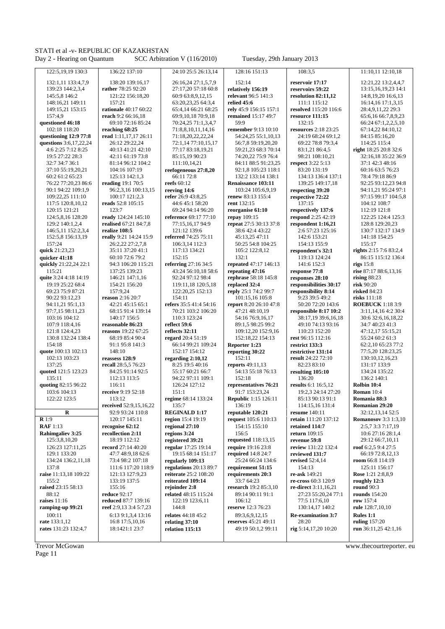136:22 137:10

138:20 139:16 17

132:1 11 133:4 7 9  $139.23144.234$ 145:5.8 146:2 148:16,21 149:11 149:15,21 153:15  $157.49$ questioned 46:18 102:18 118:20 questioning 12:9 77:8 questions  $3:6,17,22,24$  $4.62.257.128.25$  $10.527.2228.3$ 32:7 34:7 36:1 37:10 55:19,20,21 60:2 61:2 65:23 76:22 77:20.23 86:6 90:1 94:22 109:1.9 109:22,25 111:10 117:5 120:8,10,12 120:15 121:21  $124.5816128.20$ 129:2 140:1.2.4 146:5,11 152:2,3,4 152:5,8 156:13,19  $157.24$ quick 21:23.23 quicker 41:18 quickly 21:22,24 22:1  $115:21$ quite 3:24 4:18 14:19  $19.192522684$  $69.237598721$ 90:22 93:12,23 94:11,21 95:1,13  $97.71598.1123$  $103.16104.12$ 107:9 118:4.16 121:8 124:4,23 130:8 132:24 138:4  $154.18$ quote 100:13 102:13 102:13 103:23  $137:25$ quoted 121:5 123:23  $135.11$ quoting 82:15 96:22 103:6 104:13  $122.22123.5$  $\overline{\mathbf{R}}$ 

122:5,19,19 130:3

rather  $78.2592.20$ 121:22 156:18.20  $157.21$ rationale 40:17 60:22 reach 9:2.66:16.18  $69.1072.1685.24$ reaching 68:25 read 1:11,17,17 26:11 26:12 29:22,24  $40.1341.2142.10$  $42.1161.1973.8$ 81:14 96:12 104:2  $104.16107.19$ 125:13 142:1,3 reading  $19:170:5$ 96:2.3.16 100:13.15 100:17 121:2,3 reads 52:8 105:15  $123:7$ ready 124:24 145:10 realised 67:21 84:7.8 realize 108:5 really 9:21 14:24 15:9  $26:2.22.27:2.7.8$  $35.1137.20411$ 60:10 72:6 79:2 94:3 106:20 115:21 137:25 139:23  $146.21$   $147.1$  16  $154.21$   $156.20$  $157.924$ reason 2:16 20:7 42:21 45:15 65:1  $68.1591.4139.14$  $140.17$  156.5 reasonable 86:23 reasons 19:22 67:25 68:19 85:4 90:4  $91.195.8141.3$  $148.10$ reassess 128:9 recall 28:5,5 76:23 84:25 91:14 92:5  $112.1313.5$  $116.11$ receive 9:19 52:18 113:12 received 52:9.15.16.22 92:9 93:24 110:8 120:17 145:11 recognise  $62.12$ recollection 2:11 18:19 112:12 record 27:14 40:20  $47.748.918626$ 73:4 98:2 107:18 111:6 117:20 118:9 121:13 127:9,23 133:19 137:5  $155.16$ **reduce 92:17** reduced 87:7 139:16 reef 2:9.13 3:4 5:7.23  $6.1391341316$ 16:8 17:5,10,16 18:1421:1 23:7

24:10 25:5 26:13.14  $26:16.24.27:15.79$  $27.17.20.57.18.60.8$ 60:9 63:8.9.12.15 63:20,23,25 64:3,4 65:4,14 66:21 68:25 69.9.10.18.70.9.18  $70.2425711347$ 71:8,8,10,11,14,16 71:18,20,22,22,24 72:1,14 77:10,15,17 77.17 83.18 19 21  $85.151990.23$ 111:10,14,21 reefogeneous 27:8,20 66:11 72:8 reefs  $60:12$ reeving 14:6 refer 26:9 43:8,25 44:6 45:1 58:20 69:24 94:14 96:20 reference  $69.1777.10$ 77:15.16.17 94:9 121:12 139:6 referred 74:25 75:11  $106.314112.3$  $117.13134.21$  $152.15$ referring 27:16 34:5 43:24 56:10,18 58:6  $92.2497.1298.4$  $110.11$  18  $120.5$  18 122:20:25 152:13  $154:11$ refers 35:5 41:4 54:16 70:21 103:2 106:20  $110.3123.24$ reflect 59:6 reflects 32:11 regard 20:4 51:19  $66.1499.21109.24$  $152.17$   $154.12$ regarding  $2:10,12$  $8:25$  19:5 40:16 55:17 60:21 66:7  $94.2297.11109.1$  $126.24127.12$  $151 - 1$ regime 68:14 133:24 ,<br>135:7 **REGINALD 1:17** region 15:4 19:19 regional  $27.10$ regions 3:24 registered 39:21 regular 17:25 19:14  $19.1568.14151.17$ regularly 109:13 regulations 20:13 89:7 reiterate 25:2 108:20 reiterated 109:14 reioinder 2:8 related 48:15 115:24 122:19 123:6.11  $144.8$ relates  $44.1845.2$ relating 37:10 relation  $115:13$ 

 $152.14$ relatively 156:19 relevant 96:5 141:3 relied 45:6 rely 45:9 156:15 157:1 remained  $15.1749.7$  $59.9$ remember 9:13 10:10 54:24.25 55:1.10.13 56:7,8 59:19,20,20 59.21.23.68.3.70.14  $74.202275.9764$ 84:11 88:5 91:23,25 92:1.8 105:23 118:1 132:2 133:14 138:1 Renaissance 103:11 103:24 105:6.9.19 renew 83:13 155:4 rent  $132.15$ reorganise 61:10 renav  $109.15$ repeat 27:5 30:13 37:8 38:6 42:4 43:22 45:13,25 47:11  $50.2554.8104.25$  $105 \cdot 2122 \cdot 812$  $132.1$ repeated 47:17 146:13 repeating 47:16 rephrase 58:18 145:8 replaced 32:4 reply 25:1 74:2 99:7 101:15,16 105:8 report 8:20 26:10 47:8  $47.21$   $48.10$  19  $54.167691617$ 89:1.5 98:25 99:2 109:12,20 152:9,16 152:18,22 154:13 Reporter 1:23 reporting 30:22  $152:11$ **reports** 49:11,13 54:13 55:18 76:13  $152.18$ representatives 76:21 91:7 153:23,24 **Republic 1:15 126:11**  $136.19$ reputable 120:21 request 105:6 110:13  $154:15$  155:10  $156.5$ requested 118:13,15 require 19:16 23:8 required 14:8 24:7 25:24 66:24 134:6 requirement 51:15 requirements 20:3  $33:764:23$ research  $19:285:3.10$ 89:14 90:11 91:1  $106.12$ reserve 12:3 76:23  $89.3691215$ reserves 45:21 49:11 49:19 50:1.2 99:11

Tuesday, 29th January 2013

108:3.5

128:16 151:13

reservoir 17.17 reservoirs 59:22 resolution 82:11,12  $111 \cdot 1115 \cdot 12$ resolved 115:20 116:6 resource 111.15  $132.15$ resources 2:18 23:25 24:19 68:24 69:1,2 69:22 78:8 79:3,4  $83 \cdot 1$  21  $86 \cdot 4$  5  $98.21108.1021$ respect 3:22 5:13 83:20 131:19 134:13 136:4 137:1 139:25 149:17.18 respecting 39:20 respective 72:22  $137.15$ respectively 137:6 **respond**  $2.2542.19$ respondent 1:16,21 2:6 57:23 125:16 142:6 153:21 154:13 155:9 respondent's 32:1 119:13 124:24 141:6 152:3 response 77:8 responses 28:10 responsibilities 30:17 responsibility 8:14  $9:23.39:5.49:2$ 50:20 72:20 143:6 responsible 8:17 10:2 38.17.10.30.6.16.18 49:10 74:13 93:16 110:23 152:20 rest 96:15 112:16 restrict 133:3 restrictive  $131.14$ result 24:22 72:10 82:23 83:10 resulting 105:10  $136.20$ results  $6:116:512$ 19:2,3 24:14 27:20  $85.1390.1391.1$ 114:15.16 131:4 **resume** 140:11 retain 111:20 137:12 retained  $114.7$ return 109:15 revenue 59:8 review 131:22 132:4 reviewed 131:7 revised 52:4,14 154:13 re-ask 149:21 re-cross 60:3 120:9 re-direct 3:11 16 21 27:23 55:20.24 77:1  $77.5117.610$ 130:14.17 140:2 **Re-examination 3:7**  $28.20$ rig 5:14.17.20 10:20

11:10,11 12:10,18  $12:21$  22 13:2 4 4 7  $13.15$  16 19 23 14 1 14:8.19.20 16:6.13 16:14,16 17:1,3,15 28:4,9,11,22 29:3  $65.61666.78923$  $66.2467.122510$ 67:14,22 84:10,12 84:15 85:16.20 114:25 115:4 right 18:25 20:8 32:6  $32.161835.22369$ 37:1 42:3 48:16 60:16 63:5 76:23 78:4 79:18 86:9 92:25 93:12,23 94:8 94:11.21 95:24 97:1 97:15 99:17 104:5,8 104:12 108:7 112:19 121:8  $122.25$   $124.4$   $125.3$  $128.8129.2023$ 130:7 132:17 134:9 141:18 154:25  $155.17$ rights 2:15 7:6 83:2.4 86:15 115:12 136:4 rigs  $15:8$ rise 87:17 88:6,13,16 ricino  $88.23$  $right 90.20$ risked  $84.23$ risks 111:18 **ROEBUCK** 1:18 3:9  $3.11$  14 16 4.2 30.4  $30.632.6161822$ 34:7 40:23 41:3 47:12,17 55:15,21 55:24 60:2 61:3  $62.21065.2377.2$  $77.520128.2325$ 130:10,12,16,23 131:17 133:9 134:24 135:22  $136.2140.1$ Rolbin  $10.4$ Roman 10:4 Romania 88.3 Romanian 29:20 32:12.13.14 52:5 **Romanosov** 3:3 1:3.10  $2.573371719$ 10:6 27:16 28:1,4 29:12 66:7,10,11 roof 6:2.5 9:4 27:5  $66.1972.81213$ room 66:8 114:19 125:11 156:17 Rose  $1:21.2:8.8.9$ roughly  $12.3$ round  $90.3$ **rounds** 154:20 row  $157.4$ rule 128:7.10.10 Rules 1:1 **ruling** 157:20 run  $36:11.2542:1.16$ 

**Trevor McGowan** 

Page 11

 $\overline{\mathbf{R}1:9}$ 

 $RAF1:13$ 

 $137:8$ raise 11:13,18 109:22

 $155.2$ 

88:12

raises 11:16

 $100.11$ 

rate 133:1,12

Rahimgaliev 3:25

125:3,8,10,20

 $129.1133.20$ 

raised 23:15 58:13

ramping-up 99:21

rates 131:23 132:4.7

126:23 127:11.25

134:24 136:2,11,18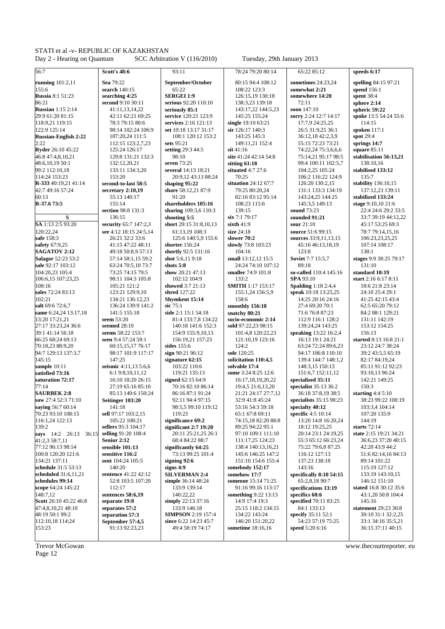$93:11$ 

Tuesday, 29th January 2013

65:22 85:12

| 56:7                                                                                                                                                                                                                                                     |
|----------------------------------------------------------------------------------------------------------------------------------------------------------------------------------------------------------------------------------------------------------|
| <b>running</b> 101:2,11<br>155:6<br><b>Russia</b> 8:1 51:23                                                                                                                                                                                              |
|                                                                                                                                                                                                                                                          |
|                                                                                                                                                                                                                                                          |
|                                                                                                                                                                                                                                                          |
| 2023<br>86:21<br>Russian 1:15 2:14<br>29:9 61:20 81:15<br>118:9,21 119:15<br>122:9 125:14<br>Russian-English 2:22                                                                                                                                        |
|                                                                                                                                                                                                                                                          |
|                                                                                                                                                                                                                                                          |
|                                                                                                                                                                                                                                                          |
|                                                                                                                                                                                                                                                          |
|                                                                                                                                                                                                                                                          |
|                                                                                                                                                                                                                                                          |
|                                                                                                                                                                                                                                                          |
|                                                                                                                                                                                                                                                          |
|                                                                                                                                                                                                                                                          |
|                                                                                                                                                                                                                                                          |
|                                                                                                                                                                                                                                                          |
|                                                                                                                                                                                                                                                          |
| <b>Russian-English 2:22</b><br>2:22<br>2:22<br><b>Ryder</b> 26:10 45:22<br>46:8 47:4,8,10,21<br>48:6,10,19 50:1<br>99:2 112:10,18<br>114:24 153:23<br><b>R-333</b> 40:19,21 41:14<br>42:7 49:16 57:24<br>60:13<br><b>R-37.6 73:5</b><br>$\mathbf{s}$     |
| S<br>SA 1:13 2:5 93:20<br>120:22,24<br>safe 158:3<br>safety 67:9,25<br>SAGATOV 2:12<br>Salagor 52:23 53:2<br>sale 92:17 103:12<br>103:12<br>103:12                                                                                                       |
|                                                                                                                                                                                                                                                          |
|                                                                                                                                                                                                                                                          |
|                                                                                                                                                                                                                                                          |
|                                                                                                                                                                                                                                                          |
|                                                                                                                                                                                                                                                          |
|                                                                                                                                                                                                                                                          |
|                                                                                                                                                                                                                                                          |
|                                                                                                                                                                                                                                                          |
|                                                                                                                                                                                                                                                          |
|                                                                                                                                                                                                                                                          |
| salago 22.23 35.2<br>sale 92:17 103:12<br>104:20,23 105:4<br>106:6,15 107:23,25<br>108:16<br>sales 72:24 83:13<br>102:21<br>salt 69:6 72:6,7<br>same 6:24,24 13:17,18<br>5:20 17:21,21<br>27:17 33:23,24 36:6<br>39:14:14 56:18<br>66:25 68:24 69:13<br> |
|                                                                                                                                                                                                                                                          |
|                                                                                                                                                                                                                                                          |
|                                                                                                                                                                                                                                                          |
|                                                                                                                                                                                                                                                          |
|                                                                                                                                                                                                                                                          |
|                                                                                                                                                                                                                                                          |
|                                                                                                                                                                                                                                                          |
|                                                                                                                                                                                                                                                          |
|                                                                                                                                                                                                                                                          |
|                                                                                                                                                                                                                                                          |
|                                                                                                                                                                                                                                                          |
|                                                                                                                                                                                                                                                          |
|                                                                                                                                                                                                                                                          |
|                                                                                                                                                                                                                                                          |
|                                                                                                                                                                                                                                                          |
| 14:2 26:13 36:15                                                                                                                                                                                                                                         |
|                                                                                                                                                                                                                                                          |
|                                                                                                                                                                                                                                                          |
|                                                                                                                                                                                                                                                          |
|                                                                                                                                                                                                                                                          |
|                                                                                                                                                                                                                                                          |
|                                                                                                                                                                                                                                                          |
|                                                                                                                                                                                                                                                          |
|                                                                                                                                                                                                                                                          |
| saw 27:4 52:3 71:10<br>saying 56:7 60:14<br>70:23 93:10 108:15<br>116:1,24 122:13<br>116:1,24 122:13<br>139:2<br>says 14:2 26:13 3<br>41:2,3 58:7,11<br>77:12 96:13 98:14<br>100:8 120:20 121:6<br>134:21 137:11<br>scheduled 31:5 53:13<br>scheduled    |
|                                                                                                                                                                                                                                                          |
| 48:19 50:1 99:2                                                                                                                                                                                                                                          |
| 112:10,18 114:24<br>112:10<br>153:23                                                                                                                                                                                                                     |
|                                                                                                                                                                                                                                                          |

**Scott's 48:6** Sea 79.22 search  $140.15$ searching 4:25 second 9:10 30:11 41:11.13.14.22  $42.1162.2169.25$  $78.379.15806$ 98:14 102:24 106:9 107:20,24 111:5 112:15 123:2,7,23  $125.24126.17$  $129.8131.21132.3$ 132:12,20,21  $133.11$   $134.3$  20 153:20 second-to-last 58:5 secretary 2:10,19 55:13 140:17  $155.14$ section 98:8 131:3  $136.15$ security 65:7 147:2,3 see  $4.12$  18.15  $24.5$  14  $26.2132.2336$ 41:15 47:22 48:11 49:18 50:8,9 57:13 57:14 58:1.15 59:2 63:24 70:5.10 73:7 73:25 74:15 79:5 98:11 104:3 105:8  $105.21$   $121.2$  $123.21$  129.9 10 134:21 136:12.23 136:24 139:9 141:2 141:5 155:18 seem  $53.20$ seemed  $28.10$ seems 58:22 153:7 seen 9:4 57:24 59:1 60:15,15,17 76:17 98:17 101:9 117:17  $147.25$ seismic 4:11,13 5:6,6 6:19:8,10,11,12 16:10 18:20 26:15  $27.1965168510$ 85:13 149:6 150:24 Seitinger 103:20  $141.18$ sell 97:17 103:2,15  $105.22108.21$ sellers 95:3 104:17 selling 91:20 108:4 Senior 2:12 sensible  $101:13$ sensitive 116:2 sent 104:24 105:5 140:20 sentence 41:22 42:12 52:8 103:5 107:20  $112.17$ sentences 58:6,19 separate 19:8 separates 57:2 separation 57:3 September 57:4,5 91:13 92:23,23

September/October  $65.22$ **SERGEI 1:9** serious 92:20 110:10 seriously 85:1 service 120.21 123.9 services  $2.16$  121.13 set 10:18 13:17 31:17 108:1 120:12 153:2 sets  $95.21$ setting 29:3 44:5  $98.10$ seven 73:25 several 14:13 18:21 20:9,12 43:13 88:24 shaping  $95:22$ share 58:12.21 87:9  $91.20$ shareholders 105:16 sharing 109:3.6 110:3 shooting 5:5 short 29:15 31:8,10,13  $61.13191083$  $125.6140.59155.6$ shorter 156:24 shortly 92:5 131:16 shot  $5:6.119:18$ shots  $5.8$ show 20:21 47:13 102:12 104:9 showed  $3.721.13$ shred  $127.22$ Shymkent 15:14 sic  $75.1$ side 2:1 15:1 54:18 81.4 133.7 8 134.22  $140.18$   $141.6$   $152.3$ 154:9 155:9,10,13 156:19,21 157:23 sides  $155.6$ sign 90:21 96:12 signature 62:15  $103.22.110.6$ 119:21 135:13 signed 62:15 64:9  $70.1682.1086.14$ 86:16 87:1 91:24 92:11 94:4 97:15 98:5.5 99:10 119:12 119:23 sionificance 69.2 significant 2:7 19:20  $20:11.25:21.25.26:1$  $68.484.2288.7$ significantly 64:25 73.13.99.25.101.4 signing 92:6 sions 4:9 SILVERMAN 2:4 simple 36:14 48:24  $133.9$  139.14  $140.22.22$ simply 22:13 37:16 133:9 146:18 **SIMPSON 2:19 157:4** since  $6.2214.2345.7$ 49:4 58:19 74:17

78:24 79:20 80:14 80.15.94.4.108.12  $108.221222$ 126:15,19 130:18 138:3,23 139:18 143:17,22 144:5,23  $145.25155.24$  $sinole$  19:10 63:21  $\sin 126.17140.3$ 143:25 145:3 149:11,21 152:4  $\operatorname{cit} 41.16$ site  $41.24$   $42.14$  54.8 sitting 61:18 situated 4:7 27:6  $70:25$ situation  $24.1267.7$ 79.25 80.20 24  $82.1683.1295.14$ 108:23 115:6  $139:15$  $\sin 7.179.17$ sixth  $41:9$  $size 24.18$ slower  $70:2$ slowly 73:8 103:23  $104.16$ small 13:12.12 15:5  $24.24$   $74.10$   $107.12$ smaller 74:9 101:8  $133:2$ **SMITH 1:17 153:17**  $155:124156:59$ 158:6 smoothly 156:18 snatchy 80:21 socio-economic 2:14 sold 97:22.23.98:15 101:4.8 120:22.23 121:10,19 123:16  $124.2$ sole 120:25 solicitation 110:4.5 solvable 17:4 some 3:24 8:25 12:6 16:17,18,19,20,22 19:4.5 21:6.13.20 21:21 24:17 27:7.12 32:9 41:8 45:24 53:16 54:3 59:18 65:1 67:8 69:11  $74.15$  18 82.20 88.8 89.25.94.22.95.1  $97.10109.1111.10$ 111:17.25 124:23 138:4 140:13.16.21  $145.6146.25147.2$ 151:10 154:6 155:4 somebody 152:17 somehow 17:7 someone 15:14 71:25  $91.1699.16113.17$ something 9:22 13:13 14:9 17:4 19:3 25:15 118:2 134:15 134:22 143:24  $146.20151.2022$ sometime 18:16,16

sometimes  $24.23.24$ somewhat 2:21 somewhere 14:20  $72:11$ soon 147:10 sorry 2:24 12:7 14:17 17:7.9 24:25.25 26:5 31:9,25 36:1 36:12,18 42:2,3,9 55:15 72:23 73:21  $74.2224753666$  $75.14$  21 95.17 98.5 99:4 100:11 102:5,7  $104.225105.24$ 106:2 116:22 124:9  $126.20130.215$ 131.1 133.3 134.19 143:24,25 144:25 145:3.5 149:13 sound  $73:23$ sounded 91:21 sour  $21:10$ source 51:6.99:15 sources 33:9 11 13 15 45:16 46:13,18,19  $123.8$ **Soviet 7:7 15:5.7**  $89.18$ so-called 110:4 145:16  $SPA 93.10$ **Spalding 1:18 2:4,4** speak  $10.18$   $13.25$   $25$ 14:25 20:16 24:16 27:4 69:20 70:1 71:6 76:8 87:23  $112.9116.1128.2$ 139.24.24.143.25 speaking 13:22 16:2,4 16:13 19:1 24:21  $63.2472.2489623$ 94:17 106:8 110:10 139:4 144:7 148:1.2 148:3,15 150:13 151:6,7 152:11,12 specialised 35:11 specialist  $35:13:36:2$ 36:18 37:8.19 38:5 specialists 35:15 98:23 specialty 40:12 specific  $4:5$  10:14  $13:20$   $14:8$   $16:20$   $24$ 18:12 19:25.25 20:14 23:1 24:19 25 55:3 65:12 66:23.24 75:22 79:6.8 87:25  $116.12$   $127.13$  $137.23$   $138.18$ 143:16 specifically 8:10 54:15  $65:2.8.1890:7$ specifications 13:10 specifics 68:6 specified 70:11 83:25 84:1 133:13 specify  $35:11\ 52:1$  $54.2357.1975.25$ speed 5:20 6:16

speeds  $6:17$ spelling 84:15 97:21 spend 156:1 spent 38:4 sphere 2:14 spheric 59:22 spoke 13:5 54:24 55:6  $114.15$ spoken  $117:1$ spot 29:4 springs 14:7 square  $85:11$ stabilisation 56:13,21 138:10,16 stabilised 133:12  $135:7$ stability 136:10,15 137:12.23 139:11 stabilized 133:24 stage 9:10,10 21:6 22:4 24:6 29:2 33:5 33.7 39.19 44.12.22 45:17 53:25 69:3 78:7 79:14.15.16 106:23.23.25.25 107:14 108:17  $138.1$ stages 9:9 38:25 79:17  $131.10$ standard 10:19 start 2:16 6:17 8:11  $18.621.823.14$  $24.1025.429.1$ 41:25 42:15 43:4 62:5 65:20 79:12 84:2 88:1 129:21 131:11 142:19  $153.12$   $154.25$ 156:13 started 8:13 16:8 21:1 23:12 24:7 38:24 39:2 43:5.5 65:19 82:17 84:19.24 85.11 91.12 92.23 93:10,13 96:24 142:21 149:25  $150-3$ starting  $4:45:10$ 38:23 99:22 100:19  $103.34104.14$ 107:20 135:9  $144.19$ starts  $72.14$ state 2:15 19:21 34:21 36:6.23 37:20 40:15 42:20 43:9 44:2  $51.682.141684.13$ 89.14.101.22 115:19 127:12 133:19 143:10,15  $146:12$  151:10 stated 16:8 30:12 35:6  $43.120508104.4$  $145:16$ statement 29:23 30:8  $30:10\ 31:1\ 32:2.25$  $33.134.1635.521$ 36:15 37:11 40:15

**Trevor McGowan** Page 12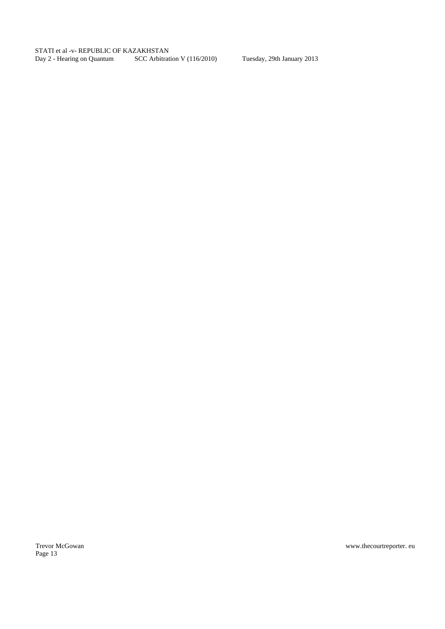Page 13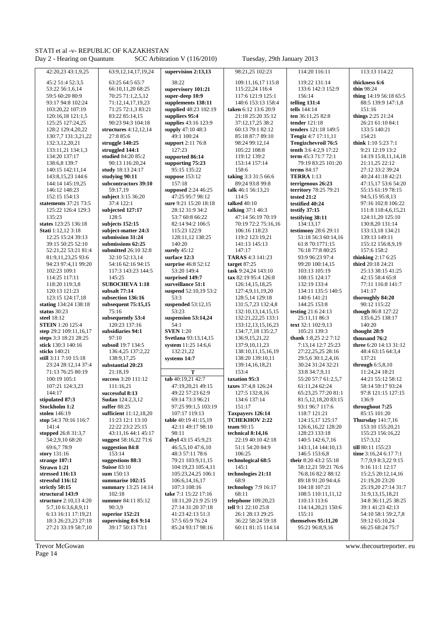Tuesday, 29th January 2013

| 63:9,12,14,17,19,24                      | supervision 2:13,13                                                                                                                                                                                                                                                                                                                                                                                                                                                                                                                                                                                  | 98:21.25 102:23                                                                                                                                                                                                                                                                                                                                                                                                                                                                                                                                                                    | 114:20 116:11                                                                                                                                                                                                                                                                                                                                                                                                                                                                                                                                                                                                               | 113:13 114:22                                                                                                                                                                                                                                                                                                                                                                                                                                                                                                                                                                                                      |
|------------------------------------------|------------------------------------------------------------------------------------------------------------------------------------------------------------------------------------------------------------------------------------------------------------------------------------------------------------------------------------------------------------------------------------------------------------------------------------------------------------------------------------------------------------------------------------------------------------------------------------------------------|------------------------------------------------------------------------------------------------------------------------------------------------------------------------------------------------------------------------------------------------------------------------------------------------------------------------------------------------------------------------------------------------------------------------------------------------------------------------------------------------------------------------------------------------------------------------------------|-----------------------------------------------------------------------------------------------------------------------------------------------------------------------------------------------------------------------------------------------------------------------------------------------------------------------------------------------------------------------------------------------------------------------------------------------------------------------------------------------------------------------------------------------------------------------------------------------------------------------------|--------------------------------------------------------------------------------------------------------------------------------------------------------------------------------------------------------------------------------------------------------------------------------------------------------------------------------------------------------------------------------------------------------------------------------------------------------------------------------------------------------------------------------------------------------------------------------------------------------------------|
| 63:25 64:5 65:7                          | 38:22                                                                                                                                                                                                                                                                                                                                                                                                                                                                                                                                                                                                |                                                                                                                                                                                                                                                                                                                                                                                                                                                                                                                                                                                    | 119:22 131:14                                                                                                                                                                                                                                                                                                                                                                                                                                                                                                                                                                                                               | thickness 6:6                                                                                                                                                                                                                                                                                                                                                                                                                                                                                                                                                                                                      |
|                                          |                                                                                                                                                                                                                                                                                                                                                                                                                                                                                                                                                                                                      |                                                                                                                                                                                                                                                                                                                                                                                                                                                                                                                                                                                    |                                                                                                                                                                                                                                                                                                                                                                                                                                                                                                                                                                                                                             | thin 98:24                                                                                                                                                                                                                                                                                                                                                                                                                                                                                                                                                                                                         |
|                                          |                                                                                                                                                                                                                                                                                                                                                                                                                                                                                                                                                                                                      |                                                                                                                                                                                                                                                                                                                                                                                                                                                                                                                                                                                    |                                                                                                                                                                                                                                                                                                                                                                                                                                                                                                                                                                                                                             | thing 14:19 56:18 65:5                                                                                                                                                                                                                                                                                                                                                                                                                                                                                                                                                                                             |
|                                          |                                                                                                                                                                                                                                                                                                                                                                                                                                                                                                                                                                                                      |                                                                                                                                                                                                                                                                                                                                                                                                                                                                                                                                                                                    |                                                                                                                                                                                                                                                                                                                                                                                                                                                                                                                                                                                                                             | 88:5 139:9 147:1.8                                                                                                                                                                                                                                                                                                                                                                                                                                                                                                                                                                                                 |
|                                          |                                                                                                                                                                                                                                                                                                                                                                                                                                                                                                                                                                                                      |                                                                                                                                                                                                                                                                                                                                                                                                                                                                                                                                                                                    |                                                                                                                                                                                                                                                                                                                                                                                                                                                                                                                                                                                                                             | 151:16                                                                                                                                                                                                                                                                                                                                                                                                                                                                                                                                                                                                             |
|                                          |                                                                                                                                                                                                                                                                                                                                                                                                                                                                                                                                                                                                      |                                                                                                                                                                                                                                                                                                                                                                                                                                                                                                                                                                                    |                                                                                                                                                                                                                                                                                                                                                                                                                                                                                                                                                                                                                             | things 2:25 21:24                                                                                                                                                                                                                                                                                                                                                                                                                                                                                                                                                                                                  |
|                                          |                                                                                                                                                                                                                                                                                                                                                                                                                                                                                                                                                                                                      |                                                                                                                                                                                                                                                                                                                                                                                                                                                                                                                                                                                    |                                                                                                                                                                                                                                                                                                                                                                                                                                                                                                                                                                                                                             | 26:21 61:10 84:1                                                                                                                                                                                                                                                                                                                                                                                                                                                                                                                                                                                                   |
|                                          |                                                                                                                                                                                                                                                                                                                                                                                                                                                                                                                                                                                                      |                                                                                                                                                                                                                                                                                                                                                                                                                                                                                                                                                                                    |                                                                                                                                                                                                                                                                                                                                                                                                                                                                                                                                                                                                                             | 133:5 140:21                                                                                                                                                                                                                                                                                                                                                                                                                                                                                                                                                                                                       |
|                                          |                                                                                                                                                                                                                                                                                                                                                                                                                                                                                                                                                                                                      |                                                                                                                                                                                                                                                                                                                                                                                                                                                                                                                                                                                    |                                                                                                                                                                                                                                                                                                                                                                                                                                                                                                                                                                                                                             | 154:21                                                                                                                                                                                                                                                                                                                                                                                                                                                                                                                                                                                                             |
|                                          |                                                                                                                                                                                                                                                                                                                                                                                                                                                                                                                                                                                                      |                                                                                                                                                                                                                                                                                                                                                                                                                                                                                                                                                                                    |                                                                                                                                                                                                                                                                                                                                                                                                                                                                                                                                                                                                                             | think 1:10 5:23 7:1                                                                                                                                                                                                                                                                                                                                                                                                                                                                                                                                                                                                |
|                                          |                                                                                                                                                                                                                                                                                                                                                                                                                                                                                                                                                                                                      |                                                                                                                                                                                                                                                                                                                                                                                                                                                                                                                                                                                    |                                                                                                                                                                                                                                                                                                                                                                                                                                                                                                                                                                                                                             | 9:21 12:19 13:2                                                                                                                                                                                                                                                                                                                                                                                                                                                                                                                                                                                                    |
|                                          |                                                                                                                                                                                                                                                                                                                                                                                                                                                                                                                                                                                                      |                                                                                                                                                                                                                                                                                                                                                                                                                                                                                                                                                                                    |                                                                                                                                                                                                                                                                                                                                                                                                                                                                                                                                                                                                                             | 14:19 15:8,11,14,18                                                                                                                                                                                                                                                                                                                                                                                                                                                                                                                                                                                                |
|                                          |                                                                                                                                                                                                                                                                                                                                                                                                                                                                                                                                                                                                      |                                                                                                                                                                                                                                                                                                                                                                                                                                                                                                                                                                                    |                                                                                                                                                                                                                                                                                                                                                                                                                                                                                                                                                                                                                             | 21:11,25 22:12                                                                                                                                                                                                                                                                                                                                                                                                                                                                                                                                                                                                     |
|                                          |                                                                                                                                                                                                                                                                                                                                                                                                                                                                                                                                                                                                      |                                                                                                                                                                                                                                                                                                                                                                                                                                                                                                                                                                                    |                                                                                                                                                                                                                                                                                                                                                                                                                                                                                                                                                                                                                             | 27:12 33:2 39:24                                                                                                                                                                                                                                                                                                                                                                                                                                                                                                                                                                                                   |
|                                          |                                                                                                                                                                                                                                                                                                                                                                                                                                                                                                                                                                                                      |                                                                                                                                                                                                                                                                                                                                                                                                                                                                                                                                                                                    |                                                                                                                                                                                                                                                                                                                                                                                                                                                                                                                                                                                                                             | 40:24 41:18 42:21                                                                                                                                                                                                                                                                                                                                                                                                                                                                                                                                                                                                  |
|                                          |                                                                                                                                                                                                                                                                                                                                                                                                                                                                                                                                                                                                      |                                                                                                                                                                                                                                                                                                                                                                                                                                                                                                                                                                                    |                                                                                                                                                                                                                                                                                                                                                                                                                                                                                                                                                                                                                             | 47:15,17 53:6 54:20                                                                                                                                                                                                                                                                                                                                                                                                                                                                                                                                                                                                |
|                                          |                                                                                                                                                                                                                                                                                                                                                                                                                                                                                                                                                                                                      |                                                                                                                                                                                                                                                                                                                                                                                                                                                                                                                                                                                    |                                                                                                                                                                                                                                                                                                                                                                                                                                                                                                                                                                                                                             | 55:15 61:19 78:15                                                                                                                                                                                                                                                                                                                                                                                                                                                                                                                                                                                                  |
|                                          |                                                                                                                                                                                                                                                                                                                                                                                                                                                                                                                                                                                                      |                                                                                                                                                                                                                                                                                                                                                                                                                                                                                                                                                                                    |                                                                                                                                                                                                                                                                                                                                                                                                                                                                                                                                                                                                                             | 94:5,15 95:8,13                                                                                                                                                                                                                                                                                                                                                                                                                                                                                                                                                                                                    |
|                                          |                                                                                                                                                                                                                                                                                                                                                                                                                                                                                                                                                                                                      |                                                                                                                                                                                                                                                                                                                                                                                                                                                                                                                                                                                    |                                                                                                                                                                                                                                                                                                                                                                                                                                                                                                                                                                                                                             | 97:16 102:8 106:22                                                                                                                                                                                                                                                                                                                                                                                                                                                                                                                                                                                                 |
|                                          |                                                                                                                                                                                                                                                                                                                                                                                                                                                                                                                                                                                                      |                                                                                                                                                                                                                                                                                                                                                                                                                                                                                                                                                                                    |                                                                                                                                                                                                                                                                                                                                                                                                                                                                                                                                                                                                                             | 111:8 118:4,6,15,21                                                                                                                                                                                                                                                                                                                                                                                                                                                                                                                                                                                                |
|                                          |                                                                                                                                                                                                                                                                                                                                                                                                                                                                                                                                                                                                      |                                                                                                                                                                                                                                                                                                                                                                                                                                                                                                                                                                                    |                                                                                                                                                                                                                                                                                                                                                                                                                                                                                                                                                                                                                             | 124:11,20 125:10                                                                                                                                                                                                                                                                                                                                                                                                                                                                                                                                                                                                   |
|                                          |                                                                                                                                                                                                                                                                                                                                                                                                                                                                                                                                                                                                      |                                                                                                                                                                                                                                                                                                                                                                                                                                                                                                                                                                                    |                                                                                                                                                                                                                                                                                                                                                                                                                                                                                                                                                                                                                             | 130:8,20 131:14                                                                                                                                                                                                                                                                                                                                                                                                                                                                                                                                                                                                    |
|                                          |                                                                                                                                                                                                                                                                                                                                                                                                                                                                                                                                                                                                      |                                                                                                                                                                                                                                                                                                                                                                                                                                                                                                                                                                                    |                                                                                                                                                                                                                                                                                                                                                                                                                                                                                                                                                                                                                             | 133:13,18 134:21                                                                                                                                                                                                                                                                                                                                                                                                                                                                                                                                                                                                   |
|                                          |                                                                                                                                                                                                                                                                                                                                                                                                                                                                                                                                                                                                      |                                                                                                                                                                                                                                                                                                                                                                                                                                                                                                                                                                                    |                                                                                                                                                                                                                                                                                                                                                                                                                                                                                                                                                                                                                             | 139:13 149:11                                                                                                                                                                                                                                                                                                                                                                                                                                                                                                                                                                                                      |
|                                          |                                                                                                                                                                                                                                                                                                                                                                                                                                                                                                                                                                                                      |                                                                                                                                                                                                                                                                                                                                                                                                                                                                                                                                                                                    |                                                                                                                                                                                                                                                                                                                                                                                                                                                                                                                                                                                                                             | 155:12 156:8,9,19                                                                                                                                                                                                                                                                                                                                                                                                                                                                                                                                                                                                  |
|                                          |                                                                                                                                                                                                                                                                                                                                                                                                                                                                                                                                                                                                      |                                                                                                                                                                                                                                                                                                                                                                                                                                                                                                                                                                                    |                                                                                                                                                                                                                                                                                                                                                                                                                                                                                                                                                                                                                             | 157:6 158:2                                                                                                                                                                                                                                                                                                                                                                                                                                                                                                                                                                                                        |
|                                          |                                                                                                                                                                                                                                                                                                                                                                                                                                                                                                                                                                                                      |                                                                                                                                                                                                                                                                                                                                                                                                                                                                                                                                                                                    |                                                                                                                                                                                                                                                                                                                                                                                                                                                                                                                                                                                                                             | thinking 2:17 6:25                                                                                                                                                                                                                                                                                                                                                                                                                                                                                                                                                                                                 |
|                                          |                                                                                                                                                                                                                                                                                                                                                                                                                                                                                                                                                                                                      |                                                                                                                                                                                                                                                                                                                                                                                                                                                                                                                                                                                    |                                                                                                                                                                                                                                                                                                                                                                                                                                                                                                                                                                                                                             | third 20:18 24:21                                                                                                                                                                                                                                                                                                                                                                                                                                                                                                                                                                                                  |
|                                          |                                                                                                                                                                                                                                                                                                                                                                                                                                                                                                                                                                                                      |                                                                                                                                                                                                                                                                                                                                                                                                                                                                                                                                                                                    |                                                                                                                                                                                                                                                                                                                                                                                                                                                                                                                                                                                                                             | 25:13 38:15 41:25                                                                                                                                                                                                                                                                                                                                                                                                                                                                                                                                                                                                  |
|                                          |                                                                                                                                                                                                                                                                                                                                                                                                                                                                                                                                                                                                      |                                                                                                                                                                                                                                                                                                                                                                                                                                                                                                                                                                                    |                                                                                                                                                                                                                                                                                                                                                                                                                                                                                                                                                                                                                             | 42:15 58:4 65:8                                                                                                                                                                                                                                                                                                                                                                                                                                                                                                                                                                                                    |
|                                          |                                                                                                                                                                                                                                                                                                                                                                                                                                                                                                                                                                                                      |                                                                                                                                                                                                                                                                                                                                                                                                                                                                                                                                                                                    |                                                                                                                                                                                                                                                                                                                                                                                                                                                                                                                                                                                                                             | 77:11 116:8 141:7                                                                                                                                                                                                                                                                                                                                                                                                                                                                                                                                                                                                  |
| subsalt 77:14                            | suspend 52:10,19 53:2                                                                                                                                                                                                                                                                                                                                                                                                                                                                                                                                                                                |                                                                                                                                                                                                                                                                                                                                                                                                                                                                                                                                                                                    | 134:11 135:5 140:5                                                                                                                                                                                                                                                                                                                                                                                                                                                                                                                                                                                                          | 141:17                                                                                                                                                                                                                                                                                                                                                                                                                                                                                                                                                                                                             |
| subsection 136:16                        | 53:3                                                                                                                                                                                                                                                                                                                                                                                                                                                                                                                                                                                                 | 128:5,14 129:18                                                                                                                                                                                                                                                                                                                                                                                                                                                                                                                                                                    | 140:6 141:21                                                                                                                                                                                                                                                                                                                                                                                                                                                                                                                                                                                                                | thoroughly 84:20                                                                                                                                                                                                                                                                                                                                                                                                                                                                                                                                                                                                   |
|                                          |                                                                                                                                                                                                                                                                                                                                                                                                                                                                                                                                                                                                      |                                                                                                                                                                                                                                                                                                                                                                                                                                                                                                                                                                                    |                                                                                                                                                                                                                                                                                                                                                                                                                                                                                                                                                                                                                             |                                                                                                                                                                                                                                                                                                                                                                                                                                                                                                                                                                                                                    |
| subsequent 75:15,15                      | suspended 53:12,15                                                                                                                                                                                                                                                                                                                                                                                                                                                                                                                                                                                   | 131:5,7,23 132:4,8                                                                                                                                                                                                                                                                                                                                                                                                                                                                                                                                                                 | 144:25 153:8                                                                                                                                                                                                                                                                                                                                                                                                                                                                                                                                                                                                                | 90:12 115:22                                                                                                                                                                                                                                                                                                                                                                                                                                                                                                                                                                                                       |
| 75:16                                    | 53:23                                                                                                                                                                                                                                                                                                                                                                                                                                                                                                                                                                                                | 132:10,13,14,15,15                                                                                                                                                                                                                                                                                                                                                                                                                                                                                                                                                                 | testing $21:6\,24:13$                                                                                                                                                                                                                                                                                                                                                                                                                                                                                                                                                                                                       | though 86:8 127:22                                                                                                                                                                                                                                                                                                                                                                                                                                                                                                                                                                                                 |
| subsequently 53:4                        | suspension $53:14,24$                                                                                                                                                                                                                                                                                                                                                                                                                                                                                                                                                                                | 132:21,22,25 133:1                                                                                                                                                                                                                                                                                                                                                                                                                                                                                                                                                                 | 25:11,11 86:3                                                                                                                                                                                                                                                                                                                                                                                                                                                                                                                                                                                                               | 135:6,25 138:17                                                                                                                                                                                                                                                                                                                                                                                                                                                                                                                                                                                                    |
| 120:23 137:16                            | 54:1                                                                                                                                                                                                                                                                                                                                                                                                                                                                                                                                                                                                 | 133:12,13,15,16,23                                                                                                                                                                                                                                                                                                                                                                                                                                                                                                                                                                 | text 32:1 102:9,13                                                                                                                                                                                                                                                                                                                                                                                                                                                                                                                                                                                                          | 140:20                                                                                                                                                                                                                                                                                                                                                                                                                                                                                                                                                                                                             |
| subsidiaries 94:1                        | <b>SVEN</b> 1:20                                                                                                                                                                                                                                                                                                                                                                                                                                                                                                                                                                                     | 134:7,7,18 135:2,7                                                                                                                                                                                                                                                                                                                                                                                                                                                                                                                                                                 | 105:21 139:3                                                                                                                                                                                                                                                                                                                                                                                                                                                                                                                                                                                                                | thought 28:9                                                                                                                                                                                                                                                                                                                                                                                                                                                                                                                                                                                                       |
| 97:10                                    | Svetlana 93:13,14,15                                                                                                                                                                                                                                                                                                                                                                                                                                                                                                                                                                                 | 136:9, 15, 21, 22                                                                                                                                                                                                                                                                                                                                                                                                                                                                                                                                                                  | thank 1:8,25 2:2 7:12                                                                                                                                                                                                                                                                                                                                                                                                                                                                                                                                                                                                       | thousand 76:2                                                                                                                                                                                                                                                                                                                                                                                                                                                                                                                                                                                                      |
| subsoil 19:7 134:5                       | system 11:25 14:6,6                                                                                                                                                                                                                                                                                                                                                                                                                                                                                                                                                                                  | 137:9,10,11,23                                                                                                                                                                                                                                                                                                                                                                                                                                                                                                                                                                     | 7:13,14 12:7 25:23                                                                                                                                                                                                                                                                                                                                                                                                                                                                                                                                                                                                          | three 6:20 14:13 31:12                                                                                                                                                                                                                                                                                                                                                                                                                                                                                                                                                                                             |
| 136:4,25 137:2,22                        | 132:21,22                                                                                                                                                                                                                                                                                                                                                                                                                                                                                                                                                                                            | 138:10,11,15,16,19                                                                                                                                                                                                                                                                                                                                                                                                                                                                                                                                                                 | 27:22,25,25 28:16                                                                                                                                                                                                                                                                                                                                                                                                                                                                                                                                                                                                           | 48:4 63:15 64:3,4                                                                                                                                                                                                                                                                                                                                                                                                                                                                                                                                                                                                  |
| 138:9,17,25                              | systems 14:7                                                                                                                                                                                                                                                                                                                                                                                                                                                                                                                                                                                         | 138:20 139:10,11                                                                                                                                                                                                                                                                                                                                                                                                                                                                                                                                                                   | 29:5,6 30:1,2,4,16                                                                                                                                                                                                                                                                                                                                                                                                                                                                                                                                                                                                          | 137:21                                                                                                                                                                                                                                                                                                                                                                                                                                                                                                                                                                                                             |
| substantial 20:23                        |                                                                                                                                                                                                                                                                                                                                                                                                                                                                                                                                                                                                      | 139:14,16,18,21                                                                                                                                                                                                                                                                                                                                                                                                                                                                                                                                                                    | 30:24 31:24 32:21                                                                                                                                                                                                                                                                                                                                                                                                                                                                                                                                                                                                           | through $6:5,8,10$                                                                                                                                                                                                                                                                                                                                                                                                                                                                                                                                                                                                 |
| 21:18.19                                 | T                                                                                                                                                                                                                                                                                                                                                                                                                                                                                                                                                                                                    | 153:4                                                                                                                                                                                                                                                                                                                                                                                                                                                                                                                                                                              | 33:8 34:7,9,11                                                                                                                                                                                                                                                                                                                                                                                                                                                                                                                                                                                                              | 11:24,24 18:21                                                                                                                                                                                                                                                                                                                                                                                                                                                                                                                                                                                                     |
| success 3:20 111:12                      | tab 40:19,21 42:7                                                                                                                                                                                                                                                                                                                                                                                                                                                                                                                                                                                    | taxation 95:3                                                                                                                                                                                                                                                                                                                                                                                                                                                                                                                                                                      | 55:20 57:7 61:2,5,7                                                                                                                                                                                                                                                                                                                                                                                                                                                                                                                                                                                                         | 44:21 55:12 58:12                                                                                                                                                                                                                                                                                                                                                                                                                                                                                                                                                                                                  |
| 111:16,21                                | 47:19,20,21 49:15                                                                                                                                                                                                                                                                                                                                                                                                                                                                                                                                                                                    | taxes 37:4,8 126:24                                                                                                                                                                                                                                                                                                                                                                                                                                                                                                                                                                | 61:11,24 62:24                                                                                                                                                                                                                                                                                                                                                                                                                                                                                                                                                                                                              | 58:14 59:17 93:24                                                                                                                                                                                                                                                                                                                                                                                                                                                                                                                                                                                                  |
| successful 8:13                          | 49:22 57:23 62:9                                                                                                                                                                                                                                                                                                                                                                                                                                                                                                                                                                                     | 127:5 132:8,16                                                                                                                                                                                                                                                                                                                                                                                                                                                                                                                                                                     | 65:23,25 77:20 81:1                                                                                                                                                                                                                                                                                                                                                                                                                                                                                                                                                                                                         | 97:8 121:15 127:15                                                                                                                                                                                                                                                                                                                                                                                                                                                                                                                                                                                                 |
| <b>Sudan</b> 124:2,3,12                  | 69:14 73:3 96:21                                                                                                                                                                                                                                                                                                                                                                                                                                                                                                                                                                                     | 134:6 137:14                                                                                                                                                                                                                                                                                                                                                                                                                                                                                                                                                                       | 81:5, 12, 18, 20 83: 15                                                                                                                                                                                                                                                                                                                                                                                                                                                                                                                                                                                                     | 136:9                                                                                                                                                                                                                                                                                                                                                                                                                                                                                                                                                                                                              |
| suffer 88:25                             | 97:25 99:1,5 103:19                                                                                                                                                                                                                                                                                                                                                                                                                                                                                                                                                                                  | 151:17                                                                                                                                                                                                                                                                                                                                                                                                                                                                                                                                                                             | 93:1 96:7 117:6                                                                                                                                                                                                                                                                                                                                                                                                                                                                                                                                                                                                             | throughout 7:25                                                                                                                                                                                                                                                                                                                                                                                                                                                                                                                                                                                                    |
| sufficient 11:12,18,20                   | 107:17 119:13                                                                                                                                                                                                                                                                                                                                                                                                                                                                                                                                                                                        | Taxpayers 126:14                                                                                                                                                                                                                                                                                                                                                                                                                                                                                                                                                                   | 118:7 121:21                                                                                                                                                                                                                                                                                                                                                                                                                                                                                                                                                                                                                | 85:15 101:20                                                                                                                                                                                                                                                                                                                                                                                                                                                                                                                                                                                                       |
| 11:23 12:1 13:10                         | table 40:19 41:15,19                                                                                                                                                                                                                                                                                                                                                                                                                                                                                                                                                                                 | <b>TCHEKHOV 2:22</b>                                                                                                                                                                                                                                                                                                                                                                                                                                                                                                                                                               | 124:15,17 125:17                                                                                                                                                                                                                                                                                                                                                                                                                                                                                                                                                                                                            | <b>Thursday</b> 141:7,16                                                                                                                                                                                                                                                                                                                                                                                                                                                                                                                                                                                           |
| 22:22 23:2 25:15                         | 42:11 49:17 98:10                                                                                                                                                                                                                                                                                                                                                                                                                                                                                                                                                                                    | team 90:15                                                                                                                                                                                                                                                                                                                                                                                                                                                                                                                                                                         | 126:6, 16, 22 128: 20                                                                                                                                                                                                                                                                                                                                                                                                                                                                                                                                                                                                       | 153:10 155:20,21                                                                                                                                                                                                                                                                                                                                                                                                                                                                                                                                                                                                   |
| 43:11,16 44:1 45:17                      | 98:11                                                                                                                                                                                                                                                                                                                                                                                                                                                                                                                                                                                                | technical 8:14,16                                                                                                                                                                                                                                                                                                                                                                                                                                                                                                                                                                  | 128:23 133:18                                                                                                                                                                                                                                                                                                                                                                                                                                                                                                                                                                                                               | 155:23 156:16,22                                                                                                                                                                                                                                                                                                                                                                                                                                                                                                                                                                                                   |
| suggest 58:16,22 71:6                    | Tabyl 43:15 45:9,23                                                                                                                                                                                                                                                                                                                                                                                                                                                                                                                                                                                  | 22:19 40:10 42:18                                                                                                                                                                                                                                                                                                                                                                                                                                                                                                                                                                  | 140:5 142:6,7,16                                                                                                                                                                                                                                                                                                                                                                                                                                                                                                                                                                                                            | 157:3,12                                                                                                                                                                                                                                                                                                                                                                                                                                                                                                                                                                                                           |
| suggestion 84:8                          | 46:5,5,10 47:6,10                                                                                                                                                                                                                                                                                                                                                                                                                                                                                                                                                                                    | 51:1 54:20 84:9                                                                                                                                                                                                                                                                                                                                                                                                                                                                                                                                                                    | 143:1,14 144:10,13                                                                                                                                                                                                                                                                                                                                                                                                                                                                                                                                                                                                          | till 80:11 155:23                                                                                                                                                                                                                                                                                                                                                                                                                                                                                                                                                                                                  |
| 153:14                                   | 48:3 57:11 78:6                                                                                                                                                                                                                                                                                                                                                                                                                                                                                                                                                                                      | 106:25                                                                                                                                                                                                                                                                                                                                                                                                                                                                                                                                                                             | 146:5 153:6,8                                                                                                                                                                                                                                                                                                                                                                                                                                                                                                                                                                                                               | time 3:16,24 6:17 7:1                                                                                                                                                                                                                                                                                                                                                                                                                                                                                                                                                                                              |
| suggestions 88:3                         | 79:21 103:9,11,15                                                                                                                                                                                                                                                                                                                                                                                                                                                                                                                                                                                    | technological 68:5                                                                                                                                                                                                                                                                                                                                                                                                                                                                                                                                                                 | their 8:20 43:2 55:18                                                                                                                                                                                                                                                                                                                                                                                                                                                                                                                                                                                                       | 7:7,9,9 8:3,22 9:15                                                                                                                                                                                                                                                                                                                                                                                                                                                                                                                                                                                                |
| <b>Suisse 83:10</b>                      | 104:19,23 105:4,11                                                                                                                                                                                                                                                                                                                                                                                                                                                                                                                                                                                   | 145:1                                                                                                                                                                                                                                                                                                                                                                                                                                                                                                                                                                              | 58:12,21 59:21 76:6                                                                                                                                                                                                                                                                                                                                                                                                                                                                                                                                                                                                         | 9:16 11:1 12:17                                                                                                                                                                                                                                                                                                                                                                                                                                                                                                                                                                                                    |
| sum 150:13                               | 105:23,24,25 106:1                                                                                                                                                                                                                                                                                                                                                                                                                                                                                                                                                                                   | technologies 21:11                                                                                                                                                                                                                                                                                                                                                                                                                                                                                                                                                                 | 76:8,16 82:2 88:12                                                                                                                                                                                                                                                                                                                                                                                                                                                                                                                                                                                                          | 15:2,5 20:12,14,16                                                                                                                                                                                                                                                                                                                                                                                                                                                                                                                                                                                                 |
| summarise 102:15                         | 106:6, 14, 16, 17                                                                                                                                                                                                                                                                                                                                                                                                                                                                                                                                                                                    | 68:9                                                                                                                                                                                                                                                                                                                                                                                                                                                                                                                                                                               | 89:18 91:20 94:4,6                                                                                                                                                                                                                                                                                                                                                                                                                                                                                                                                                                                                          | 21:19,20 23:20                                                                                                                                                                                                                                                                                                                                                                                                                                                                                                                                                                                                     |
| summary 13:25 14:14<br>102:18            | 107:3 108:16                                                                                                                                                                                                                                                                                                                                                                                                                                                                                                                                                                                         | technology 7:9 16:17<br>68:11                                                                                                                                                                                                                                                                                                                                                                                                                                                                                                                                                      | 104:18 107:21<br>108:5 110:11,11,12                                                                                                                                                                                                                                                                                                                                                                                                                                                                                                                                                                                         | 25:19,20 27:14 31:7                                                                                                                                                                                                                                                                                                                                                                                                                                                                                                                                                                                                |
| summer 84:11 85:12                       | take 7:1 15:22 17:16<br>18:11,20 21:9 25:19                                                                                                                                                                                                                                                                                                                                                                                                                                                                                                                                                          | telephone 109:20,23                                                                                                                                                                                                                                                                                                                                                                                                                                                                                                                                                                | 110:13 113:6                                                                                                                                                                                                                                                                                                                                                                                                                                                                                                                                                                                                                | 31:9,13,15,18,21<br>34:8 36:11,25 38:25                                                                                                                                                                                                                                                                                                                                                                                                                                                                                                                                                                            |
| 90:3.9                                   | 27:14 31:20 37:18                                                                                                                                                                                                                                                                                                                                                                                                                                                                                                                                                                                    | tell 9:1 22:10 25:8                                                                                                                                                                                                                                                                                                                                                                                                                                                                                                                                                                | 114:14,20,21 150:6                                                                                                                                                                                                                                                                                                                                                                                                                                                                                                                                                                                                          | 39:1 41:23 42:13                                                                                                                                                                                                                                                                                                                                                                                                                                                                                                                                                                                                   |
| superior 152:21                          | 41:23 42:13 51:3                                                                                                                                                                                                                                                                                                                                                                                                                                                                                                                                                                                     | 26:1 28:13 29:25                                                                                                                                                                                                                                                                                                                                                                                                                                                                                                                                                                   | 155:11                                                                                                                                                                                                                                                                                                                                                                                                                                                                                                                                                                                                                      | 54:10 58:1 59:2,7,8                                                                                                                                                                                                                                                                                                                                                                                                                                                                                                                                                                                                |
| supervising 8:6 9:14<br>39:17 50:13 73:1 | 57:5 65:9 76:24<br>85:24 93:17 98:16                                                                                                                                                                                                                                                                                                                                                                                                                                                                                                                                                                 | 36:22 58:24 59:18<br>60:11 81:15 114:14                                                                                                                                                                                                                                                                                                                                                                                                                                                                                                                                            | themselves 95:11,20<br>95:21 96:8,9,16                                                                                                                                                                                                                                                                                                                                                                                                                                                                                                                                                                                      | 59:12 65:10,24<br>66:25 68:24 75:7                                                                                                                                                                                                                                                                                                                                                                                                                                                                                                                                                                                 |
|                                          | 66:10,11,20 68:25<br>70:25 71:1,2,5,12<br>71:12,14,17,19,23<br>71:25 72:1,3 83:21<br>83:22 85:14,15<br>90:23 94:3 104:18<br>structures 4:12,12,14<br>27:8 85:6<br>struggle 140:25<br>struggled 144:1<br>studied 84:20 85:2<br>90:13 116:20,24<br>study 18:13 24:17<br>studying 90:11<br>subcontractors 39:10<br>59:17,19<br>subject 3:15 36:20<br>37:4 122:1<br>subjected 127:17<br>128:5<br>subjects 152:15<br>subject-matter 24:3<br>submission 31:24<br>submissions 62:25<br>submitted 26:10 32:8<br>32:10 52:13.14<br>54:16 62:16 94:15<br>117:3 143:23 144:5<br>145:25<br><b>SUBOCHEVA 1:18</b> | supervisory 101:21<br>super-deep 10:9<br>supplements 138:11<br>supplied 48:23 102:19<br>suppliers 95:4<br>supplies 43:16 123:9<br>supply 47:10 48:3<br>49:1 100:24<br>support 2:11 76:8<br>127:23<br>supported 86:14<br>supporting 75:23<br>95:15 135:22<br>suppose $153:12$<br>157:18<br>supposed 2:24 46:25<br>47:25 95:7 98:12<br>sure 9:21 15:20 18:18<br>28:12 31:9 34:2<br>53:7 60:8 66:22<br>82:14 94:2 106:5<br>115:23 122:9<br>128:11,12 138:25<br>140:20<br>surely $45:12$<br>surface 12:3<br>surprise 46:8 52:12<br>53:20 149:4<br>surprised 149:7<br>surveillance 51:1 | 109:11,16,17 115:8<br>115:22,24 116:4<br>117:6 121:9 125:1<br>140:6 153:13 158:4<br>taken 6:12 13:6 20:9<br>21:18 25:20 35:12<br>37:12,17,25 38:2<br>60:13 79:1 82:12<br>85:18 87:7 89:10<br>98:24 99:12,14<br>105:22 108:8<br>119:12 139:2<br>153:14 157:14<br>158:6<br>taking 3:3 31:5 66:6<br>89:24 93:8 99:8<br>talk 46:1 56:13,21<br>114:5<br>talked 40:10<br>talking 37:1 46:3<br>47:14 56:19 70:19<br>70:19 72:2 75:16,16<br>106:16 118:23<br>119:2 123:19,21<br>141:13 145:13<br>147:17<br>TARAS 4:3 141:23<br>target $87:25$<br>task 9:24,24 143:10<br>tax 82:19 95:4 126:8<br>126:14,15,18,25<br>127:4,9,11,19,20 | 133:6 142:3 152:9<br>156:14<br>telling 131:4<br>tells 144:14<br>ten 36:11,25 82:8<br>tender 121:18<br>tenders 121:18 149:5<br><b>Tengiz</b> 4:7 17:11,11<br><b>Tengizchevroil 76:5</b><br>tenth 3:6 4:2,9 17:22<br>term 45:3 71:7 72:1<br>79:19 83:25 101:20<br>terms $84:17$<br><b>TERRA</b> 1:13<br>terrigenous 26:23<br>territory 78:25 79:21<br>tested 21:2<br>testified 40:24<br>testify 37:15<br>testifying 38:11<br>134:13,17<br>testimony 28:6 29:11<br>51:18 56:3 60:14,16<br>61:8 70:1771:15<br>76:18 77:8 80:25<br>93:9 96:23 97:4<br>99:20 100:14,15<br>103:13 105:19<br>108:15 124:17<br>132:19 133:4 |

Trevor McGowan<br>Page 14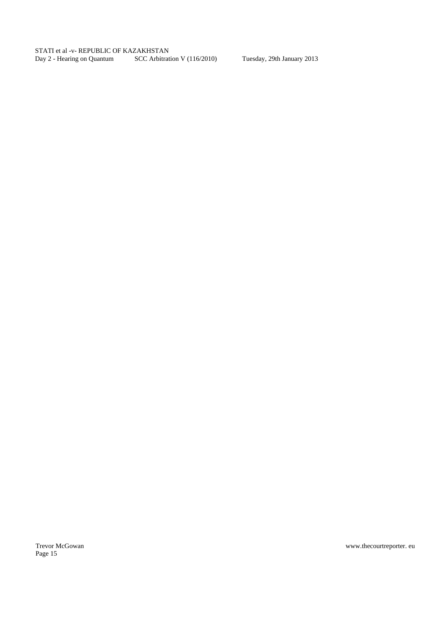Page 15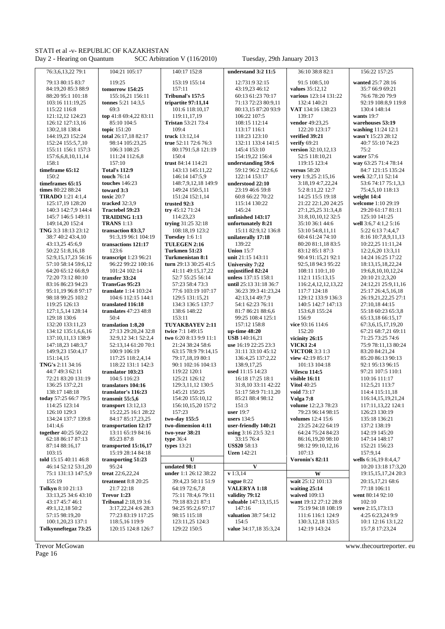Tuesday, 29th January 2013

| 76:3,6,13,22 79:1                        | 104:21 105:17                               | 140:17 152:8                           | understand 3:2 11:5                     | 36:10 38:8 82:1                       | 156:22 157:25                            |
|------------------------------------------|---------------------------------------------|----------------------------------------|-----------------------------------------|---------------------------------------|------------------------------------------|
| 79:13 80:15 83:7                         | 119:25                                      | 153:19 155:14                          | 12:731:9 32:15                          | 91:5 108:5,10                         | wanted 25:7 28:16                        |
| 84:19,20 85:3 88:9                       | tomorrow 154:25                             | 157:11                                 | 43:19,23 46:12                          | values 35:12,12                       | 35:7 66:9 69:21                          |
| 88:20 95:1 101:18                        | 155:16,21 156:11                            | Tribunal's 157:5                       | 60:13 61:23 70:17                       | various 123:14 131:22                 | 76:6 78:20 79:9                          |
| 103:16 111:19,25                         | tonnes 5:21 14:3,5                          | tripartite 97:11,14                    | 71:13 72:23 80:9,11                     | 132:4 140:21                          | 92:19 108:8,9 119:8                      |
| 115:22 116:8                             | 69:3                                        | 101:6 118:10,17                        | 80:13,15 87:20 93:9                     | VAT 134:16 138:23                     | 130:4 148:14                             |
| 121:12,12 124:23                         | top 41:8 69:4,22 83:11                      | 119:11,17,19                           | 106:22 107:5                            | 139:17                                | wants 19:7                               |
| 126:12 127:13,16                         | 85:10 104:5                                 | Tristan 53:21 73:4                     | 108:15 112:14                           | vendor 49:23,25                       | warehouses 53:19                         |
| 130:2,18 138:4                           | topic 151:20                                | 109:4                                  | 113:17 116:1                            | 122:20 123:17                         | washing 11:24 12:1                       |
| 144:19,23 152:24                         | total 26:17,18 82:17                        | truck 13:12,14                         | 118:23 123:10                           | verified 39:21                        | wasn't 15:23 28:12                       |
| 152:24 155:5,7,10                        | 98:14 105:23,25                             | true 52:11 72:6 76:3                   | 132:11 133:4 141:5                      | verify 69:21                          | 40:7 55:10 74:23                         |
| 155:11 156:1 157:3                       | 106:3 108:25                                | 80:1791:5,8 121:19                     | 145:4 153:10                            | version 32:10,12,13                   | 75:2                                     |
| 157:6,6,8,10,11,14                       | 111:24 112:6,8                              | 150:4                                  | 154:19,22 156:4                         | 52:5 118:10,21                        | water 57:6                               |
| 158:1                                    | 157:10                                      | trust 84:14 114:21                     | understanding 59:6                      | 119:15 123:4                          | way 63:25 71:4 78:14                     |
| timeframe 65:12                          | <b>Total's 112:9</b>                        | 143:13 145:11,22                       | 59:12 96:2 122:6,6                      | versus $58:20$                        | 84:7 121:15 135:24                       |
| 150:2                                    | touch 76:14                                 | 146:14 147:5,9                         | 122:14 153:17                           | very 1:9,25 2:15,16                   | week 32:7,11 52:14                       |
| timeframes 65:15<br>times 80:22 88:24    | touches 146:23<br>toward 3:3                | 148:7,9,12,18 149:9<br>149:24 150:5,11 | understood 22:10<br>23:19 46:6 59:8     | 3:18,19 4:7,22,24<br>5:2 8:11,22 12:7 | 53:6 74:17 75:1,3,3<br>75:4,5,10 118:13  |
| <b>TIRADO</b> 1:21 4:1,4                 | toxic $20:7$                                | 151:24 152:1,14                        | 60:8 66:22 70:22                        | 14:25 15:5 19:18                      | weight 14:4                              |
| 125:17,19 128:20                         | tracked $32:3,9$                            | trusted 92:3                           | 115:14 130:22                           | 21:22 22:1,20 24:25                   | welcome 1:10 29:19                       |
| 140:3 142:7,9 144:4                      | Tractebel 59:23                             | try $45:1271:24$                       | 145:24                                  | 27:1,25,25 31:3,4,8                   | 29:20 61:17 81:11                        |
| 145:7 146:5 149:11                       | <b>TRAIDING 1:13</b>                        | 114:23,23                              | unfinished 143:17                       | 31:8, 10, 10, 12 32:5                 | 125:10 141:25                            |
| 149:14,20 152:4                          | <b>TRANS</b> 1:13                           | trying 31:25 32:18                     | unfortunately 8:21                      | 35:10 36:1 44:6                       | well 3:6,7 4:1,2 5:16                    |
| TNG 3:3 18:13 23:12                      | transaction 83:3,7                          | 108:18,19 123:2                        | 15:11 82:9,12 136:8                     | 53:10 54:8,11,11                      | 5:22 6:13 7:4,4,7                        |
| 38:7 40:2 43:4,10                        | 91:3,19 96:1 104:19                         | <b>Tuesday</b> 1:6 1:1                 | unilaterally 17:18                      | 60:4 61:24 74:10                      | 8:16 10:7,8,9,11,13                      |
| 43:13,25 45:6,9                          | transactions 121:17                         | TULEGEN 2:16                           | 139:22                                  | 80:20 81:1,18 83:5                    | 10:22,25 11:11,24                        |
| 50:22 51:8,16,18                         | 123:6                                       | Turkmen 51:23                          | <b>Union 15:7</b>                       | 83:12 85:1 87:3                       | 12:2,6,20 13:3,11                        |
| 52:9,15,17,23 56:16                      | transcript 1:23 96:21                       | Turkmenistan 8:1                       | unit 21:15 143:11                       | 90:4 91:15,21 92:1                    | 14:24 16:25 17:22                        |
| 57:10 58:14 59:6,12                      | 96:22 99:22 100:16                          | turn 29:13 30:25 41:5                  | University 7:22                         | 92:5,18 94:3 95:22                    | 18:13,15,18,22,24                        |
| 64:20 65:12 66:8.9                       | 101:24 102:14                               | 41:11 49:15,17,22                      | unjustified 82:24                       | 108:11 110:1,10                       | 19:6,8,10,10,12,24                       |
| 72:20 73:12 80:10                        | transfer 33:24                              | 52:7 55:25 56:14                       | unless 137:15 158:1                     | 112:1 115:13,15                       | 20:10 21:2,3,20                          |
| 83:16 86:23 94:23                        | TransGas 95:23                              | 57:23 58:4 73:3                        | until 25:13 31:18 36:7                  | 116:2,4,12,12,13,22                   | 24:12,21 25:9,11,16                      |
| 95:11,19 96:8 97:17<br>98:18 99:25 103:2 | translate 1:14 103:24<br>104:6 112:15 144:1 | 77:6 103:19 107:17<br>129:5 131:15,21  | 36:23 39:3 41:23,24                     | 117:7 124:18<br>129:12 133:9 136:3    | 25:17 26:4,5,16,18                       |
| 119:25 126:13                            | translated 116:18                           | 134:3 136:5 137:7                      | 42:13,14 49:7,9<br>54:1 62:23 76:11     | 140:5 142:7 147:13                    | 26:19,21,22,25 27:1<br>27:10,18 44:15    |
| 127:1,5,14 128:14                        | translates 47:23 48:8                       | 138:6 148:22                           | 81:7 86:21 88:6,6                       | 153:6,8 155:24                        | 55:18 60:23 65:3,8                       |
| 129:18 130:6                             | 50:4                                        | 153:11                                 | 99:25 108:4 125:1                       | 156:9                                 | 65:13,18 66:15,17                        |
| 132:20 133:11,23                         | translation 1:8,20                          | TUYAKBAYEV 2:11                        | 157:12 158:8                            | vice 93:16 114:6                      | 67:3,6,15,17,19,20                       |
| 134:12 135:1,6,6,16                      | 27:13 29:20,24 32:8                         | twice 7:1 149:15                       | up-time 48:20                           | 152:20                                | 67:21 68:7,21 69:11                      |
| 137:10,11,13 138:9                       | 32:9,12 34:1 52:2,4                         | two 6:20 8:13 9:9 11:1                 | <b>USB</b> 140:16,21                    | vicinity 26:15                        | 71:25 73:25 74:6                         |
| 147:18,23 148:3,7                        | 52:13,14 61:20 70:1                         | 21:24 38:24 58:6                       | use 16:19 22:25 23:3                    | <b>VICKI 2:4</b>                      | 75:9 78:11,13 80:24                      |
| 149:9,23 150:4,17                        | 100:9 106:19                                | 63:15 78:9 79:14,15                    | 31:11 33:10 45:12                       | <b>VICTOR 3:3 1:3</b>                 | 83:20 84:21,24                           |
| 151:14,15                                | 117:25 118:2,4,14                           | 79:17,18,19 80:1                       | 136:4,25 137:2,22                       | view 42:19 85:17                      | 85:20 86:13 90:13                        |
| TNG's 2:11 34:16                         | 118:22 131:1 142:3                          | 90:1 102:16 104:13                     | 138:9,17,25                             | 101:13 104:18                         | 92:1 95:13 96:15                         |
| 44:7 49:3 62:11                          | translator 103:23                           | 119:22 120:1                           | used 11:15 14:23                        | Vilescu 114:5                         | 97:21 107:5 110:1                        |
| 72:21 83:20 131:19                       | 104:5 116:23                                | 125:21 126:12                          | 16:18 17:25 18:1                        | visible 16:11                         | 110:16 111:17                            |
| 136:25 137:2,21                          | translators 104:16                          | 129:3,11,12 130:5                      | 31:8,10 33:11 42:22                     | <b>Vitol 40:25</b>                    | 112:5,21 113:7                           |
| 138:17 148:18                            | translator's 116:23                         | 145:21 150:25<br>154:20 155:10,12      | 51:17 58:9 71:11,20<br>85:21 88:4 98:12 | void 73:17                            | 114:4 115:11,18                          |
| today 57:25 66:7 79:5<br>114:25 123:14   | transmit 55:5,6<br>transport $13:12,13$     | 156:10,15,20 157:2                     | 151:3                                   | Volga 7:8<br>volume 12:2,3 78:23      | 116:14,15,19,21,24<br>117:11,13,22 124:1 |
| 126:10 129:3                             | 15:22,25 16:1 28:22                         | 157:23                                 | user 19:7                               | 79:23 96:14 98:15                     | 126:23 130:19                            |
| 134:24 137:7 139:8                       | 84:17 85:17,23,25                           | two-day 155:5                          | <b>users</b> 134:5                      | <b>volumes</b> 12:4 15:6              | 135:18 136:21                            |
| 141:4.6                                  | transportation 12:17                        | two-dimension 4:11                     | user-friendly 140:21                    | 23:25 24:22 64:19                     | 137:2 138:19                             |
| together 40:25 50:22                     | 13:11 65:19 84:16                           | two-year 38:21                         | using 3:16 23:5 32:1                    | 64:24 75:24 84:23                     | 142:19 145:20                            |
| 62:18 86:17 87:13                        | 85:23 87:8                                  | type $36:4$                            | 33:15 76:4                              | 86:16,19,20 98:10                     | 147:14 148:17                            |
| 87:14 88:16,17                           | transported 15:16,17                        | types $13:21$                          | US\$20 58:13                            | 98:12 99:10,12,16                     | 152:21 156:23                            |
| 103:15                                   | 15:19 28:14 84:18                           |                                        | <b>Uzen</b> 142:21                      | 107:13                                | 157:9,14                                 |
| told 15:15 40:11 46:8                    | transporting 51:23                          | U                                      |                                         | Voronin's 82:11                       | wells 6:16,19 8:4,4,7                    |
| 46:14 52:12 53:1,20                      | 95:24                                       | undated 98:1                           | $\mathbf{V}$                            |                                       | 10:20 13:18 17:3,20                      |
| 75:1 131:13 147:5,9                      | treat $22:6,22,24$                          | under 1:1 26:12 38:22                  | v 1:3,14                                | W                                     | 19:15, 15, 17, 24 20:3                   |
| 155:19                                   | treatment 8:8 20:25                         | 39:4,23 50:11 51:9                     | vague 8:22                              | wait 25:12 101:13                     | 20:15,17,21 68:6                         |
| Tolkyn 8:10 21:13                        | 21:7 22:18                                  | 64:19 72:6.7.8                         | <b>VALERYA 1:18</b>                     | waiting 25:14                         | 77:18 106:11                             |
| 33:13,25 34:6 43:10                      | Trevor 1:23                                 | 75:11 78:4,6 79:11                     | validity 79:12                          | waived 109:13                         | went 80:14 92:10                         |
| 43:17 45:7 46:1                          | <b>Tribunal</b> 2:18,19 3:6                 | 79:18 83:21 87:1                       | valuable 147:13,15,15                   | want 19:12 27:12 28:8                 | 102:10                                   |
| 49:1,12,18 50:2                          | 3:17,22,24 4:6 28:3                         | 94:25 95:2,6 97:17                     | 147:16                                  | 75:19 94:18 108:19                    | were 2:15,173:13                         |
| 57:15 98:19,20                           | 77:23 83:19 117:25                          | 98:15 115:18                           | valuation 38:7 54:12                    | 111:6 116:1 124:9                     | 4:25 6:23,24 9:9                         |
| 100:1,20,23 137:1                        | 118:5,16 119:9                              | 123:11,25 124:3                        | 154:5                                   | 130:3,12,18 133:5                     | 10:1 12:16 13:1,22                       |
| Tolkynneftegaz 73:25                     | 120:15 124:8 126:7                          | 129:22 150:5                           | value 34:17,18 35:3,24                  | 142:19 143:24                         | 15:7,8 17:23,24                          |

Trevor McGowan<br>Page 16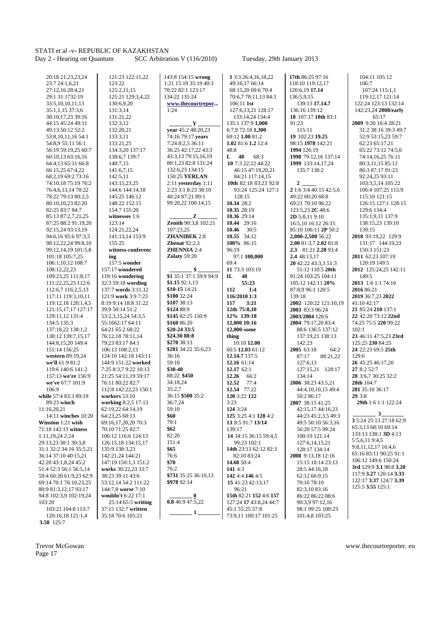#### 23:7 24:1,6,21 27:12,16 28:4,21 29:1 31:1732:19 33:5,10,10,11,13 35:1,1,15 37:3,6 38:10,17,23 39:16 44:15 45:24 49:11 49:13 50:12 52:2 53:8,10,11,16 54:1 54:8,9 55:11 56:1 56:19 59:19,25 60:7 60:10,13 63:16,16 64:4,13 65:11 66:8 66:15,25 67:4,22 68:2,19 69:2 73:16 74:10,18 75:19 76:2 76:4,6,13,14 78:22  $78.22 79.13 80.25$ 80:10,10,23 82:20 82:25 83:7 84:7 85:13 87:2,7,21,25 87:25 88:2 91:19,20 92:15,24 93:13,19 94:6,16 95:6 97:3,5 98:12,22,24 99:8,10 99:12,14,19 101:5,8 101:18 105:7,25 106:1,10,12 108:7  $108.12,22.23$ 109:23,25 111:8,17 111:22,25,25 112:6 112:6,7 116:2,5,13 117:11 119:3,10,11 119:12,18 120:1,4,5 121:15,17,17 127:17 129:11,12 131:4 134:5 135:3 137:18,22 138:1,2 138:12 139:7,15,17 144:8,15,20 149:4 151:14 156:25 **western** 89:19,24 **we'll** 61:9 81:2 119:6 140:6 141:2 157:13 **we're** 156:9 **we've** 67:7 101:9 106:9 **while** 57:4 83:3 89:19 89:23 **winch**  $11.16,20.21$ 14:11 **winches** 10:20 **Winston** 1:21 **wish** 71:18 142:13 **witness** 1:11,19,24 2:24 29:13,23 30:1 30:3,8 31:1 32:2 34:16 35:5,21 36:14 37:10 40:15,21 42:20 43:1,8,24 45:2 51:4 52:3 56:1 56:5,14 59:4 60:20 61:9,23 62:9 69:14 70:1 76:10,23,25 80:9 81:3,12,17 93:17 94:8 102:3,9 102:19,24 103:20 103:21 104:8 113:7 120:16,18 121:1,4 **3.58** 125:7

20:18 21:23,23,24

121:23 122:11,22 123:22 125:2,11,15 125:21 129:3,4,22 130:6,9,20 131:3,14 131:21,22 132:3,12 132:20,21 133:3,11 133:21,25 134:3,20 137:17 138:6,7 139:7 140:7,15 141:6,7,15 142:5,11 143:15,23,25 144:6 144:14,18 145:25 146:12 148:22 152:15 154:7 155:20 **witnesses** 1:6  $123 \cdot 14$ 124:21,22,24 141:13,14 153:9 155:25 **witness-conferenc ing** 157:5 **wonder** 157:17 **wondered** 119:16 **wondering** 32:3 59:18 **wording** 137:7 **words** 3:11,12 121:9 **work** 3:9 7:23 8:19 9:14 18:8 31:22 39:9 50:14 51:2 53:2,3,15,24 54:3,5 55:1662:17 64:11 64:21 65:2 68:22 76:12,18 78:11,14 79:23 83:17 84:1  $106.13108.213$ 124:10 142:18 143:11 144:9 151:22 **worked** 7:25 8:3,7 9:22 10:13 21:25 54:11,19 59:17 76:11 80:22 82:7 112:8 142:22,23 150:1 **workers** 53:10 **working** 8:2,5 17:13 62:19,22 64:14,19 64:23,25 68:13 69:16,17,20,20 70:3 70:10 71:25 82:7 106:12 116:6 124:13 126:15,18 134:15,17 135:9 138:3,23  $142.21$ ,  $24$ ,  $144.21$ 147:19 150:1,3 151:2 **works** 30:22,23 33:7 38:23 39:11 43:6 53:12,14 54:2 111:22 144:7,8 **worse** 7:10 **wouldn't** 6:22 17:1 25:14 65:5 **writing** 37:15 132:7 **written** 35:18 70:6 105:21

## 143:8 154:15 **wrong** 1:21 15:19 35:19 40:3 70:22 82:1 123:17 134:22 135:24 **www.thecourtrepor...**  1:24  **\_\_\_\_\_\_\_\_ Y \_\_\_\_\_\_\_\_ year** 45:2 48:20,23 74:16 79:17 **years** 7:24 8:2,5 36:11 36:25 42:17,22 43:3 43:3,13 79:15,16,19 80:1,23 82:8 131:24 132:6,23 134:15 150:25 **YERLAN** 2:11 **yesterday** 1:11 2:23 3:1 8:23 38:10 40:24 87:21 89:1 99:20,22 100:14,15  **\_\_\_\_\_\_\_\_ Z \_\_\_\_\_\_\_ Zenith** 90:3,8 102:21  $107.23.25$ **ZHANIBEK** 2:8 **Zhenat** 92:2,3 **ZHENNIA** 2:4 **Zolaty** 59:20  **\_\_\_\_\_\_\_\_ \$ \_\_\_\_\_\_\_\_ \$1** 35:1 37:1 59:9 94:9 **\$1.15** 92:1,13 **\$10-15** 14:21 **\$100** 32:24 **\$107** 38:13 **\$124** 88:9 **\$145** 82:25 150:9 **\$160** 86:20 **\$20-24 33:5 \$24.30 88:8 \$270** 38:13 **\$281** 34:22 35:6,23 36:16 59:10 **\$30-40** 88:22 **\$450** 34:18,24  $35.27$ 36:15 **\$500** 35:2 36:7,24 59:10 **\$60** 79:1 **\$62** 82:20 151:4 **\$65** 76:6 **\$70** 76:2 **\$731** 35:25 36:10,13 **\$978** 92:14  **\_\_\_\_\_\_\_\_ 0 0.8** 46:9 47:5,22

 **\_\_\_\_\_\_\_\_ 1 \_\_\_\_\_\_\_\_** 

**1** 3:3 26:4,16,18,22 49:16,17 66:14 68:15,20 69:6 70:4 70:6,7 78:11,13 84:3 106:11 **1st** 127:6,13,21 128:17 133:14,24 134:4 135:1 137:9 **1,000** 6:7,9 72:18 **1,300** 69:12 **1.00** 81:2 **1.02** 81:6 **1.2** 12:4 48:8 **I. 48** 68:3 **10** 7:3 22:22 44:22 46:15 47:19,20,21 84:21 117:14,15 **10th** 82:18 83:23 92:8 93:24 125:24 127:1  $129.15$ **10.34** 28:2 **10.35** 28:19 **10.36** 29:14 **10.44** 29:16 **10.46** 30:5 **10.55** 34:12 **100%** 86:15 96:19 97:1 **100,000** 69:4 **11** 73:3 103:19 **II. 48 55:23 112 1:4 116/2010 1:3 117 3:21 12th 75:8,10 12% 139:18 12,000 10:16 12,000-some thing**  10:10 **12.00** 60:5 **12.03** 61:12 **12.14.7** 137:5 **12.16** 61:14 **12.17** 62:1 **12.26** 66:2 **12.52** 77:4 **12.54** 77:22 **120** 3:22 **122** 3:23 **124** 3:24 **125** 3:25 4:1 **128** 4:2 **13** 8:5 91:7 **13/14** 139:17 **14** 34:15 36:15 59:4,5 99:23 102:1 **14th** 23:13 62:12 82:3 82:10 83:24 **14.68** 50:4 **141** 4:3 **142** 4:4 **146** 4:5 **15** 41:23 42:13,17 96:21 **15th** 82:21 **152** 4:6 **157** 127:24 **17** 43:8,24 44:7  $45.155.25578$ 

73:9,11 100:17 101:25

**17th** 86:25 97:16 118:10 119:12,17 120:6,19 **17.14** 136:5,9,15 139:13 **17.14.7** 136:16 139:12 **18** 107:17 **18th** 83:1 91:23 115:11 **19** 102:23 **19.25** 98:15 **1978** 142:21 **1994** 126:19 **1998** 79:12,16 137:14 **1999** 133:14,17,24 135:7 138:2  **2 \_\_\_\_\_ 2** 1:6 3:4 40:15 42:5,6 49:22 60:20 68:8 69:21 70:10 96:22 123:5,23 **2C** 48:6 **2D** 5:8,11 9:10 16:5,10 16:12 26:15 85:10 106:11 **2P** 50:2 **2,000-2,500** 56:22 **2.00** 81:3,7 **2.02** 81:8 **2.3** 81:21 **2.28** 93:4 **2.4** 48:13,17 **20** 42:22 43:3,3 51:3 51:12 110:5 **20th** 91:24 103:25 104:11 105:12 142:11 **20%** 87:8,9 96:1 120:5 139:18 **2002** 120:22 121:10,19 **2003** 83:3 96:24 **2003/2004** 128:6 **2004** 79:17,20 83:4 88:6 136:5 137:12 137:19,21 138:13  $142.23$ **2005** 63:18 64:2<br>87:17 88:21,22  $88.21,22$ 127:6,13 127:15,21 128:17 134:14 **2006** 38:23 43:5,21 44:4,10,10,15 49:4 50:2 86:17 **2007** 38:15 41:25 42:15,17 44:16,23  $44.2345.23549.3$ 49:5 50:10 56:3,16 56:20 57:5 99:24 100:19 121:14 127:6,14,15,21 128:17 134:14 **2008** 9:13,18 12:16 15:15 18:14 23:13 28:5 44:16,18 62:12 66:9,15 70:16 78:10 82:3,10 83:16 86:22 86:22 88:6 90:3,9 97:12,16 98:1 99:25 100:23 101:4,8 103:25

104:11 105:12 106:7 107:24 115:1,1 119:12,17 121:14 122:24 123:13 132:14 142:23,24 **2008/early** 65:17 **2009** 9:20 16:4 28:21 31:2 38:16 39:3 49:7 52:9 53:15,23 59:7 62:23 65:17,21 65:22 73:12 74:5,6 74:14,16,25 76:11 80:3,11,15 85:12 86:3 87:17 91:23 92:24,25 93:11  $103.3,5,14,105.22$ 106:4 107:25 115:9 115:10 121:15 126:15 127:1 128:15 129:6 134:4 135:1,9,11 137:9 138:15,23 139:10 139:15 **2010** 93:19,22 129:9 131:17 144:19,23 150:3 151:23 **2011** 62:23 107:19 120:19 149:5 **2012** 125:24,25 142:11  $149.5$ **2013** 1:6 1:1 74:16 **2016** 86:21 **2019** 36:7,23 **2022**  $41 \cdot 1042 \cdot 17$ **21** 85:24 **210** 137:1 **22** 42:20 73:12 **22nd** 74:25 75:5 **220** 99:22  $102.1$ **23** 46:11 47:5,23 **23rd** 125:25 **230** 84:25 **24** 22:23 69:5 **25th** 129:6 **26** 45:25 46:17,20 **27** 8:2 52:7 **28** 3:6,7 30:25 32:2 **28th** 104:7 **281** 35:10 36:17 **29** 3:8 **29th** 1:6 1:1 122:24  **\_\_\_\_\_\_\_\_ 3 \_\_\_\_\_\_\_\_ 3** 5:24 25:13 27:18 62:9 65:3,13 68:10 69:14 133:13 138:1 **3D** 4:13 5:5,6,11 9:4,5 9:8,11,12,17 16:4,6 65:16 85:11 90:25 91:1 106:12 149:6 150:24

Page 17

Trevor McGowan www.thecourtreporter. eu

**3rd** 129:9 **3.1** 98:8 **3.20** 117:9 **3.27** 120:14 **3.33** 122:17 **3.37** 124:7 **3.39** 125:5 **3.55** 125:1